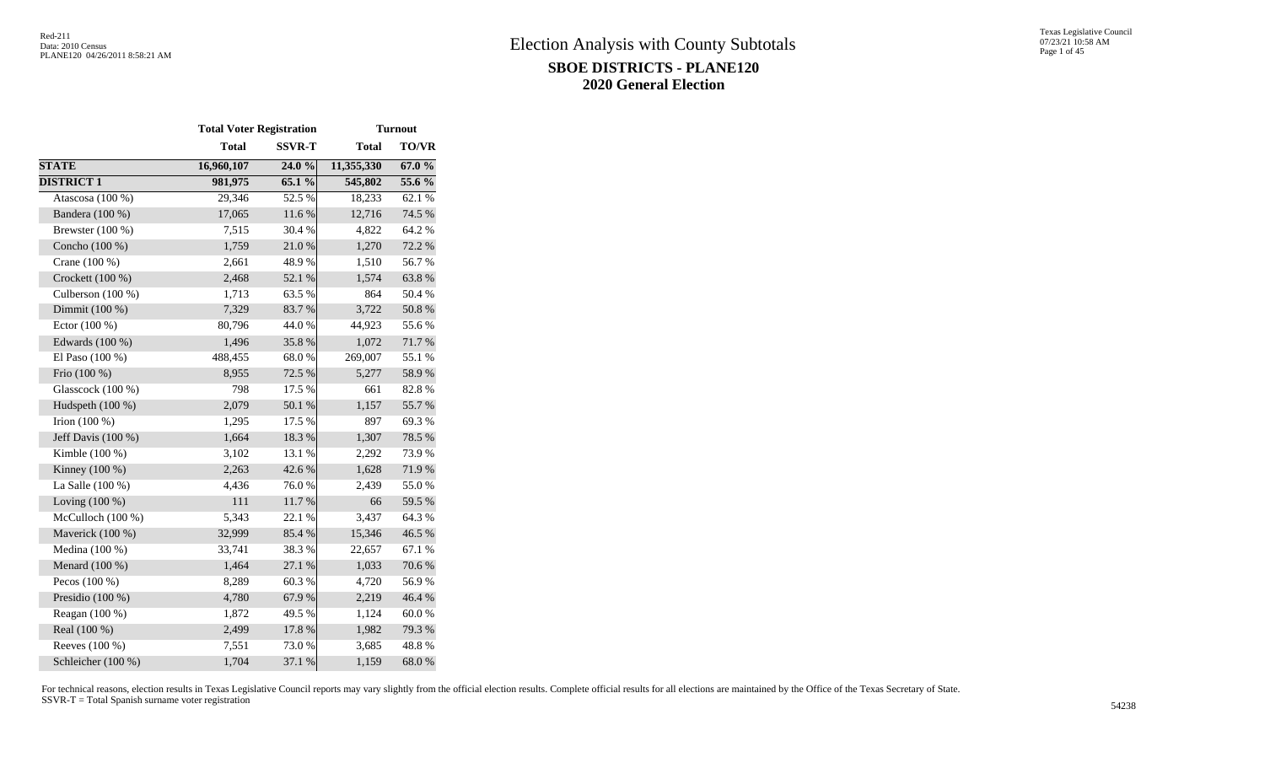|                     | <b>Total Voter Registration</b> |               |              | <b>Turnout</b> |
|---------------------|---------------------------------|---------------|--------------|----------------|
|                     | <b>Total</b>                    | <b>SSVR-T</b> | <b>Total</b> | <b>TO/VR</b>   |
| <b>STATE</b>        | 16,960,107                      | 24.0 %        | 11,355,330   | 67.0 %         |
| <b>DISTRICT 1</b>   | 981,975                         | 65.1 %        | 545,802      | 55.6 %         |
| Atascosa (100 %)    | 29,346                          | 52.5 %        | 18,233       | 62.1 %         |
| Bandera (100 %)     | 17,065                          | 11.6 %        | 12,716       | 74.5 %         |
| Brewster $(100\%)$  | 7,515                           | 30.4 %        | 4,822        | 64.2%          |
| Concho (100 %)      | 1,759                           | $21.0\ \%$    | 1,270        | 72.2 %         |
| Crane (100 %)       | 2,661                           | 48.9%         | 1,510        | 56.7%          |
| Crockett (100 %)    | 2,468                           | 52.1 %        | 1,574        | 63.8%          |
| Culberson $(100\%)$ | 1,713                           | 63.5 %        | 864          | 50.4 %         |
| Dimmit (100 %)      | 7,329                           | 83.7%         | 3,722        | $50.8~\%$      |
| Ector (100 %)       | 80,796                          | 44.0%         | 44,923       | 55.6%          |
| Edwards (100 %)     | 1,496                           | 35.8%         | 1,072        | 71.7%          |
| El Paso (100 %)     | 488,455                         | 68.0%         | 269,007      | 55.1 %         |
| Frio (100 %)        | 8,955                           | 72.5 %        | 5,277        | 58.9%          |
| Glasscock (100 %)   | 798                             | 17.5 %        | 661          | 82.8%          |
| Hudspeth (100 %)    | 2,079                           | 50.1 %        | 1,157        | 55.7%          |
| Irion $(100\%)$     | 1,295                           | 17.5 %        | 897          | 69.3%          |
| Jeff Davis (100 %)  | 1,664                           | 18.3%         | 1,307        | 78.5 %         |
| Kimble $(100\%)$    | 3,102                           | 13.1 %        | 2,292        | 73.9%          |
| Kinney $(100\%)$    | 2,263                           | 42.6%         | 1,628        | 71.9%          |
| La Salle (100 %)    | 4,436                           | 76.0%         | 2,439        | 55.0%          |
| Loving $(100\%)$    | 111                             | 11.7 %        | 66           | 59.5 %         |
| McCulloch (100 %)   | 5,343                           | 22.1 %        | 3,437        | 64.3%          |
| Maverick (100 %)    | 32,999                          | 85.4 %        | 15,346       | 46.5 %         |
| Medina (100 %)      | 33,741                          | 38.3%         | 22,657       | 67.1 %         |
| Menard (100 %)      | 1,464                           | 27.1 %        | 1,033        | 70.6%          |
| Pecos $(100\%)$     | 8,289                           | 60.3 %        | 4,720        | 56.9%          |
| Presidio (100 %)    | 4,780                           | 67.9%         | 2,219        | 46.4 %         |
| Reagan (100 %)      | 1,872                           | 49.5 %        | 1,124        | 60.0%          |
| Real (100 %)        | 2,499                           | 17.8 %        | 1,982        | 79.3%          |
| Reeves (100 %)      | 7,551                           | 73.0 %        | 3,685        | 48.8%          |
| Schleicher (100 %)  | 1,704                           | 37.1 %        | 1,159        | 68.0%          |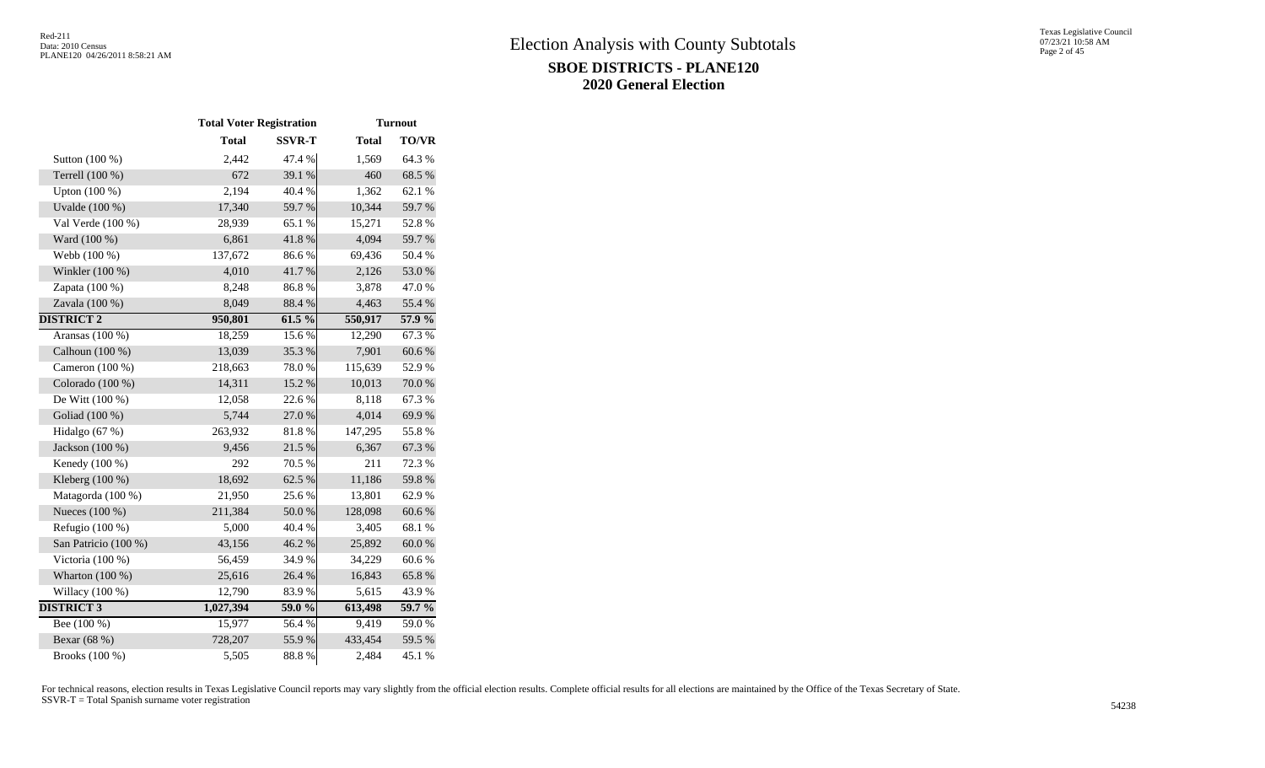|                      | <b>Total Voter Registration</b> |               |              | <b>Turnout</b> |
|----------------------|---------------------------------|---------------|--------------|----------------|
|                      | <b>Total</b>                    | <b>SSVR-T</b> | <b>Total</b> | <b>TO/VR</b>   |
| Sutton (100 %)       | 2,442                           | 47.4 %        | 1,569        | 64.3 %         |
| Terrell (100 %)      | 672                             | 39.1 %        | 460          | 68.5%          |
| Upton (100 %)        | 2,194                           | 40.4 %        | 1,362        | 62.1 %         |
| Uvalde (100 %)       | 17,340                          | 59.7%         | 10,344       | 59.7%          |
| Val Verde (100 %)    | 28,939                          | 65.1 %        | 15,271       | 52.8%          |
| Ward (100 %)         | 6,861                           | 41.8%         | 4,094        | 59.7%          |
| Webb (100 %)         | 137,672                         | 86.6%         | 69,436       | 50.4 %         |
| Winkler (100 %)      | 4,010                           | 41.7%         | 2,126        | 53.0%          |
| Zapata (100 %)       | 8,248                           | 86.8%         | 3,878        | 47.0%          |
| Zavala (100 %)       | 8,049                           | 88.4%         | 4,463        | 55.4 %         |
| <b>DISTRICT 2</b>    | 950,801                         | 61.5 %        | 550,917      | $57.9\%$       |
| Aransas $(100\%)$    | 18,259                          | 15.6%         | 12,290       | 67.3 %         |
| Calhoun (100 %)      | 13,039                          | 35.3%         | 7,901        | 60.6%          |
| Cameron (100 %)      | 218,663                         | 78.0%         | 115,639      | 52.9%          |
| Colorado (100 %)     | 14,311                          | 15.2 %        | 10,013       | 70.0%          |
| De Witt (100 %)      | 12,058                          | 22.6 %        | 8.118        | 67.3%          |
| Goliad (100 %)       | 5,744                           | 27.0%         | 4,014        | 69.9%          |
| Hidalgo (67 %)       | 263,932                         | 81.8%         | 147,295      | 55.8%          |
| Jackson (100 %)      | 9,456                           | 21.5 %        | 6,367        | 67.3%          |
| Kenedy (100 %)       | 292                             | 70.5 %        | 211          | 72.3 %         |
| Kleberg $(100\%)$    | 18,692                          | 62.5 %        | 11,186       | 59.8%          |
| Matagorda (100 %)    | 21,950                          | 25.6%         | 13,801       | 62.9%          |
| Nueces (100 %)       | 211,384                         | 50.0%         | 128,098      | 60.6%          |
| Refugio (100 %)      | 5,000                           | 40.4 %        | 3,405        | 68.1 %         |
| San Patricio (100 %) | 43,156                          | 46.2%         | 25,892       | $60.0\ \%$     |
| Victoria (100 %)     | 56,459                          | 34.9%         | 34,229       | 60.6%          |
| Wharton $(100\%)$    | 25,616                          | 26.4 %        | 16,843       | 65.8%          |
| Willacy (100 %)      | 12,790                          | 83.9%         | 5,615        | 43.9%          |
| <b>DISTRICT 3</b>    | 1,027,394                       | 59.0 %        | 613,498      | $59.7\%$       |
| Bee $(100\%)$        | 15,977                          | 56.4 %        | 9,419        | 59.0%          |
| Bexar (68 %)         | 728,207                         | 55.9%         | 433,454      | 59.5 %         |
| Brooks (100 %)       | 5,505                           | 88.8%         | 2,484        | 45.1 %         |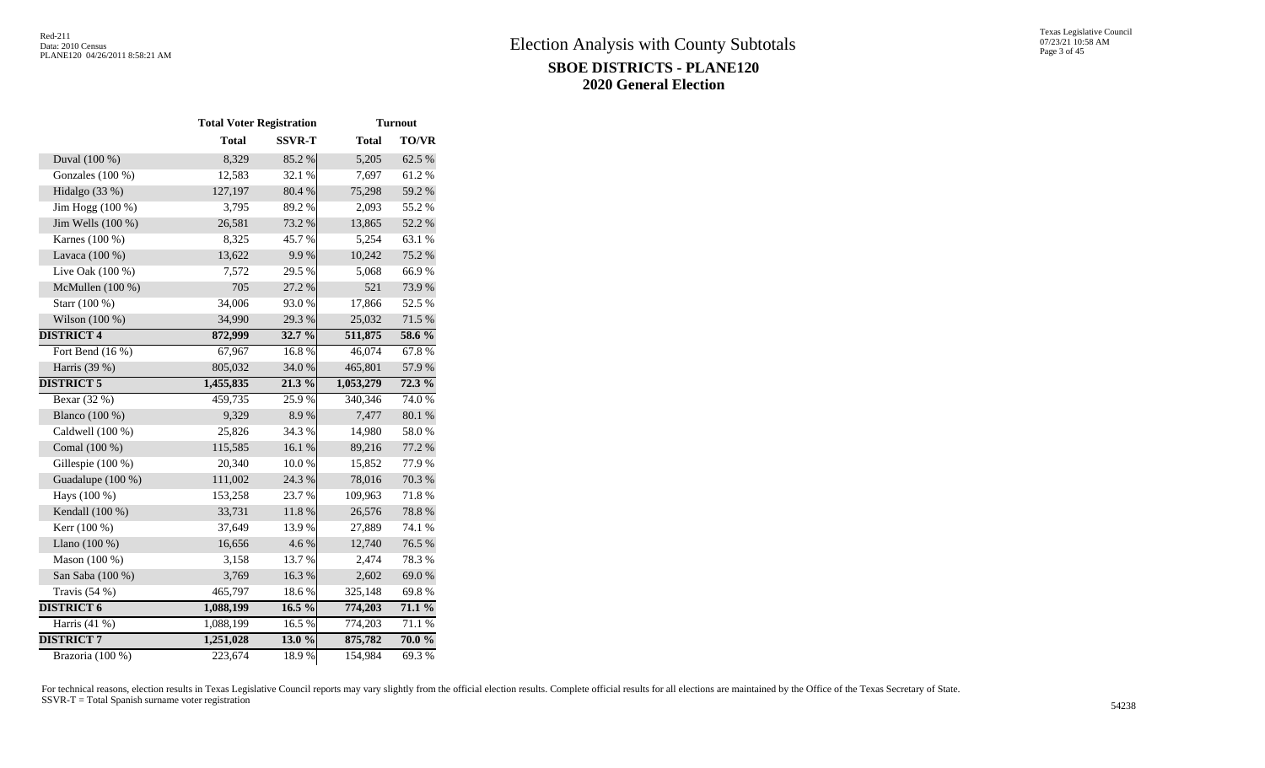|                    | <b>Total Voter Registration</b> |               |              | <b>Turnout</b> |
|--------------------|---------------------------------|---------------|--------------|----------------|
|                    | <b>Total</b>                    | <b>SSVR-T</b> | <b>Total</b> | <b>TO/VR</b>   |
| Duval (100 %)      | 8,329                           | 85.2%         | 5,205        | 62.5 %         |
| Gonzales (100 %)   | 12,583                          | 32.1 %        | 7,697        | 61.2%          |
| Hidalgo (33 %)     | 127,197                         | 80.4 %        | 75,298       | 59.2 %         |
| Jim Hogg (100 %)   | 3,795                           | 89.2%         | 2,093        | 55.2 %         |
| Jim Wells (100 %)  | 26,581                          | 73.2 %        | 13,865       | 52.2 %         |
| Karnes (100 %)     | 8,325                           | 45.7%         | 5,254        | 63.1 %         |
| Lavaca (100 %)     | 13,622                          | 9.9%          | 10,242       | 75.2 %         |
| Live Oak (100 %)   | 7,572                           | 29.5 %        | 5,068        | 66.9%          |
| McMullen (100 %)   | 705                             | 27.2 %        | 521          | 73.9%          |
| Starr (100 %)      | 34,006                          | 93.0%         | 17,866       | 52.5 %         |
| Wilson (100 %)     | 34,990                          | 29.3%         | 25,032       | 71.5 %         |
| <b>DISTRICT 4</b>  | 872,999                         | 32.7 %        | 511,875      | 58.6 %         |
| Fort Bend $(16\%)$ | 67,967                          | 16.8%         | 46,074       | 67.8%          |
| Harris (39 %)      | 805,032                         | 34.0 %        | 465,801      | 57.9%          |
| <b>DISTRICT 5</b>  | 1,455,835                       | 21.3%         | 1,053,279    | $72.3\%$       |
| Bexar (32 %)       | 459,735                         | 25.9%         | 340,346      | 74.0%          |
| Blanco (100 %)     | 9,329                           | 8.9%          | 7,477        | 80.1 %         |
| Caldwell (100 %)   | 25,826                          | 34.3 %        | 14,980       | 58.0%          |
| Comal (100 %)      | 115,585                         | 16.1%         | 89,216       | 77.2 %         |
| Gillespie (100 %)  | 20,340                          | 10.0%         | 15,852       | 77.9%          |
| Guadalupe (100 %)  | 111,002                         | 24.3 %        | 78,016       | 70.3 %         |
| Hays (100 %)       | 153,258                         | 23.7%         | 109,963      | 71.8%          |
| Kendall (100 %)    | 33,731                          | 11.8%         | 26,576       | 78.8%          |
| Kerr (100 %)       | 37,649                          | 13.9%         | 27,889       | 74.1 %         |
| Llano (100 %)      | 16,656                          | 4.6%          | 12,740       | 76.5 %         |
| Mason (100 %)      | 3,158                           | 13.7%         | 2,474        | 78.3%          |
| San Saba (100 %)   | 3,769                           | 16.3%         | 2,602        | 69.0%          |
| Travis (54 %)      | 465,797                         | 18.6%         | 325,148      | 69.8%          |
| <b>DISTRICT 6</b>  | 1,088,199                       | $16.5\%$      | 774,203      | $71.1\%$       |
| Harris $(41\%)$    | 1,088,199                       | 16.5%         | 774,203      | 71.1 %         |
| <b>DISTRICT 7</b>  | 1,251,028                       | 13.0 %        | 875,782      | $70.0\%$       |
| Brazoria (100 %)   | 223,674                         | 18.9%         | 154,984      | 69.3%          |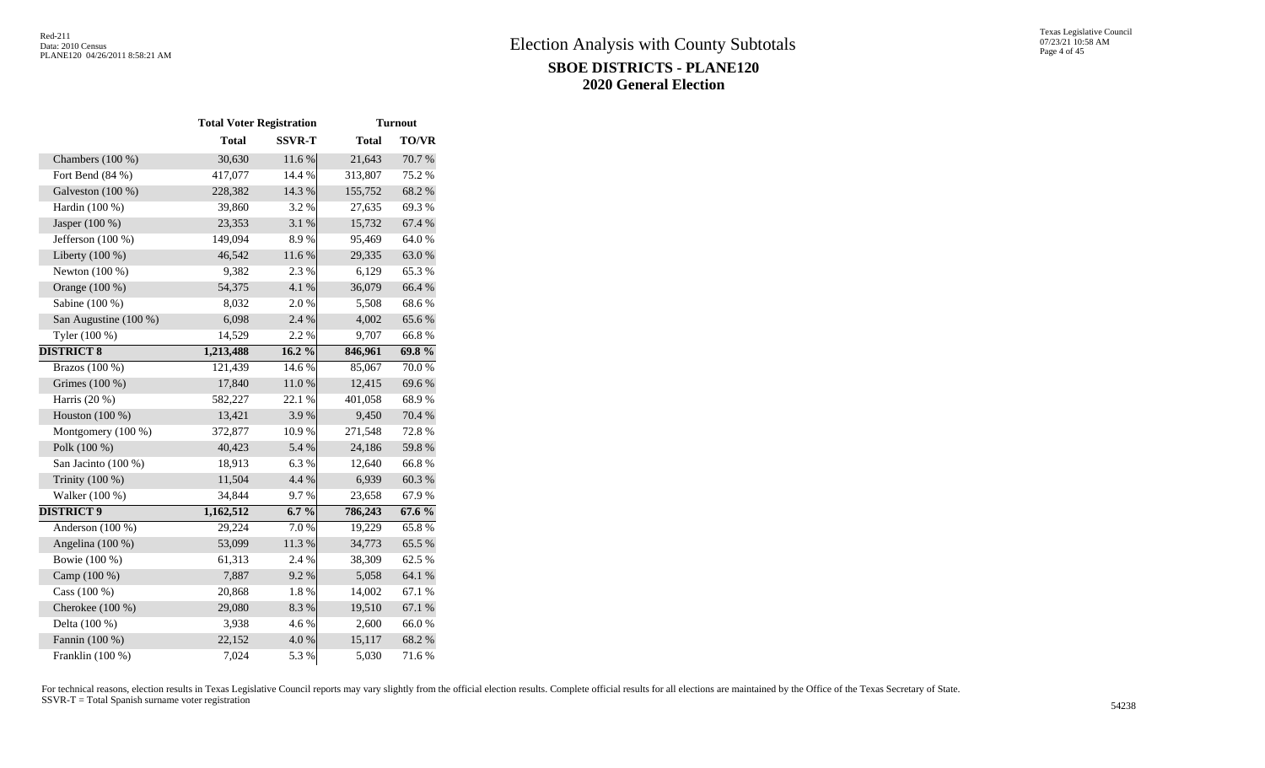|                       | <b>Total Voter Registration</b> |               |              | <b>Turnout</b> |  |
|-----------------------|---------------------------------|---------------|--------------|----------------|--|
|                       | <b>Total</b>                    | <b>SSVR-T</b> | <b>Total</b> | <b>TO/VR</b>   |  |
| Chambers (100 %)      | 30,630                          | 11.6 %        | 21,643       | 70.7%          |  |
| Fort Bend (84 %)      | 417,077                         | 14.4 %        | 313,807      | 75.2 %         |  |
| Galveston (100 %)     | 228,382                         | 14.3 %        | 155,752      | 68.2%          |  |
| Hardin (100 %)        | 39,860                          | 3.2%          | 27,635       | 69.3%          |  |
| Jasper (100 %)        | 23,353                          | 3.1 %         | 15,732       | 67.4 %         |  |
| Jefferson (100 %)     | 149,094                         | 8.9%          | 95,469       | 64.0%          |  |
| Liberty (100 %)       | 46,542                          | 11.6%         | 29,335       | 63.0%          |  |
| Newton (100 %)        | 9,382                           | 2.3 %         | 6,129        | 65.3%          |  |
| Orange (100 %)        | 54,375                          | 4.1 %         | 36,079       | 66.4 %         |  |
| Sabine (100 %)        | 8,032                           | 2.0%          | 5,508        | 68.6%          |  |
| San Augustine (100 %) | 6,098                           | 2.4 %         | 4,002        | 65.6%          |  |
| Tyler (100 %)         | 14,529                          | 2.2 %         | 9,707        | 66.8%          |  |
| <b>DISTRICT 8</b>     | 1,213,488                       | 16.2%         | 846,961      | 69.8%          |  |
| Brazos $(100\%)$      | 121,439                         | 14.6 %        | 85,067       | 70.0%          |  |
| Grimes (100 %)        | 17,840                          | $11.0\ \%$    | 12,415       | 69.6%          |  |
| Harris (20 %)         | 582,227                         | 22.1 %        | 401,058      | 68.9%          |  |
| Houston (100 %)       | 13,421                          | 3.9%          | 9,450        | 70.4 %         |  |
| Montgomery (100 %)    | 372,877                         | 10.9%         | 271,548      | 72.8%          |  |
| Polk (100 %)          | 40,423                          | 5.4 %         | 24,186       | 59.8%          |  |
| San Jacinto (100 %)   | 18,913                          | 6.3%          | 12,640       | 66.8%          |  |
| Trinity (100 %)       | 11,504                          | 4.4 %         | 6,939        | 60.3%          |  |
| Walker (100 %)        | 34,844                          | 9.7%          | 23,658       | 67.9%          |  |
| <b>DISTRICT 9</b>     | 1,162,512                       | $6.7\%$       | 786,243      | 67.6%          |  |
| Anderson (100 %)      | 29,224                          | 7.0%          | 19,229       | 65.8%          |  |
| Angelina (100 %)      | 53,099                          | 11.3%         | 34,773       | 65.5 %         |  |
| Bowie (100 %)         | 61,313                          | 2.4 %         | 38,309       | 62.5 %         |  |
| Camp (100 %)          | 7,887                           | 9.2%          | 5,058        | 64.1 %         |  |
| Cass $(100\%)$        | 20,868                          | 1.8%          | 14,002       | 67.1 %         |  |
| Cherokee (100 %)      | 29,080                          | 8.3%          | 19,510       | 67.1 %         |  |
| Delta (100 %)         | 3,938                           | 4.6%          | 2,600        | 66.0%          |  |
| Fannin (100 %)        | 22,152                          | 4.0%          | 15,117       | 68.2%          |  |
| Franklin (100 %)      | 7,024                           | 5.3 %         | 5,030        | 71.6%          |  |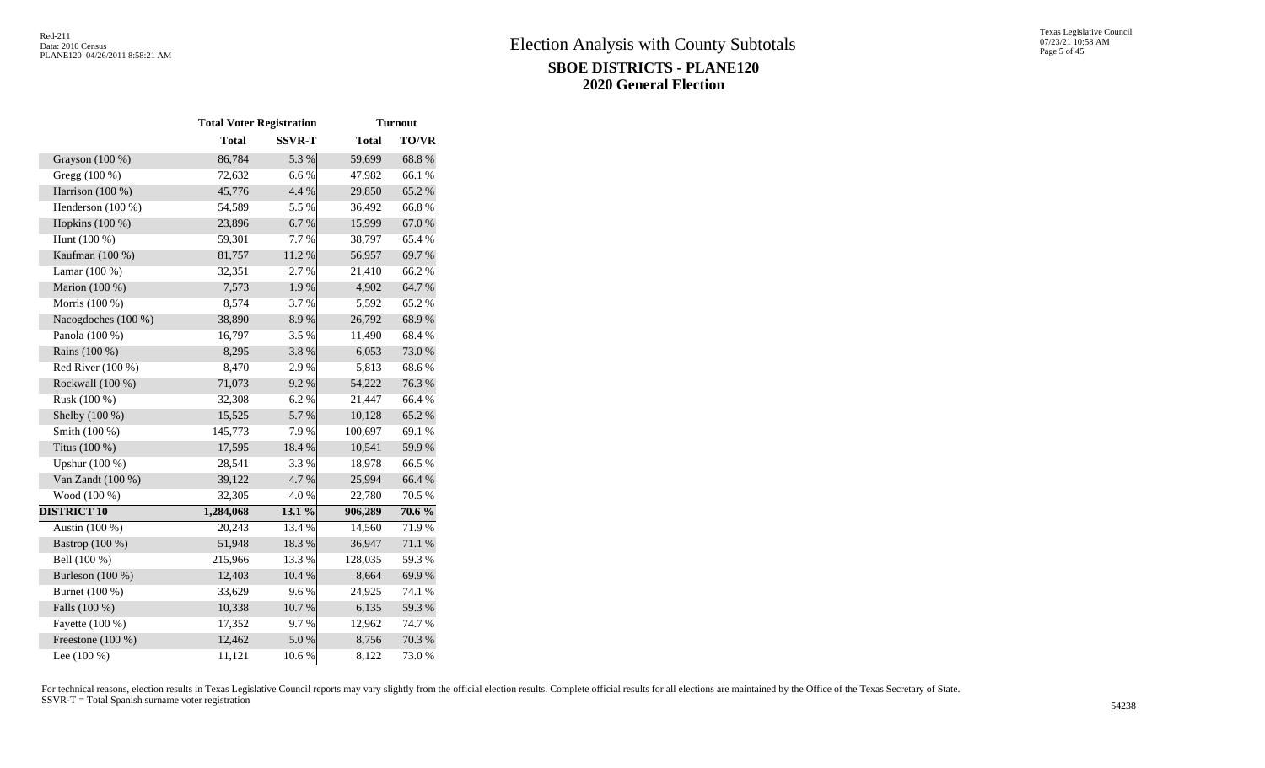|                     | <b>Total Voter Registration</b> |               |              | <b>Turnout</b>   |  |
|---------------------|---------------------------------|---------------|--------------|------------------|--|
|                     | <b>Total</b>                    | <b>SSVR-T</b> | <b>Total</b> | TO/VR            |  |
| Grayson (100 %)     | 86,784                          | 5.3 %         | 59,699       | 68.8%            |  |
| Gregg (100 %)       | 72,632                          | 6.6%          | 47,982       | 66.1%            |  |
| Harrison (100 %)    | 45,776                          | 4.4 %         | 29,850       | 65.2%            |  |
| Henderson (100 %)   | 54,589                          | 5.5 %         | 36,492       | 66.8%            |  |
| Hopkins (100 %)     | 23,896                          | 6.7%          | 15,999       | 67.0%            |  |
| Hunt (100 %)        | 59,301                          | 7.7%          | 38,797       | 65.4%            |  |
| Kaufman (100 %)     | 81,757                          | 11.2 %        | 56,957       | 69.7%            |  |
| Lamar $(100\%)$     | 32,351                          | 2.7 %         | 21,410       | 66.2%            |  |
| Marion (100 %)      | 7,573                           | 1.9%          | 4,902        | 64.7%            |  |
| Morris (100 %)      | 8,574                           | 3.7%          | 5,592        | 65.2 %           |  |
| Nacogdoches (100 %) | 38,890                          | 8.9%          | 26,792       | 68.9%            |  |
| Panola (100 %)      | 16,797                          | 3.5 %         | 11,490       | 68.4%            |  |
| Rains (100 %)       | 8,295                           | 3.8%          | 6,053        | 73.0%            |  |
| Red River $(100\%)$ | 8,470                           | 2.9%          | 5,813        | 68.6%            |  |
| Rockwall (100 %)    | 71,073                          | 9.2 %         | 54,222       | 76.3%            |  |
| Rusk (100 %)        | 32,308                          | 6.2%          | 21,447       | 66.4%            |  |
| Shelby (100 %)      | 15,525                          | 5.7%          | 10,128       | 65.2%            |  |
| Smith (100 %)       | 145,773                         | 7.9%          | 100,697      | 69.1 %           |  |
| Titus (100 %)       | 17,595                          | 18.4 %        | 10,541       | 59.9%            |  |
| Upshur (100 %)      | 28,541                          | 3.3 %         | 18,978       | 66.5%            |  |
| Van Zandt (100 %)   | 39,122                          | 4.7%          | 25,994       | 66.4%            |  |
| Wood (100 %)        | 32,305                          | 4.0%          | 22,780       | 70.5 %           |  |
| <b>DISTRICT 10</b>  | 1,284,068                       | 13.1 %        | 906,289      | $70.6\%$         |  |
| Austin (100 %)      | 20,243                          | 13.4 %        | 14,560       | 71.9%            |  |
| Bastrop (100 %)     | 51,948                          | 18.3%         | 36,947       | $71.1\text{ }\%$ |  |
| Bell (100 %)        | 215,966                         | 13.3 %        | 128,035      | 59.3%            |  |
| Burleson (100 %)    | 12,403                          | 10.4 %        | 8,664        | 69.9%            |  |
| Burnet (100 %)      | 33,629                          | 9.6%          | 24,925       | 74.1 %           |  |
| Falls (100 %)       | 10,338                          | 10.7 %        | 6,135        | 59.3%            |  |
| Fayette (100 %)     | 17,352                          | 9.7%          | 12,962       | 74.7%            |  |
| Freestone (100 %)   | 12,462                          | 5.0%          | 8,756        | $70.3~\%$        |  |
| Lee $(100\%)$       | 11,121                          | 10.6%         | 8,122        | 73.0%            |  |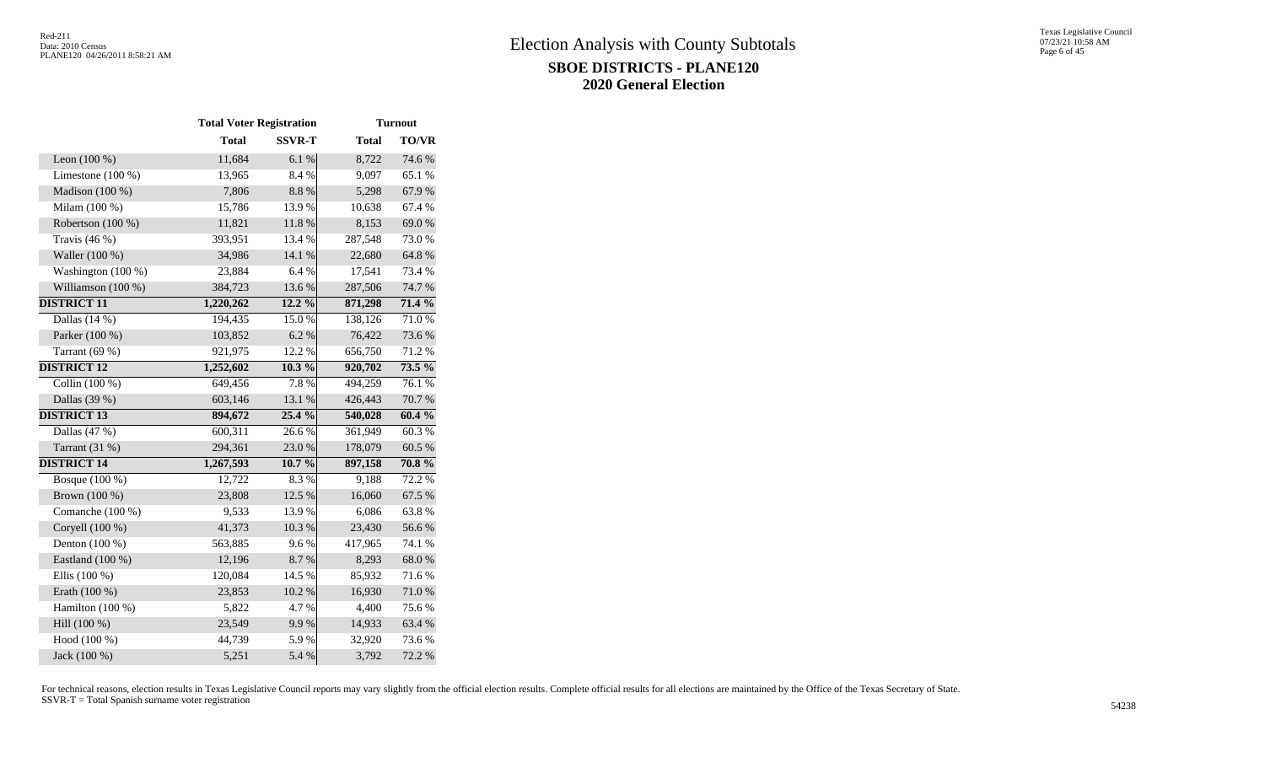|                     | <b>Total Voter Registration</b> |               |              | <b>Turnout</b> |  |  |
|---------------------|---------------------------------|---------------|--------------|----------------|--|--|
|                     | <b>Total</b>                    | <b>SSVR-T</b> | <b>Total</b> | <b>TO/VR</b>   |  |  |
| Leon $(100\%)$      | 11,684                          | 6.1 %         | 8,722        | 74.6 %         |  |  |
| Limestone $(100\%)$ | 13,965                          | 8.4%          | 9,097        | 65.1 %         |  |  |
| Madison $(100\%)$   | 7,806                           | 8.8%          | 5,298        | 67.9%          |  |  |
| Milam (100 %)       | 15,786                          | 13.9%         | 10,638       | 67.4 %         |  |  |
| Robertson (100 %)   | 11,821                          | 11.8 %        | 8,153        | 69.0%          |  |  |
| Travis $(46\%)$     | 393,951                         | 13.4 %        | 287,548      | 73.0%          |  |  |
| Waller (100 %)      | 34,986                          | 14.1 %        | 22,680       | 64.8%          |  |  |
| Washington (100 %)  | 23,884                          | 6.4%          | 17,541       | 73.4 %         |  |  |
| Williamson (100 %)  | 384,723                         | 13.6 %        | 287,506      | 74.7 %         |  |  |
| <b>DISTRICT 11</b>  | 1,220,262                       | 12.2 %        | 871,298      | 71.4 %         |  |  |
| Dallas $(14%)$      | 194,435                         | 15.0%         | 138,126      | 71.0%          |  |  |
| Parker (100 %)      | 103,852                         | 6.2%          | 76,422       | 73.6%          |  |  |
| Tarrant $(69%)$     | 921,975                         | 12.2 %        | 656,750      | 71.2%          |  |  |
| <b>DISTRICT 12</b>  | 1,252,602                       | 10.3%         | 920,702      | $73.5\%$       |  |  |
| Collin $(100\%)$    | 649,456                         | 7.8%          | 494,259      | 76.1 %         |  |  |
| Dallas (39 %)       | 603,146                         | 13.1 %        | 426,443      | 70.7%          |  |  |
| <b>DISTRICT 13</b>  | 894,672                         | 25.4 %        | 540,028      | 60.4 %         |  |  |
| Dallas (47 %)       | 600,311                         | 26.6%         | 361,949      | 60.3%          |  |  |
| Tarrant (31 %)      | 294,361                         | 23.0%         | 178,079      | 60.5 %         |  |  |
| <b>DISTRICT 14</b>  | 1,267,593                       | 10.7%         | 897,158      | 70.8 %         |  |  |
| Bosque (100 %)      | 12,722                          | 8.3%          | 9,188        | 72.2 %         |  |  |
| Brown (100 %)       | 23,808                          | 12.5 %        | 16,060       | 67.5 %         |  |  |
| Comanche (100 %)    | 9,533                           | 13.9%         | 6,086        | 63.8%          |  |  |
| Coryell (100 %)     | 41,373                          | 10.3 %        | 23,430       | 56.6%          |  |  |
| Denton (100 %)      | 563,885                         | 9.6%          | 417,965      | 74.1 %         |  |  |
| Eastland (100 %)    | 12,196                          | 8.7 %         | 8,293        | 68.0%          |  |  |
| Ellis (100 %)       | 120,084                         | 14.5 %        | 85,932       | 71.6%          |  |  |
| Erath (100 %)       | 23,853                          | 10.2 %        | 16,930       | 71.0%          |  |  |
| Hamilton (100 %)    | 5,822                           | 4.7%          | 4,400        | 75.6%          |  |  |
| Hill (100 %)        | 23,549                          | 9.9%          | 14,933       | 63.4 %         |  |  |
| Hood (100 %)        | 44,739                          | 5.9%          | 32,920       | 73.6 %         |  |  |
| Jack (100 %)        | 5,251                           | 5.4 %         | 3,792        | 72.2 %         |  |  |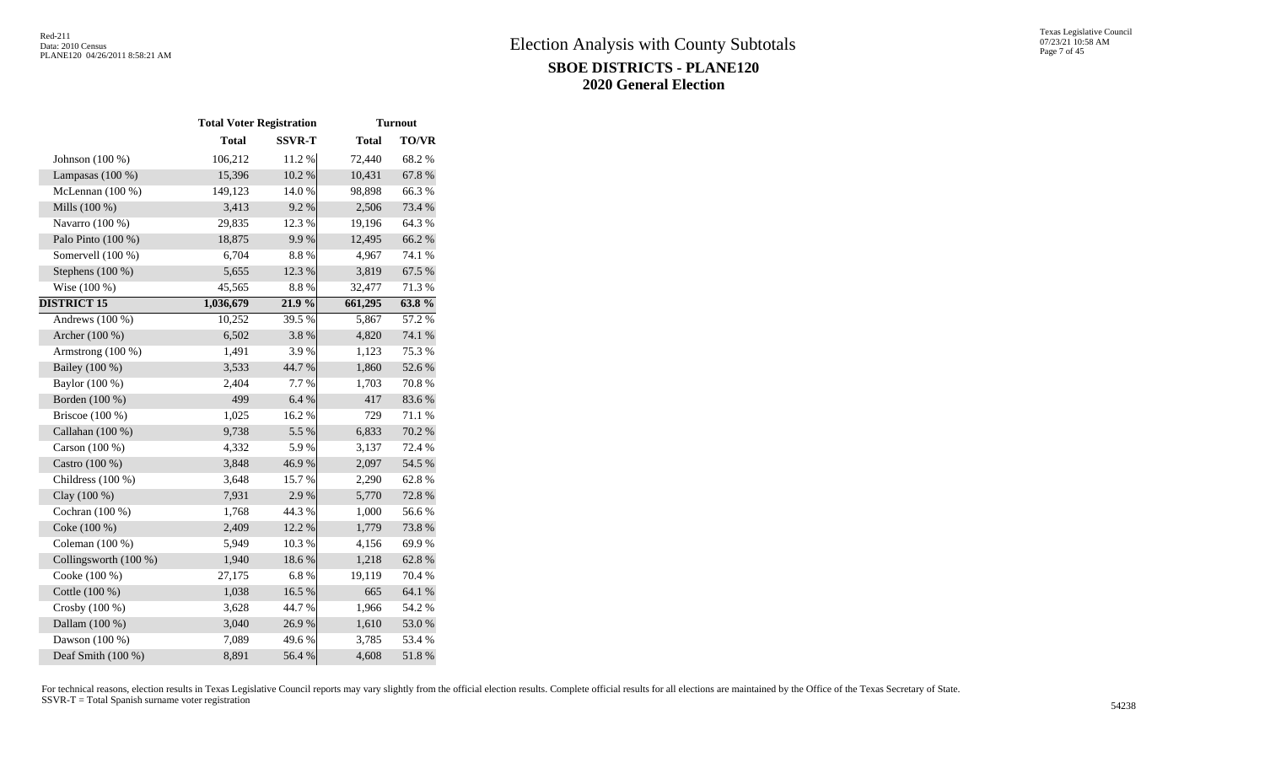|                       | <b>Total Voter Registration</b> |               |              | <b>Turnout</b> |
|-----------------------|---------------------------------|---------------|--------------|----------------|
|                       | <b>Total</b>                    | <b>SSVR-T</b> | <b>Total</b> | <b>TO/VR</b>   |
| Johnson $(100\%)$     | 106,212                         | 11.2%         | 72,440       | 68.2%          |
| Lampasas $(100\%)$    | 15,396                          | 10.2 %        | 10,431       | 67.8%          |
| McLennan $(100\%)$    | 149,123                         | 14.0 %        | 98,898       | 66.3%          |
| Mills (100 %)         | 3,413                           | 9.2%          | 2,506        | 73.4 %         |
| Navarro (100 %)       | 29,835                          | 12.3 %        | 19,196       | 64.3%          |
| Palo Pinto (100 %)    | 18,875                          | 9.9%          | 12,495       | 66.2%          |
| Somervell (100 %)     | 6,704                           | 8.8%          | 4,967        | 74.1 %         |
| Stephens $(100\%)$    | 5,655                           | 12.3 %        | 3,819        | 67.5 %         |
| Wise (100 %)          | 45,565                          | 8.8 %         | 32,477       | 71.3%          |
| <b>DISTRICT 15</b>    | 1,036,679                       | 21.9%         | 661,295      | 63.8%          |
| Andrews (100 %)       | 10,252                          | 39.5 %        | 5,867        | 57.2 %         |
| Archer (100 %)        | 6,502                           | 3.8%          | 4,820        | 74.1 %         |
| Armstrong (100 %)     | 1,491                           | 3.9%          | 1,123        | 75.3 %         |
| Bailey (100 %)        | 3,533                           | 44.7 %        | 1,860        | 52.6%          |
| Baylor (100 %)        | 2,404                           | 7.7 %         | 1,703        | 70.8 %         |
| Borden (100 %)        | 499                             | 6.4 %         | 417          | 83.6%          |
| Briscoe $(100\%)$     | 1,025                           | 16.2%         | 729          | 71.1 %         |
| Callahan (100 %)      | 9,738                           | 5.5 %         | 6,833        | 70.2%          |
| Carson (100 %)        | 4,332                           | 5.9%          | 3,137        | 72.4 %         |
| Castro (100 %)        | 3,848                           | 46.9%         | 2,097        | 54.5 %         |
| Childress (100 %)     | 3,648                           | 15.7%         | 2,290        | 62.8%          |
| Clay (100 %)          | 7,931                           | 2.9%          | 5,770        | 72.8%          |
| Cochran (100 %)       | 1,768                           | 44.3 %        | 1,000        | 56.6%          |
| Coke (100 %)          | 2,409                           | 12.2 %        | 1,779        | 73.8%          |
| Coleman (100 %)       | 5,949                           | 10.3%         | 4,156        | 69.9%          |
| Collingsworth (100 %) | 1,940                           | 18.6%         | 1,218        | 62.8%          |
| Cooke (100 %)         | 27,175                          | 6.8%          | 19,119       | 70.4 %         |
| Cottle (100 %)        | 1,038                           | 16.5 %        | 665          | 64.1 %         |
| Crosby $(100\%)$      | 3,628                           | 44.7%         | 1,966        | 54.2 %         |
| Dallam (100 %)        | 3,040                           | 26.9%         | 1,610        | 53.0%          |
| Dawson (100 %)        | 7,089                           | 49.6 %        | 3,785        | 53.4 %         |
| Deaf Smith (100 %)    | 8,891                           | 56.4 %        | 4,608        | 51.8%          |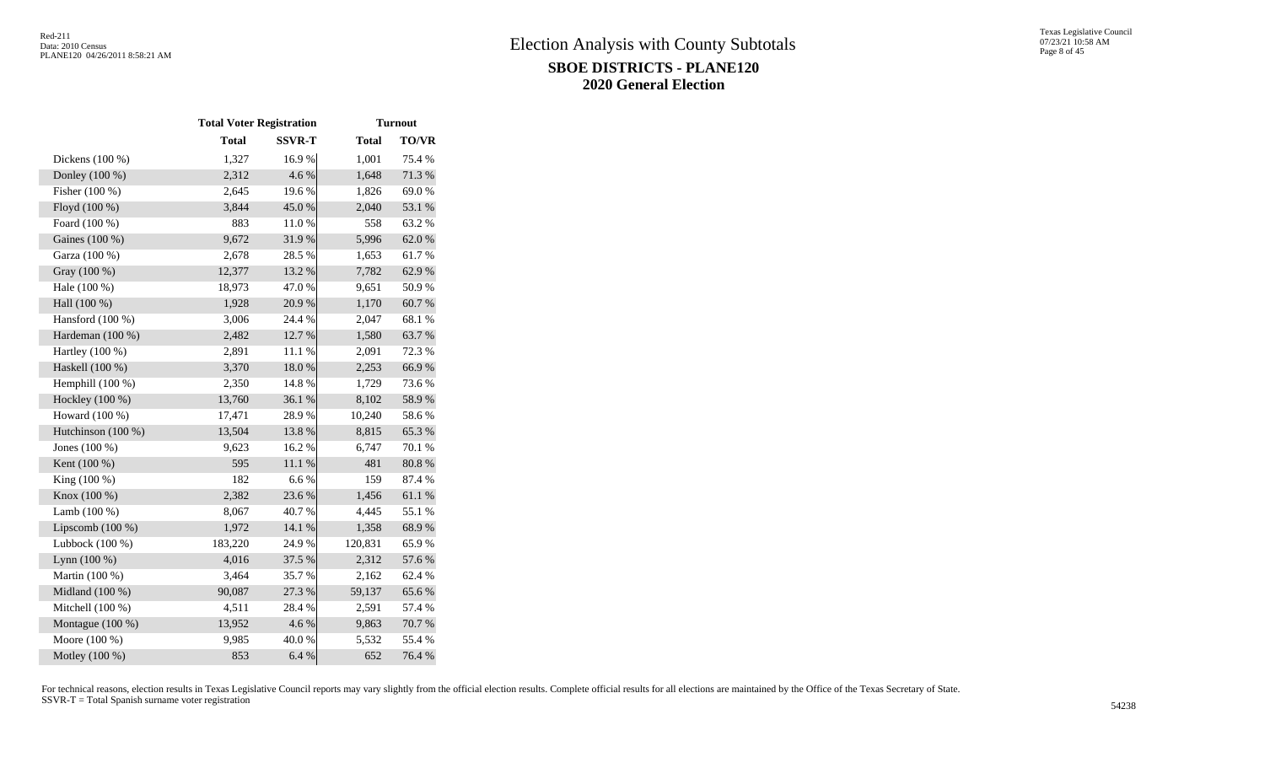|                    | <b>Total Voter Registration</b> |               |              | <b>Turnout</b> |
|--------------------|---------------------------------|---------------|--------------|----------------|
|                    | <b>Total</b>                    | <b>SSVR-T</b> | <b>Total</b> | <b>TO/VR</b>   |
| Dickens $(100\%)$  | 1,327                           | 16.9%         | 1,001        | 75.4 %         |
| Donley (100 %)     | 2,312                           | 4.6 %         | 1,648        | 71.3%          |
| Fisher (100 %)     | 2,645                           | 19.6%         | 1,826        | 69.0%          |
| Floyd (100 %)      | 3,844                           | 45.0%         | 2,040        | 53.1 %         |
| Foard (100 %)      | 883                             | 11.0%         | 558          | 63.2%          |
| Gaines (100 %)     | 9,672                           | 31.9%         | 5,996        | 62.0%          |
| Garza (100 %)      | 2,678                           | 28.5 %        | 1,653        | 61.7%          |
| Gray (100 %)       | 12,377                          | 13.2 %        | 7,782        | 62.9%          |
| Hale (100 %)       | 18,973                          | 47.0%         | 9,651        | 50.9%          |
| Hall (100 %)       | 1,928                           | 20.9%         | 1,170        | 60.7%          |
| Hansford (100 %)   | 3,006                           | 24.4 %        | 2,047        | 68.1%          |
| Hardeman (100 %)   | 2,482                           | 12.7 %        | 1,580        | 63.7 %         |
| Hartley (100 %)    | 2,891                           | $11.1\ \%$    | 2,091        | 72.3 %         |
| Haskell (100 %)    | 3,370                           | 18.0%         | 2,253        | 66.9%          |
| Hemphill $(100\%)$ | 2,350                           | 14.8%         | 1,729        | 73.6 %         |
| Hockley (100 %)    | 13,760                          | 36.1 %        | 8,102        | 58.9%          |
| Howard (100 %)     | 17,471                          | 28.9%         | 10,240       | 58.6%          |
| Hutchinson (100 %) | 13,504                          | 13.8 %        | 8,815        | 65.3%          |
| Jones (100 %)      | 9,623                           | 16.2%         | 6,747        | 70.1 %         |
| Kent (100 %)       | 595                             | 11.1 %        | 481          | 80.8%          |
| King (100 %)       | 182                             | 6.6%          | 159          | 87.4 %         |
| Knox (100 %)       | 2,382                           | 23.6 %        | 1,456        | 61.1%          |
| Lamb $(100\%)$     | 8,067                           | 40.7%         | 4,445        | 55.1 %         |
| Lipscomb $(100\%)$ | 1,972                           | 14.1 %        | 1,358        | 68.9%          |
| Lubbock $(100\%)$  | 183,220                         | 24.9%         | 120,831      | 65.9%          |
| Lynn $(100\%)$     | 4,016                           | 37.5 %        | 2,312        | 57.6 %         |
| Martin (100 %)     | 3,464                           | 35.7%         | 2,162        | 62.4 %         |
| Midland (100 %)    | 90,087                          | 27.3 %        | 59,137       | 65.6%          |
| Mitchell (100 %)   | 4,511                           | 28.4 %        | 2,591        | 57.4 %         |
| Montague (100 %)   | 13,952                          | 4.6 %         | 9,863        | 70.7%          |
| Moore (100 %)      | 9,985                           | 40.0%         | 5,532        | 55.4 %         |
| Motley (100 %)     | 853                             | 6.4 %         | 652          | 76.4 %         |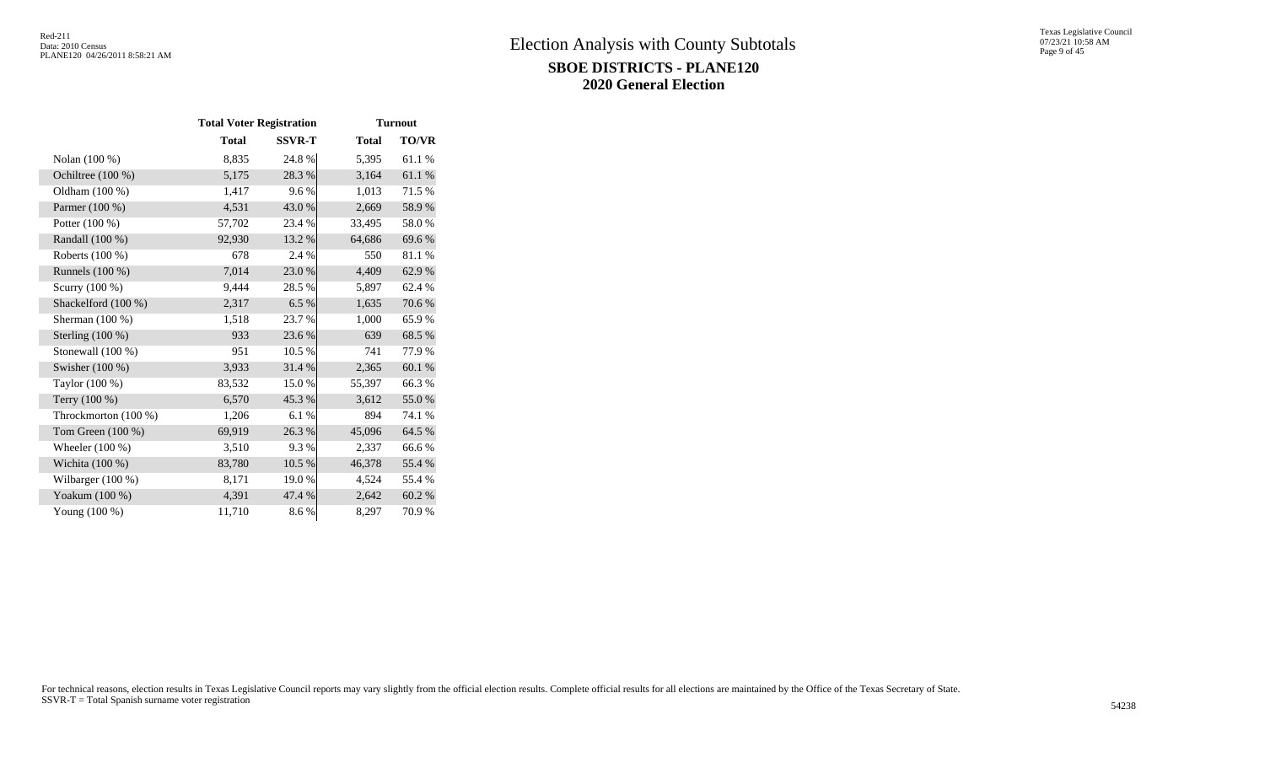|                      | <b>Total Voter Registration</b> |               |              | <b>Turnout</b> |  |  |
|----------------------|---------------------------------|---------------|--------------|----------------|--|--|
|                      | <b>Total</b>                    | <b>SSVR-T</b> | <b>Total</b> | <b>TO/VR</b>   |  |  |
| Nolan (100 %)        | 8,835                           | 24.8%         | 5,395        | 61.1%          |  |  |
| Ochiltree (100 %)    | 5,175                           | 28.3%         | 3,164        | 61.1%          |  |  |
| Oldham (100 %)       | 1,417                           | 9.6%          | 1,013        | 71.5 %         |  |  |
| Parmer (100 %)       | 4,531                           | 43.0 %        | 2,669        | 58.9%          |  |  |
| Potter (100 %)       | 57,702                          | 23.4 %        | 33,495       | 58.0%          |  |  |
| Randall (100 %)      | 92,930                          | 13.2 %        | 64,686       | 69.6%          |  |  |
| Roberts (100 %)      | 678                             | 2.4 %         | 550          | 81.1 %         |  |  |
| Runnels $(100\%)$    | 7,014                           | 23.0%         | 4,409        | 62.9%          |  |  |
| Scurry (100 %)       | 9,444                           | 28.5%         | 5,897        | 62.4 %         |  |  |
| Shackelford (100 %)  | 2,317                           | 6.5 %         | 1,635        | 70.6%          |  |  |
| Sherman (100 %)      | 1,518                           | 23.7 %        | 1,000        | 65.9%          |  |  |
| Sterling $(100\%)$   | 933                             | 23.6 %        | 639          | 68.5 %         |  |  |
| Stonewall $(100\%)$  | 951                             | 10.5 %        | 741          | 77.9 %         |  |  |
| Swisher $(100\%)$    | 3,933                           | 31.4 %        | 2,365        | 60.1 %         |  |  |
| Taylor (100 %)       | 83,532                          | 15.0%         | 55,397       | 66.3%          |  |  |
| Terry (100 %)        | 6,570                           | 45.3%         | 3,612        | 55.0%          |  |  |
| Throckmorton (100 %) | 1,206                           | 6.1%          | 894          | 74.1 %         |  |  |
| Tom Green (100 %)    | 69,919                          | 26.3%         | 45,096       | 64.5 %         |  |  |
| Wheeler $(100\%)$    | 3,510                           | 9.3%          | 2,337        | 66.6%          |  |  |
| Wichita $(100\%)$    | 83,780                          | 10.5 %        | 46,378       | 55.4 %         |  |  |
| Wilbarger (100 %)    | 8,171                           | 19.0%         | 4,524        | 55.4 %         |  |  |
| Yoakum (100 %)       | 4,391                           | 47.4 %        | 2,642        | 60.2 %         |  |  |
| Young (100 %)        | 11,710                          | 8.6%          | 8,297        | 70.9%          |  |  |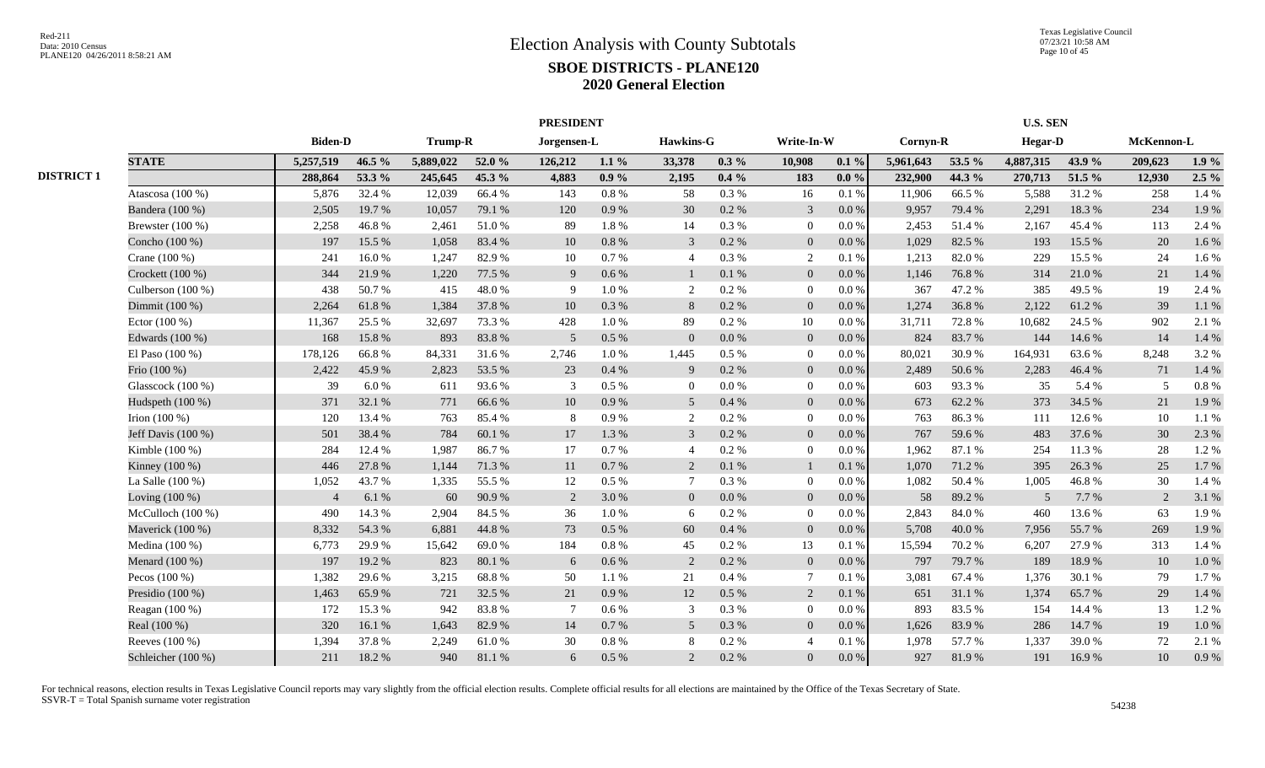|                   |                     |                |        |           |        | <b>PRESIDENT</b> |           |                 |           |                          |           |           | <b>U.S. SEN</b> |                |        |            |         |
|-------------------|---------------------|----------------|--------|-----------|--------|------------------|-----------|-----------------|-----------|--------------------------|-----------|-----------|-----------------|----------------|--------|------------|---------|
|                   |                     | <b>Biden-D</b> |        | Trump-R   |        | Jorgensen-L      |           | Hawkins-G       |           | Write-In-W               |           | Cornyn-R  |                 | <b>Hegar-D</b> |        | McKennon-L |         |
|                   | <b>STATE</b>        | 5,257,519      | 46.5 % | 5,889,022 | 52.0 % | 126,212          | $1.1\%$   | 33,378          | $0.3\%$   | 10,908                   | $0.1 \%$  | 5,961,643 | 53.5 %          | 4,887,315      | 43.9%  | 209,623    | 1.9%    |
| <b>DISTRICT 1</b> |                     | 288,864        | 53.3 % | 245,645   | 45.3 % | 4,883            | $0.9\%$   | 2,195           | $0.4\%$   | 183                      | $0.0 \%$  | 232,900   | 44.3 %          | 270,713        | 51.5 % | 12,930     | $2.5\%$ |
|                   | Atascosa $(100\%)$  | 5,876          | 32.4 % | 12,039    | 66.4%  | 143              | 0.8 %     | 58              | 0.3%      | 16                       | 0.1 %     | 11,906    | 66.5%           | 5,588          | 31.2%  | 258        | 1.4 %   |
|                   | Bandera (100 %)     | 2,505          | 19.7%  | 10,057    | 79.1 % | 120              | 0.9%      | 30              | 0.2 %     | $\mathfrak{Z}$           | 0.0 %     | 9,957     | 79.4 %          | 2,291          | 18.3%  | 234        | 1.9%    |
|                   | Brewster $(100\%)$  | 2,258          | 46.8%  | 2,461     | 51.0%  | 89               | 1.8%      | 14              | 0.3%      | $\overline{0}$           | 0.0 %     | 2,453     | 51.4%           | 2,167          | 45.4 % | 113        | 2.4 %   |
|                   | Concho (100 %)      | 197            | 15.5 % | 1,058     | 83.4%  | 10               | $0.8\ \%$ | 3               | 0.2 %     | $\overline{0}$           | 0.0 %     | 1,029     | 82.5 %          | 193            | 15.5 % | 20         | 1.6%    |
|                   | Crane (100 %)       | 241            | 16.0%  | 1,247     | 82.9%  | 10               | 0.7%      | $\overline{4}$  | 0.3%      | 2                        | 0.1%      | 1,213     | 82.0%           | 229            | 15.5 % | 24         | 1.6%    |
|                   | Crockett (100 %)    | 344            | 21.9%  | 1,220     | 77.5 % | 9                | 0.6 %     |                 | 0.1 %     | $\overline{0}$           | 0.0 %     | 1,146     | 76.8%           | 314            | 21.0%  | 21         | 1.4 %   |
|                   | Culberson $(100\%)$ | 438            | 50.7%  | 415       | 48.0%  | -9               | 1.0%      | 2               | 0.2%      | $\overline{0}$           | $0.0\%$   | 367       | 47.2%           | 385            | 49.5%  | 19         | 2.4 %   |
|                   | Dimmit (100 %)      | 2,264          | 61.8%  | 1,384     | 37.8%  | 10               | $0.3\ \%$ | 8               | 0.2 %     | $\overline{0}$           | 0.0 %     | 1,274     | 36.8%           | 2,122          | 61.2%  | 39         | 1.1 %   |
|                   | Ector $(100\%)$     | 11,367         | 25.5 % | 32,697    | 73.3 % | 428              | 1.0%      | 89              | 0.2 %     | 10                       | $0.0\,\%$ | 31,711    | 72.8%           | 10,682         | 24.5 % | 902        | 2.1 %   |
|                   | Edwards (100 %)     | 168            | 15.8%  | 893       | 83.8%  | 5                | $0.5\ \%$ | $\overline{0}$  | $0.0\,\%$ | $\overline{0}$           | 0.0 %     | 824       | 83.7%           | 144            | 14.6 % | 14         | 1.4 %   |
|                   | El Paso (100 %)     | 178,126        | 66.8%  | 84,331    | 31.6%  | 2,746            | $1.0\,\%$ | 1,445           | 0.5%      | $\overline{0}$           | $0.0\,\%$ | 80,021    | 30.9%           | 164,931        | 63.6%  | 8,248      | 3.2%    |
|                   | Frio (100 %)        | 2,422          | 45.9%  | 2,823     | 53.5 % | 23               | 0.4%      | 9               | 0.2 %     | $\overline{0}$           | $0.0\%$   | 2,489     | 50.6 %          | 2,283          | 46.4 % | 71         | 1.4%    |
|                   | Glasscock (100 %)   | 39             | 6.0%   | 611       | 93.6%  | 3                | $0.5\%$   | $\overline{0}$  | $0.0\%$   | $\overline{0}$           | 0.0 %     | 603       | 93.3%           | 35             | 5.4 %  | 5          | 0.8 %   |
|                   | Hudspeth (100 %)    | 371            | 32.1 % | 771       | 66.6%  | 10               | 0.9%      | 5               | 0.4%      | $\overline{0}$           | $0.0\%$   | 673       | 62.2%           | 373            | 34.5 % | 21         | 1.9%    |
|                   | Irion $(100\%)$     | 120            | 13.4 % | 763       | 85.4%  | -8               | 0.9%      | 2               | 0.2%      | $\overline{0}$           | $0.0\,\%$ | 763       | 86.3%           | 111            | 12.6 % | 10         | 1.1%    |
|                   | Jeff Davis (100 %)  | 501            | 38.4%  | 784       | 60.1%  | 17               | 1.3%      | 3               | 0.2 %     | $\overline{0}$           | $0.0\%$   | 767       | 59.6%           | 483            | 37.6 % | 30         | 2.3 %   |
|                   | Kimble (100 %)      | 284            | 12.4 % | 1,987     | 86.7%  | 17               | 0.7 %     | $\overline{4}$  | 0.2 %     | $\overline{0}$           | $0.0\%$   | 1,962     | 87.1 %          | 254            | 11.3 % | 28         | 1.2%    |
|                   | Kinney (100 %)      | 446            | 27.8%  | 1,144     | 71.3 % | 11               | 0.7 %     | 2               | 0.1 %     | $\mathbf{1}$             | 0.1%      | 1,070     | 71.2%           | 395            | 26.3%  | 25         | 1.7%    |
|                   | La Salle (100 %)    | 1,052          | 43.7%  | 1,335     | 55.5 % | 12               | 0.5%      | $7\phantom{.0}$ | 0.3%      | $\overline{0}$           | 0.0 %     | 1,082     | 50.4 %          | 1,005          | 46.8%  | 30         | 1.4 %   |
|                   | Loving $(100\%)$    | $\overline{4}$ | 6.1%   | 60        | 90.9%  | 2                | 3.0%      | $\overline{0}$  | 0.0 %     | $\overline{0}$           | 0.0 %     | 58        | 89.2%           | 5              | 7.7%   | 2          | 3.1%    |
|                   | McCulloch $(100\%)$ | 490            | 14.3 % | 2,904     | 84.5 % | 36               | 1.0%      | 6               | 0.2 %     | $\overline{0}$           | 0.0 %     | 2,843     | 84.0 %          | 460            | 13.6 % | 63         | 1.9%    |
|                   | Maverick (100 %)    | 8,332          | 54.3%  | 6,881     | 44.8%  | 73               | $0.5\%$   | 60              | 0.4 %     | $\overline{0}$           | $0.0\%$   | 5,708     | $40.0~\%$       | 7,956          | 55.7%  | 269        | 1.9%    |
|                   | Medina (100 %)      | 6,773          | 29.9%  | 15,642    | 69.0%  | 184              | $0.8\%$   | 45              | 0.2 %     | 13                       | 0.1%      | 15,594    | 70.2%           | 6,207          | 27.9%  | 313        | 1.4 %   |
|                   | Menard (100 %)      | 197            | 19.2%  | 823       | 80.1%  | 6                | $0.6\,\%$ | 2               | 0.2 %     | $\overline{0}$           | 0.0 %     | 797       | 79.7%           | 189            | 18.9%  | 10         | 1.0 %   |
|                   | Pecos (100 %)       | 1,382          | 29.6%  | 3,215     | 68.8%  | 50               | 1.1 %     | 21              | 0.4%      | $\overline{7}$           | 0.1%      | 3,081     | 67.4%           | 1,376          | 30.1 % | 79         | 1.7%    |
|                   | Presidio (100 %)    | 1,463          | 65.9%  | 721       | 32.5 % | 21               | 0.9%      | 12              | 0.5 %     | $\overline{2}$           | 0.1%      | 651       | 31.1 %          | 1,374          | 65.7%  | 29         | 1.4 %   |
|                   | Reagan (100 %)      | 172            | 15.3 % | 942       | 83.8%  |                  | $0.6\%$   | 3               | 0.3%      | $\overline{0}$           | $0.0\%$   | 893       | 83.5%           | 154            | 14.4 % | 13         | 1.2%    |
|                   | Real (100 %)        | 320            | 16.1%  | 1,643     | 82.9%  | 14               | 0.7%      | 5               | 0.3%      | $\overline{0}$           | $0.0\%$   | 1,626     | 83.9%           | 286            | 14.7 % | 19         | 1.0 %   |
|                   | Reeves (100 %)      | 1,394          | 37.8%  | 2,249     | 61.0%  | 30               | $0.8\ \%$ | 8               | 0.2%      | $\overline{\mathcal{A}}$ | 0.1%      | 1,978     | 57.7%           | 1,337          | 39.0%  | 72         | 2.1 %   |
|                   | Schleicher (100 %)  | 211            | 18.2%  | 940       | 81.1%  | 6                | $0.5\%$   | 2               | 0.2 %     | $\Omega$                 | $0.0\,\%$ | 927       | 81.9%           | 191            | 16.9%  | 10         | 0.9%    |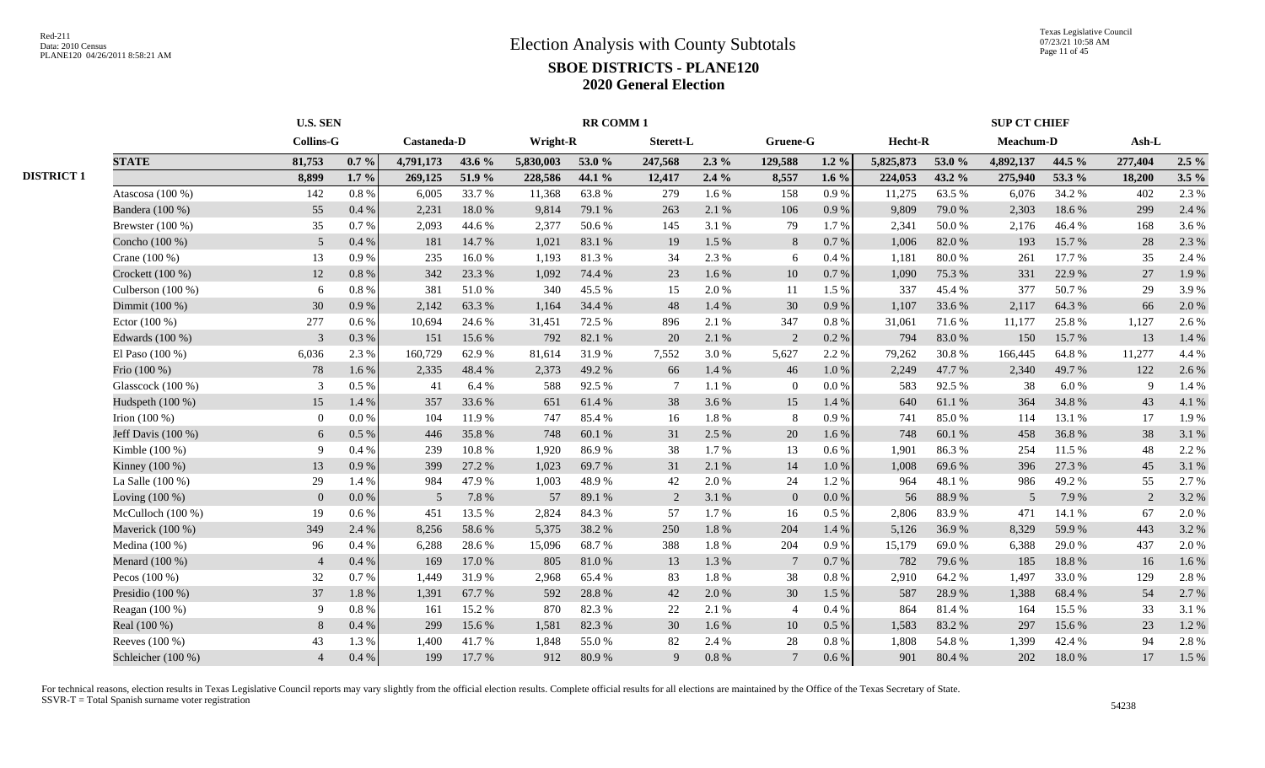|                   |                    | <b>U.S. SEN</b>  |          |             |        | <b>RR COMM1</b> |        |                  |         |                 |           |           |        | <b>SUP CT CHIEF</b> |        |         |         |  |  |
|-------------------|--------------------|------------------|----------|-------------|--------|-----------------|--------|------------------|---------|-----------------|-----------|-----------|--------|---------------------|--------|---------|---------|--|--|
|                   |                    | <b>Collins-G</b> |          | Castaneda-D |        | Wright-R        |        | <b>Sterett-L</b> |         | Gruene-G        |           | Hecht-R   |        | Meachum-D           |        | $Ash-L$ |         |  |  |
|                   | <b>STATE</b>       | 81,753           | $0.7\%$  | 4,791,173   | 43.6 % | 5,830,003       | 53.0 % | 247,568          | $2.3\%$ | 129,588         | $1.2\%$   | 5,825,873 | 53.0 % | 4,892,137           | 44.5 % | 277,404 | $2.5\%$ |  |  |
| <b>DISTRICT 1</b> |                    | 8,899            | $1.7 \%$ | 269,125     | 51.9 % | 228,586         | 44.1 % | 12,417           | 2.4%    | 8,557           | $1.6\%$   | 224,053   | 43.2 % | 275,940             | 53.3 % | 18,200  | $3.5\%$ |  |  |
|                   | Atascosa (100 %)   | 142              | $0.8~\%$ | 6,005       | 33.7 % | 11,368          | 63.8%  | 279              | 1.6%    | 158             | 0.9%      | 11,275    | 63.5 % | 6,076               | 34.2 % | 402     | 2.3%    |  |  |
|                   | Bandera (100 %)    | 55               | $0.4\%$  | 2,231       | 18.0%  | 9,814           | 79.1 % | 263              | 2.1 %   | 106             | 0.9%      | 9,809     | 79.0 % | 2,303               | 18.6%  | 299     | 2.4 %   |  |  |
|                   | Brewster $(100\%)$ | 35               | 0.7 %    | 2,093       | 44.6 % | 2,377           | 50.6%  | 145              | 3.1 %   | 79              | 1.7%      | 2,341     | 50.0%  | 2,176               | 46.4%  | 168     | 3.6 %   |  |  |
|                   | Concho (100 %)     | $\overline{5}$   | 0.4%     | 181         | 14.7%  | 1,021           | 83.1%  | 19               | 1.5 %   | 8               | 0.7%      | 1,006     | 82.0%  | 193                 | 15.7%  | 28      | 2.3 %   |  |  |
|                   | Crane (100 %)      | 13               | 0.9%     | 235         | 16.0%  | 1,193           | 81.3%  | 34               | 2.3 %   | 6               | 0.4%      | 1,181     | 80.0%  | 261                 | 17.7 % | 35      | 2.4 %   |  |  |
|                   | Crockett (100 %)   | 12               | $0.8~\%$ | 342         | 23.3 % | 1,092           | 74.4 % | 23               | 1.6%    | 10              | 0.7 %     | 1,090     | 75.3 % | 331                 | 22.9 % | 27      | 1.9%    |  |  |
|                   | Culberson (100 %)  | 6                | 0.8%     | 381         | 51.0%  | 340             | 45.5 % | 15               | 2.0%    | 11              | 1.5 %     | 337       | 45.4 % | 377                 | 50.7%  | 29      | 3.9%    |  |  |
|                   | Dimmit (100 %)     | 30               | 0.9%     | 2,142       | 63.3%  | 1,164           | 34.4 % | 48               | 1.4 %   | 30              | 0.9%      | 1,107     | 33.6%  | 2,117               | 64.3 % | 66      | 2.0 %   |  |  |
|                   | Ector $(100\%)$    | 277              | $0.6\%$  | 10.694      | 24.6 % | 31,451          | 72.5 % | 896              | 2.1 %   | 347             | $0.8 \%$  | 31,061    | 71.6 % | 11,177              | 25.8%  | 1,127   | 2.6 %   |  |  |
|                   | Edwards (100 %)    | 3                | 0.3%     | 151         | 15.6%  | 792             | 82.1 % | 20               | 2.1 %   | 2               | 0.2 %     | 794       | 83.0%  | 150                 | 15.7%  | 13      | 1.4 %   |  |  |
|                   | El Paso $(100\%)$  | 6,036            | 2.3 %    | 160,729     | 62.9%  | 81,614          | 31.9%  | 7,552            | 3.0 %   | 5,627           | 2.2 %     | 79,262    | 30.8%  | 166,445             | 64.8%  | 11,277  | 4.4 %   |  |  |
|                   | Frio (100 %)       | 78               | 1.6 %    | 2,335       | 48.4 % | 2,373           | 49.2%  | 66               | 1.4 %   | 46              | 1.0%      | 2,249     | 47.7 % | 2,340               | 49.7 % | 122     | 2.6 %   |  |  |
|                   | Glasscock (100 %)  | 3                | 0.5%     | 41          | 6.4 %  | 588             | 92.5 % | $\overline{7}$   | 1.1 %   | $\overline{0}$  | 0.0 %     | 583       | 92.5 % | 38                  | 6.0%   | 9       | 1.4 %   |  |  |
|                   | Hudspeth (100 %)   | 15               | 1.4 %    | 357         | 33.6%  | 651             | 61.4%  | 38               | 3.6%    | 15              | 1.4 %     | 640       | 61.1%  | 364                 | 34.8%  | 43      | 4.1 %   |  |  |
|                   | Irion $(100\%)$    | $\overline{0}$   | $0.0\%$  | 104         | 11.9 % | 747             | 85.4%  | 16               | 1.8%    | 8               | 0.9%      | 741       | 85.0%  | 114                 | 13.1 % | 17      | 1.9%    |  |  |
|                   | Jeff Davis (100 %) | 6                | 0.5%     | 446         | 35.8%  | 748             | 60.1%  | 31               | 2.5 %   | 20              | 1.6%      | 748       | 60.1%  | 458                 | 36.8%  | 38      | 3.1 %   |  |  |
|                   | Kimble (100 %)     | 9                | 0.4%     | 239         | 10.8%  | 1,920           | 86.9%  | 38               | 1.7%    | 13              | 0.6%      | 1,901     | 86.3%  | 254                 | 11.5 % | 48      | 2.2 %   |  |  |
|                   | Kinney (100 %)     | 13               | 0.9%     | 399         | 27.2 % | 1,023           | 69.7%  | 31               | 2.1%    | 14              | $1.0\ \%$ | 1,008     | 69.6%  | 396                 | 27.3 % | 45      | 3.1 %   |  |  |
|                   | La Salle $(100\%)$ | 29               | 1.4 %    | 984         | 47.9%  | 1,003           | 48.9%  | 42               | 2.0%    | 24              | 1.2%      | 964       | 48.1%  | 986                 | 49.2%  | 55      | 2.7 %   |  |  |
|                   | Loving (100 %)     | $\mathbf{0}$     | 0.0 %    | 5           | 7.8 %  | 57              | 89.1 % | 2                | 3.1 %   | $\overline{0}$  | $0.0\%$   | 56        | 88.9%  | 5                   | 7.9%   | 2       | 3.2%    |  |  |
|                   | McCulloch (100 %)  | 19               | 0.6 %    | 451         | 13.5 % | 2,824           | 84.3%  | 57               | 1.7%    | 16              | 0.5 %     | 2,806     | 83.9%  | 471                 | 14.1 % | 67      | 2.0%    |  |  |
|                   | Maverick (100 %)   | 349              | 2.4 %    | 8,256       | 58.6%  | 5,375           | 38.2%  | 250              | 1.8%    | 204             | 1.4 %     | 5,126     | 36.9%  | 8.329               | 59.9%  | 443     | 3.2 %   |  |  |
|                   | Medina (100 %)     | 96               | 0.4%     | 6,288       | 28.6%  | 15,096          | 68.7%  | 388              | 1.8%    | 204             | 0.9%      | 15,179    | 69.0%  | 6.388               | 29.0%  | 437     | 2.0%    |  |  |
|                   | Menard (100 %)     | $\overline{4}$   | 0.4%     | 169         | 17.0 % | 805             | 81.0%  | 13               | 1.3%    | $7\phantom{.0}$ | 0.7%      | 782       | 79.6%  | 185                 | 18.8%  | 16      | 1.6 %   |  |  |
|                   | Pecos $(100\%)$    | 32               | $0.7\%$  | 1,449       | 31.9%  | 2,968           | 65.4 % | 83               | 1.8%    | 38              | 0.8 %     | 2,910     | 64.2 % | 1,497               | 33.0%  | 129     | 2.8%    |  |  |
|                   | Presidio (100 %)   | 37               | $1.8~\%$ | 1,391       | 67.7%  | 592             | 28.8%  | 42               | 2.0%    | 30              | 1.5 %     | 587       | 28.9%  | 1,388               | 68.4%  | 54      | 2.7 %   |  |  |
|                   | Reagan $(100\%)$   | 9                | 0.8%     | 161         | 15.2 % | 870             | 82.3%  | 22               | 2.1 %   | $\overline{4}$  | 0.4%      | 864       | 81.4%  | 164                 | 15.5 % | 33      | 3.1 %   |  |  |
|                   | Real (100 %)       | $\,8\,$          | 0.4%     | 299         | 15.6%  | 1,581           | 82.3%  | 30               | 1.6 %   | 10              | $0.5\%$   | 1,583     | 83.2%  | 297                 | 15.6%  | 23      | 1.2%    |  |  |
|                   | Reeves (100 %)     | 43               | 1.3 %    | 1,400       | 41.7%  | 1,848           | 55.0%  | 82               | 2.4 %   | 28              | $0.8~\%$  | 1,808     | 54.8%  | 1,399               | 42.4 % | 94      | 2.8%    |  |  |
|                   | Schleicher (100 %) | $\overline{A}$   | 0.4 %    | 199         | 17.7 % | 912             | 80.9%  | 9                | 0.8%    | $\overline{7}$  | 0.6 %     | 901       | 80.4%  | 202                 | 18.0%  | 17      | 1.5 %   |  |  |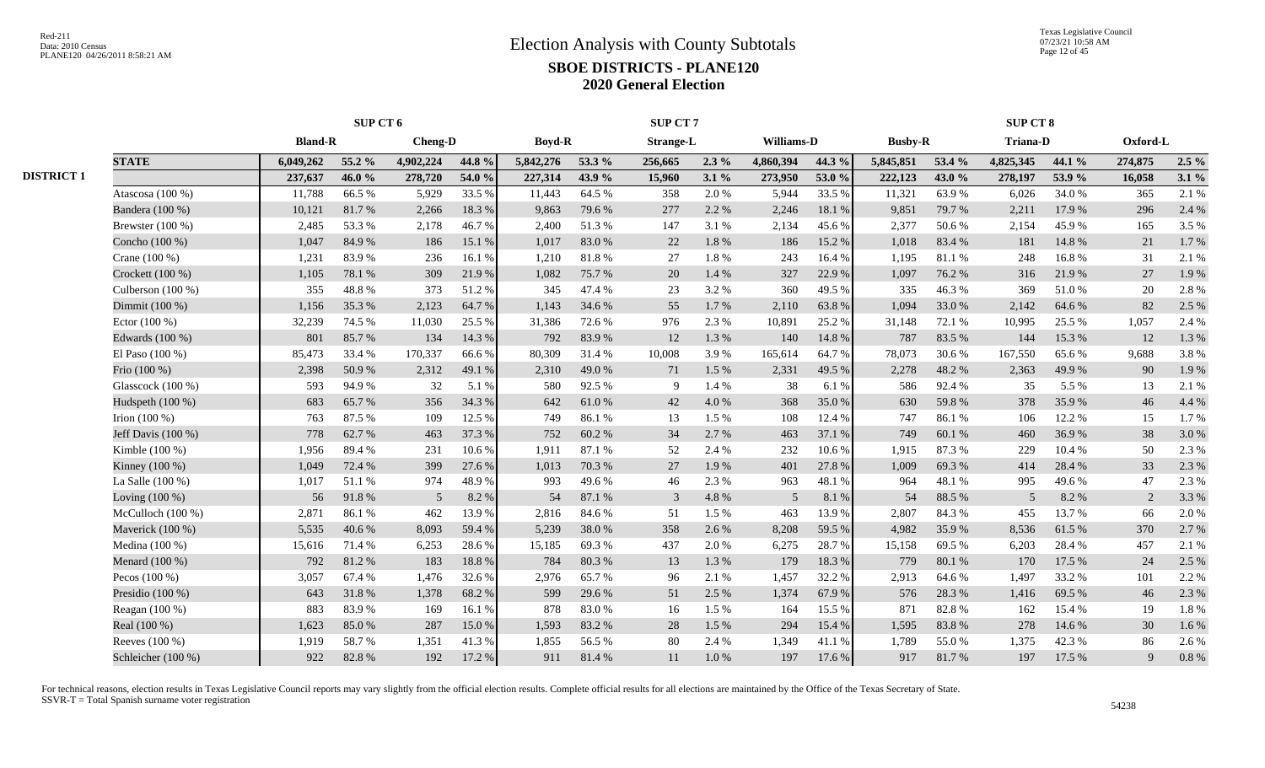|                   |                     | SUP CT 6       |        |                |        |               |        | SUP CT 7         |           |            | <b>SUP CT 8</b> |                |        |                 |        |          |         |
|-------------------|---------------------|----------------|--------|----------------|--------|---------------|--------|------------------|-----------|------------|-----------------|----------------|--------|-----------------|--------|----------|---------|
|                   |                     | <b>Bland-R</b> |        | <b>Cheng-D</b> |        | <b>Boyd-R</b> |        | <b>Strange-L</b> |           | Williams-D |                 | <b>Busby-R</b> |        | <b>Triana-D</b> |        | Oxford-L |         |
|                   | <b>STATE</b>        | 6,049,262      | 55.2 % | 4,902,224      | 44.8 % | 5,842,276     | 53.3 % | 256,665          | $2.3\%$   | 4,860,394  | 44.3 %          | 5,845,851      | 53.4 % | 4,825,345       | 44.1 % | 274,875  | $2.5\%$ |
| <b>DISTRICT 1</b> |                     | 237,637        | 46.0%  | 278,720        | 54.0 % | 227,314       | 43.9 % | 15,960           | $3.1\%$   | 273,950    | 53.0%           | 222,123        | 43.0 % | 278,197         | 53.9%  | 16,058   | $3.1\%$ |
|                   | Atascosa (100 %)    | 11,788         | 66.5%  | 5,929          | 33.5 % | 11,443        | 64.5 % | 358              | 2.0 %     | 5,944      | 33.5 %          | 11,321         | 63.9%  | 6,026           | 34.0%  | 365      | 2.1%    |
|                   | Bandera (100 %)     | 10,121         | 81.7%  | 2,266          | 18.3 % | 9,863         | 79.6%  | 277              | 2.2 %     | 2,246      | 18.1 %          | 9,851          | 79.7%  | 2,211           | 17.9%  | 296      | 2.4 %   |
|                   | Brewster (100 %)    | 2,485          | 53.3 % | 2,178          | 46.7%  | 2,400         | 51.3%  | 147              | 3.1 %     | 2,134      | 45.6%           | 2,377          | 50.6%  | 2,154           | 45.9%  | 165      | 3.5 %   |
|                   | Concho (100 %)      | 1,047          | 84.9%  | 186            | 15.1 % | 1,017         | 83.0%  | 22               | $1.8\ \%$ | 186        | 15.2 %          | 1,018          | 83.4 % | 181             | 14.8 % | 21       | 1.7%    |
|                   | Crane $(100\%)$     | 1,231          | 83.9%  | 236            | 16.1 % | 1,210         | 81.8%  | 27               | 1.8%      | 243        | 16.4 %          | 1,195          | 81.1%  | 248             | 16.8%  | 31       | 2.1 %   |
|                   | Crockett $(100\%)$  | 1,105          | 78.1 % | 309            | 21.9%  | 1.082         | 75.7%  | 20               | 1.4 %     | 327        | 22.9 %          | 1,097          | 76.2%  | 316             | 21.9 % | 27       | 1.9%    |
|                   | Culberson (100 %)   | 355            | 48.8%  | 373            | 51.2%  | 345           | 47.4 % | 23               | 3.2 %     | 360        | 49.5 %          | 335            | 46.3%  | 369             | 51.0%  | 20       | 2.8%    |
|                   | Dimmit (100 %)      | 1,156          | 35.3%  | 2,123          | 64.7%  | 1,143         | 34.6 % | 55               | 1.7%      | 2,110      | 63.8%           | 1,094          | 33.0%  | 2,142           | 64.6%  | 82       | 2.5 %   |
|                   | Ector $(100\%)$     | 32,239         | 74.5 % | 11,030         | 25.5 % | 31,386        | 72.6 % | 976              | 2.3 %     | 10,891     | 25.2 %          | 31,148         | 72.1 % | 10,995          | 25.5 % | 1,057    | 2.4 %   |
|                   | Edwards (100 %)     | 801            | 85.7%  | 134            | 14.3 % | 792           | 83.9%  | 12               | 1.3 %     | 140        | 14.8%           | 787            | 83.5 % | 144             | 15.3 % | 12       | 1.3 %   |
|                   | El Paso $(100\%)$   | 85,473         | 33.4 % | 170,337        | 66.6%  | 80,309        | 31.4 % | 10,008           | 3.9%      | 165,614    | 64.7%           | 78,073         | 30.6%  | 167,550         | 65.6%  | 9,688    | 3.8%    |
|                   | Frio (100 %)        | 2,398          | 50.9%  | 2,312          | 49.1 % | 2,310         | 49.0%  | 71               | 1.5 %     | 2,331      | 49.5 %          | 2,278          | 48.2%  | 2,363           | 49.9%  | 90       | 1.9%    |
|                   | Glasscock (100 %)   | 593            | 94.9%  | 32             | 5.1 %  | 580           | 92.5 % | 9                | 1.4 %     | 38         | 6.1 %           | 586            | 92.4%  | 35              | 5.5 %  | 13       | 2.1 %   |
|                   | Hudspeth (100 %)    | 683            | 65.7%  | 356            | 34.3 % | 642           | 61.0%  | 42               | 4.0%      | 368        | 35.0%           | 630            | 59.8%  | 378             | 35.9%  | 46       | 4.4 %   |
|                   | Irion $(100\%)$     | 763            | 87.5 % | 109            | 12.5 % | 749           | 86.1%  | 13               | 1.5 %     | 108        | 12.4 %          | 747            | 86.1%  | 106             | 12.2 % | 15       | 1.7%    |
|                   | Jeff Davis (100 %)  | 778            | 62.7%  | 463            | 37.3 % | 752           | 60.2%  | 34               | 2.7%      | 463        | 37.1 %          | 749            | 60.1%  | 460             | 36.9%  | 38       | 3.0%    |
|                   | Kimble (100 %)      | 1,956          | 89.4%  | 231            | 10.6%  | 1,911         | 87.1 % | 52               | 2.4 %     | 232        | 10.6%           | 1,915          | 87.3%  | 229             | 10.4 % | 50       | 2.3 %   |
|                   | Kinney (100 %)      | 1,049          | 72.4 % | 399            | 27.6%  | 1,013         | 70.3 % | 27               | 1.9%      | 401        | 27.8%           | 1,009          | 69.3%  | 414             | 28.4 % | 33       | 2.3 %   |
|                   | La Salle $(100\%)$  | 1,017          | 51.1%  | 974            | 48.9%  | 993           | 49.6%  | 46               | 2.3 %     | 963        | 48.1%           | 964            | 48.1 % | 995             | 49.6%  | 47       | 2.3 %   |
|                   | Loving $(100\%)$    | 56             | 91.8%  | 5              | 8.2 %  | 54            | 87.1 % | $\overline{3}$   | 4.8%      | 5          | 8.1 %           | 54             | 88.5 % | .5              | 8.2%   | 2        | 3.3 %   |
|                   | McCulloch $(100\%)$ | 2,871          | 86.1%  | 462            | 13.9%  | 2,816         | 84.6 % | 51               | 1.5 %     | 463        | 13.9%           | 2,807          | 84.3%  | 455             | 13.7 % | 66       | 2.0%    |
|                   | Maverick (100 %)    | 5,535          | 40.6%  | 8,093          | 59.4%  | 5,239         | 38.0%  | 358              | 2.6 %     | 8,208      | 59.5 %          | 4,982          | 35.9%  | 8,536           | 61.5%  | 370      | 2.7%    |
|                   | Medina $(100\%)$    | 15,616         | 71.4 % | 6,253          | 28.6%  | 15,185        | 69.3%  | 437              | 2.0 %     | 6,275      | 28.7%           | 15,158         | 69.5%  | 6,203           | 28.4 % | 457      | 2.1 %   |
|                   | Menard (100 %)      | 792            | 81.2%  | 183            | 18.8%  | 784           | 80.3%  | 13               | 1.3 %     | 179        | 18.3%           | 779            | 80.1%  | 170             | 17.5 % | 24       | 2.5 %   |
|                   | Pecos $(100\%)$     | 3,057          | 67.4 % | 1,476          | 32.6 % | 2,976         | 65.7%  | 96               | 2.1 %     | 1,457      | 32.2 %          | 2,913          | 64.6%  | 1,497           | 33.2 % | 101      | 2.2 %   |
|                   | Presidio $(100\%)$  | 643            | 31.8%  | 1,378          | 68.2%  | 599           | 29.6%  | 51               | 2.5 %     | 1,374      | 67.9%           | 576            | 28.3 % | 1,416           | 69.5 % | 46       | 2.3 %   |
|                   | Reagan $(100\%)$    | 883            | 83.9%  | 169            | 16.1 % | 878           | 83.0%  | 16               | 1.5 %     | 164        | 15.5 %          | 871            | 82.8%  | 162             | 15.4 % | 19       | 1.8 %   |
|                   | Real (100 %)        | 1,623          | 85.0%  | 287            | 15.0%  | 1,593         | 83.2%  | 28               | 1.5 %     | 294        | 15.4 %          | 1,595          | 83.8%  | 278             | 14.6 % | 30       | 1.6 %   |
|                   | Reeves (100 %)      | 1,919          | 58.7%  | 1,351          | 41.3%  | 1,855         | 56.5%  | 80               | 2.4 %     | 1,349      | 41.1%           | 1,789          | 55.0%  | 1,375           | 42.3 % | 86       | 2.6%    |
|                   | Schleicher (100 %)  | 922            | 82.8%  | 192            | 17.2 % | 911           | 81.4%  | 11               | 1.0%      | 197        | 17.6 %          | 917            | 81.7%  | 197             | 17.5 % | 9        | 0.8 %   |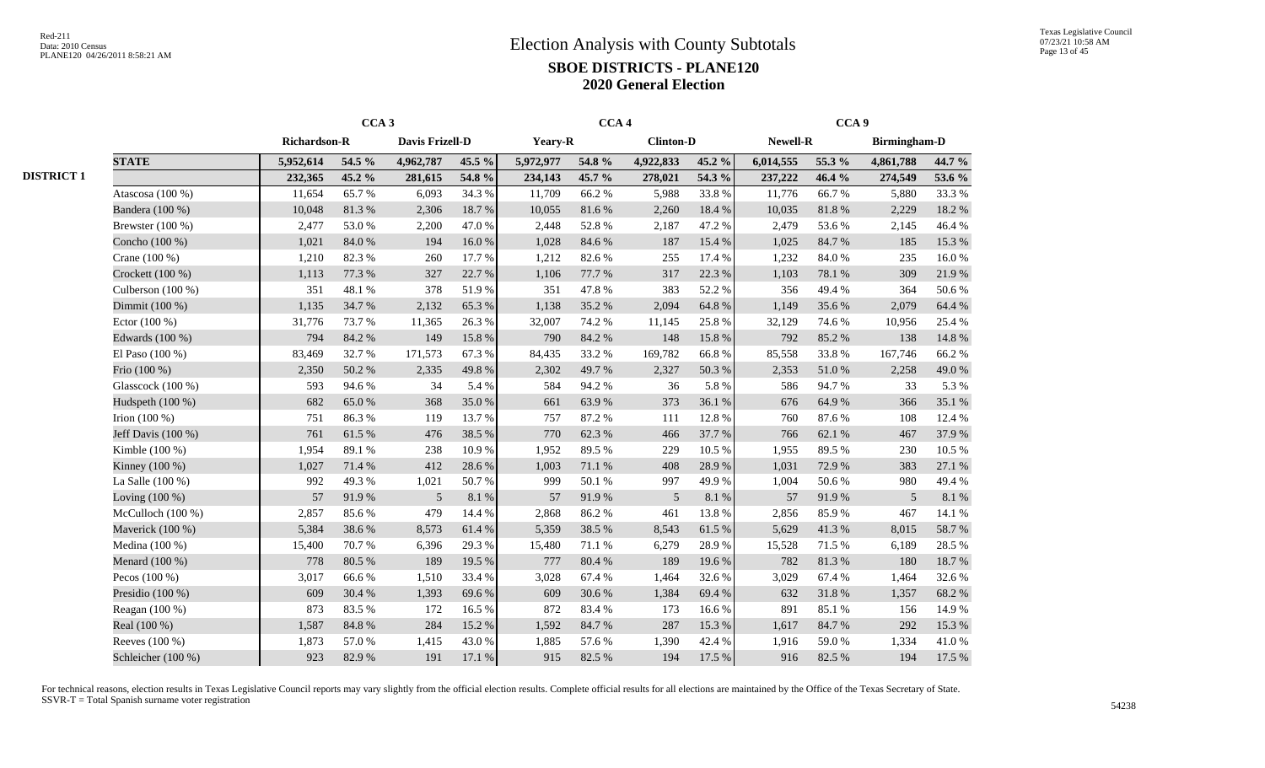|                    |                     | CCA <sub>3</sub> |                 |        |           | CCA <sub>4</sub> |                  |        |           | CCA <sub>9</sub> |                     |                  |
|--------------------|---------------------|------------------|-----------------|--------|-----------|------------------|------------------|--------|-----------|------------------|---------------------|------------------|
|                    | <b>Richardson-R</b> |                  | Davis Frizell-D |        | Yeary-R   |                  | <b>Clinton-D</b> |        | Newell-R  |                  | <b>Birmingham-D</b> |                  |
| <b>STATE</b>       | 5,952,614           | 54.5 %           | 4,962,787       | 45.5 % | 5,972,977 | 54.8 %           | 4,922,833        | 45.2 % | 6,014,555 | 55.3 %           | 4,861,788           | 44.7 %           |
|                    | 232,365             | 45.2 %           | 281,615         | 54.8 % | 234,143   | 45.7 %           | 278,021          | 54.3 % | 237,222   | 46.4 %           | 274,549             | 53.6 %           |
| Atascosa $(100\%)$ | 11,654              | 65.7%            | 6,093           | 34.3 % | 11,709    | 66.2%            | 5,988            | 33.8%  | 11,776    | 66.7%            | 5,880               | 33.3%            |
| Bandera (100 %)    | 10,048              | 81.3%            | 2,306           | 18.7%  | 10,055    | 81.6%            | 2,260            | 18.4 % | 10,035    | 81.8%            | 2,229               | 18.2 %           |
| Brewster $(100\%)$ | 2,477               | 53.0%            | 2,200           | 47.0%  | 2,448     | 52.8%            | 2,187            | 47.2%  | 2,479     | 53.6%            | 2,145               | 46.4%            |
| Concho (100 %)     | 1,021               | 84.0%            | 194             | 16.0%  | 1,028     | 84.6 %           | 187              | 15.4 % | 1,025     | 84.7%            | 185                 | 15.3 %           |
| Crane (100 %)      | 1,210               | 82.3%            | 260             | 17.7 % | 1,212     | 82.6%            | 255              | 17.4 % | 1,232     | 84.0 %           | 235                 | 16.0%            |
| Crockett (100 %)   | 1,113               | 77.3 %           | 327             | 22.7 % | 1,106     | 77.7 %           | 317              | 22.3 % | 1,103     | 78.1%            | 309                 | 21.9%            |
| Culberson (100 %)  | 351                 | 48.1 %           | 378             | 51.9%  | 351       | 47.8 %           | 383              | 52.2%  | 356       | 49.4%            | 364                 | 50.6%            |
| Dimmit (100 %)     | 1,135               | 34.7%            | 2,132           | 65.3%  | 1,138     | 35.2%            | 2,094            | 64.8%  | 1,149     | 35.6%            | 2,079               | 64.4 %           |
| Ector $(100\%)$    | 31,776              | 73.7%            | 11,365          | 26.3%  | 32,007    | 74.2 %           | 11,145           | 25.8%  | 32,129    | 74.6%            | 10,956              | 25.4 %           |
| Edwards (100 %)    | 794                 | 84.2 %           | 149             | 15.8%  | 790       | 84.2 %           | 148              | 15.8%  | 792       | 85.2%            | 138                 | 14.8 %           |
| El Paso $(100\%)$  | 83,469              | 32.7 %           | 171,573         | 67.3%  | 84,435    | 33.2 %           | 169,782          | 66.8%  | 85,558    | 33.8%            | 167,746             | 66.2%            |
| Frio (100 %)       | 2,350               | 50.2%            | 2,335           | 49.8%  | 2,302     | 49.7%            | 2,327            | 50.3%  | 2,353     | 51.0%            | 2,258               | 49.0%            |
| Glasscock (100 %)  | 593                 | 94.6%            | 34              | 5.4 %  | 584       | 94.2%            | 36               | 5.8%   | 586       | 94.7%            | 33                  | 5.3 %            |
| Hudspeth (100 %)   | 682                 | 65.0%            | 368             | 35.0%  | 661       | 63.9%            | 373              | 36.1%  | 676       | 64.9%            | 366                 | 35.1 %           |
| Irion $(100\%)$    | 751                 | 86.3%            | 119             | 13.7 % | 757       | 87.2%            | 111              | 12.8%  | 760       | 87.6%            | 108                 | 12.4 %           |
| Jeff Davis (100 %) | 761                 | 61.5%            | 476             | 38.5 % | 770       | 62.3%            | 466              | 37.7 % | 766       | 62.1 %           | 467                 | 37.9%            |
| Kimble (100 %)     | 1,954               | 89.1 %           | 238             | 10.9%  | 1,952     | 89.5%            | 229              | 10.5 % | 1,955     | 89.5%            | 230                 | 10.5 %           |
| Kinney (100 %)     | 1,027               | 71.4 %           | 412             | 28.6%  | 1,003     | 71.1 %           | 408              | 28.9%  | 1,031     | 72.9%            | 383                 | $27.1\text{ }\%$ |
| La Salle (100 %)   | 992                 | 49.3%            | 1,021           | 50.7%  | 999       | 50.1 %           | 997              | 49.9%  | 1,004     | 50.6%            | 980                 | 49.4%            |
| Loving $(100\%)$   | 57                  | 91.9%            | $\mathfrak{S}$  | 8.1 %  | 57        | 91.9%            | $\sqrt{5}$       | 8.1 %  | 57        | 91.9%            | 5                   | $8.1\ \%$        |
| McCulloch (100 %)  | 2,857               | 85.6%            | 479             | 14.4 % | 2,868     | 86.2%            | 461              | 13.8%  | 2,856     | 85.9%            | 467                 | 14.1 %           |
| Maverick (100 %)   | 5,384               | 38.6%            | 8,573           | 61.4%  | 5,359     | 38.5%            | 8,543            | 61.5%  | 5,629     | 41.3%            | 8,015               | 58.7%            |
| Medina (100 %)     | 15,400              | 70.7%            | 6,396           | 29.3 % | 15,480    | 71.1 %           | 6,279            | 28.9%  | 15,528    | 71.5 %           | 6,189               | 28.5 %           |
| Menard (100 %)     | 778                 | 80.5 %           | 189             | 19.5 % | 777       | 80.4%            | 189              | 19.6%  | 782       | 81.3%            | 180                 | 18.7%            |
| Pecos $(100\%)$    | 3,017               | 66.6%            | 1,510           | 33.4 % | 3,028     | 67.4 %           | 1,464            | 32.6 % | 3,029     | 67.4 %           | 1,464               | 32.6%            |
| Presidio (100 %)   | 609                 | 30.4 %           | 1,393           | 69.6%  | 609       | 30.6%            | 1,384            | 69.4%  | 632       | 31.8 %           | 1,357               | 68.2 %           |
| Reagan (100 %)     | 873                 | 83.5%            | 172             | 16.5 % | 872       | 83.4%            | 173              | 16.6%  | 891       | 85.1%            | 156                 | 14.9%            |
| Real (100 %)       | 1,587               | 84.8 %           | 284             | 15.2%  | 1,592     | 84.7%            | 287              | 15.3 % | 1,617     | 84.7%            | 292                 | 15.3 %           |
| Reeves (100 %)     | 1,873               | 57.0 %           | 1,415           | 43.0%  | 1,885     | 57.6 %           | 1,390            | 42.4 % | 1,916     | 59.0%            | 1,334               | 41.0%            |
| Schleicher (100 %) | 923                 | 82.9%            | 191             | 17.1 % | 915       | 82.5 %           | 194              | 17.5 % | 916       | 82.5 %           | 194                 | 17.5 %           |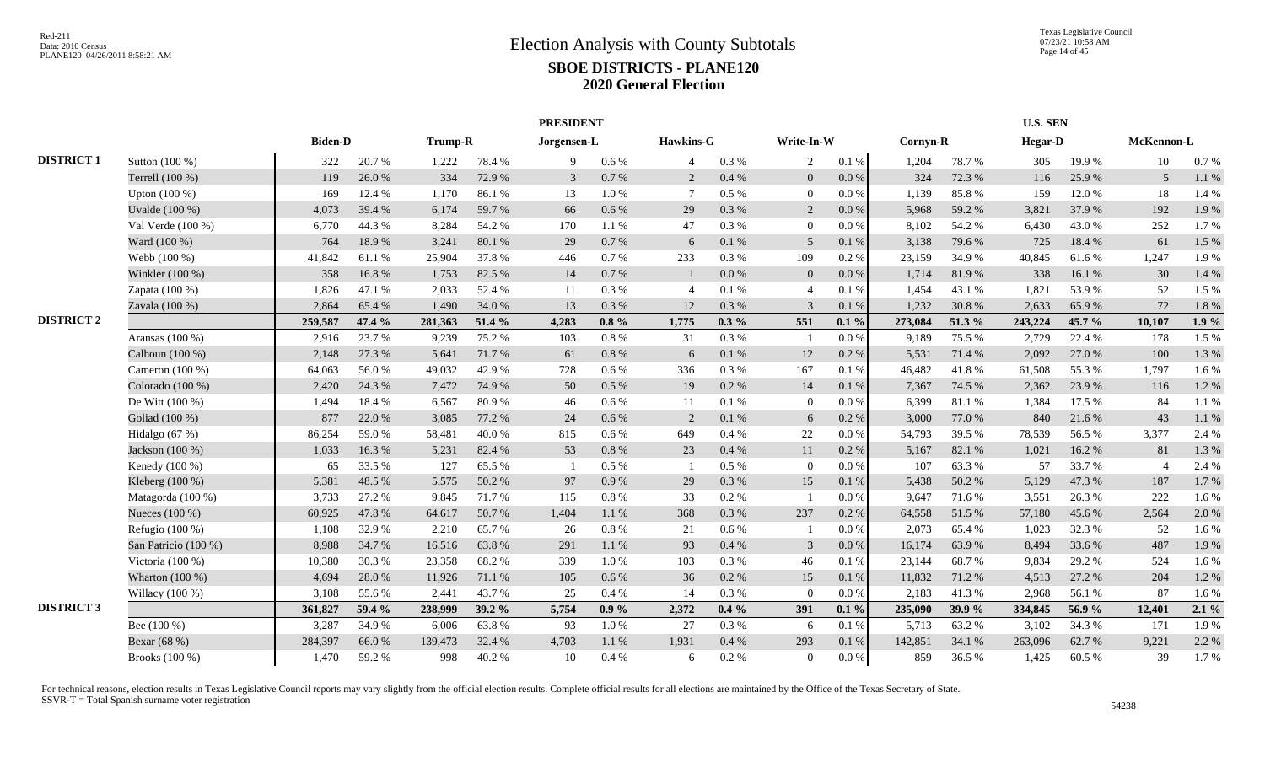|                   |                      |                |        |         |        | <b>PRESIDENT</b> |           |                |         |                |           |          |        | U.S. SEN       |        |                |         |
|-------------------|----------------------|----------------|--------|---------|--------|------------------|-----------|----------------|---------|----------------|-----------|----------|--------|----------------|--------|----------------|---------|
|                   |                      | <b>Biden-D</b> |        | Trump-R |        | Jorgensen-L      |           | Hawkins-G      |         | Write-In-W     |           | Cornyn-R |        | <b>Hegar-D</b> |        | McKennon-L     |         |
| <b>DISTRICT 1</b> | Sutton (100 %)       | 322            | 20.7 % | 1,222   | 78.4%  | 9                | $0.6\%$   | $\overline{4}$ | 0.3%    | 2              | $0.1 \%$  | 1,204    | 78.7%  | 305            | 19.9%  | 10             | 0.7 %   |
|                   | Terrell (100 %)      | 119            | 26.0%  | 334     | 72.9%  | 3                | 0.7 %     | 2              | 0.4%    | $\overline{0}$ | $0.0\,\%$ | 324      | 72.3 % | 116            | 25.9%  | 5              | 1.1 %   |
|                   | Upton (100 %)        | 169            | 12.4 % | 1,170   | 86.1%  | 13               | 1.0%      | $\overline{7}$ | 0.5 %   | $\overline{0}$ | 0.0 %     | 1,139    | 85.8%  | 159            | 12.0%  | 18             | 1.4 %   |
|                   | Uvalde (100 %)       | 4,073          | 39.4 % | 6,174   | 59.7%  | 66               | $0.6\%$   | 29             | 0.3%    | 2              | 0.0 %     | 5,968    | 59.2 % | 3,821          | 37.9%  | 192            | 1.9%    |
|                   | Val Verde (100 %)    | 6,770          | 44.3 % | 8,284   | 54.2 % | 170              | 1.1%      | 47             | 0.3%    | $\overline{0}$ | 0.0 %     | 8,102    | 54.2 % | 6,430          | 43.0%  | 252            | 1.7%    |
|                   | Ward (100 %)         | 764            | 18.9%  | 3,241   | 80.1%  | 29               | 0.7 %     | 6              | 0.1 %   | 5              | 0.1%      | 3,138    | 79.6%  | 725            | 18.4 % | 61             | 1.5 %   |
|                   | Webb (100 %)         | 41,842         | 61.1%  | 25,904  | 37.8%  | 446              | 0.7 %     | 233            | 0.3%    | 109            | 0.2 %     | 23,159   | 34.9%  | 40,845         | 61.6%  | 1,247          | 1.9%    |
|                   | Winkler (100 %)      | 358            | 16.8%  | 1,753   | 82.5 % | 14               | 0.7 %     | $\mathbf{1}$   | 0.0 %   | $\overline{0}$ | 0.0 %     | 1,714    | 81.9%  | 338            | 16.1%  | 30             | 1.4 %   |
|                   | Zapata (100 %)       | 1,826          | 47.1 % | 2,033   | 52.4 % | 11               | 0.3 %     | $\overline{4}$ | 0.1%    | $\overline{4}$ | 0.1%      | 1,454    | 43.1 % | 1,821          | 53.9%  | 52             | 1.5 %   |
|                   | Zavala (100 %)       | 2,864          | 65.4 % | 1,490   | 34.0%  | 13               | 0.3%      | 12             | 0.3%    | 3              | 0.1%      | 1,232    | 30.8%  | 2,633          | 65.9%  | 72             | 1.8 %   |
| <b>DISTRICT 2</b> |                      | 259,587        | 47.4 % | 281,363 | 51.4 % | 4.283            | $0.8 \%$  | 1,775          | $0.3\%$ | 551            | $0.1\%$   | 273,084  | 51.3%  | 243,224        | 45.7 % | 10,107         | 1.9%    |
|                   | Aransas $(100\%)$    | 2,916          | 23.7 % | 9,239   | 75.2 % | 103              | $0.8\%$   | 31             | 0.3%    |                | 0.0 %     | 9,189    | 75.5 % | 2,729          | 22.4 % | 178            | 1.5 %   |
|                   | Calhoun (100 %)      | 2,148          | 27.3 % | 5,641   | 71.7%  | 61               | $0.8\ \%$ | 6              | 0.1 %   | 12             | 0.2 %     | 5,531    | 71.4 % | 2,092          | 27.0%  | 100            | 1.3%    |
|                   | Cameron (100 %)      | 64,063         | 56.0%  | 49,032  | 42.9%  | 728              | $0.6\%$   | 336            | 0.3%    | 167            | 0.1%      | 46,482   | 41.8%  | 61,508         | 55.3%  | 1,797          | 1.6%    |
|                   | Colorado (100 %)     | 2,420          | 24.3 % | 7,472   | 74.9 % | 50               | $0.5\%$   | 19             | 0.2 %   | 14             | 0.1%      | 7,367    | 74.5 % | 2,362          | 23.9%  | 116            | 1.2%    |
|                   | De Witt (100 %)      | 1,494          | 18.4 % | 6,567   | 80.9%  | 46               | $0.6\%$   | 11             | 0.1%    | $\overline{0}$ | 0.0 %     | 6,399    | 81.1%  | 1,384          | 17.5 % | 84             | 1.1 %   |
|                   | Goliad (100 %)       | 877            | 22.0 % | 3,085   | 77.2 % | 24               | 0.6%      | 2              | 0.1%    | 6              | 0.2%      | 3,000    | 77.0%  | 840            | 21.6 % | 43             | 1.1%    |
|                   | Hidalgo (67 %)       | 86,254         | 59.0%  | 58,481  | 40.0%  | 815              | $0.6\%$   | 649            | 0.4%    | 22             | $0.0\%$   | 54,793   | 39.5 % | 78,539         | 56.5%  | 3,377          | 2.4 %   |
|                   | Jackson (100 %)      | 1,033          | 16.3%  | 5,231   | 82.4 % | 53               | 0.8%      | 23             | 0.4%    | 11             | 0.2%      | 5,167    | 82.1 % | 1,021          | 16.2%  | 81             | 1.3 %   |
|                   | Kenedy (100 %)       | 65             | 33.5 % | 127     | 65.5 % |                  | $0.5\%$   | $\overline{1}$ | 0.5 %   | $\theta$       | $0.0\%$   | 107      | 63.3 % | 57             | 33.7%  | $\overline{4}$ | 2.4 %   |
|                   | Kleberg (100 %)      | 5,381          | 48.5 % | 5,575   | 50.2%  | 97               | 0.9%      | 29             | 0.3%    | 15             | 0.1%      | 5,438    | 50.2%  | 5,129          | 47.3 % | 187            | 1.7%    |
|                   | Matagorda (100 %)    | 3,733          | 27.2 % | 9,845   | 71.7%  | 115              | $0.8\%$   | 33             | 0.2%    |                | $0.0\%$   | 9.647    | 71.6 % | 3,551          | 26.3%  | 222            | 1.6%    |
|                   | Nueces (100 %)       | 60,925         | 47.8%  | 64,617  | 50.7%  | 1,404            | 1.1%      | 368            | 0.3%    | 237            | 0.2%      | 64,558   | 51.5 % | 57,180         | 45.6%  | 2,564          | 2.0%    |
|                   | Refugio $(100\%)$    | 1,108          | 32.9%  | 2,210   | 65.7%  | 26               | 0.8%      | 21             | 0.6%    |                | 0.0 %     | 2,073    | 65.4 % | 1,023          | 32.3 % | 52             | 1.6%    |
|                   | San Patricio (100 %) | 8,988          | 34.7 % | 16,516  | 63.8%  | 291              | 1.1%      | 93             | 0.4%    | 3              | $0.0\,\%$ | 16,174   | 63.9%  | 8,494          | 33.6%  | 487            | 1.9%    |
|                   | Victoria (100 %)     | 10,380         | 30.3%  | 23,358  | 68.2%  | 339              | 1.0%      | 103            | 0.3%    | 46             | 0.1%      | 23,144   | 68.7%  | 9,834          | 29.2 % | 524            | 1.6%    |
|                   | Wharton (100 %)      | 4,694          | 28.0%  | 11,926  | 71.1 % | 105              | $0.6\%$   | 36             | 0.2 %   | 15             | 0.1%      | 11,832   | 71.2%  | 4,513          | 27.2 % | 204            | 1.2%    |
|                   | Willacy $(100\%)$    | 3,108          | 55.6%  | 2,441   | 43.7%  | 25               | $0.4\%$   | 14             | 0.3%    | $\Omega$       | 0.0 %     | 2,183    | 41.3%  | 2,968          | 56.1%  | 87             | 1.6%    |
| <b>DISTRICT 3</b> |                      | 361,827        | 59.4 % | 238,999 | 39.2 % | 5,754            | $0.9\%$   | 2,372          | $0.4\%$ | 391            | $0.1\%$   | 235,090  | 39.9 % | 334,845        | 56.9%  | 12,401         | $2.1\%$ |
|                   | Bee (100 %)          | 3,287          | 34.9%  | 6,006   | 63.8%  | 93               | 1.0%      | 27             | 0.3%    | -6             | 0.1%      | 5,713    | 63.2%  | 3,102          | 34.3 % | 171            | 1.9%    |
|                   | Bexar (68 %)         | 284,397        | 66.0%  | 139,473 | 32.4 % | 4,703            | 1.1%      | 1,931          | 0.4 %   | 293            | 0.1%      | 142,851  | 34.1 % | 263,096        | 62.7%  | 9,221          | 2.2 %   |
|                   | Brooks (100 %)       | 1,470          | 59.2%  | 998     | 40.2%  | 10               | 0.4%      | 6              | 0.2%    | $\overline{0}$ | $0.0\,\%$ | 859      | 36.5%  | 1,425          | 60.5%  | 39             | 1.7%    |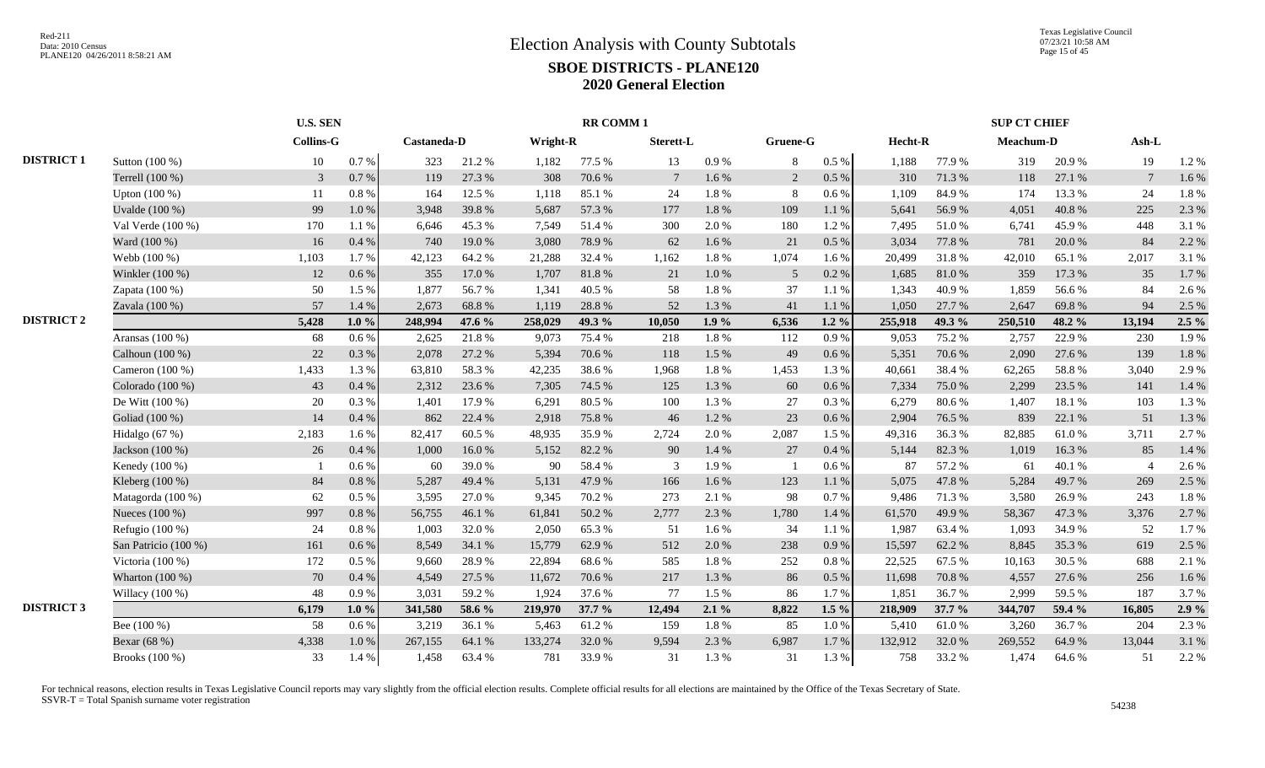|                   |                      |                  | <b>U.S. SEN</b> |             |        |          | <b>RR COMM1</b> |                 |           |          |           |         |          | <b>SUP CT CHIEF</b> |        |                 |           |
|-------------------|----------------------|------------------|-----------------|-------------|--------|----------|-----------------|-----------------|-----------|----------|-----------|---------|----------|---------------------|--------|-----------------|-----------|
|                   |                      | <b>Collins-G</b> |                 | Castaneda-D |        | Wright-R |                 | Sterett-L       |           | Gruene-G |           | Hecht-R |          | Meachum-D           |        | $Ash-L$         |           |
| <b>DISTRICT 1</b> | Sutton (100 %)       | 10               | 0.7 %           | 323         | 21.2%  | 1,182    | 77.5 %          | 13              | $0.9\ \%$ | 8        | $0.5~\%$  | 1,188   | 77.9%    | 319                 | 20.9%  | 19              | 1.2%      |
|                   | Terrell (100 %)      | $\mathfrak{Z}$   | 0.7%            | 119         | 27.3 % | 308      | 70.6%           | $7\phantom{.0}$ | $1.6\,\%$ | 2        | $0.5\ \%$ | 310     | 71.3 %   | 118                 | 27.1 % | $7\phantom{.0}$ | 1.6%      |
|                   | Upton (100 %)        | 11               | 0.8%            | 164         | 12.5 % | 1,118    | 85.1%           | 24              | 1.8 %     | 8        | 0.6 %     | 1,109   | 84.9%    | 174                 | 13.3 % | 24              | 1.8%      |
|                   | Uvalde (100 %)       | 99               | 1.0%            | 3,948       | 39.8%  | 5,687    | 57.3 %          | 177             | 1.8%      | 109      | 1.1%      | 5,641   | 56.9%    | 4,051               | 40.8%  | 225             | 2.3 %     |
|                   | Val Verde $(100\%)$  | 170              | 1.1%            | 6,646       | 45.3 % | 7,549    | 51.4 %          | 300             | 2.0%      | 180      | 1.2%      | 7,495   | 51.0%    | 6,741               | 45.9%  | 448             | 3.1 %     |
|                   | Ward (100 %)         | 16               | 0.4%            | 740         | 19.0%  | 3,080    | 78.9%           | 62              | 1.6 %     | 21       | $0.5\ \%$ | 3,034   | 77.8%    | 781                 | 20.0%  | 84              | 2.2 %     |
|                   | Webb (100 %)         | 1,103            | 1.7%            | 42,123      | 64.2%  | 21,288   | 32.4 %          | 1,162           | 1.8%      | 1,074    | 1.6 %     | 20,499  | 31.8%    | 42,010              | 65.1 % | 2,017           | 3.1 %     |
|                   | Winkler (100 %)      | 12               | 0.6 %           | 355         | 17.0 % | 1.707    | 81.8%           | 21              | 1.0%      | 5        | 0.2 %     | 1,685   | 81.0%    | 359                 | 17.3 % | 35              | 1.7%      |
|                   | Zapata (100 %)       | 50               | 1.5 %           | 1,877       | 56.7%  | 1.341    | 40.5 %          | 58              | 1.8%      | 37       | 1.1%      | 1,343   | 40.9%    | 1,859               | 56.6%  | 84              | 2.6%      |
|                   | Zavala (100 %)       | 57               | 1.4 %           | 2,673       | 68.8%  | 1,119    | 28.8%           | 52              | 1.3%      | 41       | 1.1%      | 1,050   | 27.7 %   | 2,647               | 69.8%  | 94              | 2.5 %     |
| <b>DISTRICT 2</b> |                      | 5,428            | $1.0 \%$        | 248,994     | 47.6 % | 258,029  | 49.3 %          | 10,050          | 1.9%      | 6,536    | $1.2 \%$  | 255,918 | 49.3 %   | 250,510             | 48.2 % | 13,194          | $2.5\%$   |
|                   | Aransas $(100\%)$    | 68               | $0.6\%$         | 2,625       | 21.8%  | 9,073    | 75.4 %          | 218             | 1.8 %     | 112      | 0.9%      | 9,053   | 75.2 %   | 2,757               | 22.9%  | 230             | 1.9%      |
|                   | Calhoun (100 %)      | 22               | 0.3%            | 2,078       | 27.2 % | 5,394    | 70.6%           | 118             | 1.5 %     | 49       | 0.6 %     | 5,351   | 70.6%    | 2,090               | 27.6 % | 139             | $1.8\ \%$ |
|                   | Cameron (100 %)      | 1,433            | 1.3%            | 63,810      | 58.3%  | 42,235   | 38.6%           | 1,968           | 1.8 %     | 1,453    | 1.3 %     | 40,661  | 38.4%    | 62,265              | 58.8%  | 3,040           | 2.9%      |
|                   | Colorado (100 %)     | 43               | 0.4%            | 2,312       | 23.6 % | 7,305    | 74.5 %          | 125             | 1.3%      | 60       | 0.6 %     | 7,334   | 75.0%    | 2,299               | 23.5 % | 141             | 1.4 %     |
|                   | De Witt (100 %)      | 20               | 0.3%            | 1,401       | 17.9 % | 6,291    | 80.5%           | 100             | 1.3 %     | 27       | $0.3\%$   | 6,279   | 80.6%    | 1,407               | 18.1 % | 103             | 1.3 %     |
|                   | Goliad (100 %)       | 14               | 0.4%            | 862         | 22.4 % | 2,918    | 75.8%           | 46              | 1.2%      | 23       | 0.6 %     | 2,904   | 76.5 %   | 839                 | 22.1 % | 51              | 1.3%      |
|                   | Hidalgo (67 %)       | 2,183            | 1.6%            | 82,417      | 60.5%  | 48,935   | 35.9%           | 2,724           | 2.0%      | 2,087    | 1.5 %     | 49,316  | 36.3%    | 82,885              | 61.0%  | 3,711           | 2.7%      |
|                   | Jackson (100 %)      | 26               | 0.4%            | 1,000       | 16.0%  | 5,152    | 82.2 %          | 90              | 1.4 %     | 27       | 0.4%      | 5,144   | 82.3 %   | 1,019               | 16.3 % | 85              | 1.4 %     |
|                   | Kenedy (100 %)       |                  | 0.6 %           | 60          | 39.0%  | 90       | 58.4%           | 3               | 1.9%      |          | 0.6 %     | 87      | 57.2 %   | 61                  | 40.1 % | $\overline{4}$  | 2.6 %     |
|                   | Kleberg (100 %)      | 84               | 0.8%            | 5,287       | 49.4%  | 5,131    | 47.9%           | 166             | 1.6 %     | 123      | 1.1 %     | 5,075   | 47.8%    | 5,284               | 49.7%  | 269             | 2.5 %     |
|                   | Matagorda (100 %)    | 62               | 0.5%            | 3,595       | 27.0%  | 9,345    | 70.2%           | 273             | 2.1 %     | 98       | 0.7 %     | 9,486   | 71.3%    | 3,580               | 26.9%  | 243             | 1.8%      |
|                   | Nueces (100 %)       | 997              | 0.8 %           | 56,755      | 46.1%  | 61,841   | 50.2%           | 2,777           | 2.3 %     | 1,780    | 1.4 %     | 61,570  | 49.9%    | 58,367              | 47.3 % | 3,376           | 2.7%      |
|                   | Refugio (100 %)      | 24               | 0.8%            | 1,003       | 32.0%  | 2,050    | 65.3%           | 51              | 1.6 %     | 34       | 1.1 %     | 1,987   | 63.4%    | 1,093               | 34.9%  | 52              | 1.7%      |
|                   | San Patricio (100 %) | 161              | 0.6 %           | 8,549       | 34.1 % | 15,779   | 62.9%           | 512             | 2.0 %     | 238      | 0.9%      | 15,597  | 62.2%    | 8,845               | 35.3%  | 619             | 2.5 %     |
|                   | Victoria (100 %)     | 172              | 0.5%            | 9,660       | 28.9%  | 22,894   | 68.6%           | 585             | 1.8 %     | 252      | $0.8 \%$  | 22,525  | 67.5 %   | 10,163              | 30.5 % | 688             | 2.1 %     |
|                   | Wharton (100 %)      | 70               | 0.4%            | 4,549       | 27.5 % | 11,672   | 70.6%           | 217             | 1.3 %     | 86       | $0.5\%$   | 11,698  | 70.8%    | 4,557               | 27.6 % | 256             | 1.6 %     |
|                   | Willacy (100 %)      | 48               | 0.9%            | 3,031       | 59.2%  | 1,924    | 37.6 %          | 77              | 1.5 %     | 86       | 1.7%      | 1,851   | 36.7%    | 2,999               | 59.5 % | 187             | 3.7%      |
| <b>DISTRICT 3</b> |                      | 6,179            | $1.0 \%$        | 341,580     | 58.6 % | 219,970  | $37.7\%$        | 12,494          | $2.1\%$   | 8,822    | $1.5\%$   | 218,909 | $37.7\%$ | 344,707             | 59.4 % | 16,805          | 2.9%      |
|                   | Bee (100 %)          | 58               | 0.6%            | 3,219       | 36.1 % | 5,463    | 61.2%           | 159             | 1.8%      | 85       | 1.0%      | 5,410   | 61.0%    | 3.260               | 36.7%  | 204             | 2.3 %     |
|                   | Bexar (68 %)         | 4,338            | $1.0\ \%$       | 267,155     | 64.1 % | 133,274  | 32.0%           | 9,594           | 2.3 %     | 6,987    | 1.7 %     | 132,912 | 32.0%    | 269,552             | 64.9%  | 13,044          | 3.1 %     |
|                   | Brooks (100 %)       | 33               | 1.4 %           | 1,458       | 63.4 % | 781      | 33.9%           | 31              | 1.3 %     | 31       | 1.3 %     | 758     | 33.2 %   | 1,474               | 64.6%  | 51              | 2.2 %     |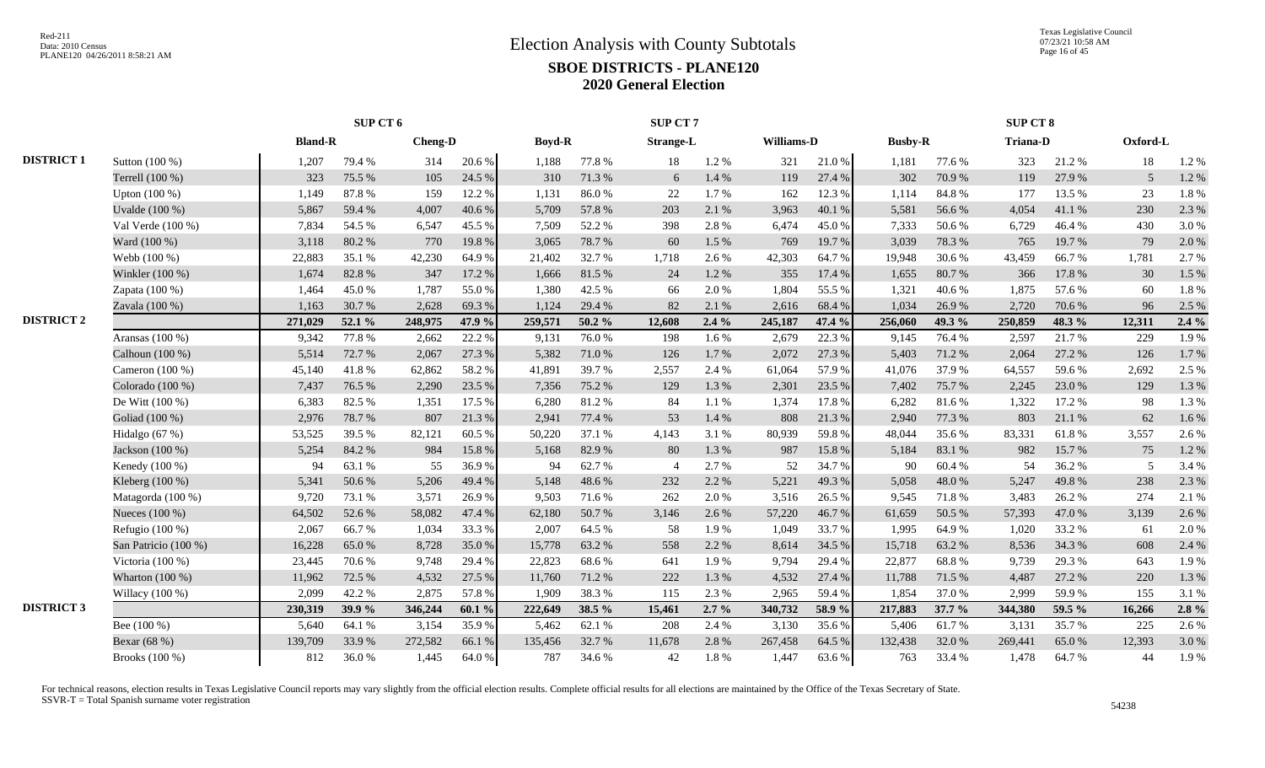|                   |                      |                | SUP CT 6 |                |        |               |        | SUP CT 7         |         |            |        |                |        | <b>SUP CT 8</b> |        |          |         |
|-------------------|----------------------|----------------|----------|----------------|--------|---------------|--------|------------------|---------|------------|--------|----------------|--------|-----------------|--------|----------|---------|
|                   |                      | <b>Bland-R</b> |          | <b>Cheng-D</b> |        | <b>Boyd-R</b> |        | <b>Strange-L</b> |         | Williams-D |        | <b>Busby-R</b> |        | <b>Triana-D</b> |        | Oxford-L |         |
| <b>DISTRICT 1</b> | Sutton (100 %)       | 1,207          | 79.4%    | 314            | 20.6 % | 1.188         | 77.8%  | 18               | 1.2%    | 321        | 21.0%  | 1,181          | 77.6 % | 323             | 21.2%  | 18       | 1.2 %   |
|                   | Terrell (100 %)      | 323            | 75.5 %   | 105            | 24.5 % | 310           | 71.3%  | 6                | 1.4 %   | 119        | 27.4 % | 302            | 70.9%  | 119             | 27.9%  | .5       | 1.2%    |
|                   | Upton $(100\%)$      | 1,149          | 87.8%    | 159            | 12.2 % | 1,131         | 86.0%  | 22               | 1.7%    | 162        | 12.3 % | 1,114          | 84.8%  | 177             | 13.5 % | 23       | 1.8%    |
|                   | Uvalde (100 %)       | 5,867          | 59.4%    | 4,007          | 40.6%  | 5,709         | 57.8%  | 203              | 2.1 %   | 3,963      | 40.1%  | 5,581          | 56.6%  | 4,054           | 41.1%  | 230      | 2.3 %   |
|                   | Val Verde $(100\%)$  | 7,834          | 54.5 %   | 6,547          | 45.5 % | 7.509         | 52.2 % | 398              | 2.8%    | 6,474      | 45.0%  | 7,333          | 50.6%  | 6.729           | 46.4 % | 430      | 3.0%    |
|                   | Ward (100 %)         | 3,118          | 80.2%    | 770            | 19.8%  | 3,065         | 78.7%  | 60               | 1.5 %   | 769        | 19.7%  | 3,039          | 78.3%  | 765             | 19.7%  | 79       | 2.0%    |
|                   | Webb (100 %)         | 22,883         | 35.1 %   | 42,230         | 64.9%  | 21,402        | 32.7%  | 1,718            | 2.6 %   | 42,303     | 64.7%  | 19,948         | 30.6%  | 43,459          | 66.7%  | 1,781    | 2.7%    |
|                   | Winkler (100 %)      | 1,674          | 82.8%    | 347            | 17.2 % | 1,666         | 81.5 % | 24               | 1.2%    | 355        | 17.4 % | 1,655          | 80.7%  | 366             | 17.8 % | 30       | 1.5 %   |
|                   | Zapata $(100\%)$     | 1,464          | 45.0%    | 1,787          | 55.0%  | 1.380         | 42.5 % | 66               | 2.0%    | 1,804      | 55.5 % | 1,321          | 40.6%  | 1,875           | 57.6 % | 60       | 1.8%    |
|                   | Zavala (100 %)       | 1,163          | 30.7%    | 2,628          | 69.3%  | 1,124         | 29.4 % | 82               | 2.1 %   | 2,616      | 68.4 % | 1,034          | 26.9%  | 2,720           | 70.6%  | 96       | 2.5 %   |
| <b>DISTRICT 2</b> |                      | 271,029        | 52.1 %   | 248,975        | 47.9 % | 259,571       | 50.2 % | 12,608           | $2.4\%$ | 245,187    | 47.4 % | 256,060        | 49.3 % | 250,859         | 48.3%  | 12,311   | $2.4\%$ |
|                   | Aransas $(100\%)$    | 9,342          | 77.8%    | 2,662          | 22.2 % | 9,131         | 76.0%  | 198              | 1.6 %   | 2,679      | 22.3 % | 9,145          | 76.4 % | 2,597           | 21.7%  | 229      | 1.9%    |
|                   | Calhoun (100 %)      | 5,514          | 72.7 %   | 2,067          | 27.3 % | 5,382         | 71.0%  | 126              | 1.7%    | 2,072      | 27.3 % | 5,403          | 71.2%  | 2.064           | 27.2 % | 126      | 1.7%    |
|                   | Cameron $(100\%)$    | 45,140         | 41.8%    | 62,862         | 58.2%  | 41,891        | 39.7%  | 2,557            | 2.4 %   | 61,064     | 57.9%  | 41,076         | 37.9%  | 64,557          | 59.6%  | 2,692    | 2.5 %   |
|                   | Colorado (100 %)     | 7,437          | 76.5 %   | 2,290          | 23.5 % | 7,356         | 75.2 % | 129              | 1.3%    | 2,301      | 23.5 % | 7,402          | 75.7%  | 2,245           | 23.0%  | 129      | 1.3%    |
|                   | De Witt $(100\%)$    | 6,383          | 82.5 %   | 1,351          | 17.5 % | 6.280         | 81.2%  | 84               | 1.1%    | 1,374      | 17.8%  | 6,282          | 81.6%  | 1.322           | 17.2 % | 98       | 1.3%    |
|                   | Goliad (100 %)       | 2,976          | 78.7%    | 807            | 21.3%  | 2,941         | 77.4 % | 53               | 1.4 %   | 808        | 21.3%  | 2,940          | 77.3 % | 803             | 21.1 % | 62       | 1.6 %   |
|                   | Hidalgo (67 %)       | 53,525         | 39.5 %   | 82,121         | 60.5%  | 50,220        | 37.1 % | 4,143            | 3.1 %   | 80,939     | 59.8%  | 48,044         | 35.6%  | 83,331          | 61.8%  | 3,557    | 2.6 %   |
|                   | Jackson (100 %)      | 5,254          | 84.2%    | 984            | 15.8%  | 5,168         | 82.9%  | 80               | 1.3%    | 987        | 15.8%  | 5,184          | 83.1 % | 982             | 15.7 % | 75       | 1.2%    |
|                   | Kenedy (100 %)       | 94             | 63.1 %   | 55             | 36.9%  | 94            | 62.7%  | $\overline{4}$   | 2.7 %   | 52         | 34.7%  | 90             | 60.4 % | 54              | 36.2%  | 5        | 3.4 %   |
|                   | Kleberg (100 %)      | 5,341          | 50.6%    | 5,206          | 49.4%  | 5,148         | 48.6%  | 232              | 2.2 %   | 5,221      | 49.3%  | 5,058          | 48.0%  | 5,247           | 49.8%  | 238      | 2.3 %   |
|                   | Matagorda (100 %)    | 9,720          | 73.1 %   | 3,571          | 26.9%  | 9,503         | 71.6%  | 262              | 2.0%    | 3,516      | 26.5 % | 9,545          | 71.8%  | 3,483           | 26.2%  | 274      | 2.1 %   |
|                   | Nueces (100 %)       | 64,502         | 52.6%    | 58,082         | 47.4 % | 62,180        | 50.7%  | 3,146            | 2.6 %   | 57,220     | 46.7%  | 61,659         | 50.5 % | 57,393          | 47.0%  | 3,139    | 2.6 %   |
|                   | Refugio $(100\%)$    | 2,067          | 66.7%    | 1,034          | 33.3%  | 2,007         | 64.5 % | 58               | 1.9%    | 1,049      | 33.7%  | 1,995          | 64.9%  | 1,020           | 33.2 % | 61       | 2.0 %   |
|                   | San Patricio (100 %) | 16,228         | 65.0%    | 8,728          | 35.0%  | 15,778        | 63.2%  | 558              | 2.2 %   | 8,614      | 34.5 % | 15,718         | 63.2%  | 8,536           | 34.3 % | 608      | 2.4 %   |
|                   | Victoria $(100\%)$   | 23,445         | 70.6%    | 9,748          | 29.4 % | 22,823        | 68.6%  | 641              | 1.9%    | 9,794      | 29.4 % | 22,877         | 68.8%  | 9,739           | 29.3%  | 643      | 1.9%    |
|                   | Wharton $(100\%)$    | 11,962         | 72.5 %   | 4,532          | 27.5 % | 11.760        | 71.2%  | 222              | 1.3%    | 4,532      | 27.4 % | 11,788         | 71.5 % | 4.487           | 27.2 % | 220      | 1.3 %   |
|                   | Willacy (100 %)      | 2,099          | 42.2 %   | 2,875          | 57.8%  | 1,909         | 38.3%  | 115              | 2.3 %   | 2,965      | 59.4%  | 1,854          | 37.0%  | 2,999           | 59.9%  | 155      | 3.1 %   |
| <b>DISTRICT 3</b> |                      | 230,319        | 39.9%    | 346,244        | 60.1%  | 222,649       | 38.5 % | 15,461           | $2.7\%$ | 340,732    | 58.9%  | 217,883        | 37.7 % | 344,380         | 59.5 % | 16,266   | $2.8\%$ |
|                   | Bee (100 %)          | 5,640          | 64.1 %   | 3,154          | 35.9%  | 5,462         | 62.1 % | 208              | 2.4 %   | 3,130      | 35.6%  | 5,406          | 61.7 % | 3,131           | 35.7%  | 225      | 2.6 %   |
|                   | Bexar (68 %)         | 139,709        | 33.9%    | 272,582        | 66.1 % | 135,456       | 32.7%  | 11,678           | 2.8%    | 267,458    | 64.5 % | 132,438        | 32.0%  | 269,441         | 65.0%  | 12,393   | 3.0%    |
|                   | Brooks (100 %)       | 812            | 36.0%    | 1,445          | 64.0%  | 787           | 34.6%  | 42               | 1.8%    | 1,447      | 63.6%  | 763            | 33.4 % | 1,478           | 64.7%  | 44       | 1.9%    |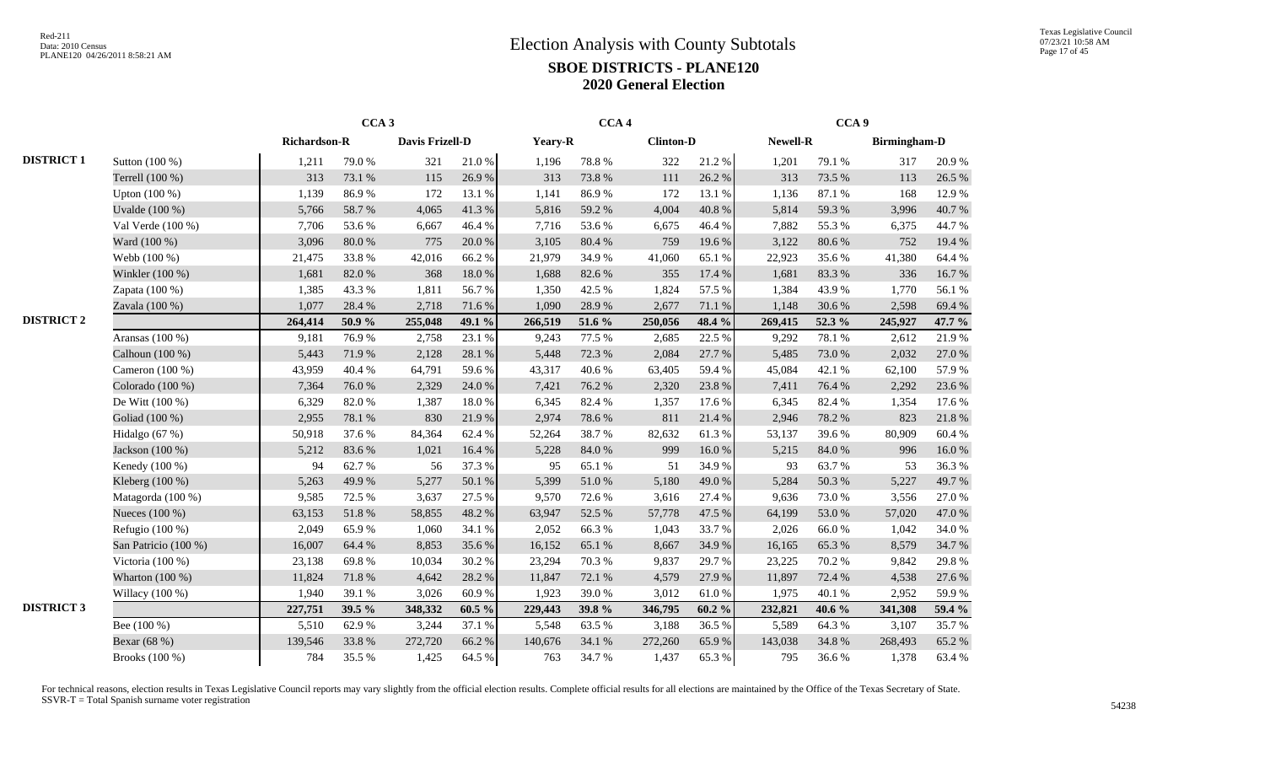|                   |                      |              | CCA <sub>3</sub> |                 |           |         | CCA <sub>4</sub> |                  |            |          | CCA <sub>9</sub> |                     |        |
|-------------------|----------------------|--------------|------------------|-----------------|-----------|---------|------------------|------------------|------------|----------|------------------|---------------------|--------|
|                   |                      | Richardson-R |                  | Davis Frizell-D |           | Yeary-R |                  | <b>Clinton-D</b> |            | Newell-R |                  | <b>Birmingham-D</b> |        |
| <b>DISTRICT 1</b> | Sutton (100 %)       | 1,211        | 79.0%            | 321             | 21.0%     | 1,196   | 78.8%            | 322              | 21.2%      | 1,201    | 79.1 %           | 317                 | 20.9%  |
|                   | Terrell (100 %)      | 313          | 73.1 %           | 115             | 26.9%     | 313     | 73.8%            | 111              | 26.2%      | 313      | 73.5 %           | 113                 | 26.5 % |
|                   | Upton $(100\%)$      | 1,139        | 86.9%            | 172             | 13.1 %    | 1,141   | 86.9%            | 172              | 13.1 %     | 1,136    | 87.1 %           | 168                 | 12.9%  |
|                   | Uvalde (100 %)       | 5,766        | 58.7%            | 4,065           | 41.3%     | 5,816   | 59.2%            | 4,004            | 40.8%      | 5,814    | 59.3%            | 3,996               | 40.7%  |
|                   | Val Verde (100 %)    | 7,706        | 53.6%            | 6,667           | 46.4%     | 7,716   | 53.6%            | 6,675            | 46.4%      | 7,882    | 55.3%            | 6,375               | 44.7%  |
|                   | Ward (100 %)         | 3,096        | $80.0\ \%$       | 775             | 20.0%     | 3,105   | 80.4%            | 759              | 19.6 %     | 3,122    | 80.6%            | 752                 | 19.4 % |
|                   | Webb (100 %)         | 21,475       | 33.8%            | 42,016          | 66.2%     | 21,979  | 34.9%            | 41,060           | 65.1 %     | 22,923   | 35.6%            | 41,380              | 64.4 % |
|                   | Winkler (100 %)      | 1,681        | 82.0%            | 368             | 18.0%     | 1,688   | 82.6%            | 355              | 17.4 %     | 1,681    | 83.3%            | 336                 | 16.7%  |
|                   | Zapata (100 %)       | 1,385        | 43.3 %           | 1,811           | 56.7%     | 1,350   | 42.5 %           | 1,824            | 57.5 %     | 1,384    | 43.9%            | 1,770               | 56.1%  |
|                   | Zavala (100 %)       | 1,077        | 28.4 %           | 2,718           | 71.6%     | 1,090   | 28.9%            | 2,677            | 71.1 %     | 1,148    | 30.6%            | 2,598               | 69.4%  |
| <b>DISTRICT 2</b> |                      | 264,414      | 50.9%            | 255,048         | 49.1 %    | 266,519 | 51.6 %           | 250,056          | 48.4 %     | 269,415  | 52.3 %           | 245,927             | 47.7 % |
|                   | Aransas (100 %)      | 9,181        | 76.9%            | 2,758           | 23.1 %    | 9,243   | 77.5 %           | 2,685            | 22.5 %     | 9,292    | 78.1 %           | 2,612               | 21.9%  |
|                   | Calhoun $(100\%)$    | 5,443        | 71.9%            | 2,128           | 28.1 %    | 5,448   | 72.3 %           | 2,084            | 27.7 %     | 5,485    | 73.0%            | 2,032               | 27.0 % |
|                   | Cameron $(100\%)$    | 43,959       | 40.4 %           | 64,791          | 59.6%     | 43,317  | 40.6%            | 63,405           | 59.4%      | 45,084   | 42.1 %           | 62,100              | 57.9 % |
|                   | Colorado (100 %)     | 7,364        | 76.0%            | 2,329           | 24.0%     | 7,421   | 76.2%            | 2,320            | 23.8%      | 7,411    | 76.4 %           | 2,292               | 23.6%  |
|                   | De Witt $(100\%)$    | 6,329        | 82.0%            | 1,387           | 18.0%     | 6,345   | 82.4%            | 1,357            | 17.6 %     | 6,345    | 82.4 %           | 1,354               | 17.6 % |
|                   | Goliad (100 %)       | 2,955        | 78.1 %           | 830             | 21.9%     | 2,974   | 78.6%            | 811              | 21.4 %     | 2,946    | 78.2 %           | 823                 | 21.8%  |
|                   | Hidalgo (67 %)       | 50,918       | 37.6%            | 84,364          | 62.4%     | 52,264  | 38.7%            | 82,632           | 61.3%      | 53,137   | 39.6%            | 80,909              | 60.4 % |
|                   | Jackson (100 %)      | 5,212        | 83.6%            | 1,021           | 16.4 %    | 5,228   | 84.0%            | 999              | 16.0%      | 5,215    | 84.0%            | 996                 | 16.0%  |
|                   | Kenedy (100 %)       | 94           | 62.7%            | 56              | 37.3 %    | 95      | 65.1%            | 51               | 34.9%      | 93       | 63.7%            | 53                  | 36.3%  |
|                   | Kleberg (100 %)      | 5,263        | 49.9%            | 5,277           | 50.1 %    | 5,399   | 51.0%            | 5,180            | 49.0%      | 5,284    | 50.3%            | 5,227               | 49.7%  |
|                   | Matagorda (100 %)    | 9,585        | 72.5 %           | 3,637           | 27.5 %    | 9,570   | 72.6%            | 3,616            | 27.4 %     | 9,636    | 73.0%            | 3,556               | 27.0%  |
|                   | Nueces (100 %)       | 63,153       | 51.8%            | 58,855          | 48.2 %    | 63,947  | 52.5 %           | 57,778           | 47.5 %     | 64,199   | 53.0%            | 57,020              | 47.0%  |
|                   | Refugio (100 %)      | 2,049        | 65.9%            | 1,060           | 34.1 %    | 2,052   | 66.3%            | 1,043            | 33.7%      | 2,026    | 66.0%            | 1,042               | 34.0 % |
|                   | San Patricio (100 %) | 16,007       | 64.4 %           | 8,853           | 35.6%     | 16,152  | 65.1%            | 8,667            | 34.9%      | 16,165   | 65.3%            | 8,579               | 34.7%  |
|                   | Victoria (100 %)     | 23,138       | 69.8%            | 10,034          | 30.2 %    | 23,294  | 70.3%            | 9,837            | 29.7%      | 23,225   | 70.2%            | 9,842               | 29.8%  |
|                   | Wharton (100 %)      | 11,824       | 71.8 %           | 4,642           | 28.2%     | 11,847  | 72.1 %           | 4,579            | 27.9%      | 11,897   | 72.4 %           | 4,538               | 27.6 % |
|                   | Willacy (100 %)      | 1,940        | 39.1 %           | 3,026           | 60.9%     | 1,923   | 39.0%            | 3,012            | $61.0\ \%$ | 1,975    | 40.1 %           | 2,952               | 59.9%  |
| <b>DISTRICT 3</b> |                      | 227,751      | 39.5 %           | 348,332         | $60.5 \%$ | 229,443 | 39.8%            | 346,795          | 60.2%      | 232,821  | 40.6 %           | 341,308             | 59.4 % |
|                   | Bee (100 %)          | 5,510        | 62.9%            | 3,244           | 37.1 %    | 5,548   | 63.5%            | 3,188            | 36.5%      | 5,589    | 64.3%            | 3,107               | 35.7%  |
|                   | Bexar (68 %)         | 139,546      | 33.8%            | 272,720         | 66.2%     | 140,676 | 34.1 %           | 272,260          | 65.9%      | 143,038  | 34.8 %           | 268,493             | 65.2%  |
|                   | Brooks (100 %)       | 784          | 35.5 %           | 1,425           | 64.5 %    | 763     | 34.7 %           | 1,437            | 65.3%      | 795      | 36.6%            | 1,378               | 63.4%  |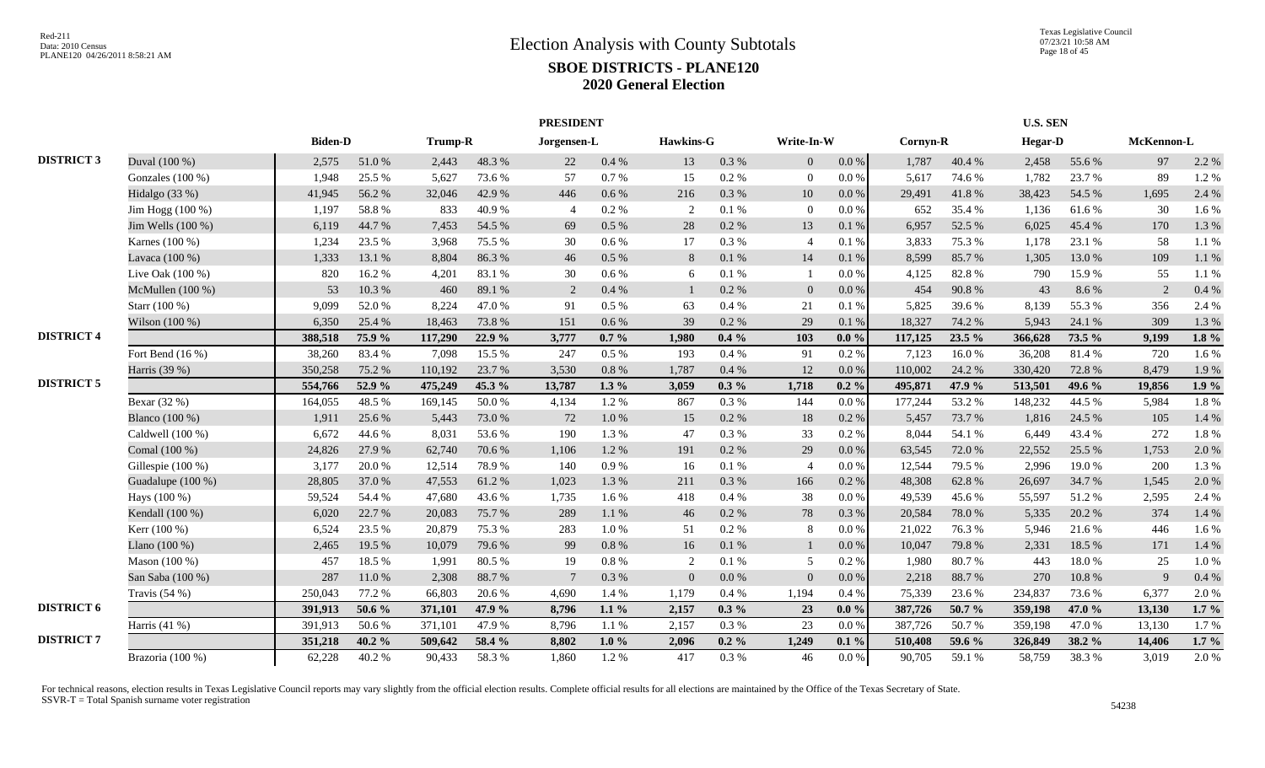|                   |                    |                |        |         |        | <b>PRESIDENT</b> |           |                |           |                |           |          |        | <b>U.S. SEN</b> |        |            |         |
|-------------------|--------------------|----------------|--------|---------|--------|------------------|-----------|----------------|-----------|----------------|-----------|----------|--------|-----------------|--------|------------|---------|
|                   |                    | <b>Biden-D</b> |        | Trump-R |        | Jorgensen-L      |           | Hawkins-G      |           | Write-In-W     |           | Cornyn-R |        | <b>Hegar-D</b>  |        | McKennon-L |         |
| <b>DISTRICT 3</b> | Duval (100 %)      | 2,575          | 51.0%  | 2,443   | 48.3%  | 22               | 0.4%      | 13             | 0.3%      | $\overline{0}$ | $0.0\,\%$ | 1,787    | 40.4 % | 2,458           | 55.6%  | 97         | 2.2 %   |
|                   | Gonzales (100 %)   | 1,948          | 25.5 % | 5,627   | 73.6%  | 57               | 0.7 %     | 15             | $0.2~\%$  | $\overline{0}$ | $0.0\,\%$ | 5,617    | 74.6 % | 1,782           | 23.7%  | 89         | 1.2%    |
|                   | Hidalgo (33 %)     | 41,945         | 56.2%  | 32,046  | 42.9%  | 446              | 0.6 %     | 216            | 0.3 %     | 10             | $0.0\,\%$ | 29,491   | 41.8 % | 38,423          | 54.5 % | 1,695      | 2.4 %   |
|                   | Jim Hogg (100 %)   | 1,197          | 58.8%  | 833     | 40.9%  | $\Delta$         | 0.2 %     | 2              | 0.1%      | $\theta$       | $0.0\,\%$ | 652      | 35.4 % | 1,136           | 61.6%  | 30         | 1.6 %   |
|                   | Jim Wells (100 %)  | 6,119          | 44.7%  | 7,453   | 54.5 % | 69               | $0.5\ \%$ | 28             | 0.2 %     | 13             | 0.1%      | 6,957    | 52.5 % | 6,025           | 45.4%  | 170        | 1.3 %   |
|                   | Karnes (100 %)     | 1,234          | 23.5 % | 3,968   | 75.5 % | 30               | 0.6 %     | 17             | 0.3%      | $\overline{4}$ | 0.1%      | 3,833    | 75.3 % | 1,178           | 23.1 % | 58         | 1.1%    |
|                   | Lavaca (100 %)     | 1,333          | 13.1 % | 8,804   | 86.3%  | 46               | 0.5 %     | 8              | 0.1 %     | 14             | 0.1%      | 8,599    | 85.7%  | 1,305           | 13.0%  | 109        | 1.1 %   |
|                   | Live Oak (100 %)   | 820            | 16.2%  | 4,201   | 83.1 % | 30               | 0.6 %     | 6              | 0.1 %     |                | $0.0\,\%$ | 4,125    | 82.8%  | 790             | 15.9%  | 55         | 1.1%    |
|                   | McMullen (100 %)   | 53             | 10.3%  | 460     | 89.1 % | 2                | 0.4%      |                | 0.2 %     | $\Omega$       | $0.0\%$   | 454      | 90.8%  | 43              | 8.6%   | 2          | 0.4%    |
|                   | Starr (100 %)      | 9,099          | 52.0%  | 8,224   | 47.0%  | 91               | $0.5\%$   | 63             | 0.4%      | 21             | 0.1%      | 5,825    | 39.6 % | 8,139           | 55.3%  | 356        | 2.4 %   |
|                   | Wilson (100 %)     | 6,350          | 25.4 % | 18,463  | 73.8%  | 151              | 0.6%      | 39             | 0.2 %     | 29             | 0.1%      | 18,327   | 74.2 % | 5,943           | 24.1 % | 309        | 1.3 %   |
| <b>DISTRICT 4</b> |                    | 388,518        | 75.9%  | 117,290 | 22.9 % | 3,777            | $0.7\%$   | 1.980          | $0.4\%$   | 103            | $0.0 \%$  | 117,125  | 23.5 % | 366,628         | 73.5 % | 9,199      | $1.8\%$ |
|                   | Fort Bend $(16\%)$ | 38,260         | 83.4%  | 7,098   | 15.5 % | 247              | $0.5\%$   | 193            | 0.4%      | 91             | 0.2 %     | 7,123    | 16.0%  | 36,208          | 81.4%  | 720        | 1.6 %   |
|                   | Harris (39 %)      | 350,258        | 75.2 % | 110,192 | 23.7 % | 3,530            | 0.8 %     | 1,787          | 0.4%      | 12             | 0.0 %     | 110,002  | 24.2 % | 330,420         | 72.8%  | 8,479      | 1.9%    |
| <b>DISTRICT 5</b> |                    | 554,766        | 52.9 % | 475,249 | 45.3 % | 13,787           | $1.3\%$   | 3,059          | $0.3\%$   | 1,718          | $0.2 \%$  | 495,871  | 47.9 % | 513,501         | 49.6 % | 19,856     | 1.9%    |
|                   | Bexar (32 %)       | 164,055        | 48.5 % | 169,145 | 50.0%  | 4,134            | 1.2%      | 867            | 0.3%      | 144            | 0.0 %     | 177,244  | 53.2 % | 148,232         | 44.5 % | 5,984      | 1.8%    |
|                   | Blanco (100 %)     | 1,911          | 25.6 % | 5,443   | 73.0%  | 72               | 1.0%      | 15             | 0.2 %     | 18             | 0.2 %     | 5,457    | 73.7 % | 1,816           | 24.5 % | 105        | 1.4 %   |
|                   | Caldwell (100 %)   | 6,672          | 44.6%  | 8,031   | 53.6%  | 190              | 1.3%      | 47             | 0.3%      | 33             | 0.2 %     | 8.044    | 54.1 % | 6,449           | 43.4 % | 272        | 1.8%    |
|                   | Comal (100 %)      | 24,826         | 27.9%  | 62,740  | 70.6%  | 1,106            | 1.2%      | 191            | 0.2 %     | 29             | $0.0\,\%$ | 63,545   | 72.0 % | 22,552          | 25.5 % | 1,753      | 2.0 %   |
|                   | Gillespie (100 %)  | 3,177          | 20.0%  | 12,514  | 78.9%  | 140              | 0.9%      | 16             | 0.1%      |                | $0.0\%$   | 12,544   | 79.5 % | 2.996           | 19.0%  | 200        | 1.3 %   |
|                   | Guadalupe (100 %)  | 28,805         | 37.0 % | 47,553  | 61.2%  | 1.023            | 1.3%      | 211            | 0.3%      | 166            | 0.2 %     | 48,308   | 62.8%  | 26,697          | 34.7 % | 1,545      | 2.0 %   |
|                   | Hays (100 %)       | 59,524         | 54.4 % | 47,680  | 43.6%  | 1,735            | 1.6%      | 418            | 0.4%      | 38             | 0.0 %     | 49,539   | 45.6%  | 55,597          | 51.2%  | 2,595      | 2.4 %   |
|                   | Kendall (100 %)    | 6,020          | 22.7 % | 20,083  | 75.7%  | 289              | 1.1%      | 46             | 0.2 %     | 78             | 0.3%      | 20,584   | 78.0%  | 5,335           | 20.2 % | 374        | 1.4 %   |
|                   | Kerr (100 %)       | 6,524          | 23.5 % | 20,879  | 75.3 % | 283              | 1.0%      | 51             | 0.2 %     | -8             | $0.0\,\%$ | 21,022   | 76.3 % | 5,946           | 21.6%  | 446        | 1.6 %   |
|                   | Llano (100 %)      | 2,465          | 19.5 % | 10,079  | 79.6%  | 99               | $0.8\ \%$ | 16             | $0.1\ \%$ |                | $0.0\,\%$ | 10,047   | 79.8%  | 2,331           | 18.5%  | 171        | 1.4 %   |
|                   | Mason (100 %)      | 457            | 18.5 % | 1,991   | 80.5%  | 19               | 0.8%      | 2              | 0.1%      | $\overline{5}$ | 0.2 %     | 1,980    | 80.7%  | 443             | 18.0%  | 25         | 1.0%    |
|                   | San Saba (100 %)   | 287            | 11.0%  | 2,308   | 88.7%  | $\overline{7}$   | 0.3 %     | $\overline{0}$ | $0.0\ \%$ | $\overline{0}$ | $0.0\,\%$ | 2,218    | 88.7%  | 270             | 10.8%  | 9          | 0.4%    |
|                   | Travis $(54%)$     | 250,043        | 77.2 % | 66,803  | 20.6%  | 4,690            | 1.4%      | 1,179          | 0.4%      | 1,194          | 0.4%      | 75,339   | 23.6 % | 234,837         | 73.6%  | 6,377      | 2.0%    |
| <b>DISTRICT 6</b> |                    | 391,913        | 50.6 % | 371,101 | 47.9 % | 8,796            | $1.1\%$   | 2,157          | $0.3\%$   | 23             | $0.0 \%$  | 387,726  | 50.7%  | 359,198         | 47.0 % | 13,130     | $1.7\%$ |
|                   | Harris $(41\%)$    | 391,913        | 50.6%  | 371,101 | 47.9%  | 8,796            | 1.1%      | 2,157          | 0.3%      | 23             | 0.0 %     | 387,726  | 50.7%  | 359,198         | 47.0%  | 13,130     | 1.7%    |
| <b>DISTRICT 7</b> |                    | 351,218        | 40.2 % | 509,642 | 58.4 % | 8,802            | $1.0\%$   | 2,096          | $0.2 \%$  | 1,249          | $0.1\%$   | 510,408  | 59.6 % | 326,849         | 38.2 % | 14,406     | $1.7\%$ |
|                   | Brazoria (100 %)   | 62,228         | 40.2%  | 90,433  | 58.3%  | 1,860            | 1.2%      | 417            | 0.3%      | 46             | $0.0\,\%$ | 90,705   | 59.1 % | 58,759          | 38.3%  | 3,019      | 2.0 %   |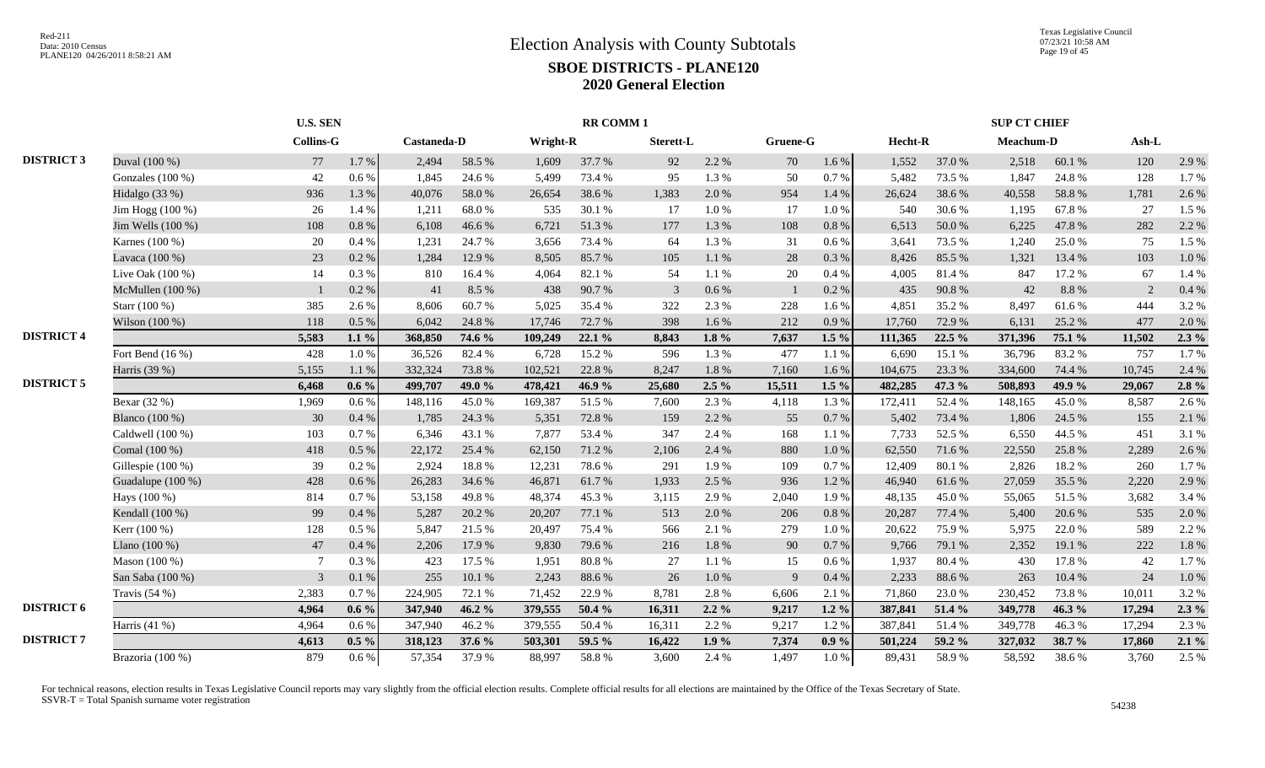|                   |                    | <b>U.S. SEN</b>  |           |             |        |          | <b>RR COMM1</b> |           |           |          |          |         |        | <b>SUP CT CHIEF</b> |        |        |         |
|-------------------|--------------------|------------------|-----------|-------------|--------|----------|-----------------|-----------|-----------|----------|----------|---------|--------|---------------------|--------|--------|---------|
|                   |                    | <b>Collins-G</b> |           | Castaneda-D |        | Wright-R |                 | Sterett-L |           | Gruene-G |          | Hecht-R |        | Meachum-D           |        | Ash-L  |         |
| <b>DISTRICT 3</b> | Duval (100 %)      | 77               | $1.7\ \%$ | 2,494       | 58.5 % | 1,609    | 37.7 %          | 92        | 2.2 %     | 70       | 1.6 %    | 1,552   | 37.0%  | 2,518               | 60.1%  | 120    | 2.9%    |
|                   | Gonzales (100 %)   | 42               | $0.6\,\%$ | 1,845       | 24.6 % | 5,499    | 73.4 %          | 95        | 1.3 %     | 50       | 0.7%     | 5,482   | 73.5 % | 1,847               | 24.8%  | 128    | 1.7%    |
|                   | Hidalgo $(33%)$    | 936              | 1.3%      | 40,076      | 58.0%  | 26,654   | 38.6%           | 1,383     | 2.0%      | 954      | 1.4 %    | 26,624  | 38.6%  | 40,558              | 58.8%  | 1,781  | 2.6 %   |
|                   | Jim Hogg (100 %)   | 26               | 1.4 %     | 1,211       | 68.0%  | 535      | 30.1 %          | 17        | 1.0%      | 17       | 1.0%     | 540     | 30.6%  | 1,195               | 67.8%  | 27     | 1.5 %   |
|                   | Jim Wells (100 %)  | 108              | 0.8%      | 6,108       | 46.6%  | 6,721    | 51.3%           | 177       | 1.3 %     | 108      | 0.8%     | 6,513   | 50.0%  | 6,225               | 47.8%  | 282    | 2.2 %   |
|                   | Karnes (100 %)     | 20               | 0.4%      | 1,231       | 24.7%  | 3.656    | 73.4 %          | 64        | 1.3 %     | 31       | 0.6 %    | 3.641   | 73.5 % | 1,240               | 25.0%  | 75     | 1.5 %   |
|                   | Lavaca (100 %)     | 23               | 0.2 %     | 1,284       | 12.9 % | 8,505    | 85.7%           | 105       | $1.1~\%$  | 28       | 0.3 %    | 8,426   | 85.5%  | 1,321               | 13.4 % | 103    | 1.0%    |
|                   | Live Oak (100 %)   | 14               | $0.3~\%$  | 810         | 16.4%  | 4,064    | 82.1 %          | 54        | 1.1%      | 20       | 0.4%     | 4,005   | 81.4%  | 847                 | 17.2 % | 67     | 1.4 %   |
|                   | McMullen (100 %)   |                  | 0.2 %     | 41          | 8.5 %  | 438      | 90.7%           | 3         | $0.6\,\%$ |          | 0.2 %    | 435     | 90.8%  | 42                  | 8.8%   | 2      | 0.4%    |
|                   | Starr (100 %)      | 385              | 2.6%      | 8,606       | 60.7%  | 5,025    | 35.4 %          | 322       | 2.3 %     | 228      | 1.6%     | 4,851   | 35.2%  | 8,497               | 61.6%  | 444    | 3.2%    |
|                   | Wilson $(100\%)$   | 118              | 0.5%      | 6,042       | 24.8%  | 17,746   | 72.7 %          | 398       | 1.6%      | 212      | 0.9%     | 17,760  | 72.9%  | 6,131               | 25.2 % | 477    | 2.0%    |
| <b>DISTRICT 4</b> |                    | 5,583            | $1.1\%$   | 368,850     | 74.6 % | 109,249  | 22.1%           | 8,843     | $1.8 \%$  | 7,637    | $1.5\%$  | 111,365 | 22.5 % | 371,396             | 75.1 % | 11,502 | $2.3\%$ |
|                   | Fort Bend $(16\%)$ | 428              | $1.0\ \%$ | 36.526      | 82.4%  | 6.728    | 15.2 %          | 596       | 1.3 %     | 477      | 1.1 %    | 6,690   | 15.1 % | 36,796              | 83.2%  | 757    | 1.7%    |
|                   | Harris (39 %)      | 5,155            | 1.1 %     | 332,324     | 73.8%  | 102,521  | 22.8%           | 8,247     | $1.8~\%$  | 7,160    | 1.6%     | 104,675 | 23.3 % | 334,600             | 74.4 % | 10,745 | 2.4 %   |
| <b>DISTRICT 5</b> |                    | 6,468            | $0.6\%$   | 499,707     | 49.0 % | 478,421  | 46.9%           | 25,680    | $2.5\%$   | 15,511   | $1.5\%$  | 482,285 | 47.3 % | 508,893             | 49.9%  | 29,067 | $2.8\%$ |
|                   | Bexar (32 %)       | 1,969            | 0.6 %     | 148,116     | 45.0%  | 169,387  | 51.5 %          | 7,600     | 2.3 %     | 4,118    | 1.3 %    | 172,411 | 52.4 % | 148,165             | 45.0%  | 8,587  | 2.6%    |
|                   | Blanco (100 %)     | 30               | 0.4%      | 1,785       | 24.3 % | 5,351    | 72.8 %          | 159       | 2.2 %     | 55       | 0.7%     | 5,402   | 73.4 % | 1,806               | 24.5 % | 155    | 2.1 %   |
|                   | Caldwell (100 %)   | 103              | 0.7%      | 6,346       | 43.1 % | 7,877    | 53.4 %          | 347       | 2.4 %     | 168      | 1.1 %    | 7,733   | 52.5 % | 6,550               | 44.5 % | 451    | 3.1 %   |
|                   | Comal (100 %)      | 418              | $0.5\ \%$ | 22,172      | 25.4 % | 62,150   | 71.2 %          | 2,106     | 2.4 %     | 880      | 1.0%     | 62,550  | 71.6%  | 22,550              | 25.8%  | 2,289  | 2.6 %   |
|                   | Gillespie (100 %)  | 39               | 0.2 %     | 2,924       | 18.8%  | 12,231   | 78.6%           | 291       | 1.9%      | 109      | 0.7 %    | 12,409  | 80.1%  | 2,826               | 18.2 % | 260    | 1.7%    |
|                   | Guadalupe (100 %)  | 428              | 0.6 %     | 26,283      | 34.6 % | 46,871   | 61.7%           | 1,933     | 2.5 %     | 936      | 1.2%     | 46,940  | 61.6%  | 27,059              | 35.5 % | 2,220  | 2.9%    |
|                   | Hays (100 %)       | 814              | 0.7%      | 53,158      | 49.8%  | 48,374   | 45.3%           | 3,115     | 2.9%      | 2,040    | 1.9%     | 48,135  | 45.0%  | 55,065              | 51.5%  | 3,682  | 3.4 %   |
|                   | Kendall (100 %)    | 99               | 0.4 %     | 5,287       | 20.2 % | 20,207   | 77.1 %          | 513       | 2.0%      | 206      | 0.8 %    | 20,287  | 77.4 % | 5,400               | 20.6 % | 535    | 2.0%    |
|                   | Kerr (100 %)       | 128              | 0.5%      | 5,847       | 21.5 % | 20,497   | 75.4 %          | 566       | 2.1 %     | 279      | 1.0%     | 20,622  | 75.9%  | 5,975               | 22.0%  | 589    | 2.2 %   |
|                   | Llano $(100\%)$    | 47               | 0.4%      | 2,206       | 17.9%  | 9,830    | 79.6%           | 216       | $1.8\ \%$ | 90       | 0.7%     | 9,766   | 79.1 % | 2,352               | 19.1 % | 222    | 1.8%    |
|                   | Mason (100 %)      | $\overline{7}$   | 0.3%      | 423         | 17.5 % | 1,951    | 80.8%           | 27        | 1.1%      | 15       | 0.6%     | 1,937   | 80.4%  | 430                 | 17.8%  | 42     | 1.7%    |
|                   | San Saba (100 %)   | 3                | 0.1%      | 255         | 10.1 % | 2,243    | 88.6%           | 26        | 1.0 %     | -9       | 0.4%     | 2,233   | 88.6%  | 263                 | 10.4 % | 24     | 1.0%    |
|                   | Travis $(54%)$     | 2,383            | 0.7%      | 224,905     | 72.1 % | 71,452   | 22.9%           | 8,781     | 2.8%      | 6,606    | 2.1 %    | 71,860  | 23.0%  | 230,452             | 73.8%  | 10,011 | 3.2%    |
| <b>DISTRICT 6</b> |                    | 4,964            | $0.6\%$   | 347,940     | 46.2 % | 379,555  | 50.4 %          | 16,311    | $2.2\%$   | 9,217    | $1.2 \%$ | 387,841 | 51.4 % | 349,778             | 46.3 % | 17,294 | $2.3\%$ |
|                   | Harris (41 %)      | 4,964            | 0.6 %     | 347,940     | 46.2%  | 379,555  | 50.4 %          | 16,311    | 2.2 %     | 9,217    | 1.2%     | 387,841 | 51.4%  | 349,778             | 46.3%  | 17,294 | 2.3 %   |
| <b>DISTRICT 7</b> |                    | 4,613            | $0.5\%$   | 318,123     | 37.6 % | 503,301  | 59.5 %          | 16,422    | $1.9\%$   | 7,374    | $0.9\%$  | 501,224 | 59.2 % | 327,032             | 38.7 % | 17,860 | $2.1\%$ |
|                   | Brazoria (100 %)   | 879              | $0.6\%$   | 57,354      | 37.9%  | 88,997   | 58.8%           | 3,600     | 2.4 %     | 1,497    | 1.0%     | 89,431  | 58.9%  | 58,592              | 38.6%  | 3,760  | 2.5 %   |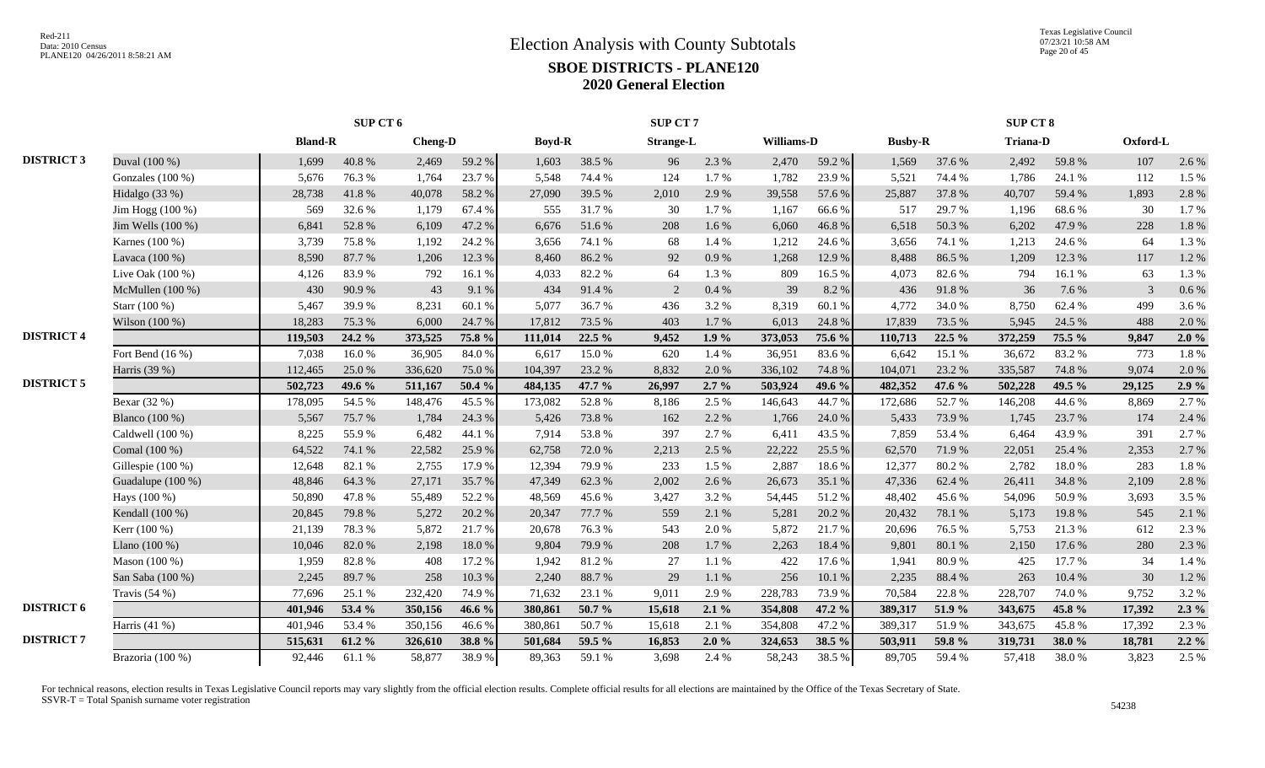|                   |                    |                |        |                | SUP CT 7 |               |        |                  |         |            | <b>SUP CT 8</b> |                |        |                 |        |          |         |
|-------------------|--------------------|----------------|--------|----------------|----------|---------------|--------|------------------|---------|------------|-----------------|----------------|--------|-----------------|--------|----------|---------|
|                   |                    | <b>Bland-R</b> |        | <b>Cheng-D</b> |          | <b>Boyd-R</b> |        | <b>Strange-L</b> |         | Williams-D |                 | <b>Busby-R</b> |        | <b>Triana-D</b> |        | Oxford-L |         |
| <b>DISTRICT 3</b> | Duval (100 %)      | 1,699          | 40.8%  | 2,469          | 59.2%    | 1,603         | 38.5 % | 96               | 2.3 %   | 2,470      | 59.2 %          | 1,569          | 37.6 % | 2,492           | 59.8%  | 107      | 2.6 %   |
|                   | Gonzales (100 %)   | 5,676          | 76.3%  | 1,764          | 23.7 %   | 5,548         | 74.4 % | 124              | 1.7%    | 1,782      | 23.9%           | 5,521          | 74.4 % | 1,786           | 24.1 % | 112      | 1.5 %   |
|                   | Hidalgo (33 %)     | 28,738         | 41.8%  | 40,078         | 58.2%    | 27,090        | 39.5 % | 2,010            | 2.9%    | 39,558     | 57.6 %          | 25,887         | 37.8%  | 40,707          | 59.4%  | 1,893    | 2.8%    |
|                   | Jim Hogg (100 %)   | 569            | 32.6 % | 1,179          | 67.4 %   | 555           | 31.7 % | 30               | 1.7%    | 1,167      | 66.6%           | 517            | 29.7 % | 1,196           | 68.6%  | 30       | 1.7%    |
|                   | Jim Wells (100 %)  | 6,841          | 52.8%  | 6,109          | 47.2 %   | 6,676         | 51.6%  | 208              | 1.6%    | 6,060      | 46.8%           | 6,518          | 50.3%  | 6,202           | 47.9%  | 228      | 1.8%    |
|                   | Karnes (100 %)     | 3,739          | 75.8%  | 1,192          | 24.2 %   | 3,656         | 74.1 % | 68               | 1.4 %   | 1,212      | 24.6 %          | 3,656          | 74.1 % | 1,213           | 24.6 % | 64       | 1.3 %   |
|                   | Lavaca (100 %)     | 8,590          | 87.7%  | 1,206          | 12.3 %   | 8.460         | 86.2%  | 92               | 0.9%    | 1,268      | 12.9%           | 8,488          | 86.5%  | 1.209           | 12.3 % | 117      | 1.2%    |
|                   | Live Oak $(100\%)$ | 4,126          | 83.9%  | 792            | 16.1%    | 4,033         | 82.2%  | 64               | 1.3%    | 809        | 16.5%           | 4,073          | 82.6 % | 794             | 16.1%  | 63       | 1.3%    |
|                   | McMullen $(100\%)$ | 430            | 90.9%  | 43             | 9.1%     | 434           | 91.4%  | 2                | 0.4%    | 39         | 8.2%            | 436            | 91.8%  | 36              | 7.6 %  | 3        | $0.6\%$ |
|                   | Starr (100 %)      | 5,467          | 39.9%  | 8,231          | 60.1 %   | 5.077         | 36.7%  | 436              | 3.2 %   | 8,319      | 60.1%           | 4,772          | 34.0 % | 8.750           | 62.4 % | 499      | 3.6%    |
|                   | Wilson (100 %)     | 18,283         | 75.3 % | 6,000          | 24.7 %   | 17,812        | 73.5 % | 403              | 1.7%    | 6,013      | 24.8%           | 17,839         | 73.5 % | 5,945           | 24.5 % | 488      | 2.0 %   |
| <b>DISTRICT 4</b> |                    | 119,503        | 24.2 % | 373,525        | 75.8 %   | 111,014       | 22.5 % | 9,452            | 1.9%    | 373,053    | 75.6 %          | 110,713        | 22.5 % | 372,259         | 75.5 % | 9,847    | 2.0%    |
|                   | Fort Bend (16 %)   | 7,038          | 16.0%  | 36,905         | 84.0%    | 6,617         | 15.0%  | 620              | 1.4 %   | 36,951     | 83.6%           | 6.642          | 15.1 % | 36,672          | 83.2%  | 773      | 1.8%    |
|                   | Harris (39 %)      | 112,465        | 25.0%  | 336,620        | 75.0%    | 104,397       | 23.2 % | 8,832            | 2.0%    | 336,102    | 74.8%           | 104,071        | 23.2 % | 335,587         | 74.8%  | 9,074    | 2.0 %   |
| <b>DISTRICT 5</b> |                    | 502,723        | 49.6 % | 511,167        | 50.4 %   | 484,135       | 47.7 % | 26,997           | $2.7\%$ | 503,924    | 49.6 %          | 482,352        | 47.6 % | 502,228         | 49.5 % | 29,125   | $2.9\%$ |
|                   | Bexar (32 %)       | 178,095        | 54.5 % | 148,476        | 45.5 %   | 173,082       | 52.8%  | 8,186            | 2.5 %   | 146,643    | 44.7%           | 172,686        | 52.7%  | 146,208         | 44.6%  | 8,869    | 2.7%    |
|                   | Blanco (100 %)     | 5,567          | 75.7%  | 1,784          | 24.3 %   | 5,426         | 73.8%  | 162              | 2.2 %   | 1,766      | 24.0 %          | 5,433          | 73.9%  | 1,745           | 23.7 % | 174      | 2.4 %   |
|                   | Caldwell (100 %)   | 8,225          | 55.9%  | 6,482          | 44.1%    | 7,914         | 53.8%  | 397              | 2.7%    | 6,411      | 43.5 %          | 7,859          | 53.4 % | 6,464           | 43.9%  | 391      | 2.7 %   |
|                   | Comal (100 %)      | 64,522         | 74.1 % | 22,582         | 25.9%    | 62,758        | 72.0%  | 2,213            | 2.5 %   | 22,222     | 25.5 %          | 62,570         | 71.9%  | 22,051          | 25.4 % | 2,353    | 2.7 %   |
|                   | Gillespie (100 %)  | 12,648         | 82.1 % | 2,755          | 17.9%    | 12,394        | 79.9%  | 233              | 1.5 %   | 2,887      | 18.6%           | 12,377         | 80.2%  | 2,782           | 18.0%  | 283      | 1.8%    |
|                   | Guadalupe (100 %)  | 48,846         | 64.3%  | 27,171         | 35.7%    | 47,349        | 62.3%  | 2,002            | 2.6 %   | 26,673     | 35.1 %          | 47,336         | 62.4 % | 26,411          | 34.8%  | 2,109    | 2.8%    |
|                   | Hays (100 %)       | 50,890         | 47.8%  | 55,489         | 52.2 %   | 48.569        | 45.6%  | 3,427            | 3.2 %   | 54,445     | 51.2%           | 48,402         | 45.6%  | 54,096          | 50.9%  | 3,693    | 3.5 %   |
|                   | Kendall (100 %)    | 20,845         | 79.8%  | 5,272          | 20.2 %   | 20,347        | 77.7 % | 559              | 2.1 %   | 5,281      | 20.2 %          | 20,432         | 78.1 % | 5,173           | 19.8%  | 545      | 2.1 %   |
|                   | Kerr (100 %)       | 21,139         | 78.3%  | 5,872          | 21.7%    | 20,678        | 76.3%  | 543              | 2.0%    | 5,872      | 21.7%           | 20,696         | 76.5 % | 5,753           | 21.3%  | 612      | 2.3 %   |
|                   | Llano $(100\%)$    | 10,046         | 82.0%  | 2,198          | 18.0%    | 9.804         | 79.9%  | 208              | 1.7%    | 2,263      | 18.4%           | 9,801          | 80.1%  | 2,150           | 17.6 % | 280      | 2.3 %   |
|                   | Mason (100 %)      | 1,959          | 82.8%  | 408            | 17.2 %   | 1,942         | 81.2%  | 27               | 1.1 %   | 422        | 17.6 %          | 1,941          | 80.9%  | 425             | 17.7 % | 34       | 1.4 %   |
|                   | San Saba (100 %)   | 2,245          | 89.7%  | 258            | 10.3%    | 2,240         | 88.7%  | 29               | 1.1%    | 256        | 10.1%           | 2,235          | 88.4%  | 263             | 10.4%  | 30       | 1.2%    |
|                   | Travis $(54\%)$    | 77,696         | 25.1 % | 232,420        | 74.9%    | 71.632        | 23.1 % | 9,011            | 2.9%    | 228,783    | 73.9%           | 70,584         | 22.8%  | 228,707         | 74.0%  | 9,752    | 3.2%    |
| <b>DISTRICT 6</b> |                    | 401,946        | 53.4 % | 350,156        | 46.6 %   | 380,861       | 50.7 % | 15,618           | $2.1\%$ | 354,808    | 47.2 %          | 389,317        | 51.9%  | 343,675         | 45.8 % | 17,392   | $2.3\%$ |
|                   | Harris $(41 \%)$   | 401,946        | 53.4 % | 350,156        | 46.6%    | 380,861       | 50.7%  | 15,618           | 2.1 %   | 354,808    | 47.2 %          | 389,317        | 51.9%  | 343,675         | 45.8%  | 17,392   | 2.3 %   |
| <b>DISTRICT 7</b> |                    | 515,631        | 61.2%  | 326,610        | 38.8%    | 501.684       | 59.5 % | 16,853           | 2.0%    | 324,653    | 38.5 %          | 503,911        | 59.8%  | 319,731         | 38.0%  | 18,781   | $2.2\%$ |
|                   | Brazoria (100 %)   | 92,446         | 61.1%  | 58,877         | 38.9%    | 89,363        | 59.1 % | 3,698            | 2.4 %   | 58,243     | 38.5%           | 89,705         | 59.4%  | 57,418          | 38.0%  | 3,823    | 2.5 %   |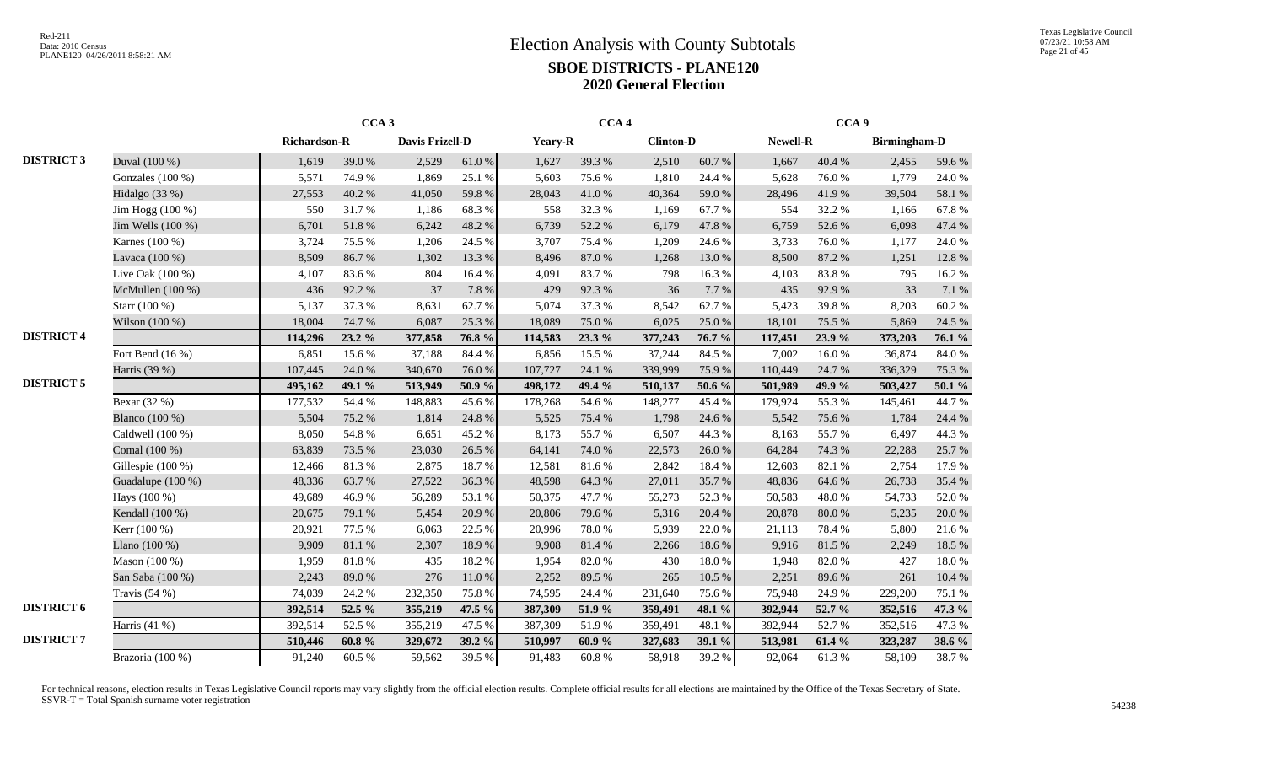|                   |                    |              | CCA <sub>3</sub> |                        |            |         | CCA <sub>4</sub> |                  |        |          | CCA <sub>9</sub> |                     |          |
|-------------------|--------------------|--------------|------------------|------------------------|------------|---------|------------------|------------------|--------|----------|------------------|---------------------|----------|
|                   |                    | Richardson-R |                  | <b>Davis Frizell-D</b> |            | Yeary-R |                  | <b>Clinton-D</b> |        | Newell-R |                  | <b>Birmingham-D</b> |          |
| <b>DISTRICT 3</b> | Duval (100 %)      | 1,619        | 39.0%            | 2,529                  | 61.0%      | 1,627   | 39.3%            | 2,510            | 60.7%  | 1,667    | 40.4 %           | 2,455               | 59.6%    |
|                   | Gonzales $(100\%)$ | 5,571        | 74.9%            | 1,869                  | 25.1 %     | 5,603   | 75.6%            | 1,810            | 24.4 % | 5,628    | 76.0%            | 1,779               | 24.0 %   |
|                   | Hidalgo $(33%)$    | 27,553       | 40.2%            | 41,050                 | 59.8%      | 28,043  | 41.0%            | 40,364           | 59.0%  | 28,496   | 41.9%            | 39,504              | 58.1 %   |
|                   | Jim Hogg (100 %)   | 550          | 31.7%            | 1,186                  | 68.3%      | 558     | 32.3 %           | 1,169            | 67.7%  | 554      | 32.2 %           | 1,166               | 67.8%    |
|                   | Jim Wells (100 %)  | 6,701        | 51.8 %           | 6,242                  | 48.2%      | 6,739   | 52.2 %           | 6,179            | 47.8 % | 6,759    | 52.6%            | 6,098               | 47.4 %   |
|                   | Karnes (100 %)     | 3,724        | 75.5 %           | 1,206                  | 24.5 %     | 3,707   | 75.4 %           | 1,209            | 24.6 % | 3,733    | 76.0%            | 1,177               | 24.0%    |
|                   | Lavaca (100 %)     | 8,509        | 86.7%            | 1,302                  | 13.3 %     | 8,496   | 87.0%            | 1,268            | 13.0 % | 8,500    | 87.2%            | 1,251               | 12.8 %   |
|                   | Live Oak $(100\%)$ | 4,107        | 83.6%            | 804                    | 16.4%      | 4,091   | 83.7%            | 798              | 16.3%  | 4,103    | 83.8%            | 795                 | 16.2%    |
|                   | McMullen (100 %)   | 436          | 92.2%            | 37                     | 7.8%       | 429     | 92.3%            | 36               | 7.7%   | 435      | 92.9%            | 33                  | $7.1~\%$ |
|                   | Starr (100 %)      | 5,137        | 37.3 %           | 8,631                  | 62.7%      | 5,074   | 37.3 %           | 8,542            | 62.7%  | 5,423    | 39.8%            | 8,203               | 60.2%    |
|                   | Wilson $(100\%)$   | 18,004       | 74.7%            | 6,087                  | 25.3%      | 18,089  | 75.0%            | 6,025            | 25.0%  | 18,101   | 75.5 %           | 5,869               | 24.5 %   |
| <b>DISTRICT 4</b> |                    | 114,296      | 23.2 %           | 377,858                | 76.8%      | 114,583 | 23.3 %           | 377,243          | 76.7%  | 117,451  | 23.9%            | 373,203             | 76.1 %   |
|                   | Fort Bend $(16\%)$ | 6,851        | 15.6%            | 37,188                 | 84.4 %     | 6,856   | 15.5 %           | 37,244           | 84.5 % | 7,002    | 16.0%            | 36,874              | 84.0 %   |
|                   | Harris (39 %)      | 107,445      | 24.0%            | 340,670                | 76.0%      | 107,727 | 24.1 %           | 339,999          | 75.9%  | 110,449  | 24.7 %           | 336,329             | 75.3 %   |
| <b>DISTRICT 5</b> |                    | 495,162      | 49.1 %           | 513,949                | 50.9%      | 498,172 | 49.4 %           | 510,137          | 50.6 % | 501,989  | 49.9 %           | 503,427             | 50.1 $%$ |
|                   | Bexar (32 %)       | 177,532      | 54.4 %           | 148,883                | 45.6%      | 178,268 | 54.6%            | 148,277          | 45.4 % | 179,924  | 55.3%            | 145,461             | 44.7%    |
|                   | Blanco (100 %)     | 5,504        | 75.2 %           | 1,814                  | 24.8%      | 5,525   | 75.4 %           | 1,798            | 24.6 % | 5,542    | 75.6%            | 1,784               | 24.4 %   |
|                   | Caldwell (100 %)   | 8,050        | 54.8 %           | 6,651                  | 45.2%      | 8,173   | 55.7%            | 6,507            | 44.3 % | 8,163    | 55.7%            | 6,497               | 44.3 %   |
|                   | Comal (100 %)      | 63,839       | 73.5 %           | 23,030                 | 26.5 %     | 64,141  | 74.0%            | 22,573           | 26.0%  | 64,284   | 74.3 %           | 22,288              | 25.7%    |
|                   | Gillespie (100 %)  | 12,466       | 81.3%            | 2,875                  | 18.7%      | 12,581  | 81.6%            | 2,842            | 18.4%  | 12,603   | 82.1 %           | 2,754               | 17.9%    |
|                   | Guadalupe (100 %)  | 48,336       | 63.7%            | 27,522                 | 36.3%      | 48,598  | 64.3 %           | 27,011           | 35.7%  | 48,836   | 64.6%            | 26,738              | 35.4 %   |
|                   | Hays (100 %)       | 49,689       | 46.9%            | 56,289                 | 53.1 %     | 50,375  | 47.7%            | 55,273           | 52.3 % | 50,583   | 48.0%            | 54,733              | 52.0%    |
|                   | Kendall (100 %)    | 20,675       | 79.1 %           | 5,454                  | 20.9%      | 20,806  | 79.6%            | 5,316            | 20.4 % | 20,878   | $80.0\ \%$       | 5,235               | 20.0%    |
|                   | Kerr (100 %)       | 20,921       | 77.5 %           | 6,063                  | 22.5 %     | 20,996  | 78.0%            | 5,939            | 22.0%  | 21,113   | 78.4%            | 5,800               | 21.6%    |
|                   | Llano $(100\%)$    | 9,909        | 81.1%            | 2,307                  | 18.9%      | 9,908   | 81.4%            | 2,266            | 18.6%  | 9,916    | 81.5%            | 2,249               | 18.5 %   |
|                   | Mason $(100\%)$    | 1,959        | 81.8%            | 435                    | 18.2 %     | 1,954   | 82.0%            | 430              | 18.0%  | 1,948    | 82.0%            | 427                 | 18.0%    |
|                   | San Saba (100 %)   | 2,243        | 89.0%            | 276                    | $11.0\ \%$ | 2,252   | 89.5 %           | 265              | 10.5 % | 2,251    | 89.6%            | 261                 | 10.4 %   |
|                   | Travis $(54%)$     | 74,039       | 24.2 %           | 232,350                | 75.8%      | 74,595  | 24.4 %           | 231,640          | 75.6%  | 75,948   | 24.9%            | 229,200             | 75.1 %   |
| <b>DISTRICT 6</b> |                    | 392,514      | 52.5 %           | 355,219                | 47.5 %     | 387,309 | 51.9%            | 359,491          | 48.1 % | 392,944  | 52.7 %           | 352,516             | 47.3 %   |
|                   | Harris $(41%)$     | 392,514      | 52.5 %           | 355,219                | 47.5 %     | 387,309 | 51.9%            | 359,491          | 48.1 % | 392,944  | 52.7%            | 352,516             | 47.3 %   |
| <b>DISTRICT 7</b> |                    | 510,446      | $60.8~\%$        | 329,672                | 39.2 %     | 510,997 | 60.9%            | 327,683          | 39.1 % | 513,981  | 61.4 %           | 323,287             | 38.6 %   |
|                   | Brazoria (100 %)   | 91,240       | 60.5 %           | 59,562                 | 39.5 %     | 91,483  | $60.8~\%$        | 58,918           | 39.2%  | 92,064   | 61.3%            | 58,109              | 38.7%    |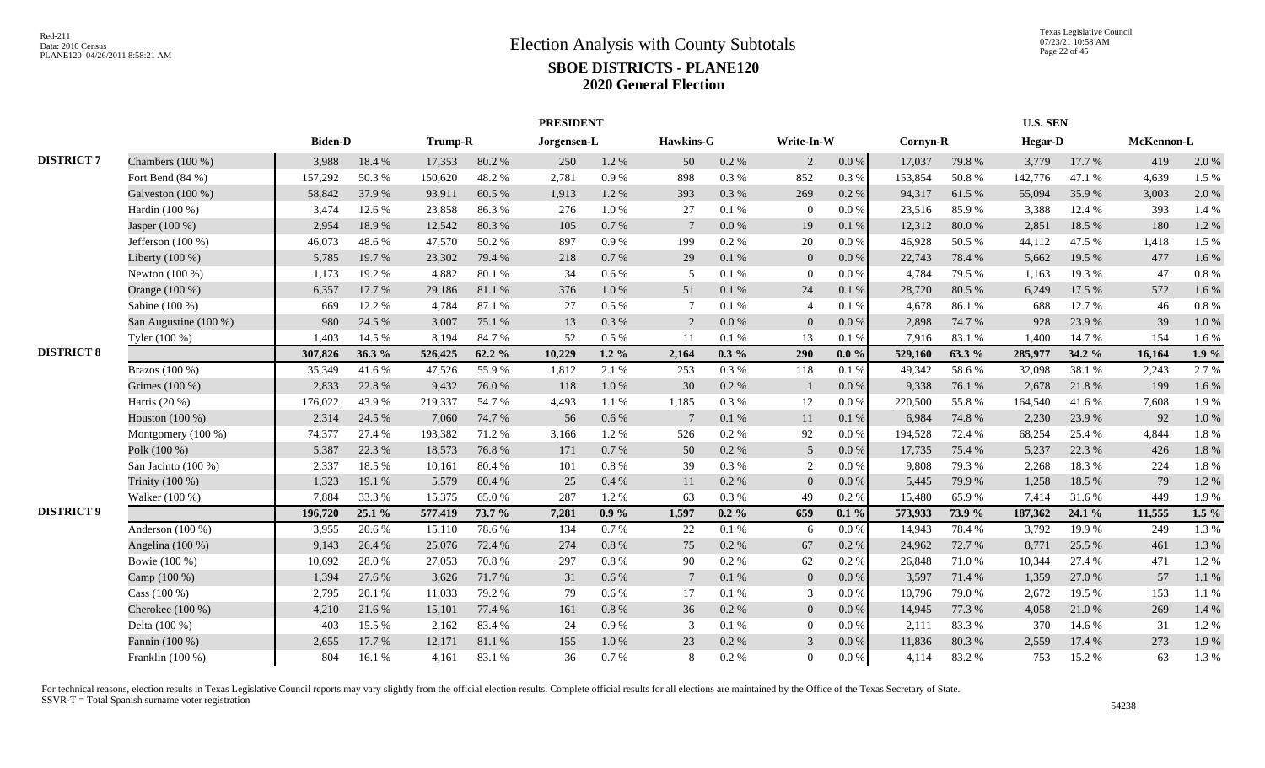|                   |                       |                | <b>PRESIDENT</b> |         |        |             |           |                 |           |                |           |          |        | <b>U.S. SEN</b> |        |            |         |
|-------------------|-----------------------|----------------|------------------|---------|--------|-------------|-----------|-----------------|-----------|----------------|-----------|----------|--------|-----------------|--------|------------|---------|
|                   |                       | <b>Biden-D</b> |                  | Trump-R |        | Jorgensen-L |           | Hawkins-G       |           | Write-In-W     |           | Cornyn-R |        | <b>Hegar-D</b>  |        | McKennon-L |         |
| <b>DISTRICT 7</b> | Chambers (100 %)      | 3,988          | 18.4%            | 17,353  | 80.2%  | 250         | 1.2%      | 50              | $0.2~\%$  | $\overline{2}$ | $0.0\,\%$ | 17,037   | 79.8%  | 3,779           | 17.7 % | 419        | 2.0%    |
|                   | Fort Bend $(84%)$     | 157,292        | 50.3%            | 150,620 | 48.2%  | 2,781       | 0.9%      | 898             | 0.3%      | 852            | 0.3%      | 153,854  | 50.8%  | 142,776         | 47.1 % | 4,639      | 1.5 %   |
|                   | Galveston (100 %)     | 58,842         | 37.9%            | 93,911  | 60.5 % | 1.913       | 1.2%      | 393             | 0.3%      | 269            | 0.2 %     | 94,317   | 61.5%  | 55,094          | 35.9%  | 3,003      | 2.0 %   |
|                   | Hardin (100 %)        | 3,474          | 12.6 %           | 23,858  | 86.3%  | 276         | 1.0%      | 27              | 0.1%      | $\overline{0}$ | $0.0\,\%$ | 23,516   | 85.9%  | 3,388           | 12.4 % | 393        | 1.4 %   |
|                   | Jasper (100 %)        | 2,954          | 18.9%            | 12,542  | 80.3%  | 105         | 0.7 %     | $7\phantom{.0}$ | 0.0 %     | 19             | 0.1%      | 12,312   | 80.0%  | 2,851           | 18.5 % | 180        | 1.2%    |
|                   | Jefferson $(100\%)$   | 46,073         | 48.6%            | 47,570  | 50.2%  | 897         | 0.9%      | 199             | $0.2 \%$  | 20             | $0.0\%$   | 46,928   | 50.5 % | 44,112          | 47.5 % | 1,418      | 1.5 %   |
|                   | Liberty $(100\%)$     | 5,785          | 19.7%            | 23,302  | 79.4 % | 218         | 0.7%      | 29              | 0.1%      | $\Omega$       | $0.0\%$   | 22,743   | 78.4 % | 5.662           | 19.5 % | 477        | 1.6%    |
|                   | Newton $(100\%)$      | 1,173          | 19.2 %           | 4,882   | 80.1%  | 34          | $0.6\,\%$ | .5              | $0.1~\%$  | $\overline{0}$ | $0.0\%$   | 4,784    | 79.5 % | 1,163           | 19.3%  | 47         | 0.8%    |
|                   | Orange (100 %)        | 6,357          | 17.7 %           | 29,186  | 81.1%  | 376         | $1.0\,\%$ | 51              | $0.1~\%$  | 24             | $0.1~\%$  | 28,720   | 80.5 % | 6,249           | 17.5 % | 572        | 1.6%    |
|                   | Sabine (100 %)        | 669            | 12.2 %           | 4,784   | 87.1 % | 27          | $0.5\%$   | $\tau$          | 0.1%      | $\overline{4}$ | $0.1~\%$  | 4,678    | 86.1%  | 688             | 12.7 % | 46         | $0.8\%$ |
|                   | San Augustine (100 %) | 980            | 24.5 %           | 3,007   | 75.1 % | 13          | 0.3%      | 2               | 0.0 %     | $\overline{0}$ | 0.0 %     | 2,898    | 74.7%  | 928             | 23.9 % | 39         | 1.0%    |
|                   | Tyler (100 %)         | 1,403          | 14.5 %           | 8,194   | 84.7%  | 52          | 0.5%      | 11              | 0.1%      | 13             | 0.1%      | 7,916    | 83.1 % | 1,400           | 14.7 % | 154        | 1.6 %   |
| <b>DISTRICT 8</b> |                       | 307,826        | 36.3%            | 526,425 | 62.2%  | 10,229      | $1.2 \%$  | 2,164           | $0.3\%$   | 290            | $0.0 \%$  | 529,160  | 63.3%  | 285,977         | 34.2 % | 16,164     | 1.9%    |
|                   | Brazos (100 %)        | 35,349         | 41.6%            | 47,526  | 55.9%  | 1,812       | 2.1%      | 253             | 0.3 %     | 118            | 0.1 %     | 49,342   | 58.6%  | 32,098          | 38.1%  | 2,243      | 2.7%    |
|                   | Grimes (100 %)        | 2,833          | 22.8%            | 9,432   | 76.0%  | 118         | 1.0%      | 30              | $0.2 \%$  |                | $0.0\%$   | 9,338    | 76.1 % | 2,678           | 21.8%  | 199        | 1.6%    |
|                   | Harris $(20\%)$       | 176,022        | 43.9%            | 219,337 | 54.7%  | 4,493       | 1.1%      | 1,185           | 0.3%      | 12             | $0.0\%$   | 220,500  | 55.8%  | 164,540         | 41.6%  | 7,608      | 1.9%    |
|                   | Houston (100 %)       | 2,314          | 24.5 %           | 7,060   | 74.7%  | 56          | $0.6\%$   | $7\phantom{.0}$ | 0.1%      | 11             | 0.1%      | 6,984    | 74.8%  | 2.230           | 23.9%  | 92         | 1.0%    |
|                   | Montgomery (100 %)    | 74,377         | 27.4 %           | 193,382 | 71.2%  | 3,166       | 1.2%      | 526             | $0.2~\%$  | 92             | $0.0\,\%$ | 194,528  | 72.4 % | 68,254          | 25.4 % | 4,844      | 1.8%    |
|                   | Polk (100 %)          | 5,387          | 22.3 %           | 18,573  | 76.8%  | 171         | 0.7%      | 50              | 0.2 %     | 5              | $0.0\%$   | 17,735   | 75.4 % | 5,237           | 22.3 % | 426        | 1.8%    |
|                   | San Jacinto $(100\%)$ | 2,337          | 18.5%            | 10,161  | 80.4%  | 101         | 0.8%      | 39              | 0.3 %     | 2              | 0.0 %     | 9,808    | 79.3 % | 2,268           | 18.3%  | 224        | 1.8%    |
|                   | Trinity (100 %)       | 1,323          | 19.1 %           | 5,579   | 80.4%  | 25          | 0.4%      | 11              | $0.2 \%$  | $\Omega$       | $0.0\%$   | 5,445    | 79.9%  | 1,258           | 18.5 % | 79         | 1.2%    |
|                   | Walker (100 %)        | 7,884          | 33.3 %           | 15,375  | 65.0%  | 287         | 1.2%      | 63              | $0.3\ \%$ | 49             | 0.2 %     | 15,480   | 65.9%  | 7,414           | 31.6%  | 449        | 1.9%    |
| <b>DISTRICT 9</b> |                       | 196,720        | 25.1 %           | 577,419 | 73.7 % | 7,281       | $0.9\%$   | 1,597           | $0.2 \%$  | 659            | $0.1\%$   | 573,933  | 73.9 % | 187,362         | 24.1 % | 11,555     | $1.5\%$ |
|                   | Anderson (100 %)      | 3,955          | 20.6%            | 15,110  | 78.6%  | 134         | 0.7%      | 22              | $0.1~\%$  | - 6            | $0.0\,\%$ | 14,943   | 78.4%  | 3,792           | 19.9%  | 249        | 1.3 %   |
|                   | Angelina (100 %)      | 9,143          | 26.4 %           | 25,076  | 72.4 % | 274         | 0.8%      | 75              | $0.2 \%$  | 67             | 0.2 %     | 24,962   | 72.7 % | 8,771           | 25.5 % | 461        | 1.3 %   |
|                   | Bowie (100 %)         | 10,692         | 28.0%            | 27,053  | 70.8%  | 297         | 0.8%      | 90              | 0.2%      | 62             | $0.2\%$   | 26,848   | 71.0%  | 10,344          | 27.4 % | 471        | 1.2%    |
|                   | Camp (100 %)          | 1,394          | 27.6 %           | 3,626   | 71.7%  | 31          | 0.6 %     | $7\phantom{.0}$ | 0.1%      | $\overline{0}$ | $0.0\,\%$ | 3,597    | 71.4 % | 1,359           | 27.0%  | 57         | 1.1 %   |
|                   | Cass (100 %)          | 2,795          | 20.1 %           | 11,033  | 79.2 % | 79          | 0.6 %     | 17              | 0.1%      | 3              | $0.0\%$   | 10,796   | 79.0%  | 2,672           | 19.5 % | 153        | 1.1%    |
|                   | Cherokee $(100\%)$    | 4,210          | 21.6%            | 15,101  | 77.4 % | 161         | 0.8%      | 36              | $0.2 \%$  | $\overline{0}$ | $0.0\%$   | 14,945   | 77.3 % | 4,058           | 21.0%  | 269        | 1.4 %   |
|                   | Delta (100 %)         | 403            | 15.5 %           | 2,162   | 83.4 % | 24          | 0.9%      | 3               | 0.1%      | $\theta$       | $0.0\%$   | 2,111    | 83.3%  | 370             | 14.6 % | 31         | 1.2%    |
|                   | Fannin (100 %)        | 2,655          | 17.7 %           | 12,171  | 81.1%  | 155         | $1.0\ \%$ | 23              | 0.2 %     | $\mathcal{R}$  | $0.0\,\%$ | 11,836   | 80.3%  | 2,559           | 17.4 % | 273        | 1.9%    |
|                   | Franklin (100 %)      | 804            | 16.1 %           | 4,161   | 83.1 % | 36          | 0.7 %     | 8               | $0.2 \%$  | $\Omega$       | $0.0\ \%$ | 4,114    | 83.2%  | 753             | 15.2 % | 63         | 1.3%    |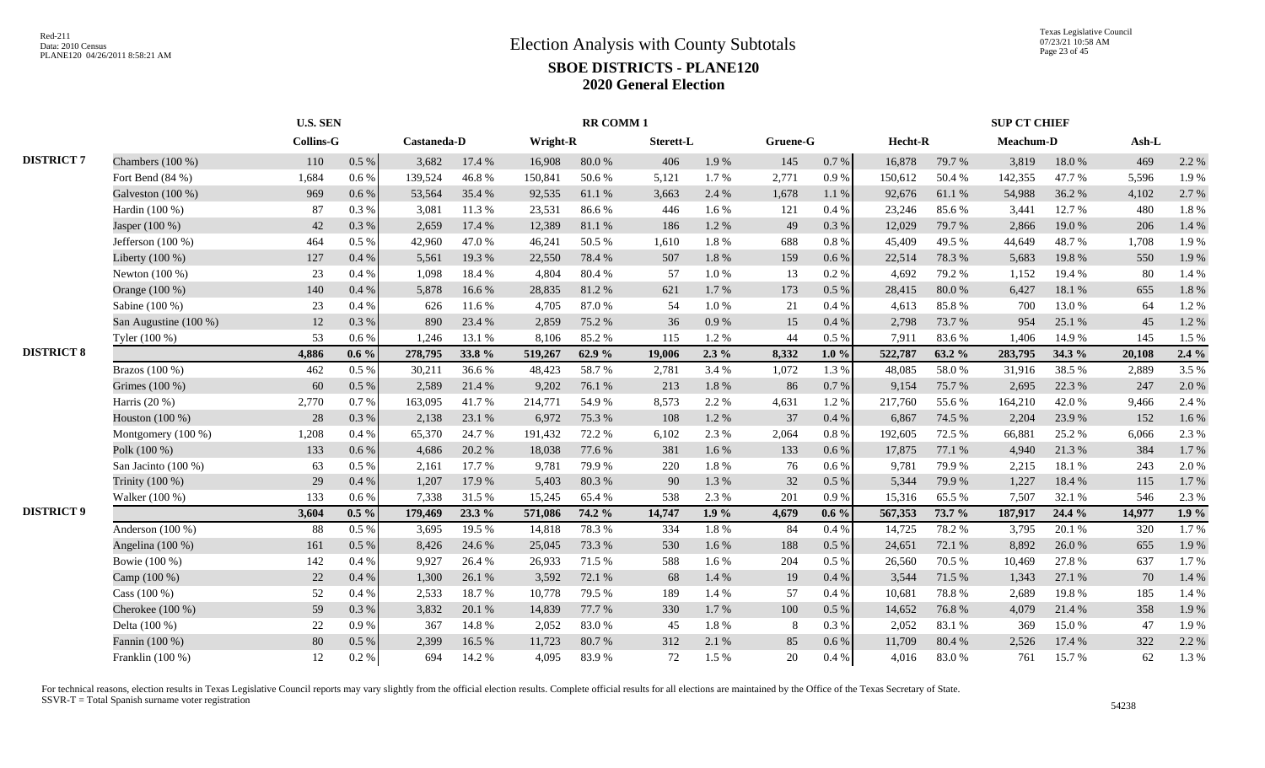|                   |                         |                  | <b>U.S. SEN</b> |                    |        |                 | <b>RR COMM1</b> |           |         |          |           |         |        | <b>SUP CT CHIEF</b> |        |        |       |
|-------------------|-------------------------|------------------|-----------------|--------------------|--------|-----------------|-----------------|-----------|---------|----------|-----------|---------|--------|---------------------|--------|--------|-------|
|                   |                         | <b>Collins-G</b> |                 | <b>Castaneda-D</b> |        | <b>Wright-R</b> |                 | Sterett-L |         | Gruene-G |           | Hecht-R |        | Meachum-D           |        | Ash-L  |       |
| <b>DISTRICT 7</b> | Chambers $(100\%)$      | 110              | 0.5 %           | 3,682              | 17.4 % | 16,908          | 80.0%           | 406       | 1.9%    | 145      | 0.7 %     | 16,878  | 79.7 % | 3,819               | 18.0%  | 469    | 2.2 % |
|                   | Fort Bend (84 %)        | 1,684            | 0.6 %           | 139,524            | 46.8%  | 150,841         | 50.6%           | 5,121     | 1.7%    | 2,771    | 0.9 %     | 150,612 | 50.4%  | 142,355             | 47.7%  | 5,596  | 1.9%  |
|                   | Galveston (100 %)       | 969              | 0.6 %           | 53,564             | 35.4 % | 92,535          | 61.1%           | 3,663     | 2.4 %   | 1,678    | $1.1\ \%$ | 92,676  | 61.1 % | 54,988              | 36.2%  | 4,102  | 2.7%  |
|                   | Hardin (100 %)          | 87               | 0.3%            | 3,081              | 11.3%  | 23,531          | 86.6%           | 446       | 1.6%    | 121      | 0.4%      | 23,246  | 85.6%  | 3,441               | 12.7 % | 480    | 1.8%  |
|                   | Jasper (100 %)          | 42               | 0.3%            | 2,659              | 17.4 % | 12,389          | $81.1\ \%$      | 186       | 1.2%    | 49       | 0.3%      | 12,029  | 79.7%  | 2,866               | 19.0%  | 206    | 1.4 % |
|                   | Jefferson $(100\%)$     | 464              | 0.5 %           | 42,960             | 47.0%  | 46,241          | 50.5 %          | 1,610     | 1.8%    | 688      | 0.8 %     | 45,409  | 49.5 % | 44,649              | 48.7%  | 1,708  | 1.9%  |
|                   | Liberty (100 %)         | 127              | 0.4%            | 5,561              | 19.3%  | 22,550          | 78.4%           | 507       | 1.8%    | 159      | 0.6%      | 22,514  | 78.3 % | 5,683               | 19.8%  | 550    | 1.9%  |
|                   | Newton $(100\%)$        | 23               | 0.4%            | 1,098              | 18.4 % | 4,804           | 80.4%           | 57        | 1.0%    | 13       | 0.2%      | 4,692   | 79.2 % | 1,152               | 19.4 % | 80     | 1.4 % |
|                   | Orange (100 %)          | 140              | 0.4%            | 5,878              | 16.6%  | 28,835          | 81.2%           | 621       | 1.7%    | 173      | 0.5 %     | 28,415  | 80.0%  | 6,427               | 18.1 % | 655    | 1.8%  |
|                   | Sabine (100 %)          | 23               | 0.4%            | 626                | 11.6 % | 4.705           | 87.0%           | 54        | 1.0%    | 21       | $0.4\%$   | 4,613   | 85.8%  | 700                 | 13.0 % | 64     | 1.2%  |
|                   | San Augustine $(100\%)$ | 12               | 0.3%            | 890                | 23.4 % | 2,859           | 75.2 %          | 36        | 0.9%    | 15       | 0.4%      | 2,798   | 73.7%  | 954                 | 25.1 % | 45     | 1.2%  |
|                   | Tyler (100 %)           | 53               | 0.6%            | 1.246              | 13.1 % | 8,106           | 85.2%           | 115       | 1.2%    | 44       | 0.5 %     | 7,911   | 83.6%  | 1,406               | 14.9 % | 145    | 1.5 % |
| <b>DISTRICT 8</b> |                         | 4,886            | $0.6\%$         | 278,795            | 33.8%  | 519,267         | 62.9%           | 19,006    | $2.3\%$ | 8,332    | $1.0 \%$  | 522,787 | 63.2 % | 283,795             | 34.3 % | 20,108 | 2.4%  |
|                   | Brazos $(100\%)$        | 462              | 0.5%            | 30,211             | 36.6%  | 48,423          | 58.7%           | 2,781     | 3.4 %   | 1,072    | 1.3 %     | 48,085  | 58.0%  | 31,916              | 38.5 % | 2,889  | 3.5 % |
|                   | Grimes (100 %)          | 60               | 0.5%            | 2,589              | 21.4 % | 9,202           | 76.1 %          | 213       | 1.8%    | 86       | 0.7%      | 9,154   | 75.7%  | 2,695               | 22.3 % | 247    | 2.0%  |
|                   | Harris (20 %)           | 2,770            | 0.7%            | 163,095            | 41.7%  | 214,771         | 54.9%           | 8,573     | 2.2 %   | 4,631    | 1.2%      | 217,760 | 55.6%  | 164,210             | 42.0%  | 9,466  | 2.4 % |
|                   | Houston (100 %)         | 28               | 0.3%            | 2,138              | 23.1 % | 6,972           | 75.3 %          | 108       | 1.2%    | 37       | 0.4%      | 6,867   | 74.5 % | 2,204               | 23.9%  | 152    | 1.6%  |
|                   | Montgomery (100 %)      | 1,208            | 0.4 %           | 65,370             | 24.7 % | 191,432         | 72.2 %          | 6,102     | 2.3 %   | 2,064    | 0.8 %     | 192,605 | 72.5 % | 66,881              | 25.2 % | 6,066  | 2.3 % |
|                   | Polk (100 %)            | 133              | 0.6 %           | 4,686              | 20.2 % | 18,038          | 77.6%           | 381       | 1.6%    | 133      | $0.6\,\%$ | 17,875  | 77.1 % | 4,940               | 21.3 % | 384    | 1.7%  |
|                   | San Jacinto (100 %)     | 63               | 0.5%            | 2,161              | 17.7 % | 9,781           | 79.9%           | 220       | 1.8%    | 76       | 0.6 %     | 9,781   | 79.9%  | 2,215               | 18.1 % | 243    | 2.0%  |
|                   | Trinity (100 %)         | 29               | 0.4%            | 1,207              | 17.9 % | 5,403           | 80.3%           | 90        | 1.3%    | 32       | 0.5 %     | 5,344   | 79.9%  | 1,227               | 18.4 % | 115    | 1.7%  |
|                   | Walker (100 %)          | 133              | 0.6 %           | 7,338              | 31.5%  | 15,245          | 65.4%           | 538       | 2.3 %   | 201      | 0.9%      | 15,316  | 65.5%  | 7,507               | 32.1 % | 546    | 2.3 % |
| <b>DISTRICT 9</b> |                         | 3,604            | $0.5\%$         | 179,469            | 23.3 % | 571,086         | 74.2 %          | 14,747    | 1.9%    | 4,679    | $0.6\%$   | 567,353 | 73.7 % | 187,917             | 24.4 % | 14,977 | 1.9%  |
|                   | Anderson $(100\%)$      | 88               | 0.5%            | 3,695              | 19.5 % | 14,818          | 78.3%           | 334       | 1.8%    | -84      | 0.4 %     | 14,725  | 78.2%  | 3,795               | 20.1 % | 320    | 1.7%  |
|                   | Angelina (100 %)        | 161              | 0.5%            | 8,426              | 24.6 % | 25,045          | 73.3 %          | 530       | 1.6 %   | 188      | $0.5\ \%$ | 24,651  | 72.1 % | 8,892               | 26.0%  | 655    | 1.9%  |
|                   | Bowie (100 %)           | 142              | 0.4%            | 9,927              | 26.4 % | 26,933          | 71.5 %          | 588       | 1.6 %   | 204      | $0.5\%$   | 26,560  | 70.5 % | 10,469              | 27.8%  | 637    | 1.7%  |
|                   | Camp (100 %)            | 22               | 0.4%            | 1,300              | 26.1%  | 3,592           | 72.1 %          | 68        | 1.4 %   | 19       | 0.4%      | 3,544   | 71.5 % | 1,343               | 27.1 % | 70     | 1.4 % |
|                   | Cass $(100\%)$          | 52               | 0.4%            | 2,533              | 18.7%  | 10.778          | 79.5 %          | 189       | 1.4 %   | 57       | 0.4%      | 10,681  | 78.8%  | 2.689               | 19.8%  | 185    | 1.4 % |
|                   | Cherokee (100 %)        | 59               | 0.3%            | 3,832              | 20.1 % | 14.839          | 77.7 %          | 330       | 1.7%    | 100      | 0.5 %     | 14,652  | 76.8%  | 4.079               | 21.4 % | 358    | 1.9%  |
|                   | Delta (100 %)           | 22               | 0.9%            | 367                | 14.8%  | 2,052           | 83.0%           | 45        | 1.8%    | 8        | 0.3%      | 2,052   | 83.1 % | 369                 | 15.0%  | 47     | 1.9%  |
|                   | Fannin (100 %)          | 80               | 0.5%            | 2,399              | 16.5 % | 11,723          | 80.7%           | 312       | 2.1 %   | 85       | $0.6\,\%$ | 11,709  | 80.4%  | 2,526               | 17.4 % | 322    | 2.2 % |
|                   | Franklin (100 %)        | 12               | 0.2 %           | 694                | 14.2 % | 4.095           | 83.9%           | 72        | 1.5%    | 20       | 0.4%      | 4,016   | 83.0%  | 761                 | 15.7 % | 62     | 1.3%  |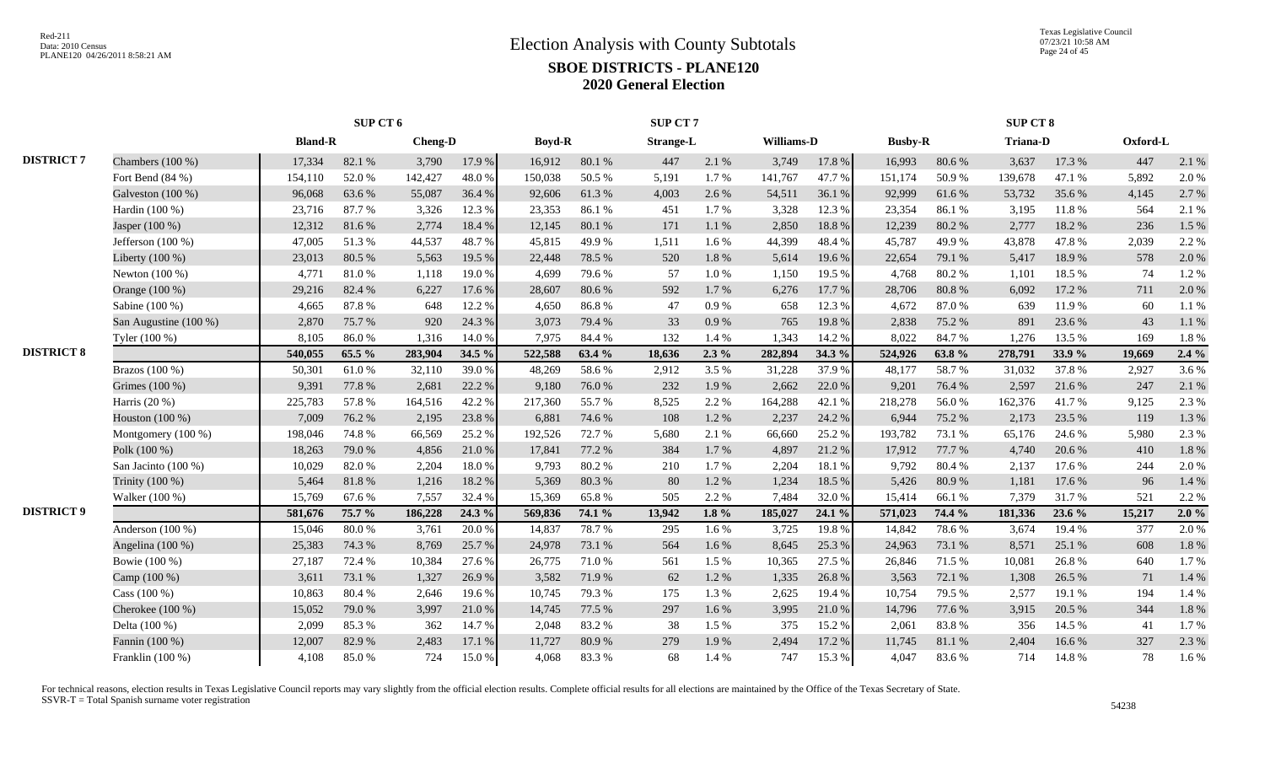|                   |                       |                | SUP CT 6 |                |        |               |        | SUP CT7          |           |            |        |                |        | SUP CT 8        |        |          |       |
|-------------------|-----------------------|----------------|----------|----------------|--------|---------------|--------|------------------|-----------|------------|--------|----------------|--------|-----------------|--------|----------|-------|
|                   |                       | <b>Bland-R</b> |          | <b>Cheng-D</b> |        | <b>Boyd-R</b> |        | <b>Strange-L</b> |           | Williams-D |        | <b>Busby-R</b> |        | <b>Triana-D</b> |        | Oxford-L |       |
| <b>DISTRICT 7</b> | Chambers $(100\%)$    | 17,334         | 82.1 %   | 3,790          | 17.9%  | 16,912        | 80.1 % | 447              | 2.1 %     | 3,749      | 17.8 % | 16,993         | 80.6%  | 3,637           | 17.3 % | 447      | 2.1 % |
|                   | Fort Bend (84 %)      | 154,110        | 52.0%    | 142,427        | 48.0%  | 150,038       | 50.5 % | 5,191            | 1.7%      | 141,767    | 47.7%  | 151,174        | 50.9%  | 139,678         | 47.1 % | 5,892    | 2.0%  |
|                   | Galveston (100 %)     | 96,068         | 63.6%    | 55,087         | 36.4 % | 92,606        | 61.3%  | 4,003            | 2.6 %     | 54,511     | 36.1%  | 92,999         | 61.6%  | 53,732          | 35.6%  | 4,145    | 2.7%  |
|                   | Hardin (100 %)        | 23,716         | 87.7%    | 3,326          | 12.3 % | 23,353        | 86.1%  | 451              | 1.7 %     | 3,328      | 12.3 % | 23,354         | 86.1%  | 3,195           | 11.8%  | 564      | 2.1%  |
|                   | Jasper (100 %)        | 12,312         | 81.6%    | 2,774          | 18.4%  | 12,145        | 80.1%  | 171              | 1.1 %     | 2,850      | 18.8%  | 12,239         | 80.2%  | 2,777           | 18.2%  | 236      | 1.5 % |
|                   | Jefferson $(100\%)$   | 47,005         | 51.3%    | 44,537         | 48.7%  | 45,815        | 49.9%  | 1,511            | 1.6%      | 44,399     | 48.4 % | 45,787         | 49.9%  | 43,878          | 47.8%  | 2,039    | 2.2 % |
|                   | Liberty (100 %)       | 23,013         | 80.5%    | 5,563          | 19.5 % | 22,448        | 78.5 % | 520              | $1.8\ \%$ | 5,614      | 19.6%  | 22,654         | 79.1 % | 5,417           | 18.9%  | 578      | 2.0%  |
|                   | Newton (100 %)        | 4,771          | 81.0%    | 1,118          | 19.0%  | 4,699         | 79.6%  | 57               | 1.0%      | 1,150      | 19.5 % | 4,768          | 80.2%  | 1,101           | 18.5%  | 74       | 1.2%  |
|                   | Orange (100 %)        | 29,216         | 82.4%    | 6,227          | 17.6 % | 28,607        | 80.6%  | 592              | 1.7%      | 6,276      | 17.7 % | 28,706         | 80.8%  | 6.092           | 17.2 % | 711      | 2.0%  |
|                   | Sabine (100 %)        | 4,665          | 87.8%    | 648            | 12.2 % | 4,650         | 86.8%  | 47               | 0.9%      | 658        | 12.3 % | 4,672          | 87.0%  | 639             | 11.9%  | 60       | 1.1%  |
|                   | San Augustine (100 %) | 2,870          | 75.7%    | 920            | 24.3 % | 3,073         | 79.4%  | 33               | 0.9%      | 765        | 19.8%  | 2,838          | 75.2 % | 891             | 23.6 % | 43       | 1.1 % |
|                   | Tyler (100 %)         | 8,105          | 86.0%    | 1,316          | 14.0 % | 7,975         | 84.4 % | 132              | 1.4 %     | 1,343      | 14.2 % | 8,022          | 84.7%  | 1,276           | 13.5 % | 169      | 1.8%  |
| <b>DISTRICT 8</b> |                       | 540,055        | 65.5 %   | 283,904        | 34.5 % | 522,588       | 63.4 % | 18,636           | $2.3\%$   | 282,894    | 34.3 % | 524,926        | 63.8%  | 278,791         | 33.9%  | 19,669   | 2.4%  |
|                   | Brazos (100 %)        | 50,301         | 61.0%    | 32,110         | 39.0%  | 48,269        | 58.6%  | 2,912            | 3.5 %     | 31,228     | 37.9%  | 48,177         | 58.7%  | 31,032          | 37.8%  | 2,927    | 3.6%  |
|                   | Grimes (100 %)        | 9,391          | 77.8%    | 2,681          | 22.2 % | 9,180         | 76.0%  | 232              | 1.9%      | 2,662      | 22.0 % | 9,201          | 76.4%  | 2,597           | 21.6%  | 247      | 2.1 % |
|                   | Harris $(20\%)$       | 225,783        | 57.8%    | 164,516        | 42.2 % | 217,360       | 55.7%  | 8,525            | 2.2%      | 164,288    | 42.1 % | 218,278        | 56.0%  | 162,376         | 41.7%  | 9,125    | 2.3 % |
|                   | Houston (100 %)       | 7,009          | 76.2%    | 2,195          | 23.8%  | 6,881         | 74.6%  | 108              | 1.2%      | 2,237      | 24.2 % | 6,944          | 75.2 % | 2,173           | 23.5 % | 119      | 1.3%  |
|                   | Montgomery (100 %)    | 198,046        | 74.8%    | 66,569         | 25.2 % | 192,526       | 72.7 % | 5,680            | 2.1 %     | 66,660     | 25.2 % | 193,782        | 73.1 % | 65,176          | 24.6 % | 5,980    | 2.3 % |
|                   | Polk (100 %)          | 18,263         | 79.0%    | 4,856          | 21.0%  | 17,841        | 77.2 % | 384              | 1.7%      | 4,897      | 21.2%  | 17,912         | 77.7 % | 4,740           | 20.6 % | 410      | 1.8%  |
|                   | San Jacinto (100 %)   | 10,029         | 82.0%    | 2,204          | 18.0%  | 9,793         | 80.2%  | 210              | 1.7%      | 2,204      | 18.1 % | 9,792          | 80.4%  | 2,137           | 17.6 % | 244      | 2.0%  |
|                   | Trinity (100 %)       | 5,464          | 81.8%    | 1,216          | 18.2%  | 5,369         | 80.3%  | 80               | 1.2%      | 1,234      | 18.5 % | 5,426          | 80.9%  | 1,181           | 17.6 % | 96       | 1.4%  |
|                   | Walker (100 %)        | 15,769         | 67.6%    | 7,557          | 32.4 % | 15,369        | 65.8%  | 505              | 2.2 %     | 7,484      | 32.0%  | 15,414         | 66.1%  | 7,379           | 31.7%  | 521      | 2.2 % |
| <b>DISTRICT 9</b> |                       | 581,676        | 75.7 %   | 186,228        | 24.3 % | 569,836       | 74.1 % | 13,942           | 1.8 $%$   | 185,027    | 24.1 % | 571,023        | 74.4 % | 181,336         | 23.6 % | 15,217   | 2.0%  |
|                   | Anderson (100 %)      | 15,046         | 80.0%    | 3,761          | 20.0 % | 14,837        | 78.7%  | 295              | 1.6 %     | 3,725      | 19.8%  | 14,842         | 78.6%  | 3,674           | 19.4 % | 377      | 2.0%  |
|                   | Angelina (100 %)      | 25,383         | 74.3 %   | 8,769          | 25.7 % | 24,978        | 73.1 % | 564              | 1.6 %     | 8,645      | 25.3 % | 24,963         | 73.1 % | 8,571           | 25.1 % | 608      | 1.8%  |
|                   | Bowie (100 %)         | 27,187         | 72.4 %   | 10,384         | 27.6%  | 26,775        | 71.0%  | 561              | 1.5 %     | 10,365     | 27.5 % | 26,846         | 71.5%  | 10,081          | 26.8%  | 640      | 1.7%  |
|                   | Camp (100 %)          | 3,611          | 73.1 %   | 1,327          | 26.9%  | 3,582         | 71.9%  | 62               | 1.2%      | 1,335      | 26.8%  | 3,563          | 72.1 % | 1,308           | 26.5 % | 71       | 1.4 % |
|                   | Cass $(100\%)$        | 10,863         | 80.4 %   | 2,646          | 19.6%  | 10,745        | 79.3%  | 175              | 1.3%      | 2,625      | 19.4 % | 10,754         | 79.5 % | 2,577           | 19.1 % | 194      | 1.4 % |
|                   | Cherokee (100 %)      | 15,052         | 79.0%    | 3,997          | 21.0%  | 14,745        | 77.5 % | 297              | 1.6%      | 3,995      | 21.0%  | 14,796         | 77.6%  | 3,915           | 20.5 % | 344      | 1.8%  |
|                   | Delta (100 %)         | 2,099          | 85.3%    | 362            | 14.7 % | 2,048         | 83.2%  | 38               | 1.5 %     | 375        | 15.2 % | 2,061          | 83.8%  | 356             | 14.5 % | 41       | 1.7%  |
|                   | Fannin (100 %)        | 12,007         | 82.9%    | 2,483          | 17.1 % | 11,727        | 80.9%  | 279              | 1.9%      | 2,494      | 17.2 % | 11,745         | 81.1%  | 2,404           | 16.6%  | 327      | 2.3 % |
|                   | Franklin (100 %)      | 4,108          | 85.0%    | 724            | 15.0%  | 4,068         | 83.3%  | 68               | 1.4 %     | 747        | 15.3 % | 4,047          | 83.6%  | 714             | 14.8%  | 78       | 1.6 % |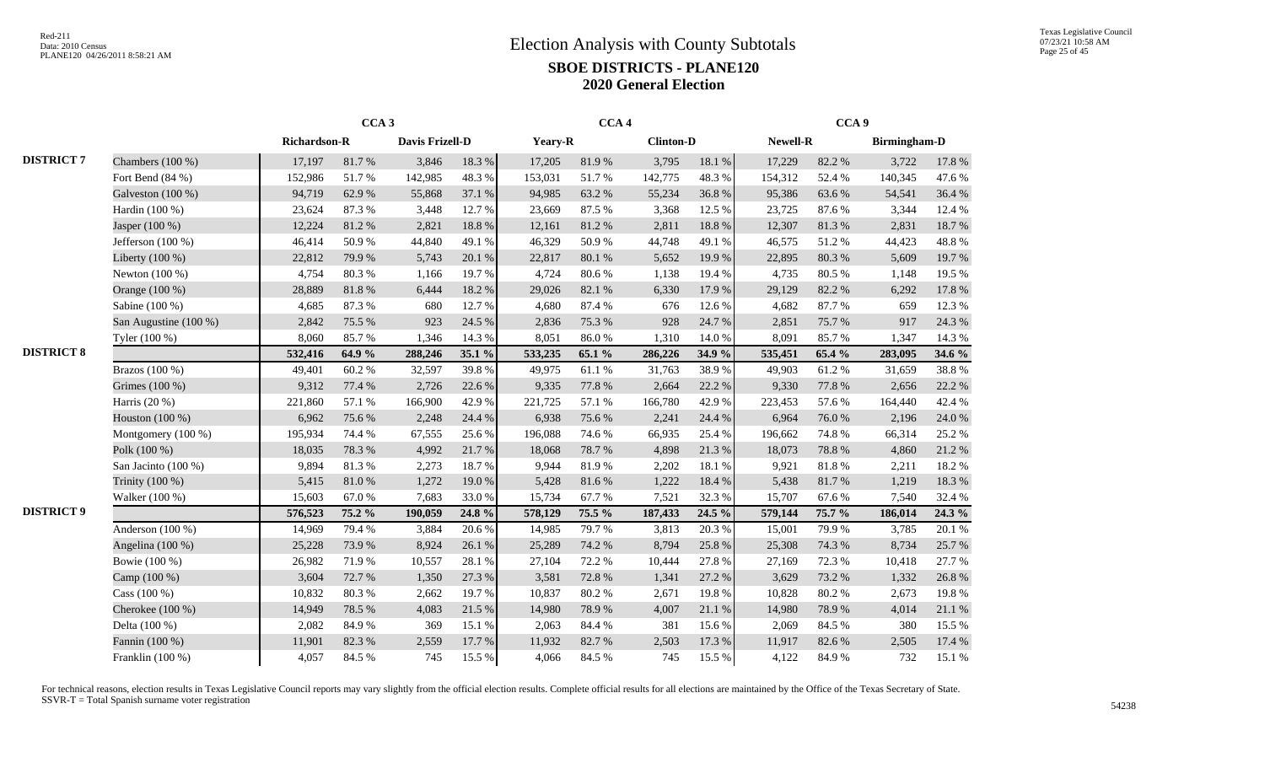|                   |                       |              | CCA <sub>3</sub> |                        |        |         | CCA <sub>4</sub> |                  |        |          | CCA <sub>9</sub> |                     |        |
|-------------------|-----------------------|--------------|------------------|------------------------|--------|---------|------------------|------------------|--------|----------|------------------|---------------------|--------|
|                   |                       | Richardson-R |                  | <b>Davis Frizell-D</b> |        | Yeary-R |                  | <b>Clinton-D</b> |        | Newell-R |                  | <b>Birmingham-D</b> |        |
| <b>DISTRICT 7</b> | Chambers (100 %)      | 17,197       | 81.7%            | 3,846                  | 18.3 % | 17,205  | 81.9%            | 3,795            | 18.1 % | 17,229   | 82.2%            | 3,722               | 17.8 % |
|                   | Fort Bend $(84%)$     | 152,986      | 51.7%            | 142,985                | 48.3%  | 153,031 | 51.7%            | 142,775          | 48.3%  | 154,312  | 52.4 %           | 140,345             | 47.6 % |
|                   | Galveston (100 %)     | 94,719       | 62.9%            | 55,868                 | 37.1 % | 94,985  | 63.2%            | 55,234           | 36.8%  | 95,386   | 63.6%            | 54,541              | 36.4 % |
|                   | Hardin (100 %)        | 23,624       | 87.3%            | 3,448                  | 12.7 % | 23,669  | 87.5 %           | 3,368            | 12.5 % | 23,725   | 87.6%            | 3,344               | 12.4 % |
|                   | Jasper (100 %)        | 12,224       | 81.2%            | 2,821                  | 18.8%  | 12,161  | 81.2%            | 2,811            | 18.8%  | 12,307   | 81.3%            | 2,831               | 18.7%  |
|                   | Jefferson (100 %)     | 46,414       | 50.9%            | 44,840                 | 49.1 % | 46,329  | 50.9%            | 44,748           | 49.1 % | 46,575   | 51.2%            | 44,423              | 48.8%  |
|                   | Liberty $(100\%)$     | 22,812       | 79.9 %           | 5,743                  | 20.1 % | 22,817  | 80.1%            | 5,652            | 19.9%  | 22,895   | 80.3%            | 5,609               | 19.7%  |
|                   | Newton $(100\%)$      | 4,754        | 80.3%            | 1,166                  | 19.7%  | 4,724   | 80.6%            | 1,138            | 19.4 % | 4,735    | 80.5%            | 1,148               | 19.5 % |
|                   | Orange (100 %)        | 28,889       | 81.8%            | 6,444                  | 18.2%  | 29,026  | 82.1%            | 6,330            | 17.9 % | 29,129   | 82.2%            | 6,292               | 17.8 % |
|                   | Sabine (100 %)        | 4,685        | 87.3%            | 680                    | 12.7 % | 4,680   | 87.4 %           | 676              | 12.6 % | 4,682    | 87.7%            | 659                 | 12.3 % |
|                   | San Augustine (100 %) | 2,842        | 75.5 %           | 923                    | 24.5 % | 2,836   | 75.3 %           | 928              | 24.7%  | 2,851    | 75.7%            | 917                 | 24.3 % |
|                   | Tyler (100 %)         | 8,060        | 85.7%            | 1,346                  | 14.3 % | 8,051   | $86.0\ \%$       | 1,310            | 14.0%  | 8,091    | 85.7%            | 1,347               | 14.3 % |
| <b>DISTRICT 8</b> |                       | 532,416      | 64.9 %           | 288,246                | 35.1 % | 533,235 | 65.1 %           | 286,226          | 34.9 % | 535,451  | 65.4 %           | 283,095             | 34.6 % |
|                   | Brazos (100 %)        | 49,401       | 60.2%            | 32,597                 | 39.8%  | 49,975  | 61.1%            | 31,763           | 38.9%  | 49,903   | 61.2%            | 31,659              | 38.8%  |
|                   | Grimes (100 %)        | 9,312        | 77.4 %           | 2,726                  | 22.6 % | 9,335   | 77.8 %           | 2,664            | 22.2 % | 9,330    | 77.8%            | 2,656               | 22.2 % |
|                   | Harris (20 %)         | 221,860      | 57.1 %           | 166,900                | 42.9%  | 221,725 | 57.1 %           | 166,780          | 42.9%  | 223,453  | 57.6%            | 164,440             | 42.4 % |
|                   | Houston (100 %)       | 6,962        | 75.6%            | 2,248                  | 24.4 % | 6,938   | 75.6%            | 2,241            | 24.4 % | 6,964    | 76.0%            | 2,196               | 24.0 % |
|                   | Montgomery (100 %)    | 195,934      | 74.4 %           | 67,555                 | 25.6%  | 196,088 | 74.6%            | 66,935           | 25.4 % | 196,662  | 74.8%            | 66,314              | 25.2 % |
|                   | Polk (100 %)          | 18,035       | 78.3 %           | 4,992                  | 21.7%  | 18,068  | 78.7%            | 4,898            | 21.3%  | 18,073   | 78.8%            | 4,860               | 21.2%  |
|                   | San Jacinto (100 %)   | 9,894        | 81.3%            | 2,273                  | 18.7%  | 9,944   | 81.9%            | 2,202            | 18.1%  | 9,921    | 81.8%            | 2,211               | 18.2%  |
|                   | Trinity (100 %)       | 5,415        | 81.0%            | 1,272                  | 19.0%  | 5,428   | 81.6%            | 1,222            | 18.4 % | 5,438    | 81.7%            | 1,219               | 18.3 % |
|                   | Walker (100 %)        | 15,603       | 67.0%            | 7,683                  | 33.0%  | 15,734  | 67.7%            | 7,521            | 32.3 % | 15,707   | 67.6%            | 7,540               | 32.4 % |
| <b>DISTRICT 9</b> |                       | 576,523      | 75.2 %           | 190,059                | 24.8 % | 578,129 | 75.5 %           | 187,433          | 24.5 % | 579,144  | 75.7 %           | 186,014             | 24.3 % |
|                   | Anderson $(100\%)$    | 14,969       | 79.4 %           | 3,884                  | 20.6 % | 14,985  | 79.7%            | 3,813            | 20.3 % | 15,001   | 79.9%            | 3,785               | 20.1 % |
|                   | Angelina (100 %)      | 25,228       | 73.9%            | 8,924                  | 26.1%  | 25,289  | 74.2 %           | 8,794            | 25.8%  | 25,308   | 74.3 %           | 8,734               | 25.7%  |
|                   | Bowie (100 %)         | 26,982       | 71.9%            | 10,557                 | 28.1 % | 27,104  | 72.2 %           | 10,444           | 27.8 % | 27,169   | 72.3 %           | 10,418              | 27.7 % |
|                   | Camp (100 %)          | 3,604        | 72.7 %           | 1,350                  | 27.3 % | 3,581   | 72.8%            | 1,341            | 27.2 % | 3,629    | 73.2 %           | 1,332               | 26.8%  |
|                   | Cass (100 %)          | 10,832       | 80.3%            | 2,662                  | 19.7%  | 10,837  | 80.2%            | 2,671            | 19.8%  | 10,828   | 80.2%            | 2,673               | 19.8%  |
|                   | Cherokee $(100\%)$    | 14,949       | 78.5 %           | 4,083                  | 21.5 % | 14,980  | 78.9%            | 4,007            | 21.1 % | 14,980   | 78.9%            | 4,014               | 21.1 % |
|                   | Delta (100 %)         | 2,082        | 84.9%            | 369                    | 15.1 % | 2,063   | 84.4 %           | 381              | 15.6 % | 2,069    | 84.5 %           | 380                 | 15.5 % |
|                   | Fannin (100 %)        | 11,901       | 82.3%            | 2,559                  | 17.7 % | 11,932  | 82.7%            | 2,503            | 17.3 % | 11,917   | 82.6 %           | 2,505               | 17.4 % |
|                   | Franklin (100 %)      | 4,057        | 84.5 %           | 745                    | 15.5 % | 4,066   | 84.5 %           | 745              | 15.5 % | 4,122    | 84.9%            | 732                 | 15.1 % |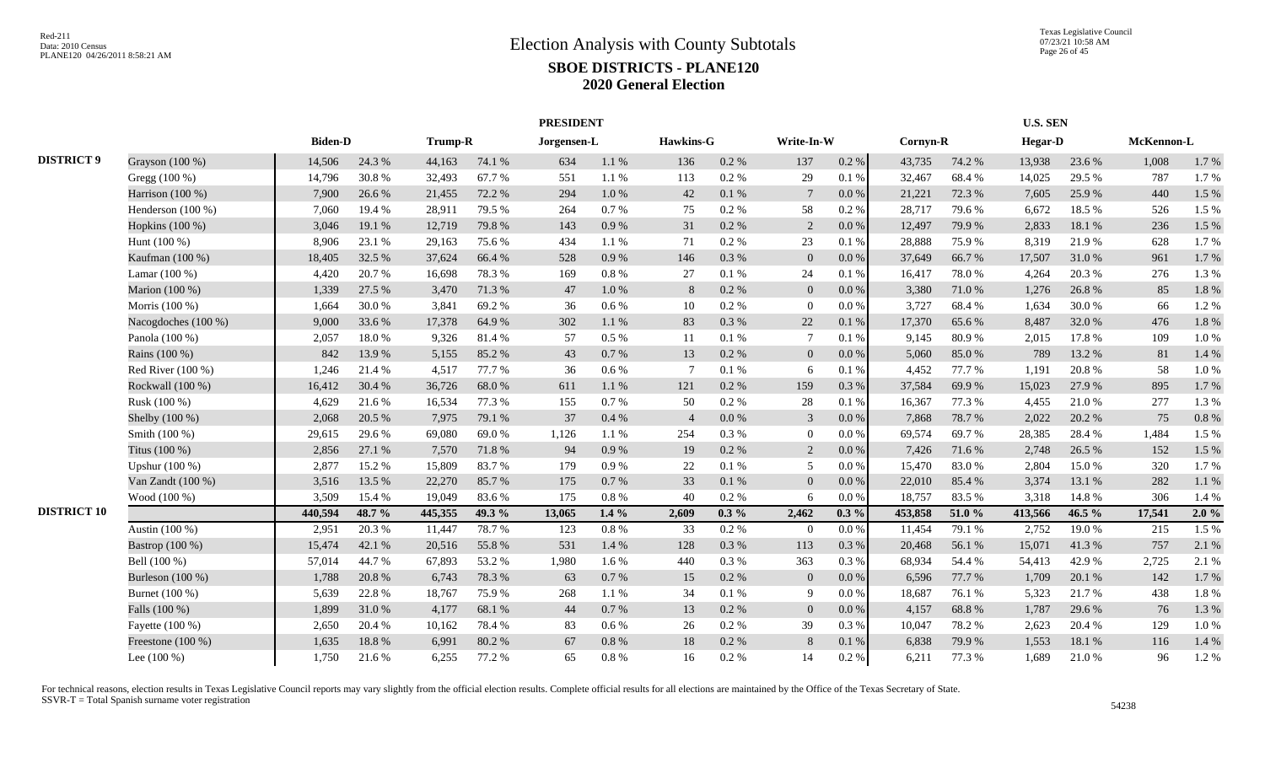|                    |                     |                |        | <b>PRESIDENT</b> |        |             |           |                  |          |                 |           |          |        | <b>U.S. SEN</b> |        |            |       |
|--------------------|---------------------|----------------|--------|------------------|--------|-------------|-----------|------------------|----------|-----------------|-----------|----------|--------|-----------------|--------|------------|-------|
|                    |                     | <b>Biden-D</b> |        | <b>Trump-R</b>   |        | Jorgensen-L |           | <b>Hawkins-G</b> |          | Write-In-W      |           | Cornyn-R |        | <b>Hegar-D</b>  |        | McKennon-L |       |
| <b>DISTRICT 9</b>  | Grayson (100 %)     | 14,506         | 24.3 % | 44,163           | 74.1 % | 634         | 1.1%      | 136              | 0.2 %    | 137             | 0.2 %     | 43,735   | 74.2 % | 13,938          | 23.6 % | 1,008      | 1.7%  |
|                    | Gregg (100 %)       | 14,796         | 30.8%  | 32,493           | 67.7%  | 551         | 1.1%      | 113              | 0.2%     | 29              | 0.1%      | 32,467   | 68.4%  | 14,025          | 29.5 % | 787        | 1.7%  |
|                    | Harrison (100 %)    | 7,900          | 26.6%  | 21,455           | 72.2 % | 294         | 1.0 %     | 42               | 0.1 %    | $7\phantom{.0}$ | $0.0\,\%$ | 21,221   | 72.3 % | 7,605           | 25.9%  | 440        | 1.5 % |
|                    | Henderson (100 %)   | 7,060          | 19.4 % | 28,911           | 79.5 % | 264         | 0.7 %     | 75               | 0.2 %    | 58              | 0.2 %     | 28,717   | 79.6%  | 6,672           | 18.5 % | 526        | 1.5 % |
|                    | Hopkins (100 %)     | 3,046          | 19.1 % | 12,719           | 79.8%  | 143         | 0.9%      | 31               | 0.2%     | 2               | 0.0 %     | 12,497   | 79.9%  | 2,833           | 18.1 % | 236        | 1.5 % |
|                    | Hunt $(100\%)$      | 8,906          | 23.1 % | 29,163           | 75.6 % | 434         | 1.1%      | 71               | $0.2\%$  | 23              | 0.1%      | 28,888   | 75.9%  | 8.319           | 21.9%  | 628        | 1.7%  |
|                    | Kaufman (100 %)     | 18,405         | 32.5 % | 37,624           | 66.4%  | 528         | 0.9%      | 146              | 0.3%     | $\overline{0}$  | $0.0\%$   | 37,649   | 66.7%  | 17,507          | 31.0%  | 961        | 1.7%  |
|                    | Lamar (100 %)       | 4,420          | 20.7%  | 16,698           | 78.3%  | 169         | $0.8~\%$  | 27               | 0.1%     | 24              | 0.1%      | 16,417   | 78.0%  | 4,264           | 20.3%  | 276        | 1.3%  |
|                    | Marion (100 %)      | 1,339          | 27.5 % | 3,470            | 71.3%  | 47          | 1.0%      | 8                | 0.2 %    | $\Omega$        | 0.0 %     | 3,380    | 71.0 % | 1,276           | 26.8%  | 85         | 1.8%  |
|                    | Morris (100 %)      | 1,664          | 30.0%  | 3,841            | 69.2%  | 36          | 0.6 %     | 10               | 0.2 %    | $\theta$        | 0.0 %     | 3,727    | 68.4 % | 1.634           | 30.0%  | 66         | 1.2%  |
|                    | Nacogdoches (100 %) | 9,000          | 33.6%  | 17,378           | 64.9%  | 302         | 1.1%      | 83               | 0.3%     | 22              | 0.1 %     | 17,370   | 65.6%  | 8,487           | 32.0%  | 476        | 1.8%  |
|                    | Panola (100 %)      | 2,057          | 18.0%  | 9,326            | 81.4%  | 57          | $0.5\%$   | 11               | 0.1%     |                 | 0.1%      | 9,145    | 80.9%  | 2,015           | 17.8%  | 109        | 1.0%  |
|                    | Rains (100 %)       | 842            | 13.9%  | 5,155            | 85.2%  | 43          | $0.7\,\%$ | 13               | 0.2 %    | $\overline{0}$  | $0.0\%$   | 5,060    | 85.0%  | 789             | 13.2 % | 81         | 1.4 % |
|                    | Red River $(100\%)$ | 1,246          | 21.4%  | 4,517            | 77.7 % | 36          | 0.6 %     | -7               | 0.1%     | 6               | 0.1%      | 4,452    | 77.7 % | 1,191           | 20.8%  | 58         | 1.0%  |
|                    | Rockwall (100 %)    | 16,412         | 30.4 % | 36,726           | 68.0%  | 611         | 1.1%      | 121              | $0.2~\%$ | 159             | 0.3%      | 37,584   | 69.9%  | 15,023          | 27.9%  | 895        | 1.7%  |
|                    | Rusk (100 %)        | 4,629          | 21.6%  | 16,534           | 77.3 % | 155         | 0.7 %     | 50               | 0.2 %    | 28              | 0.1%      | 16,367   | 77.3 % | 4,455           | 21.0%  | 277        | 1.3%  |
|                    | Shelby (100 %)      | 2,068          | 20.5 % | 7,975            | 79.1 % | 37          | 0.4%      | $\overline{4}$   | 0.0 %    | $\mathbf{3}$    | 0.0 %     | 7,868    | 78.7%  | 2,022           | 20.2 % | 75         | 0.8%  |
|                    | Smith (100 %)       | 29,615         | 29.6%  | 69,080           | 69.0%  | 1,126       | 1.1%      | 254              | $0.3\%$  | $\theta$        | $0.0\%$   | 69,574   | 69.7%  | 28,385          | 28.4 % | 1,484      | 1.5 % |
|                    | Titus (100 %)       | 2,856          | 27.1 % | 7,570            | 71.8%  | 94          | 0.9 %     | 19               | $0.2~\%$ | $\overline{2}$  | $0.0\,\%$ | 7,426    | 71.6 % | 2,748           | 26.5 % | 152        | 1.5 % |
|                    | Upshur (100 %)      | 2,877          | 15.2 % | 15,809           | 83.7%  | 179         | 0.9%      | 22               | 0.1%     | 5               | $0.0\,\%$ | 15,470   | 83.0%  | 2,804           | 15.0%  | 320        | 1.7%  |
|                    | Van Zandt $(100\%)$ | 3,516          | 13.5 % | 22,270           | 85.7%  | 175         | $0.7\%$   | 33               | 0.1%     | $\Omega$        | 0.0 %     | 22,010   | 85.4 % | 3,374           | 13.1 % | 282        | 1.1 % |
|                    | Wood (100 %)        | 3,509          | 15.4 % | 19,049           | 83.6%  | 175         | 0.8 %     | 40               | 0.2 %    | 6               | $0.0\%$   | 18,757   | 83.5%  | 3,318           | 14.8%  | 306        | 1.4 % |
| <b>DISTRICT 10</b> |                     | 440,594        | 48.7 % | 445,355          | 49.3 % | 13,065      | $1.4\%$   | 2,609            | $0.3\%$  | 2,462           | $0.3\%$   | 453,858  | 51.0%  | 413,566         | 46.5 % | 17,541     | 2.0%  |
|                    | Austin (100 %)      | 2,951          | 20.3%  | 11,447           | 78.7%  | 123         | $0.8\ \%$ | 33               | 0.2%     | $\overline{0}$  | $0.0\%$   | 11,454   | 79.1 % | 2,752           | 19.0%  | 215        | 1.5 % |
|                    | Bastrop (100 %)     | 15,474         | 42.1 % | 20,516           | 55.8%  | 531         | 1.4 %     | 128              | 0.3%     | 113             | 0.3%      | 20,468   | 56.1 % | 15,071          | 41.3%  | 757        | 2.1 % |
|                    | Bell (100 %)        | 57,014         | 44.7%  | 67,893           | 53.2 % | 1,980       | 1.6 %     | 440              | 0.3%     | 363             | 0.3%      | 68,934   | 54.4 % | 54,413          | 42.9%  | 2,725      | 2.1 % |
|                    | Burleson (100 %)    | 1,788          | 20.8%  | 6,743            | 78.3 % | 63          | 0.7%      | 15               | $0.2~\%$ | $\overline{0}$  | $0.0\%$   | 6,596    | 77.7 % | 1,709           | 20.1 % | 142        | 1.7%  |
|                    | Burnet (100 %)      | 5,639          | 22.8%  | 18,767           | 75.9%  | 268         | 1.1%      | 34               | 0.1%     | 9               | $0.0\,\%$ | 18,687   | 76.1 % | 5,323           | 21.7%  | 438        | 1.8%  |
|                    | Falls (100 %)       | 1,899          | 31.0%  | 4,177            | 68.1%  | 44          | 0.7 %     | 13               | 0.2 %    | $\overline{0}$  | 0.0 %     | 4,157    | 68.8%  | 1,787           | 29.6 % | 76         | 1.3%  |
|                    | Fayette $(100\%)$   | 2,650          | 20.4 % | 10,162           | 78.4 % | 83          | $0.6\%$   | 26               | $0.2\%$  | 39              | 0.3%      | 10,047   | 78.2%  | 2.623           | 20.4 % | 129        | 1.0%  |
|                    | Freestone (100 %)   | 1,635          | 18.8%  | 6,991            | 80.2%  | 67          | $0.8\ \%$ | 18               | $0.2~\%$ | 8               | $0.1\ \%$ | 6,838    | 79.9%  | 1,553           | 18.1 % | 116        | 1.4 % |
|                    | Lee $(100\%)$       | 1,750          | 21.6%  | 6,255            | 77.2 % | 65          | 0.8%      | 16               | 0.2 %    | 14              | $0.2~\%$  | 6,211    | 77.3 % | 1,689           | 21.0%  | 96         | 1.2%  |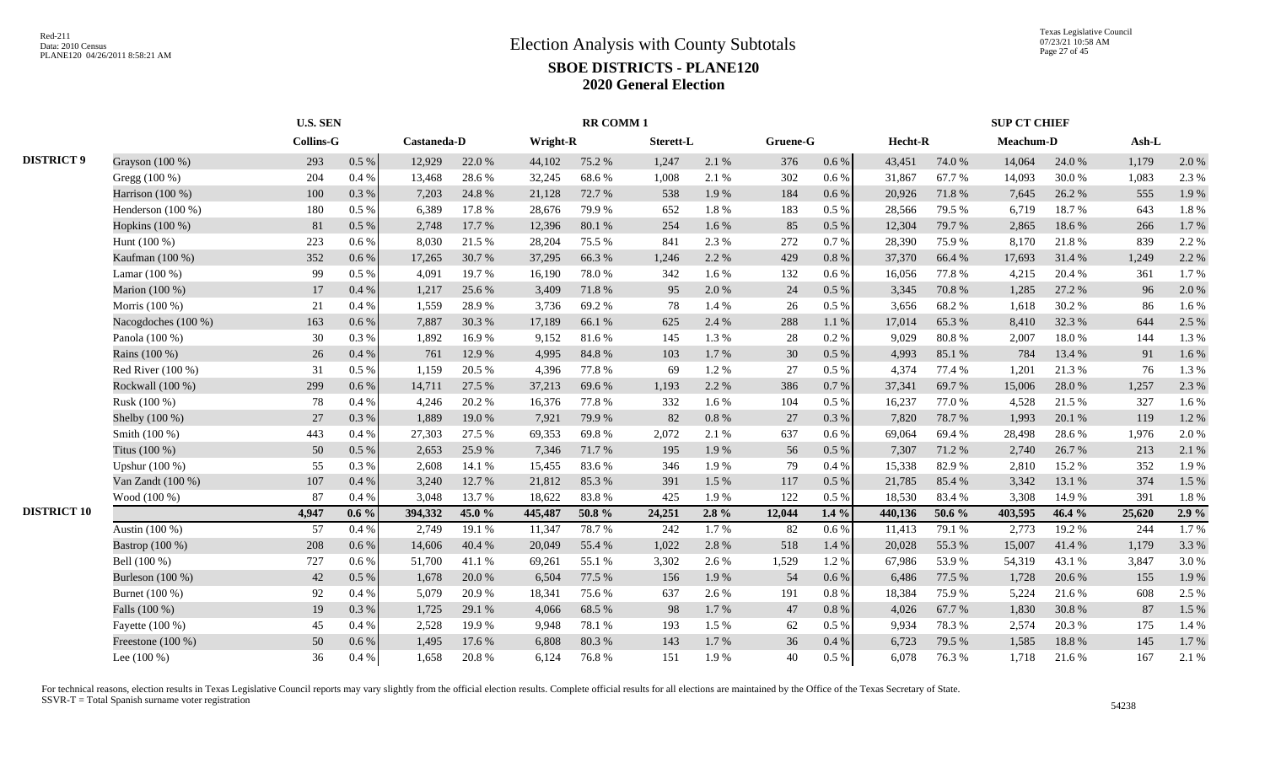|                    |                     | <b>U.S. SEN</b>  |           |             |        |          | <b>RR COMM1</b> |           |          |          |           |         |        | <b>SUP CT CHIEF</b> |        |         |       |
|--------------------|---------------------|------------------|-----------|-------------|--------|----------|-----------------|-----------|----------|----------|-----------|---------|--------|---------------------|--------|---------|-------|
|                    |                     | <b>Collins-G</b> |           | Castaneda-D |        | Wright-R |                 | Sterett-L |          | Gruene-G |           | Hecht-R |        | Meachum-D           |        | $Ash-L$ |       |
| <b>DISTRICT 9</b>  | Grayson (100 %)     | 293              | $0.5\ \%$ | 12,929      | 22.0%  | 44,102   | 75.2 %          | 1,247     | 2.1 %    | 376      | $0.6\,\%$ | 43,451  | 74.0%  | 14,064              | 24.0 % | 1,179   | 2.0%  |
|                    | Gregg (100 %)       | 204              | 0.4%      | 13,468      | 28.6%  | 32,245   | 68.6%           | 1,008     | 2.1 %    | 302      | 0.6 %     | 31,867  | 67.7%  | 14,093              | 30.0%  | 1,083   | 2.3 % |
|                    | Harrison (100 %)    | 100              | 0.3%      | 7,203       | 24.8%  | 21,128   | 72.7 %          | 538       | 1.9%     | 184      | 0.6 %     | 20,926  | 71.8%  | 7,645               | 26.2 % | 555     | 1.9%  |
|                    | Henderson (100 %)   | 180              | 0.5 %     | 6,389       | 17.8 % | 28,676   | 79.9%           | 652       | 1.8%     | 183      | 0.5 %     | 28,566  | 79.5 % | 6,719               | 18.7%  | 643     | 1.8%  |
|                    | Hopkins (100 %)     | 81               | $0.5\ \%$ | 2,748       | 17.7 % | 12,396   | 80.1%           | 254       | 1.6%     | 85       | 0.5 %     | 12,304  | 79.7%  | 2,865               | 18.6%  | 266     | 1.7%  |
|                    | Hunt (100 %)        | 223              | 0.6 %     | 8,030       | 21.5 % | 28,204   | 75.5 %          | 841       | 2.3 %    | 272      | 0.7%      | 28,390  | 75.9%  | 8,170               | 21.8%  | 839     | 2.2 % |
|                    | Kaufman (100 %)     | 352              | $0.6\%$   | 17,265      | 30.7%  | 37,295   | 66.3%           | 1,246     | 2.2 %    | 429      | $0.8\%$   | 37,370  | 66.4%  | 17,693              | 31.4 % | 1,249   | 2.2 % |
|                    | Lamar (100 %)       | 99               | 0.5 %     | 4,091       | 19.7%  | 16,190   | 78.0%           | 342       | 1.6%     | 132      | 0.6 %     | 16,056  | 77.8%  | 4,215               | 20.4 % | 361     | 1.7%  |
|                    | Marion (100 %)      | 17               | 0.4%      | 1,217       | 25.6 % | 3,409    | 71.8%           | 95        | 2.0%     | 24       | 0.5 %     | 3,345   | 70.8%  | 1,285               | 27.2 % | 96      | 2.0%  |
|                    | Morris (100 %)      | 21               | 0.4%      | 1,559       | 28.9%  | 3,736    | 69.2%           | 78        | 1.4 %    | 26       | 0.5 %     | 3,656   | 68.2%  | 1,618               | 30.2%  | 86      | 1.6%  |
|                    | Nacogdoches (100 %) | 163              | $0.6\%$   | 7,887       | 30.3%  | 17,189   | 66.1%           | 625       | 2.4 %    | 288      | 1.1%      | 17,014  | 65.3%  | 8,410               | 32.3 % | 644     | 2.5 % |
|                    | Panola (100 %)      | 30               | 0.3%      | 1,892       | 16.9%  | 9,152    | 81.6%           | 145       | 1.3%     | 28       | 0.2%      | 9,029   | 80.8%  | 2,007               | 18.0%  | 144     | 1.3%  |
|                    | Rains (100 %)       | 26               | 0.4%      | 761         | 12.9 % | 4,995    | 84.8%           | 103       | 1.7%     | 30       | 0.5 %     | 4,993   | 85.1 % | 784                 | 13.4 % | 91      | 1.6%  |
|                    | Red River $(100\%)$ | 31               | 0.5 %     | 1,159       | 20.5 % | 4,396    | 77.8%           | 69        | 1.2%     | 27       | $0.5\%$   | 4,374   | 77.4 % | 1,201               | 21.3 % | 76      | 1.3%  |
|                    | Rockwall (100 %)    | 299              | 0.6 %     | 14,711      | 27.5 % | 37,213   | 69.6%           | 1,193     | 2.2 %    | 386      | 0.7%      | 37,341  | 69.7%  | 15,006              | 28.0%  | 1,257   | 2.3 % |
|                    | Rusk (100 %)        | 78               | 0.4%      | 4,246       | 20.2 % | 16,376   | 77.8%           | 332       | 1.6%     | 104      | $0.5\%$   | 16,237  | 77.0%  | 4,528               | 21.5 % | 327     | 1.6 % |
|                    | Shelby (100 %)      | 27               | 0.3%      | 1,889       | 19.0%  | 7,921    | 79.9%           | 82        | 0.8%     | 27       | 0.3%      | 7,820   | 78.7%  | 1,993               | 20.1 % | 119     | 1.2%  |
|                    | Smith (100 %)       | 443              | 0.4%      | 27,303      | 27.5 % | 69,353   | 69.8%           | 2,072     | 2.1 %    | 637      | 0.6 %     | 69,064  | 69.4%  | 28,498              | 28.6%  | 1,976   | 2.0%  |
|                    | Titus (100 %)       | 50               | 0.5 %     | 2,653       | 25.9%  | 7,346    | 71.7 %          | 195       | 1.9%     | 56       | 0.5%      | 7,307   | 71.2 % | 2,740               | 26.7%  | 213     | 2.1 % |
|                    | Upshur (100 %)      | 55               | 0.3%      | 2,608       | 14.1 % | 15,455   | 83.6%           | 346       | 1.9%     | 79       | 0.4%      | 15,338  | 82.9%  | 2,810               | 15.2 % | 352     | 1.9%  |
|                    | Van Zandt (100 %)   | 107              | 0.4%      | 3,240       | 12.7 % | 21,812   | 85.3%           | 391       | 1.5 %    | 117      | 0.5%      | 21,785  | 85.4%  | 3,342               | 13.1 % | 374     | 1.5 % |
|                    | Wood (100 %)        | 87               | 0.4%      | 3,048       | 13.7%  | 18,622   | 83.8%           | 425       | 1.9%     | 122      | 0.5%      | 18,530  | 83.4%  | 3,308               | 14.9 % | 391     | 1.8%  |
| <b>DISTRICT 10</b> |                     | 4,947            | $0.6\%$   | 394,332     | 45.0 % | 445,487  | 50.8%           | 24,251    | $2.8 \%$ | 12,044   | $1.4\%$   | 440,136 | 50.6 % | 403,595             | 46.4 % | 25,620  | 2.9%  |
|                    | Austin (100 %)      | 57               | 0.4%      | 2,749       | 19.1 % | 11,347   | 78.7%           | 242       | 1.7%     | 82       | 0.6 %     | 11,413  | 79.1 % | 2,773               | 19.2 % | 244     | 1.7%  |
|                    | Bastrop (100 %)     | 208              | 0.6 %     | 14,606      | 40.4 % | 20,049   | 55.4 %          | 1,022     | 2.8 %    | 518      | 1.4 %     | 20,028  | 55.3%  | 15,007              | 41.4 % | 1,179   | 3.3 % |
|                    | Bell (100 %)        | 727              | 0.6 %     | 51,700      | 41.1%  | 69,261   | 55.1 %          | 3,302     | 2.6 %    | 1,529    | 1.2%      | 67,986  | 53.9%  | 54,319              | 43.1 % | 3,847   | 3.0%  |
|                    | Burleson (100 %)    | 42               | 0.5 %     | 1,678       | 20.0%  | 6,504    | 77.5 %          | 156       | 1.9%     | 54       | 0.6 %     | 6,486   | 77.5 % | 1,728               | 20.6 % | 155     | 1.9%  |
|                    | Burnet (100 %)      | 92               | 0.4%      | 5,079       | 20.9%  | 18,341   | 75.6%           | 637       | 2.6 %    | 191      | $0.8\%$   | 18,384  | 75.9%  | 5,224               | 21.6 % | 608     | 2.5 % |
|                    | Falls (100 %)       | 19               | 0.3%      | 1,725       | 29.1 % | 4,066    | 68.5%           | 98        | 1.7%     | 47       | 0.8 %     | 4,026   | 67.7%  | 1,830               | 30.8%  | 87      | 1.5 % |
|                    | Fayette (100 %)     | 45               | 0.4%      | 2,528       | 19.9%  | 9,948    | 78.1 %          | 193       | 1.5 %    | 62       | 0.5%      | 9,934   | 78.3%  | 2,574               | 20.3%  | 175     | 1.4 % |
|                    | Freestone (100 %)   | 50               | $0.6\,\%$ | 1,495       | 17.6 % | 6,808    | 80.3%           | 143       | 1.7%     | 36       | 0.4%      | 6,723   | 79.5 % | 1,585               | 18.8%  | 145     | 1.7%  |
|                    | Lee $(100\%)$       | 36               | 0.4 %     | 1,658       | 20.8%  | 6,124    | 76.8%           | 151       | 1.9%     | 40       | 0.5%      | 6,078   | 76.3%  | 1,718               | 21.6 % | 167     | 2.1 % |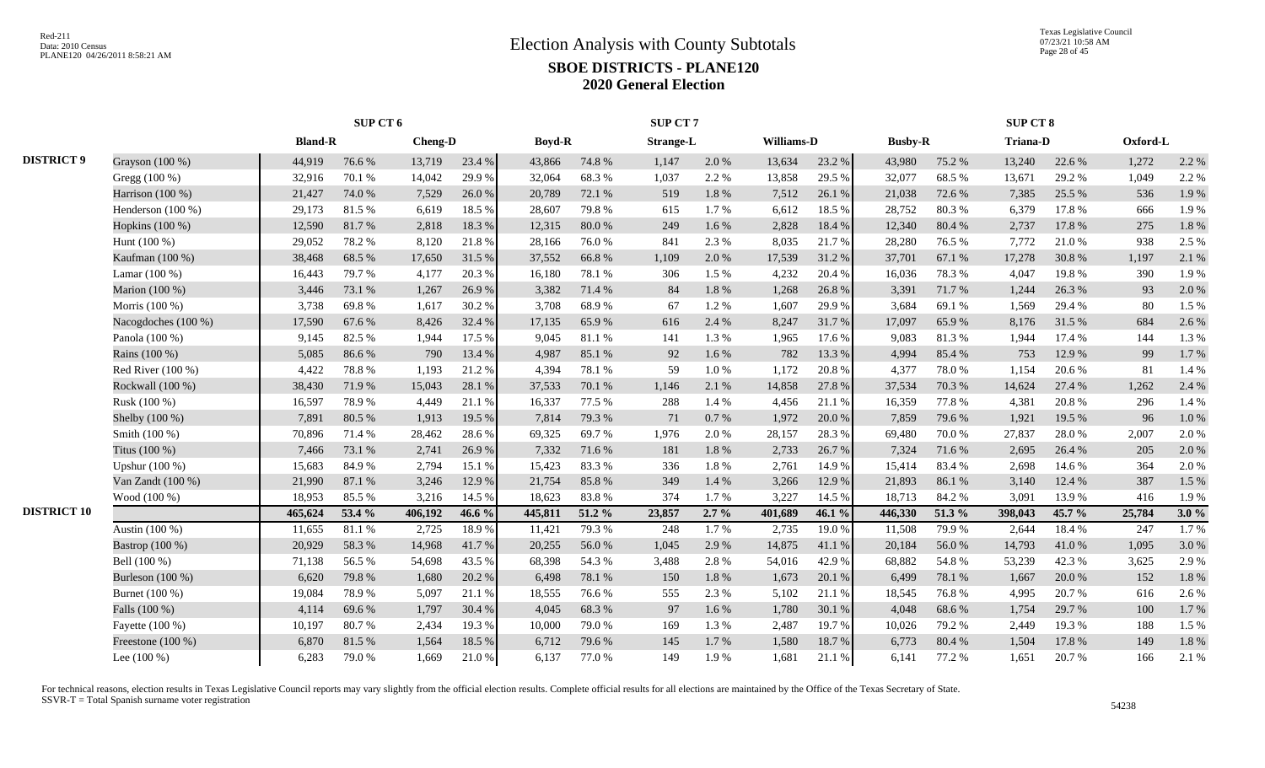|                    |                     |                | SUP CT 6 |         |        |               |        | SUP CT 7         |         |            |        |                |        | SUP CT 8        |        |          |       |
|--------------------|---------------------|----------------|----------|---------|--------|---------------|--------|------------------|---------|------------|--------|----------------|--------|-----------------|--------|----------|-------|
|                    |                     | <b>Bland-R</b> |          | Cheng-D |        | <b>Boyd-R</b> |        | <b>Strange-L</b> |         | Williams-D |        | <b>Busby-R</b> |        | <b>Triana-D</b> |        | Oxford-L |       |
| <b>DISTRICT 9</b>  | Grayson (100 %)     | 44,919         | 76.6%    | 13,719  | 23.4 % | 43,866        | 74.8%  | 1,147            | 2.0 %   | 13,634     | 23.2 % | 43,980         | 75.2 % | 13,240          | 22.6 % | 1,272    | 2.2 % |
|                    | Gregg (100 %)       | 32,916         | 70.1 %   | 14,042  | 29.9%  | 32,064        | 68.3%  | 1,037            | 2.2 %   | 13,858     | 29.5 % | 32,077         | 68.5%  | 13,671          | 29.2 % | 1,049    | 2.2 % |
|                    | Harrison (100 %)    | 21,427         | 74.0%    | 7,529   | 26.0%  | 20,789        | 72.1 % | 519              | 1.8%    | 7,512      | 26.1 % | 21,038         | 72.6 % | 7,385           | 25.5 % | 536      | 1.9%  |
|                    | Henderson $(100\%)$ | 29,173         | 81.5 %   | 6,619   | 18.5 % | 28,607        | 79.8%  | 615              | 1.7%    | 6,612      | 18.5 % | 28,752         | 80.3%  | 6,379           | 17.8%  | 666      | 1.9%  |
|                    | Hopkins (100 %)     | 12,590         | 81.7%    | 2,818   | 18.3 % | 12,315        | 80.0%  | 249              | 1.6%    | 2,828      | 18.4 % | 12,340         | 80.4%  | 2,737           | 17.8 % | 275      | 1.8%  |
|                    | Hunt (100 %)        | 29,052         | 78.2%    | 8,120   | 21.8%  | 28,166        | 76.0%  | 841              | 2.3 %   | 8,035      | 21.7 % | 28,280         | 76.5%  | 7,772           | 21.0%  | 938      | 2.5 % |
|                    | Kaufman (100 %)     | 38,468         | 68.5%    | 17,650  | 31.5%  | 37,552        | 66.8%  | 1,109            | 2.0%    | 17,539     | 31.2%  | 37,701         | 67.1 % | 17,278          | 30.8%  | 1,197    | 2.1 % |
|                    | Lamar $(100\%)$     | 16,443         | 79.7%    | 4,177   | 20.3 % | 16,180        | 78.1 % | 306              | 1.5 %   | 4,232      | 20.4 % | 16,036         | 78.3%  | 4,047           | 19.8%  | 390      | 1.9%  |
|                    | Marion (100 %)      | 3,446          | 73.1 %   | 1,267   | 26.9%  | 3,382         | 71.4%  | 84               | 1.8%    | 1,268      | 26.8%  | 3,391          | 71.7%  | 1,244           | 26.3%  | 93       | 2.0%  |
|                    | Morris (100 %)      | 3,738          | 69.8%    | 1,617   | 30.2 % | 3,708         | 68.9%  | 67               | 1.2%    | 1,607      | 29.9%  | 3,684          | 69.1%  | 1,569           | 29.4 % | 80       | 1.5 % |
|                    | Nacogdoches (100 %) | 17,590         | 67.6%    | 8,426   | 32.4 % | 17,135        | 65.9%  | 616              | 2.4 %   | 8,247      | 31.7%  | 17,097         | 65.9%  | 8,176           | 31.5 % | 684      | 2.6 % |
|                    | Panola (100 %)      | 9,145          | 82.5 %   | 1,944   | 17.5 % | 9,045         | 81.1%  | 141              | 1.3%    | 1,965      | 17.6 % | 9,083          | 81.3%  | 1,944           | 17.4 % | 144      | 1.3%  |
|                    | Rains (100 %)       | 5,085          | 86.6%    | 790     | 13.4 % | 4,987         | 85.1%  | 92               | 1.6%    | 782        | 13.3 % | 4,994          | 85.4%  | 753             | 12.9%  | 99       | 1.7%  |
|                    | Red River (100 %)   | 4,422          | 78.8%    | 1,193   | 21.2%  | 4,394         | 78.1 % | 59               | 1.0%    | 1,172      | 20.8%  | 4,377          | 78.0%  | 1,154           | 20.6%  | 81       | 1.4 % |
|                    | Rockwall (100 %)    | 38,430         | 71.9%    | 15,043  | 28.1 % | 37,533        | 70.1 % | 1,146            | 2.1 %   | 14,858     | 27.8%  | 37,534         | 70.3%  | 14,624          | 27.4 % | 1,262    | 2.4 % |
|                    | Rusk (100 %)        | 16,597         | 78.9%    | 4,449   | 21.1 % | 16,337        | 77.5 % | 288              | 1.4 %   | 4,456      | 21.1 % | 16,359         | 77.8%  | 4,381           | 20.8%  | 296      | 1.4 % |
|                    | Shelby (100 %)      | 7,891          | 80.5 %   | 1,913   | 19.5 % | 7,814         | 79.3%  | 71               | 0.7%    | 1,972      | 20.0%  | 7,859          | 79.6%  | 1,921           | 19.5 % | 96       | 1.0%  |
|                    | Smith (100 %)       | 70,896         | 71.4%    | 28,462  | 28.6%  | 69,325        | 69.7%  | 1,976            | 2.0%    | 28,157     | 28.3 % | 69,480         | 70.0%  | 27,837          | 28.0%  | 2,007    | 2.0%  |
|                    | Titus (100 %)       | 7.466          | 73.1 %   | 2,741   | 26.9%  | 7,332         | 71.6%  | 181              | 1.8%    | 2,733      | 26.7%  | 7,324          | 71.6%  | 2.695           | 26.4 % | 205      | 2.0%  |
|                    | Upshur (100 %)      | 15,683         | 84.9%    | 2,794   | 15.1 % | 15,423        | 83.3%  | 336              | 1.8%    | 2,761      | 14.9%  | 15,414         | 83.4 % | 2,698           | 14.6 % | 364      | 2.0%  |
|                    | Van Zandt (100 %)   | 21,990         | 87.1 %   | 3,246   | 12.9%  | 21,754        | 85.8%  | 349              | 1.4 %   | 3,266      | 12.9 % | 21,893         | 86.1%  | 3,140           | 12.4 % | 387      | 1.5 % |
|                    | Wood (100 %)        | 18,953         | 85.5%    | 3,216   | 14.5 % | 18,623        | 83.8%  | 374              | 1.7%    | 3,227      | 14.5 % | 18,713         | 84.2%  | 3,091           | 13.9%  | 416      | 1.9%  |
| <b>DISTRICT 10</b> |                     | 465,624        | 53.4 %   | 406,192 | 46.6 % | 445,811       | 51.2%  | 23,857           | $2.7\%$ | 401,689    | 46.1 % | 446,330        | 51.3 % | 398,043         | 45.7 % | 25,784   | 3.0%  |
|                    | Austin (100 %)      | 11,655         | 81.1%    | 2,725   | 18.9%  | 11,421        | 79.3 % | 248              | 1.7%    | 2,735      | 19.0%  | 11,508         | 79.9%  | 2,644           | 18.4%  | 247      | 1.7%  |
|                    | Bastrop (100 %)     | 20,929         | 58.3%    | 14,968  | 41.7%  | 20,255        | 56.0%  | 1,045            | 2.9 %   | 14,875     | 41.1 % | 20,184         | 56.0%  | 14,793          | 41.0%  | 1,095    | 3.0%  |
|                    | Bell (100 %)        | 71,138         | 56.5%    | 54,698  | 43.5 % | 68,398        | 54.3 % | 3,488            | 2.8%    | 54,016     | 42.9%  | 68,882         | 54.8%  | 53,239          | 42.3 % | 3,625    | 2.9%  |
|                    | Burleson $(100\%)$  | 6,620          | 79.8%    | 1,680   | 20.2 % | 6,498         | 78.1 % | 150              | 1.8%    | 1,673      | 20.1 % | 6,499          | 78.1 % | 1,667           | 20.0%  | 152      | 1.8%  |
|                    | Burnet (100 %)      | 19,084         | 78.9%    | 5,097   | 21.1%  | 18,555        | 76.6%  | 555              | 2.3 %   | 5,102      | 21.1%  | 18,545         | 76.8%  | 4,995           | 20.7%  | 616      | 2.6%  |
|                    | Falls (100 %)       | 4,114          | 69.6%    | 1,797   | 30.4 % | 4,045         | 68.3%  | 97               | $1.6\%$ | 1,780      | 30.1 % | 4,048          | 68.6%  | 1,754           | 29.7 % | 100      | 1.7%  |
|                    | Fayette (100 %)     | 10,197         | 80.7%    | 2,434   | 19.3%  | 10,000        | 79.0%  | 169              | 1.3%    | 2,487      | 19.7%  | 10,026         | 79.2 % | 2,449           | 19.3%  | 188      | 1.5 % |
|                    | Freestone $(100\%)$ | 6,870          | 81.5%    | 1,564   | 18.5 % | 6,712         | 79.6%  | 145              | 1.7%    | 1,580      | 18.7%  | 6,773          | 80.4%  | 1,504           | 17.8%  | 149      | 1.8%  |
|                    | Lee $(100\%)$       | 6,283          | 79.0%    | 1,669   | 21.0%  | 6,137         | 77.0 % | 149              | 1.9%    | 1,681      | 21.1%  | 6,141          | 77.2 % | 1,651           | 20.7%  | 166      | 2.1 % |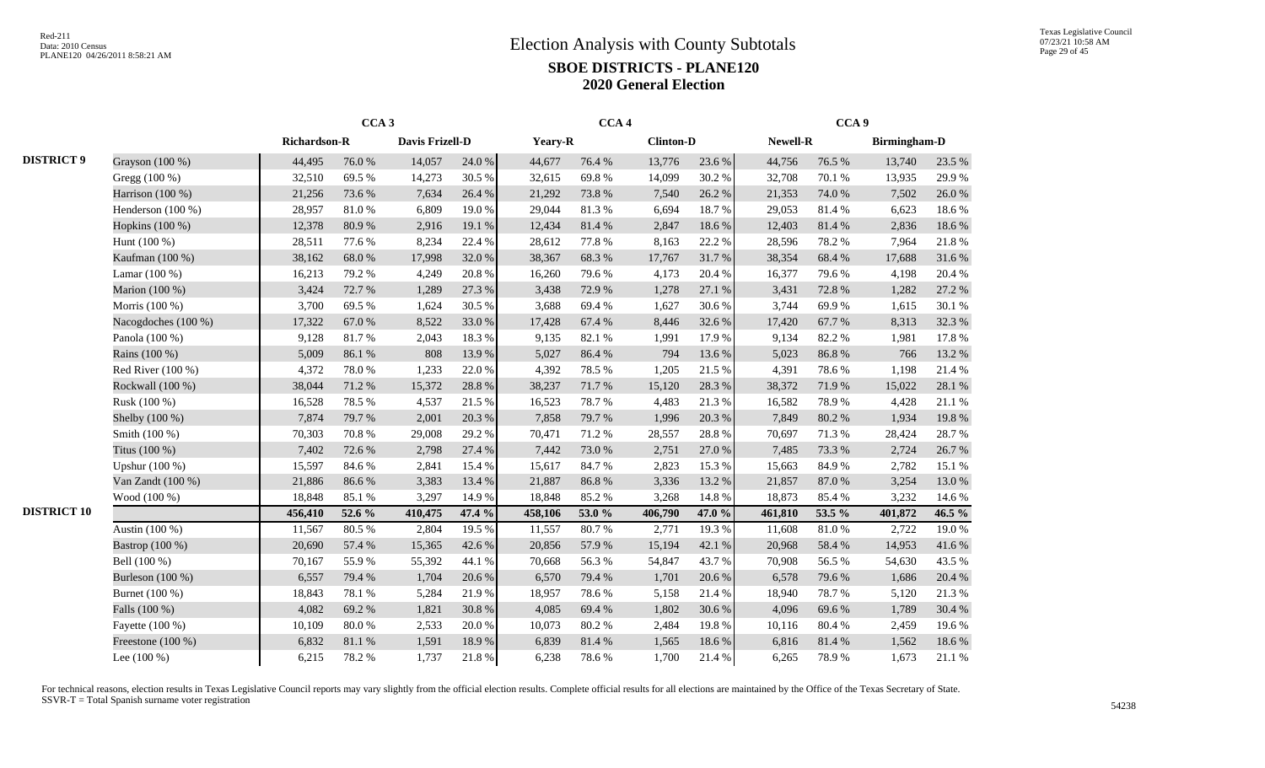|                    |                                  |                     | CCA <sub>3</sub> |                 |        |         | CCA <sub>4</sub> |                  |        |          | CCA <sub>9</sub> |                     |        |
|--------------------|----------------------------------|---------------------|------------------|-----------------|--------|---------|------------------|------------------|--------|----------|------------------|---------------------|--------|
|                    |                                  | <b>Richardson-R</b> |                  | Davis Frizell-D |        | Yeary-R |                  | <b>Clinton-D</b> |        | Newell-R |                  | <b>Birmingham-D</b> |        |
| <b>DISTRICT 9</b>  | Grayson (100 %)                  | 44,495              | 76.0%            | 14,057          | 24.0%  | 44,677  | 76.4%            | 13,776           | 23.6 % | 44,756   | 76.5 %           | 13,740              | 23.5 % |
|                    | Gregg (100 %)                    | 32,510              | 69.5 %           | 14,273          | 30.5 % | 32,615  | 69.8%            | 14,099           | 30.2%  | 32,708   | 70.1 %           | 13,935              | 29.9%  |
|                    | Harrison (100 %)                 | 21,256              | 73.6 %           | 7,634           | 26.4%  | 21,292  | 73.8%            | 7,540            | 26.2%  | 21,353   | 74.0%            | 7,502               | 26.0%  |
|                    | Henderson (100 %)                | 28,957              | 81.0%            | 6,809           | 19.0%  | 29,044  | 81.3%            | 6,694            | 18.7%  | 29,053   | 81.4%            | 6,623               | 18.6%  |
|                    | Hopkins (100 %)                  | 12,378              | 80.9%            | 2,916           | 19.1 % | 12,434  | 81.4%            | 2,847            | 18.6%  | 12,403   | 81.4%            | 2,836               | 18.6%  |
|                    | Hunt (100 %)                     | 28,511              | 77.6 %           | 8,234           | 22.4 % | 28,612  | 77.8 %           | 8,163            | 22.2 % | 28,596   | 78.2%            | 7,964               | 21.8%  |
|                    | Kaufman (100 %)                  | 38,162              | 68.0%            | 17,998          | 32.0%  | 38,367  | 68.3%            | 17,767           | 31.7%  | 38,354   | 68.4%            | 17,688              | 31.6%  |
|                    | Lamar $(100\%)$                  | 16,213              | 79.2 %           | 4,249           | 20.8%  | 16,260  | 79.6%            | 4,173            | 20.4 % | 16,377   | 79.6%            | 4,198               | 20.4%  |
|                    | Marion (100 %)                   | 3,424               | 72.7 %           | 1,289           | 27.3 % | 3,438   | 72.9%            | 1,278            | 27.1 % | 3,431    | 72.8 %           | 1,282               | 27.2 % |
|                    | Morris (100 %)                   | 3,700               | 69.5%            | 1,624           | 30.5 % | 3,688   | 69.4%            | 1,627            | 30.6%  | 3,744    | 69.9%            | 1,615               | 30.1 % |
|                    | Nacogdoches (100 %)              | 17,322              | 67.0%            | 8,522           | 33.0%  | 17,428  | 67.4 %           | 8,446            | 32.6%  | 17,420   | 67.7%            | 8,313               | 32.3 % |
|                    | Panola (100 %)                   | 9,128               | 81.7%            | 2,043           | 18.3%  | 9,135   | 82.1 %           | 1,991            | 17.9%  | 9,134    | 82.2%            | 1,981               | 17.8 % |
|                    | Rains (100 %)                    | 5,009               | 86.1%            | 808             | 13.9%  | 5,027   | 86.4%            | 794              | 13.6 % | 5,023    | 86.8%            | 766                 | 13.2 % |
|                    | Red River (100 %)                | 4,372               | 78.0%            | 1,233           | 22.0 % | 4,392   | 78.5 %           | 1,205            | 21.5 % | 4,391    | 78.6%            | 1,198               | 21.4 % |
|                    | Rockwall (100 %)                 | 38,044              | 71.2%            | 15,372          | 28.8%  | 38,237  | 71.7%            | 15,120           | 28.3 % | 38,372   | 71.9%            | 15,022              | 28.1 % |
|                    | Rusk (100 %)                     | 16,528              | 78.5%            | 4,537           | 21.5%  | 16,523  | 78.7%            | 4,483            | 21.3%  | 16,582   | 78.9%            | 4,428               | 21.1%  |
|                    | Shelby (100 %)                   | 7,874               | 79.7%            | 2,001           | 20.3 % | 7,858   | 79.7%            | 1,996            | 20.3 % | 7,849    | 80.2%            | 1,934               | 19.8 % |
|                    | Smith (100 %)                    | 70,303              | 70.8%            | 29,008          | 29.2 % | 70,471  | 71.2%            | 28,557           | 28.8 % | 70,697   | 71.3%            | 28,424              | 28.7 % |
|                    | Titus (100 %)                    | 7,402               | 72.6 %           | 2,798           | 27.4 % | 7,442   | 73.0%            | 2,751            | 27.0 % | 7,485    | 73.3 %           | 2,724               | 26.7%  |
|                    | Upshur (100 %)                   | 15,597              | 84.6%            | 2,841           | 15.4 % | 15,617  | 84.7%            | 2,823            | 15.3 % | 15,663   | 84.9%            | 2,782               | 15.1 % |
|                    | Van Zandt (100 %)                | 21,886              | 86.6%            | 3,383           | 13.4 % | 21,887  | 86.8%            | 3,336            | 13.2 % | 21,857   | 87.0 %           | 3,254               | 13.0%  |
|                    | Wood (100 %)                     | 18,848              | 85.1%            | 3,297           | 14.9%  | 18,848  | 85.2%            | 3,268            | 14.8 % | 18,873   | 85.4%            | 3,232               | 14.6 % |
| <b>DISTRICT 10</b> |                                  | 456,410             | 52.6 %           | 410,475         | 47.4 % | 458,106 | 53.0 %           | 406,790          | 47.0 % | 461,810  | 53.5 %           | 401,872             | 46.5 % |
|                    | Austin (100 %)                   | 11,567              | 80.5%            | 2,804           | 19.5 % | 11,557  | 80.7%            | 2,771            | 19.3%  | 11,608   | 81.0%            | 2,722               | 19.0%  |
|                    | Bastrop (100 %)                  | 20,690              | 57.4 %           | 15,365          | 42.6%  | 20,856  | 57.9%            | 15,194           | 42.1 % | 20,968   | 58.4 %           | 14,953              | 41.6%  |
|                    | Bell (100 %)                     | 70,167              | 55.9%            | 55,392          | 44.1 % | 70,668  | 56.3%            | 54,847           | 43.7%  | 70,908   | 56.5%            | 54,630              | 43.5 % |
|                    | Burleson (100 %)                 | 6,557               | 79.4 %           | 1,704           | 20.6%  | 6,570   | 79.4%            | 1,701            | 20.6 % | 6,578    | 79.6%            | 1,686               | 20.4 % |
|                    | Burnet (100 %)                   | 18,843              | 78.1 %           | 5,284           | 21.9%  | 18,957  | 78.6%            | 5,158            | 21.4%  | 18,940   | 78.7%            | 5,120               | 21.3%  |
|                    | Falls (100 %)<br>Fayette (100 %) | 4,082               | 69.2%            | 1,821           | 30.8%  | 4,085   | 69.4%            | 1,802            | 30.6%  | 4,096    | 69.6%            | 1,789               | 30.4 % |
|                    |                                  | 10,109              | 80.0%            | 2,533           | 20.0%  | 10,073  | 80.2%            | 2,484            | 19.8%  | 10,116   | 80.4%            | 2,459               | 19.6%  |
|                    | Freestone (100 %)                | 6,832               | 81.1 %           | 1,591           | 18.9%  | 6,839   | 81.4%            | 1,565            | 18.6%  | 6,816    | 81.4%            | 1,562               | 18.6 % |
|                    | Lee $(100\%)$                    | 6,215               | 78.2%            | 1,737           | 21.8%  | 6,238   | 78.6%            | 1,700            | 21.4 % | 6,265    | 78.9%            | 1,673               | 21.1%  |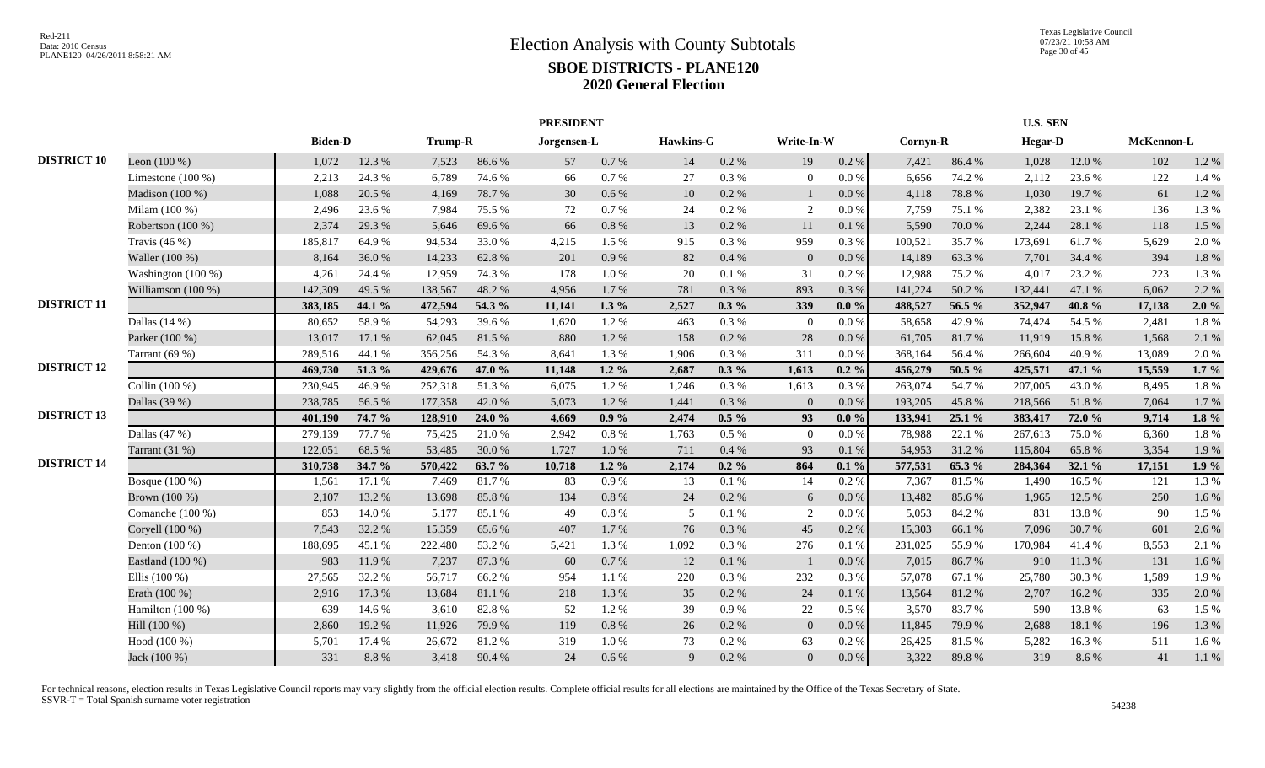|                    |                     |                |        |         |        | <b>PRESIDENT</b> |           |           |          |                |           |          |        | <b>U.S. SEN</b> |        |            |         |
|--------------------|---------------------|----------------|--------|---------|--------|------------------|-----------|-----------|----------|----------------|-----------|----------|--------|-----------------|--------|------------|---------|
|                    |                     | <b>Biden-D</b> |        | Trump-R |        | Jorgensen-L      |           | Hawkins-G |          | Write-In-W     |           | Cornyn-R |        | <b>Hegar-D</b>  |        | McKennon-L |         |
| <b>DISTRICT 10</b> | Leon $(100\%)$      | 1,072          | 12.3 % | 7,523   | 86.6%  | 57               | $0.7\,\%$ | 14        | 0.2 %    | 19             | $0.2~\%$  | 7,421    | 86.4%  | 1,028           | 12.0%  | 102        | 1.2%    |
|                    | Limestone $(100\%)$ | 2,213          | 24.3 % | 6,789   | 74.6 % | 66               | 0.7%      | 27        | 0.3 %    | $\overline{0}$ | $0.0\%$   | 6,656    | 74.2 % | 2,112           | 23.6 % | 122        | 1.4 %   |
|                    | Madison (100 %)     | 1,088          | 20.5 % | 4,169   | 78.7%  | 30               | 0.6 %     | 10        | 0.2 %    |                | 0.0 %     | 4,118    | 78.8%  | 1,030           | 19.7%  | 61         | 1.2%    |
|                    | Milam (100 %)       | 2,496          | 23.6 % | 7,984   | 75.5 % | 72               | 0.7%      | 24        | 0.2 %    | 2              | $0.0\%$   | 7,759    | 75.1 % | 2,382           | 23.1 % | 136        | 1.3%    |
|                    | Robertson (100 %)   | 2,374          | 29.3 % | 5,646   | 69.6%  | 66               | 0.8 %     | 13        | 0.2 %    | 11             | $0.1\ \%$ | 5,590    | 70.0%  | 2,244           | 28.1 % | 118        | 1.5 %   |
|                    | Travis $(46\%)$     | 185,817        | 64.9%  | 94,534  | 33.0%  | 4,215            | 1.5%      | 915       | 0.3%     | 959            | 0.3 %     | 100,521  | 35.7%  | 173,691         | 61.7%  | 5,629      | 2.0%    |
|                    | Waller (100 %)      | 8,164          | 36.0%  | 14,233  | 62.8%  | 201              | 0.9%      | 82        | 0.4 %    | $\overline{0}$ | $0.0\,\%$ | 14,189   | 63.3%  | 7,701           | 34.4 % | 394        | 1.8%    |
|                    | Washington (100 %)  | 4,261          | 24.4 % | 12,959  | 74.3 % | 178              | $1.0\,\%$ | 20        | 0.1 %    | 31             | 0.2 %     | 12,988   | 75.2 % | 4.017           | 23.2 % | 223        | 1.3%    |
|                    | Williamson (100 %)  | 142,309        | 49.5 % | 138,567 | 48.2%  | 4,956            | 1.7%      | 781       | 0.3%     | 893            | 0.3%      | 141,224  | 50.2%  | 132,441         | 47.1 % | 6,062      | 2.2 %   |
| <b>DISTRICT 11</b> |                     | 383,185        | 44.1 % | 472,594 | 54.3 % | 11,141           | $1.3\%$   | 2,527     | $0.3\%$  | 339            | $0.0\%$   | 488,527  | 56.5 % | 352,947         | 40.8%  | 17,138     | 2.0%    |
|                    | Dallas $(14%)$      | 80,652         | 58.9%  | 54,293  | 39.6%  | 1,620            | 1.2%      | 463       | 0.3%     | $\overline{0}$ | 0.0 %     | 58,658   | 42.9 % | 74,424          | 54.5 % | 2,481      | 1.8%    |
|                    | Parker (100 %)      | 13,017         | 17.1 % | 62,045  | 81.5%  | 880              | 1.2%      | 158       | 0.2 %    | 28             | 0.0 %     | 61,705   | 81.7%  | 11,919          | 15.8%  | 1,568      | 2.1 %   |
|                    | Tarrant (69 %)      | 289,516        | 44.1 % | 356,256 | 54.3 % | 8,641            | 1.3%      | 1,906     | 0.3%     | 311            | 0.0 %     | 368,164  | 56.4%  | 266,604         | 40.9%  | 13,089     | 2.0%    |
| <b>DISTRICT 12</b> |                     | 469,730        | 51.3 % | 429,676 | 47.0 % | 11,148           | $1.2\%$   | 2,687     | $0.3\%$  | 1,613          | $0.2 \%$  | 456,279  | 50.5 % | 425,571         | 47.1 % | 15,559     | $1.7\%$ |
|                    | Collin (100 %)      | 230,945        | 46.9%  | 252,318 | 51.3%  | 6,075            | 1.2%      | 1,246     | 0.3%     | 1,613          | 0.3%      | 263,074  | 54.7%  | 207,005         | 43.0%  | 8,495      | 1.8%    |
|                    | Dallas (39 %)       | 238,785        | 56.5%  | 177,358 | 42.0%  | 5,073            | 1.2%      | 1,441     | 0.3%     | $\Omega$       | 0.0 %     | 193,205  | 45.8%  | 218,566         | 51.8%  | 7,064      | 1.7%    |
| <b>DISTRICT 13</b> |                     | 401,190        | 74.7 % | 128,910 | 24.0 % | 4.669            | $0.9\%$   | 2,474     | $0.5\%$  | 93             | $0.0\%$   | 133,941  | 25.1 % | 383,417         | 72.0 % | 9,714      | $1.8\%$ |
|                    | Dallas (47 %)       | 279,139        | 77.7 % | 75,425  | 21.0%  | 2.942            | $0.8~\%$  | 1,763     | $0.5\%$  | $\Omega$       | 0.0 %     | 78,988   | 22.1 % | 267,613         | 75.0%  | 6,360      | 1.8%    |
|                    | Tarrant (31 %)      | 122,051        | 68.5%  | 53,485  | 30.0%  | 1,727            | 1.0%      | 711       | 0.4%     | 93             | 0.1%      | 54,953   | 31.2%  | 115,804         | 65.8%  | 3,354      | 1.9%    |
| <b>DISTRICT 14</b> |                     | 310,738        | 34.7 % | 570,422 | 63.7 % | 10.718           | $1.2\%$   | 2,174     | $0.2 \%$ | 864            | $0.1 \%$  | 577,531  | 65.3 % | 284,364         | 32.1 % | 17,151     | 1.9%    |
|                    | Bosque (100 %)      | 1,561          | 17.1 % | 7,469   | 81.7%  | 83               | 0.9%      | 13        | 0.1%     | 14             | 0.2 %     | 7,367    | 81.5%  | 1,490           | 16.5%  | 121        | 1.3%    |
|                    | Brown (100 %)       | 2,107          | 13.2 % | 13,698  | 85.8%  | 134              | 0.8%      | 24        | 0.2 %    | 6              | 0.0 %     | 13,482   | 85.6%  | 1,965           | 12.5 % | 250        | 1.6%    |
|                    | Comanche $(100\%)$  | 853            | 14.0 % | 5,177   | 85.1 % | 49               | 0.8%      | 5         | 0.1%     | $\overline{2}$ | 0.0 %     | 5,053    | 84.2 % | 831             | 13.8%  | 90         | 1.5 %   |
|                    | Coryell (100 %)     | 7,543          | 32.2 % | 15,359  | 65.6%  | 407              | 1.7%      | 76        | 0.3%     | 45             | 0.2 %     | 15,303   | 66.1%  | 7.096           | 30.7%  | 601        | 2.6 %   |
|                    | Denton $(100\%)$    | 188,695        | 45.1 % | 222,480 | 53.2%  | 5,421            | 1.3%      | 1,092     | 0.3%     | 276            | 0.1%      | 231,025  | 55.9%  | 170,984         | 41.4%  | 8,553      | 2.1 %   |
|                    | Eastland (100 %)    | 983            | 11.9%  | 7,237   | 87.3%  | 60               | $0.7\,\%$ | 12        | $0.1~\%$ |                | $0.0\,\%$ | 7,015    | 86.7%  | 910             | 11.3%  | 131        | 1.6%    |
|                    | Ellis $(100\%)$     | 27,565         | 32.2 % | 56,717  | 66.2%  | 954              | 1.1%      | 220       | 0.3 %    | 232            | $0.3~\%$  | 57,078   | 67.1 % | 25,780          | 30.3%  | 1,589      | 1.9%    |
|                    | Erath (100 %)       | 2,916          | 17.3 % | 13,684  | 81.1%  | 218              | 1.3%      | 35        | 0.2 %    | 24             | 0.1 %     | 13,564   | 81.2%  | 2,707           | 16.2%  | 335        | 2.0%    |
|                    | Hamilton (100 %)    | 639            | 14.6 % | 3,610   | 82.8%  | 52               | 1.2%      | 39        | 0.9 %    | 22             | $0.5\%$   | 3,570    | 83.7%  | 590             | 13.8%  | 63         | 1.5 %   |
|                    | Hill (100 %)        | 2,860          | 19.2%  | 11,926  | 79.9%  | 119              | $0.8\ \%$ | 26        | 0.2 %    | $\overline{0}$ | $0.0\,\%$ | 11,845   | 79.9%  | 2,688           | 18.1 % | 196        | 1.3 %   |
|                    | Hood (100 %)        | 5,701          | 17.4 % | 26,672  | 81.2%  | 319              | 1.0%      | 73        | 0.2 %    | 63             | $0.2~\%$  | 26,425   | 81.5%  | 5,282           | 16.3%  | 511        | 1.6%    |
|                    | Jack (100 %)        | 331            | 8.8%   | 3,418   | 90.4 % | 24               | 0.6 %     | 9         | 0.2 %    | $\Omega$       | $0.0\,\%$ | 3,322    | 89.8%  | 319             | 8.6%   | 41         | 1.1%    |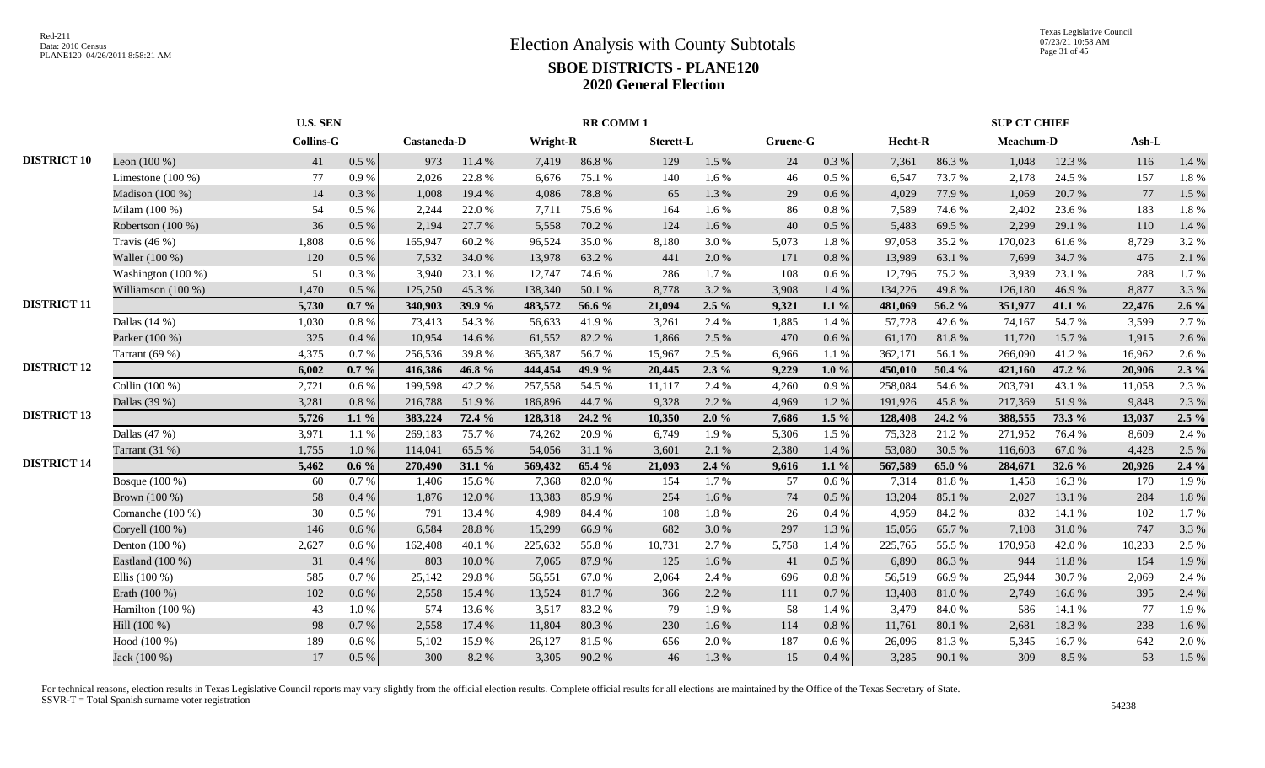|                    |                     |                  | <b>U.S. SEN</b> |             |        |          | <b>RR COMM1</b> |           |         |          |           |         |        | <b>SUP CT CHIEF</b> |        |        |         |
|--------------------|---------------------|------------------|-----------------|-------------|--------|----------|-----------------|-----------|---------|----------|-----------|---------|--------|---------------------|--------|--------|---------|
|                    |                     | <b>Collins-G</b> |                 | Castaneda-D |        | Wright-R |                 | Sterett-L |         | Gruene-G |           | Hecht-R |        | Meachum-D           |        | Ash-L  |         |
| <b>DISTRICT 10</b> | Leon $(100\%)$      | 41               | 0.5 %           | 973         | 11.4 % | 7,419    | 86.8%           | 129       | 1.5 %   | 24       | 0.3 %     | 7,361   | 86.3%  | 1,048               | 12.3 % | 116    | 1.4 %   |
|                    | Limestone $(100\%)$ | 77               | 0.9%            | 2,026       | 22.8%  | 6,676    | 75.1 %          | 140       | 1.6 %   | 46       | 0.5%      | 6,547   | 73.7 % | 2,178               | 24.5 % | 157    | 1.8%    |
|                    | Madison (100 %)     | 14               | 0.3%            | 1,008       | 19.4 % | 4,086    | 78.8%           | 65        | 1.3 %   | 29       | 0.6 %     | 4,029   | 77.9%  | 1,069               | 20.7%  | 77     | 1.5 %   |
|                    | Milam $(100\%)$     | 54               | $0.5\%$         | 2,244       | 22.0%  | 7,711    | 75.6 %          | 164       | $1.6\%$ | 86       | 0.8 %     | 7,589   | 74.6 % | 2,402               | 23.6 % | 183    | 1.8%    |
|                    | Robertson (100 %)   | 36               | $0.5\%$         | 2,194       | 27.7 % | 5,558    | 70.2%           | 124       | 1.6 %   | 40       | 0.5 %     | 5,483   | 69.5%  | 2,299               | 29.1 % | 110    | 1.4 %   |
|                    | Travis $(46\%)$     | 1,808            | $0.6\%$         | 165,947     | 60.2%  | 96,524   | 35.0%           | 8,180     | 3.0%    | 5,073    | 1.8%      | 97,058  | 35.2%  | 170,023             | 61.6%  | 8,729  | 3.2 %   |
|                    | Waller (100 %)      | 120              | 0.5%            | 7,532       | 34.0%  | 13.978   | 63.2%           | 441       | 2.0 %   | 171      | 0.8%      | 13,989  | 63.1 % | 7.699               | 34.7 % | 476    | 2.1%    |
|                    | Washington (100 %)  | 51               | 0.3%            | 3,940       | 23.1 % | 12,747   | 74.6%           | 286       | 1.7 %   | 108      | 0.6 %     | 12,796  | 75.2 % | 3,939               | 23.1 % | 288    | 1.7%    |
|                    | Williamson (100 %)  | 1,470            | 0.5 %           | 125,250     | 45.3%  | 138,340  | 50.1%           | 8,778     | 3.2%    | 3,908    | 1.4 %     | 134,226 | 49.8%  | 126,180             | 46.9%  | 8,877  | 3.3 %   |
| <b>DISTRICT 11</b> |                     | 5,730            | $0.7\%$         | 340,903     | 39.9 % | 483,572  | 56.6 %          | 21,094    | $2.5\%$ | 9,321    | $1.1\%$   | 481,069 | 56.2 % | 351,977             | 41.1 % | 22,476 | $2.6\%$ |
|                    | Dallas $(14%)$      | 1,030            | $0.8\%$         | 73,413      | 54.3 % | 56,633   | 41.9%           | 3,261     | 2.4 %   | 1,885    | 1.4 %     | 57,728  | 42.6%  | 74,167              | 54.7%  | 3,599  | 2.7 %   |
|                    | Parker (100 %)      | 325              | 0.4%            | 10,954      | 14.6 % | 61,552   | 82.2%           | 1,866     | 2.5 %   | 470      | $0.6\,\%$ | 61,170  | 81.8%  | 11,720              | 15.7%  | 1,915  | 2.6 %   |
|                    | Tarrant $(69%)$     | 4,375            | 0.7%            | 256,536     | 39.8%  | 365,387  | 56.7%           | 15,967    | 2.5 %   | 6,966    | 1.1 %     | 362,171 | 56.1 % | 266,090             | 41.2%  | 16,962 | 2.6 %   |
| <b>DISTRICT 12</b> |                     | 6,002            | $0.7\%$         | 416,386     | 46.8%  | 444,454  | 49.9 %          | 20,445    | $2.3\%$ | 9,229    | $1.0\%$   | 450,010 | 50.4 % | 421,160             | 47.2 % | 20,906 | $2.3\%$ |
|                    | Collin (100 %)      | 2,721            | $0.6\%$         | 199,598     | 42.2%  | 257,558  | 54.5 %          | 11,117    | 2.4 %   | 4,260    | 0.9%      | 258,084 | 54.6 % | 203,791             | 43.1 % | 11,058 | 2.3 %   |
|                    | Dallas (39 %)       | 3,281            | $0.8\%$         | 216,788     | 51.9%  | 186,896  | 44.7%           | 9,328     | 2.2 %   | 4,969    | 1.2%      | 191,926 | 45.8%  | 217,369             | 51.9%  | 9,848  | 2.3 %   |
| <b>DISTRICT 13</b> |                     | 5,726            | $1.1\%$         | 383,224     | 72.4 % | 128,318  | 24.2 %          | 10,350    | 2.0%    | 7,686    | $1.5\%$   | 128,408 | 24.2 % | 388,555             | 73.3 % | 13,037 | $2.5\%$ |
|                    | Dallas $(47%)$      | 3,971            | 1.1%            | 269,183     | 75.7%  | 74,262   | 20.9%           | 6,749     | 1.9%    | 5,306    | 1.5 %     | 75,328  | 21.2%  | 271,952             | 76.4%  | 8,609  | 2.4 %   |
|                    | Tarrant (31 %)      | 1,755            | 1.0%            | 114,041     | 65.5%  | 54,056   | 31.1 %          | 3,601     | 2.1 %   | 2,380    | 1.4 %     | 53,080  | 30.5 % | 116,603             | 67.0%  | 4,428  | 2.5 %   |
| <b>DISTRICT 14</b> |                     | 5,462            | $0.6\%$         | 270,490     | 31.1 % | 569,432  | 65.4 %          | 21,093    | $2.4\%$ | 9,616    | $1.1\%$   | 567,589 | 65.0%  | 284,671             | 32.6 % | 20,926 | 2.4%    |
|                    | Bosque (100 %)      | 60               | 0.7%            | 1,406       | 15.6%  | 7,368    | 82.0%           | 154       | 1.7%    | 57       | 0.6%      | 7,314   | 81.8%  | 1,458               | 16.3%  | 170    | 1.9%    |
|                    | Brown (100 %)       | 58               | 0.4%            | 1,876       | 12.0%  | 13,383   | 85.9%           | 254       | 1.6 %   | 74       | 0.5 %     | 13,204  | 85.1%  | 2,027               | 13.1 % | 284    | 1.8%    |
|                    | Comanche (100 %)    | 30               | 0.5 %           | 791         | 13.4 % | 4,989    | 84.4 %          | 108       | 1.8%    | 26       | 0.4 %     | 4,959   | 84.2%  | 832                 | 14.1 % | 102    | 1.7%    |
|                    | Coryell (100 %)     | 146              | 0.6 %           | 6,584       | 28.8%  | 15,299   | 66.9%           | 682       | 3.0%    | 297      | 1.3%      | 15,056  | 65.7%  | 7,108               | 31.0%  | 747    | 3.3 %   |
|                    | Denton (100 %)      | 2,627            | $0.6\%$         | 162,408     | 40.1 % | 225,632  | 55.8%           | 10,731    | 2.7 %   | 5,758    | 1.4 %     | 225,765 | 55.5 % | 170,958             | 42.0%  | 10,233 | 2.5 %   |
|                    | Eastland (100 %)    | 31               | 0.4%            | 803         | 10.0%  | 7,065    | 87.9%           | 125       | 1.6 %   | 41       | 0.5 %     | 6,890   | 86.3%  | 944                 | 11.8%  | 154    | 1.9%    |
|                    | Ellis $(100\%)$     | 585              | 0.7%            | 25,142      | 29.8%  | 56,551   | 67.0%           | 2,064     | 2.4 %   | 696      | $0.8 \%$  | 56,519  | 66.9%  | 25,944              | 30.7%  | 2,069  | 2.4 %   |
|                    | Erath (100 %)       | 102              | 0.6 %           | 2,558       | 15.4 % | 13,524   | 81.7%           | 366       | 2.2 %   | 111      | 0.7 %     | 13,408  | 81.0%  | 2,749               | 16.6%  | 395    | 2.4 %   |
|                    | Hamilton $(100\%)$  | 43               | 1.0%            | 574         | 13.6 % | 3.517    | 83.2%           | 79        | 1.9%    | 58       | 1.4 %     | 3,479   | 84.0%  | 586                 | 14.1 % | 77     | 1.9%    |
|                    | Hill (100 %)        | 98               | 0.7%            | 2,558       | 17.4 % | 11,804   | 80.3%           | 230       | 1.6 %   | 114      | 0.8%      | 11,761  | 80.1%  | 2.681               | 18.3%  | 238    | 1.6%    |
|                    | Hood (100 %)        | 189              | 0.6 %           | 5,102       | 15.9%  | 26,127   | 81.5%           | 656       | 2.0 %   | 187      | $0.6\,\%$ | 26,096  | 81.3%  | 5,345               | 16.7%  | 642    | 2.0%    |
|                    | Jack (100 %)        | 17               | $0.5\%$         | 300         | 8.2%   | 3,305    | 90.2%           | 46        | 1.3 %   | 15       | 0.4%      | 3,285   | 90.1 % | 309                 | 8.5 %  | 53     | 1.5 %   |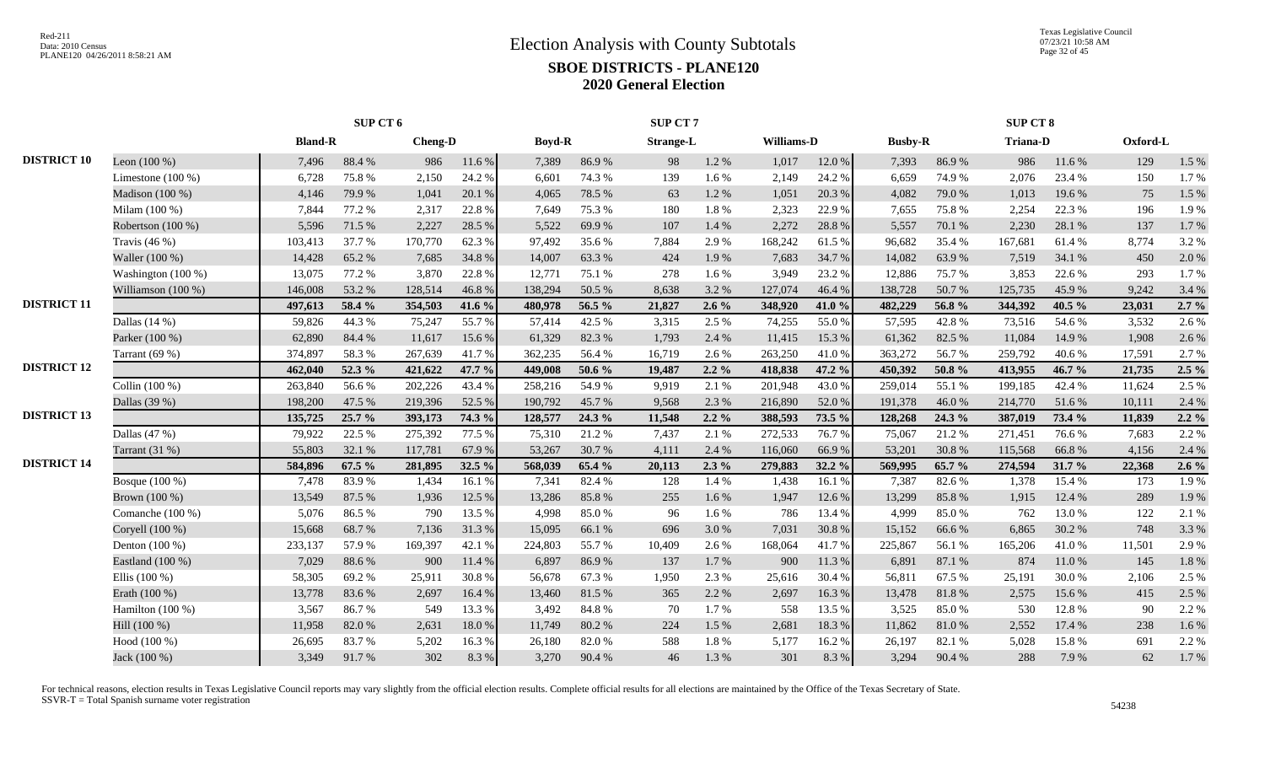|                    |                     |                | SUP CT 6 |                |        |               |        | SUP CT 7         |         |            |        |                |            | SUP CT 8        |        |          |         |
|--------------------|---------------------|----------------|----------|----------------|--------|---------------|--------|------------------|---------|------------|--------|----------------|------------|-----------------|--------|----------|---------|
|                    |                     | <b>Bland-R</b> |          | <b>Cheng-D</b> |        | <b>Boyd-R</b> |        | <b>Strange-L</b> |         | Williams-D |        | <b>Busby-R</b> |            | <b>Triana-D</b> |        | Oxford-L |         |
| <b>DISTRICT 10</b> | Leon $(100\%)$      | 7,496          | 88.4%    | 986            | 11.6 % | 7,389         | 86.9%  | 98               | 1.2 %   | 1,017      | 12.0%  | 7,393          | 86.9%      | 986             | 11.6 % | 129      | 1.5 %   |
|                    | Limestone $(100\%)$ | 6,728          | 75.8%    | 2,150          | 24.2 % | 6.601         | 74.3 % | 139              | 1.6%    | 2,149      | 24.2 % | 6,659          | 74.9%      | 2,076           | 23.4 % | 150      | 1.7%    |
|                    | Madison (100 %)     | 4,146          | 79.9%    | 1,041          | 20.1 % | 4.065         | 78.5 % | 63               | 1.2%    | 1,051      | 20.3 % | 4,082          | 79.0 %     | 1.013           | 19.6 % | 75       | 1.5 %   |
|                    | Milam (100 %)       | 7,844          | 77.2 %   | 2,317          | 22.8%  | 7,649         | 75.3 % | 180              | 1.8%    | 2,323      | 22.9%  | 7,655          | 75.8%      | 2,254           | 22.3 % | 196      | 1.9%    |
|                    | Robertson (100 %)   | 5,596          | 71.5 %   | 2,227          | 28.5 % | 5,522         | 69.9%  | 107              | 1.4 %   | 2,272      | 28.8 % | 5,557          | 70.1 %     | 2,230           | 28.1 % | 137      | 1.7%    |
|                    | Travis $(46\%)$     | 103,413        | 37.7 %   | 170,770        | 62.3%  | 97,492        | 35.6%  | 7,884            | 2.9%    | 168,242    | 61.5%  | 96,682         | 35.4 %     | 167,681         | 61.4%  | 8,774    | 3.2%    |
|                    | Waller (100 %)      | 14,428         | 65.2%    | 7,685          | 34.8%  | 14,007        | 63.3%  | 424              | 1.9 %   | 7,683      | 34.7 % | 14,082         | 63.9%      | 7,519           | 34.1 % | 450      | 2.0%    |
|                    | Washington (100 %)  | 13,075         | 77.2 %   | 3,870          | 22.8%  | 12,771        | 75.1 % | 278              | 1.6 %   | 3,949      | 23.2 % | 12,886         | 75.7%      | 3,853           | 22.6 % | 293      | 1.7%    |
|                    | Williamson (100 %)  | 146,008        | 53.2%    | 128,514        | 46.8%  | 138,294       | 50.5 % | 8,638            | 3.2 %   | 127,074    | 46.4%  | 138,728        | 50.7%      | 125,735         | 45.9%  | 9,242    | 3.4 %   |
| <b>DISTRICT 11</b> |                     | 497,613        | 58.4 %   | 354,503        | 41.6 % | 480,978       | 56.5 % | 21,827           | $2.6\%$ | 348,920    | 41.0%  | 482,229        | 56.8%      | 344,392         | 40.5 % | 23,031   | $2.7\%$ |
|                    | Dallas $(14%)$      | 59,826         | 44.3 %   | 75,247         | 55.7%  | 57,414        | 42.5 % | 3,315            | 2.5 %   | 74,255     | 55.0%  | 57,595         | 42.8%      | 73,516          | 54.6 % | 3,532    | 2.6%    |
|                    | Parker (100 %)      | 62,890         | 84.4 %   | 11,617         | 15.6%  | 61,329        | 82.3%  | 1,793            | 2.4 %   | 11,415     | 15.3 % | 61,362         | 82.5 %     | 11,084          | 14.9 % | 1,908    | 2.6%    |
|                    | Tarrant $(69%)$     | 374,897        | 58.3%    | 267,639        | 41.7%  | 362,235       | 56.4%  | 16,719           | 2.6 %   | 263,250    | 41.0%  | 363,272        | 56.7%      | 259,792         | 40.6%  | 17,591   | 2.7%    |
| <b>DISTRICT 12</b> |                     | 462,040        | 52.3 %   | 421,622        | 47.7 % | 449,008       | 50.6 % | 19,487           | $2.2\%$ | 418,838    | 47.2 % | 450,392        | 50.8%      | 413,955         | 46.7%  | 21,735   | $2.5\%$ |
|                    | Collin (100 %)      | 263,840        | 56.6%    | 202,226        | 43.4 % | 258,216       | 54.9%  | 9,919            | 2.1 %   | 201,948    | 43.0%  | 259,014        | 55.1 %     | 199,185         | 42.4 % | 11,624   | 2.5 %   |
|                    | Dallas (39 %)       | 198,200        | 47.5 %   | 219,396        | 52.5 % | 190,792       | 45.7%  | 9,568            | 2.3 %   | 216,890    | 52.0%  | 191,378        | 46.0%      | 214,770         | 51.6%  | 10,111   | 2.4 %   |
| <b>DISTRICT 13</b> |                     | 135,725        | 25.7 %   | 393,173        | 74.3 % | 128,577       | 24.3 % | 11,548           | $2.2\%$ | 388,593    | 73.5 % | 128,268        | 24.3 %     | 387,019         | 73.4 % | 11,839   | $2.2\%$ |
|                    | Dallas $(47%)$      | 79,922         | 22.5 %   | 275,392        | 77.5 % | 75,310        | 21.2%  | 7,437            | 2.1 %   | 272,533    | 76.7%  | 75,067         | 21.2%      | 271,451         | 76.6%  | 7,683    | 2.2 %   |
|                    | Tarrant (31 %)      | 55,803         | 32.1 %   | 117,781        | 67.9%  | 53,267        | 30.7%  | 4,111            | 2.4 %   | 116,060    | 66.9%  | 53,201         | 30.8%      | 115,568         | 66.8%  | 4,156    | 2.4 %   |
| <b>DISTRICT 14</b> |                     | 584,896        | 67.5 %   | 281,895        | 32.5 % | 568,039       | 65.4 % | 20,113           | $2.3\%$ | 279,883    | 32.2 % | 569,995        | 65.7 %     | 274,594         | 31.7 % | 22,368   | $2.6\%$ |
|                    | Bosque (100 %)      | 7,478          | 83.9%    | 1,434          | 16.1 % | 7.341         | 82.4%  | 128              | 1.4 %   | 1,438      | 16.1 % | 7,387          | 82.6%      | 1,378           | 15.4 % | 173      | 1.9%    |
|                    | Brown (100 %)       | 13,549         | 87.5 %   | 1,936          | 12.5 % | 13,286        | 85.8%  | 255              | 1.6 %   | 1,947      | 12.6 % | 13,299         | 85.8%      | 1,915           | 12.4 % | 289      | 1.9%    |
|                    | Comanche (100 %)    | 5,076          | 86.5%    | 790            | 13.5 % | 4,998         | 85.0%  | 96               | 1.6 %   | 786        | 13.4 % | 4,999          | 85.0%      | 762             | 13.0%  | 122      | 2.1 %   |
|                    | Coryell (100 %)     | 15,668         | 68.7%    | 7,136          | 31.3%  | 15,095        | 66.1%  | 696              | 3.0%    | 7,031      | 30.8%  | 15,152         | 66.6%      | 6,865           | 30.2%  | 748      | 3.3 %   |
|                    | Denton $(100\%)$    | 233,137        | 57.9%    | 169,397        | 42.1 % | 224,803       | 55.7%  | 10,409           | 2.6%    | 168,064    | 41.7%  | 225,867        | 56.1 %     | 165,206         | 41.0%  | 11,501   | 2.9%    |
|                    | Eastland (100 %)    | 7,029          | 88.6%    | 900            | 11.4 % | 6,897         | 86.9%  | 137              | 1.7%    | 900        | 11.3 % | 6,891          | 87.1 %     | 874             | 11.0%  | 145      | 1.8%    |
|                    | Ellis $(100\%)$     | 58,305         | 69.2%    | 25,911         | 30.8%  | 56,678        | 67.3%  | 1,950            | 2.3 %   | 25,616     | 30.4 % | 56,811         | 67.5 %     | 25,191          | 30.0%  | 2,106    | 2.5 %   |
|                    | Erath (100 %)       | 13,778         | 83.6%    | 2,697          | 16.4%  | 13,460        | 81.5%  | 365              | 2.2 %   | 2,697      | 16.3%  | 13,478         | $81.8\ \%$ | 2,575           | 15.6 % | 415      | 2.5 %   |
|                    | Hamilton $(100\%)$  | 3,567          | 86.7%    | 549            | 13.3 % | 3,492         | 84.8%  | 70               | 1.7%    | 558        | 13.5 % | 3,525          | 85.0%      | 530             | 12.8%  | 90       | 2.2 %   |
|                    | Hill (100 %)        | 11,958         | 82.0%    | 2,631          | 18.0%  | 11,749        | 80.2%  | 224              | 1.5 %   | 2,681      | 18.3%  | 11,862         | 81.0%      | 2,552           | 17.4 % | 238      | 1.6%    |
|                    | Hood (100 %)        | 26,695         | 83.7%    | 5,202          | 16.3%  | 26,180        | 82.0%  | 588              | 1.8%    | 5,177      | 16.2%  | 26,197         | 82.1 %     | 5,028           | 15.8%  | 691      | 2.2 %   |
|                    | Jack (100 %)        | 3,349          | 91.7%    | 302            | 8.3%   | 3,270         | 90.4%  | 46               | 1.3%    | 301        | 8.3%   | 3,294          | 90.4 %     | 288             | 7.9%   | 62       | 1.7%    |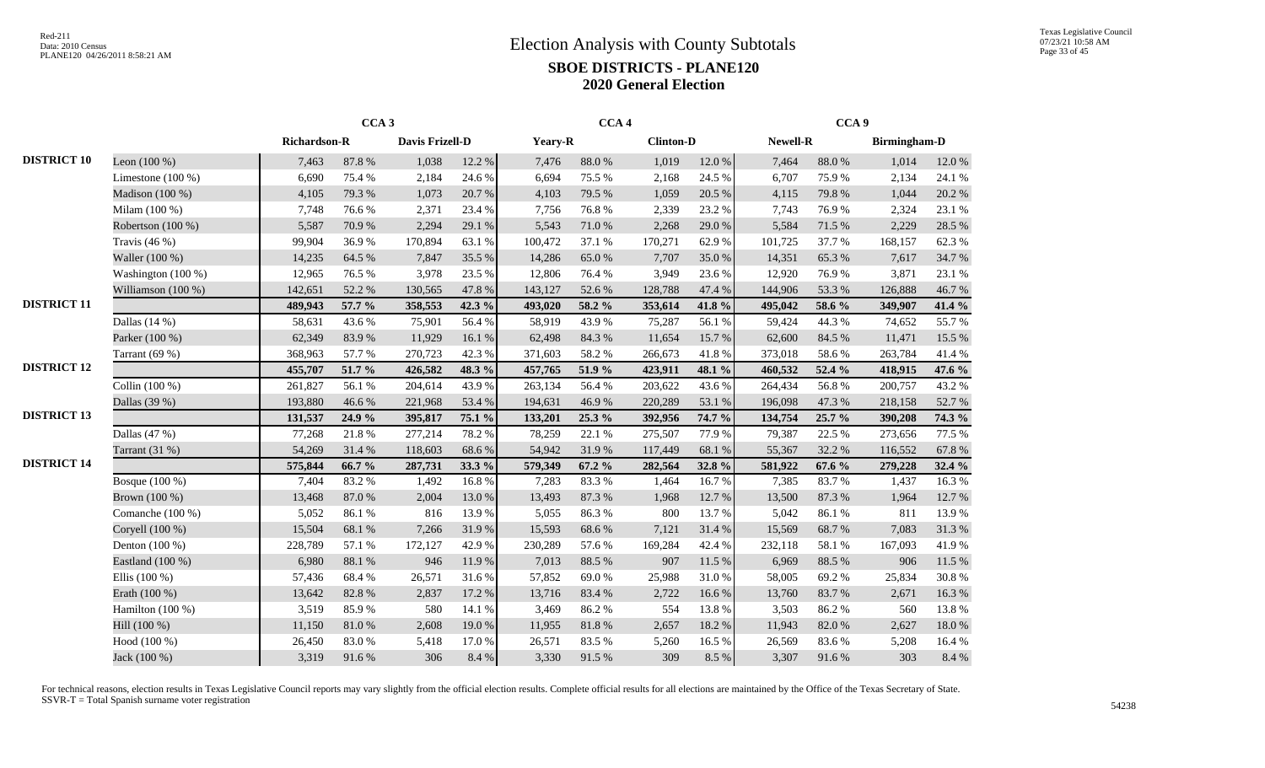|                    |                      |                     | CCA <sub>3</sub> |                 |        |         | CCA <sub>4</sub> |                  |            |                 | CCA <sub>9</sub> |                     |           |
|--------------------|----------------------|---------------------|------------------|-----------------|--------|---------|------------------|------------------|------------|-----------------|------------------|---------------------|-----------|
|                    |                      | <b>Richardson-R</b> |                  | Davis Frizell-D |        | Yeary-R |                  | <b>Clinton-D</b> |            | <b>Newell-R</b> |                  | <b>Birmingham-D</b> |           |
| <b>DISTRICT 10</b> | Leon $(100\%)$       | 7,463               | 87.8%            | 1,038           | 12.2 % | 7,476   | $88.0\ \%$       | 1,019            | $12.0\ \%$ | 7,464           | 88.0%            | 1,014               | 12.0%     |
|                    | Limestone $(100\%)$  | 6,690               | 75.4 %           | 2,184           | 24.6 % | 6,694   | 75.5 %           | 2,168            | 24.5 %     | 6,707           | 75.9%            | 2,134               | 24.1 %    |
|                    | Madison (100 %)      | 4,105               | 79.3%            | 1,073           | 20.7%  | 4,103   | 79.5 %           | 1,059            | 20.5 %     | 4,115           | 79.8%            | 1,044               | 20.2 %    |
|                    | Milam (100 %)        | 7,748               | 76.6%            | 2,371           | 23.4 % | 7,756   | 76.8%            | 2,339            | 23.2 %     | 7,743           | 76.9%            | 2,324               | 23.1 %    |
|                    | Robertson (100 %)    | 5,587               | 70.9%            | 2,294           | 29.1 % | 5,543   | $71.0\,\%$       | 2,268            | 29.0%      | 5,584           | 71.5 %           | 2,229               | 28.5 %    |
|                    | Travis $(46\%)$      | 99,904              | 36.9%            | 170,894         | 63.1 % | 100,472 | 37.1 %           | 170,271          | 62.9%      | 101,725         | 37.7 %           | 168,157             | 62.3%     |
|                    | Waller (100 %)       | 14,235              | 64.5 %           | 7,847           | 35.5 % | 14,286  | 65.0%            | 7,707            | 35.0%      | 14,351          | 65.3%            | 7,617               | 34.7%     |
|                    | Washington $(100\%)$ | 12,965              | 76.5 %           | 3,978           | 23.5 % | 12,806  | 76.4%            | 3,949            | 23.6 %     | 12,920          | 76.9%            | 3,871               | 23.1 %    |
|                    | Williamson (100 %)   | 142,651             | 52.2 %           | 130,565         | 47.8%  | 143,127 | 52.6%            | 128,788          | 47.4 %     | 144,906         | 53.3 %           | 126,888             | 46.7%     |
| <b>DISTRICT 11</b> |                      | 489,943             | 57.7 %           | 358,553         | 42.3 % | 493,020 | 58.2 %           | 353,614          | 41.8%      | 495,042         | 58.6 %           | 349,907             | 41.4 %    |
|                    | Dallas $(14%)$       | 58,631              | 43.6 %           | 75,901          | 56.4%  | 58,919  | 43.9%            | 75,287           | 56.1 %     | 59,424          | 44.3 %           | 74,652              | 55.7%     |
|                    | Parker (100 %)       | 62,349              | 83.9%            | 11,929          | 16.1 % | 62,498  | 84.3 %           | 11,654           | 15.7 %     | 62,600          | 84.5 %           | 11,471              | 15.5 %    |
|                    | Tarrant $(69%)$      | 368,963             | 57.7 %           | 270,723         | 42.3 % | 371,603 | 58.2%            | 266,673          | 41.8%      | 373,018         | 58.6%            | 263,784             | 41.4%     |
| <b>DISTRICT 12</b> |                      | 455,707             | 51.7 %           | 426,582         | 48.3 % | 457,765 | 51.9%            | 423,911          | 48.1 %     | 460,532         | 52.4 %           | 418,915             | 47.6 %    |
|                    | Collin (100 %)       | 261,827             | 56.1 %           | 204,614         | 43.9%  | 263,134 | 56.4 %           | 203,622          | 43.6%      | 264,434         | 56.8%            | 200,757             | 43.2%     |
|                    | Dallas (39 %)        | 193,880             | 46.6 %           | 221,968         | 53.4 % | 194,631 | 46.9%            | 220,289          | 53.1 %     | 196,098         | 47.3 %           | 218,158             | 52.7%     |
| <b>DISTRICT 13</b> |                      | 131,537             | 24.9 %           | 395,817         | 75.1 % | 133,201 | 25.3 %           | 392,956          | 74.7 %     | 134,754         | 25.7 %           | 390,208             | 74.3 %    |
|                    | Dallas $(47%)$       | 77,268              | 21.8%            | 277,214         | 78.2%  | 78,259  | 22.1 %           | 275,507          | 77.9 %     | 79,387          | 22.5 %           | 273,656             | 77.5 %    |
|                    | Tarrant $(31 \%)$    | 54,269              | 31.4 %           | 118,603         | 68.6%  | 54,942  | 31.9%            | 117,449          | 68.1 %     | 55,367          | 32.2 %           | 116,552             | 67.8%     |
| <b>DISTRICT 14</b> |                      | 575,844             | 66.7%            | 287,731         | 33.3 % | 579,349 | 67.2 %           | 282,564          | 32.8%      | 581,922         | 67.6 %           | 279,228             | 32.4 %    |
|                    | Bosque (100 %)       | 7,404               | 83.2%            | 1,492           | 16.8%  | 7,283   | 83.3%            | 1,464            | 16.7%      | 7,385           | 83.7%            | 1,437               | 16.3%     |
|                    | Brown (100 %)        | 13,468              | 87.0%            | 2,004           | 13.0%  | 13,493  | 87.3 %           | 1,968            | 12.7 %     | 13,500          | 87.3 %           | 1,964               | 12.7 %    |
|                    | Comanche (100 %)     | 5,052               | 86.1%            | 816             | 13.9%  | 5,055   | 86.3%            | 800              | 13.7 %     | 5,042           | 86.1%            | 811                 | 13.9%     |
|                    | Coryell (100 %)      | 15,504              | 68.1 %           | 7,266           | 31.9%  | 15,593  | 68.6%            | 7,121            | 31.4 %     | 15,569          | 68.7%            | 7,083               | 31.3%     |
|                    | Denton (100 %)       | 228,789             | 57.1 %           | 172,127         | 42.9%  | 230,289 | 57.6%            | 169,284          | 42.4 %     | 232,118         | 58.1 %           | 167,093             | 41.9%     |
|                    | Eastland (100 %)     | 6,980               | 88.1 %           | 946             | 11.9 % | 7,013   | 88.5%            | 907              | 11.5 %     | 6,969           | 88.5%            | 906                 | 11.5 %    |
|                    | Ellis $(100\%)$      | 57,436              | 68.4%            | 26,571          | 31.6%  | 57,852  | 69.0%            | 25,988           | 31.0%      | 58,005          | 69.2%            | 25,834              | 30.8%     |
|                    | Erath (100 %)        | 13,642              | 82.8%            | 2,837           | 17.2 % | 13,716  | 83.4%            | 2,722            | 16.6%      | 13,760          | 83.7%            | 2,671               | 16.3%     |
|                    | Hamilton (100 %)     | 3,519               | 85.9%            | 580             | 14.1 % | 3,469   | 86.2%            | 554              | 13.8%      | 3,503           | 86.2%            | 560                 | 13.8%     |
|                    | Hill (100 %)         | 11,150              | 81.0%            | 2,608           | 19.0%  | 11,955  | $81.8\ \%$       | 2,657            | 18.2%      | 11,943          | 82.0%            | 2,627               | $18.0~\%$ |
|                    | Hood (100 %)         | 26,450              | 83.0%            | 5,418           | 17.0%  | 26,571  | 83.5%            | 5,260            | 16.5 %     | 26,569          | 83.6%            | 5,208               | $16.4~\%$ |
|                    | Jack (100 %)         | 3,319               | 91.6%            | 306             | 8.4 %  | 3,330   | 91.5 %           | 309              | 8.5 %      | 3,307           | 91.6%            | 303                 | $8.4\ \%$ |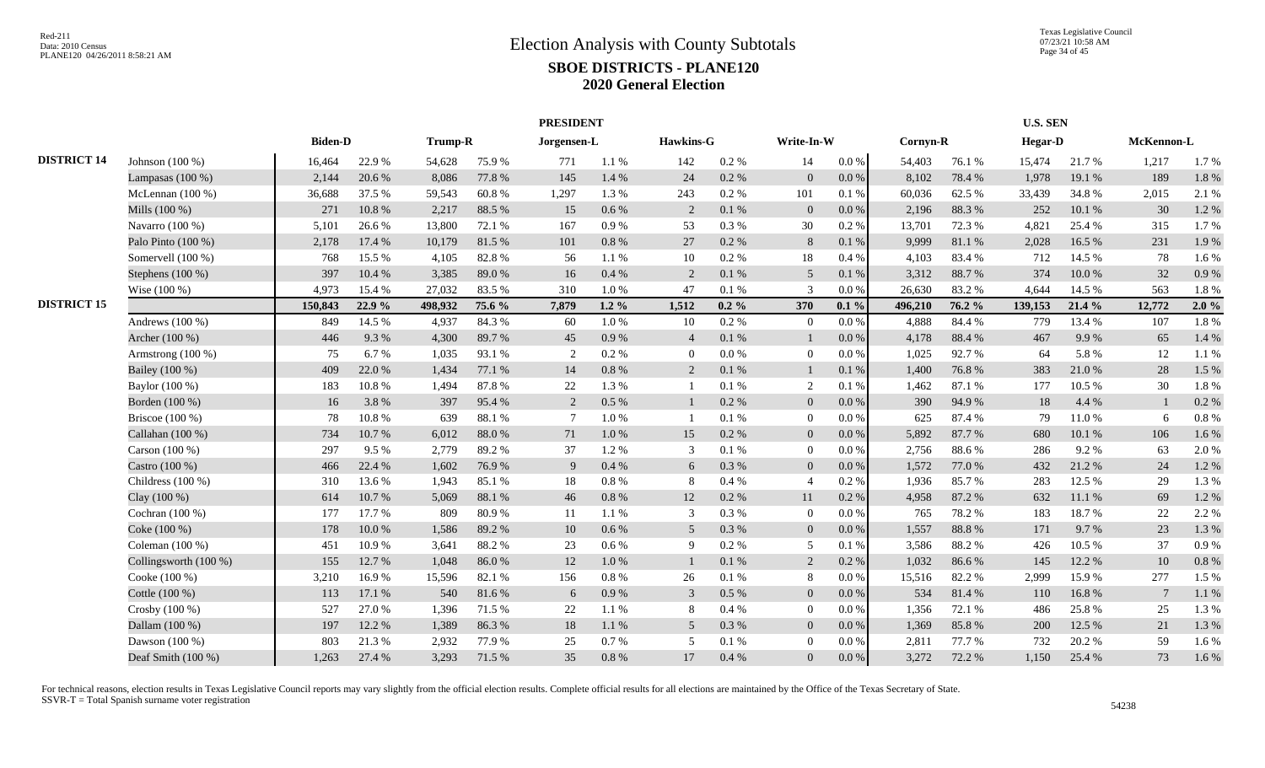|                    |                       |                |           |                |        | <b>PRESIDENT</b> |           |                |           |                |           |          |        | <b>U.S. SEN</b> |        |                 |       |
|--------------------|-----------------------|----------------|-----------|----------------|--------|------------------|-----------|----------------|-----------|----------------|-----------|----------|--------|-----------------|--------|-----------------|-------|
|                    |                       | <b>Biden-D</b> |           | <b>Trump-R</b> |        | Jorgensen-L      |           | Hawkins-G      |           | Write-In-W     |           | Cornyn-R |        | <b>Hegar-D</b>  |        | McKennon-L      |       |
| <b>DISTRICT 14</b> | Johnson (100 %)       | 16,464         | 22.9%     | 54,628         | 75.9%  | 771              | 1.1%      | 142            | $0.2~\%$  | 14             | $0.0\,\%$ | 54,403   | 76.1 % | 15,474          | 21.7%  | 1,217           | 1.7%  |
|                    | Lampasas $(100\%)$    | 2,144          | 20.6 %    | 8,086          | 77.8 % | 145              | 1.4 %     | 24             | $0.2~\%$  | $\overline{0}$ | $0.0\,\%$ | 8,102    | 78.4 % | 1,978           | 19.1 % | 189             | 1.8%  |
|                    | McLennan $(100\%)$    | 36,688         | 37.5 %    | 59,543         | 60.8%  | 1,297            | 1.3%      | 243            | $0.2~\%$  | 101            | 0.1%      | 60,036   | 62.5 % | 33,439          | 34.8%  | 2,015           | 2.1 % |
|                    | Mills (100 %)         | 271            | $10.8~\%$ | 2,217          | 88.5 % | 15               | $0.6\%$   | 2              | $0.1\ \%$ | $\overline{0}$ | 0.0 %     | 2,196    | 88.3%  | 252             | 10.1 % | 30              | 1.2 % |
|                    | Navarro (100 %)       | 5,101          | 26.6%     | 13,800         | 72.1 % | 167              | 0.9%      | 53             | 0.3 %     | 30             | $0.2~\%$  | 13,701   | 72.3 % | 4,821           | 25.4 % | 315             | 1.7%  |
|                    | Palo Pinto (100 %)    | 2,178          | 17.4 %    | 10,179         | 81.5%  | 101              | $0.8\ \%$ | 27             | $0.2~\%$  | 8              | 0.1%      | 9,999    | 81.1 % | 2,028           | 16.5 % | 231             | 1.9%  |
|                    | Somervell (100 %)     | 768            | 15.5 %    | 4,105          | 82.8%  | 56               | 1.1%      | 10             | $0.2~\%$  | 18             | 0.4%      | 4,103    | 83.4%  | 712             | 14.5 % | 78              | 1.6%  |
|                    | Stephens (100 %)      | 397            | 10.4 %    | 3,385          | 89.0%  | 16               | 0.4%      | 2              | 0.1 %     | 5              | $0.1\ \%$ | 3,312    | 88.7%  | 374             | 10.0%  | 32              | 0.9 % |
|                    | Wise (100 %)          | 4,973          | 15.4 %    | 27,032         | 83.5%  | 310              | 1.0%      | 47             | $0.1\ \%$ | $\mathcal{R}$  | 0.0 %     | 26,630   | 83.2%  | 4,644           | 14.5 % | 563             | 1.8%  |
| <b>DISTRICT 15</b> |                       | 150,843        | 22.9%     | 498,932        | 75.6 % | 7,879            | 1.2 $%$   | 1,512          | $0.2 \%$  | 370            | $0.1\%$   | 496,210  | 76.2 % | 139,153         | 21.4 % | 12,772          | 2.0%  |
|                    | Andrews $(100\%)$     | 849            | 14.5 %    | 4,937          | 84.3%  | 60               | $1.0\%$   | 10             | 0.2 %     | $\theta$       | 0.0 %     | 4,888    | 84.4 % | 779             | 13.4 % | 107             | 1.8%  |
|                    | Archer (100 %)        | 446            | 9.3%      | 4,300          | 89.7%  | 45               | 0.9%      | $\overline{4}$ | 0.1 %     |                | 0.0 %     | 4,178    | 88.4 % | 467             | 9.9%   | 65              | 1.4 % |
|                    | Armstrong $(100\%)$   | 75             | 6.7%      | 1,035          | 93.1 % | $\mathcal{L}$    | 0.2 %     | $\overline{0}$ | 0.0 %     | $\overline{0}$ | 0.0 %     | 1,025    | 92.7%  | 64              | 5.8%   | 12              | 1.1%  |
|                    | Bailey (100 %)        | 409            | 22.0%     | 1,434          | 77.1 % | 14               | $0.8\ \%$ | 2              | 0.1 %     |                | 0.1%      | 1,400    | 76.8%  | 383             | 21.0%  | 28              | 1.5 % |
|                    | Baylor (100 %)        | 183            | 10.8%     | 1,494          | 87.8%  | 22               | 1.3%      | $\overline{1}$ | 0.1%      | 2              | 0.1%      | 1,462    | 87.1 % | 177             | 10.5 % | 30              | 1.8%  |
|                    | Borden (100 %)        | 16             | 3.8%      | 397            | 95.4%  | 2                | $0.5\%$   |                | 0.2 %     | $\overline{0}$ | 0.0 %     | 390      | 94.9%  | 18              | 4.4 %  |                 | 0.2 % |
|                    | Briscoe $(100\%)$     | 78             | 10.8%     | 639            | 88.1 % |                  | $1.0\%$   |                | 0.1%      | $\overline{0}$ | 0.0 %     | 625      | 87.4 % | 79              | 11.0%  | 6               | 0.8%  |
|                    | Callahan (100 %)      | 734            | 10.7%     | 6,012          | 88.0%  | 71               | 1.0%      | 15             | 0.2 %     | $\overline{0}$ | 0.0 %     | 5,892    | 87.7%  | 680             | 10.1 % | 106             | 1.6%  |
|                    | Carson $(100\%)$      | 297            | 9.5%      | 2,779          | 89.2%  | 37               | 1.2%      | 3              | 0.1%      | $\Omega$       | $0.0\%$   | 2,756    | 88.6%  | 286             | 9.2%   | 63              | 2.0%  |
|                    | Castro (100 %)        | 466            | 22.4 %    | 1,602          | 76.9%  | $\mathbf{Q}$     | $0.4\%$   | 6              | 0.3%      | $\Omega$       | 0.0 %     | 1,572    | 77.0 % | 432             | 21.2 % | 24              | 1.2%  |
|                    | Childress $(100\%)$   | 310            | 13.6%     | 1,943          | 85.1 % | 18               | $0.8 \%$  | 8              | 0.4%      | $\overline{4}$ | 0.2%      | 1,936    | 85.7%  | 283             | 12.5 % | 29              | 1.3%  |
|                    | Clay (100 %)          | 614            | 10.7%     | 5,069          | 88.1%  | 46               | $0.8\ \%$ | 12             | 0.2 %     | 11             | 0.2%      | 4,958    | 87.2%  | 632             | 11.1 % | 69              | 1.2%  |
|                    | Cochran $(100\%)$     | 177            | 17.7 %    | 809            | 80.9%  | -11              | 1.1%      | 3              | 0.3%      | $\overline{0}$ | 0.0 %     | 765      | 78.2 % | 183             | 18.7%  | 22              | 2.2 % |
|                    | Coke (100 %)          | 178            | 10.0 %    | 1,586          | 89.2%  | 10               | 0.6 %     | 5              | 0.3 %     | $\overline{0}$ | $0.0\%$   | 1,557    | 88.8%  | 171             | 9.7%   | 23              | 1.3%  |
|                    | Coleman (100 %)       | 451            | 10.9%     | 3,641          | 88.2%  | 23               | 0.6 %     | 9              | 0.2 %     | 5              | 0.1%      | 3,586    | 88.2%  | 426             | 10.5 % | 37              | 0.9%  |
|                    | Collingsworth (100 %) | 155            | 12.7%     | 1,048          | 86.0%  | 12               | $1.0\,\%$ | $\mathbf{1}$   | $0.1\ \%$ | 2              | 0.2 %     | 1,032    | 86.6%  | 145             | 12.2 % | $10\,$          | 0.8%  |
|                    | Cooke (100 %)         | 3,210          | 16.9%     | 15,596         | 82.1 % | 156              | $0.8\ \%$ | 26             | 0.1%      | 8              | $0.0\ \%$ | 15,516   | 82.2%  | 2,999           | 15.9%  | 277             | 1.5 % |
|                    | Cottle (100 %)        | 113            | 17.1 %    | 540            | 81.6%  | 6                | 0.9%      | 3              | $0.5\%$   | $\overline{0}$ | 0.0 %     | 534      | 81.4%  | 110             | 16.8%  | $7\phantom{.0}$ | 1.1%  |
|                    | Crosby (100 %)        | 527            | 27.0%     | 1,396          | 71.5 % | 22               | 1.1%      | 8              | 0.4%      | $\overline{0}$ | $0.0\,\%$ | 1,356    | 72.1 % | 486             | 25.8%  | 25              | 1.3%  |
|                    | Dallam (100 %)        | 197            | 12.2 %    | 1,389          | 86.3%  | 18               | $1.1\ \%$ | 5 <sup>5</sup> | 0.3%      | $\overline{0}$ | 0.0 %     | 1,369    | 85.8%  | 200             | 12.5 % | 21              | 1.3 % |
|                    | Dawson (100 %)        | 803            | 21.3%     | 2,932          | 77.9%  | 25               | 0.7 %     | 5              | 0.1%      | $\Omega$       | 0.0 %     | 2,811    | 77.7 % | 732             | 20.2 % | 59              | 1.6%  |
|                    | Deaf Smith (100 %)    | 1,263          | 27.4 %    | 3,293          | 71.5 % | 35               | $0.8\ \%$ | 17             | 0.4%      | $\Omega$       | $0.0\,\%$ | 3,272    | 72.2 % | 1,150           | 25.4 % | 73              | 1.6%  |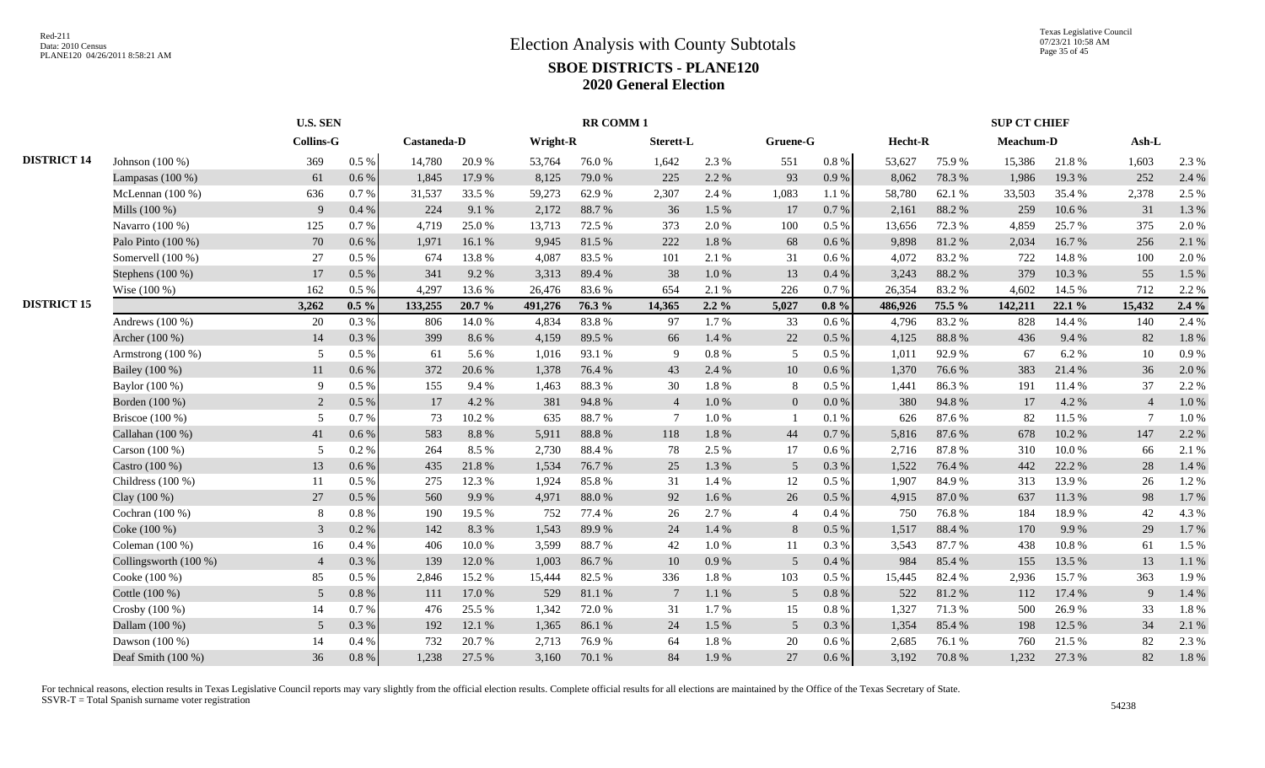|                    |                       |                  | <b>U.S. SEN</b> |             |        |          | <b>RR COMM1</b> |                |          |                 |           |         |        | <b>SUP CT CHIEF</b> |        |                |         |
|--------------------|-----------------------|------------------|-----------------|-------------|--------|----------|-----------------|----------------|----------|-----------------|-----------|---------|--------|---------------------|--------|----------------|---------|
|                    |                       | <b>Collins-G</b> |                 | Castaneda-D |        | Wright-R |                 | Sterett-L      |          | Gruene-G        |           | Hecht-R |        | Meachum-D           |        | $Ash-L$        |         |
| <b>DISTRICT 14</b> | Johnson $(100\%)$     | 369              | $0.5\%$         | 14,780      | 20.9%  | 53,764   | 76.0%           | 1,642          | 2.3 %    | 551             | $0.8 \%$  | 53,627  | 75.9%  | 15,386              | 21.8%  | 1,603          | 2.3 %   |
|                    | Lampasas $(100\%)$    | 61               | $0.6\%$         | 1,845       | 17.9 % | 8,125    | 79.0%           | 225            | 2.2 %    | 93              | 0.9%      | 8,062   | 78.3%  | 1,986               | 19.3%  | 252            | 2.4 %   |
|                    | McLennan $(100\%)$    | 636              | 0.7%            | 31,537      | 33.5 % | 59,273   | 62.9%           | 2,307          | 2.4 %    | 1,083           | 1.1 %     | 58,780  | 62.1 % | 33,503              | 35.4%  | 2,378          | 2.5 %   |
|                    | Mills (100 %)         | 9                | 0.4%            | 224         | 9.1 %  | 2,172    | 88.7%           | 36             | 1.5 %    | 17              | 0.7 %     | 2,161   | 88.2%  | 259                 | 10.6%  | 31             | 1.3 %   |
|                    | Navarro (100 %)       | 125              | 0.7%            | 4,719       | 25.0%  | 13,713   | 72.5 %          | 373            | 2.0%     | 100             | $0.5\%$   | 13,656  | 72.3 % | 4,859               | 25.7%  | 375            | 2.0%    |
|                    | Palo Pinto (100 %)    | 70               | $0.6\%$         | 1,971       | 16.1 % | 9.945    | 81.5%           | 222            | 1.8%     | 68              | 0.6 %     | 9,898   | 81.2%  | 2,034               | 16.7%  | 256            | 2.1 %   |
|                    | Somervell (100 %)     | 27               | 0.5 %           | 674         | 13.8%  | 4.087    | 83.5 %          | 101            | 2.1 %    | 31              | $0.6\%$   | 4,072   | 83.2%  | 722                 | 14.8%  | 100            | 2.0 %   |
|                    | Stephens (100 %)      | 17               | 0.5%            | 341         | 9.2%   | 3,313    | 89.4%           | 38             | 1.0%     | 13              | 0.4%      | 3,243   | 88.2%  | 379                 | 10.3%  | 55             | 1.5 %   |
|                    | Wise (100 %)          | 162              | $0.5\%$         | 4.297       | 13.6 % | 26,476   | 83.6 %          | 654            | 2.1 %    | 226             | 0.7%      | 26,354  | 83.2%  | 4.602               | 14.5 % | 712            | 2.2 %   |
| <b>DISTRICT 15</b> |                       | 3,262            | $0.5\%$         | 133,255     | 20.7%  | 491,276  | 76.3 %          | 14,365         | $2.2\%$  | 5,027           | $0.8 \%$  | 486,926 | 75.5 % | 142,211             | 22.1 % | 15,432         | $2.4\%$ |
|                    | Andrews $(100\%)$     | 20               | 0.3%            | 806         | 14.0%  | 4,834    | 83.8%           | 97             | 1.7%     | 33              | 0.6 %     | 4,796   | 83.2%  | 828                 | 14.4 % | 140            | 2.4 %   |
|                    | Archer (100 %)        | 14               | 0.3%            | 399         | 8.6%   | 4,159    | 89.5 %          | 66             | 1.4 %    | 22              | 0.5 %     | 4,125   | 88.8%  | 436                 | 9.4 %  | 82             | 1.8%    |
|                    | Armstrong (100 %)     | 5                | 0.5 %           | 61          | 5.6%   | 1,016    | 93.1 %          | 9              | $0.8~\%$ | 5               | 0.5%      | 1,011   | 92.9%  | 67                  | 6.2%   | 10             | 0.9%    |
|                    | Bailey (100 %)        | 11               | $0.6\%$         | 372         | 20.6%  | 1,378    | 76.4%           | 43             | 2.4 %    | 10              | 0.6 %     | 1,370   | 76.6%  | 383                 | 21.4%  | 36             | 2.0 %   |
|                    | Baylor (100 %)        | 9                | 0.5%            | 155         | 9.4%   | 1,463    | 88.3%           | 30             | 1.8%     | 8               | $0.5\%$   | 1,441   | 86.3%  | 191                 | 11.4 % | 37             | 2.2 %   |
|                    | Borden (100 %)        | 2                | 0.5%            | 17          | 4.2 %  | 381      | 94.8%           | $\overline{4}$ | 1.0%     | $\overline{0}$  | $0.0\,\%$ | 380     | 94.8%  | 17                  | 4.2 %  | $\overline{4}$ | 1.0%    |
|                    | Briscoe $(100\%)$     | 5                | 0.7%            | 73          | 10.2%  | 635      | 88.7%           | $\overline{7}$ | 1.0%     |                 | 0.1%      | 626     | 87.6%  | 82                  | 11.5 % | $\overline{7}$ | 1.0%    |
|                    | Callahan (100 %)      | 41               | 0.6%            | 583         | 8.8%   | 5.911    | 88.8%           | 118            | 1.8%     | 44              | 0.7%      | 5,816   | 87.6%  | 678                 | 10.2%  | 147            | 2.2 %   |
|                    | Carson (100 %)        | 5                | 0.2 %           | 264         | 8.5 %  | 2,730    | 88.4%           | 78             | 2.5 %    | 17              | 0.6 %     | 2,716   | 87.8%  | 310                 | 10.0%  | 66             | 2.1 %   |
|                    | Castro (100 %)        | 13               | 0.6%            | 435         | 21.8%  | 1,534    | 76.7%           | 25             | 1.3%     | 5 <sup>5</sup>  | 0.3%      | 1,522   | 76.4%  | 442                 | 22.2 % | 28             | 1.4 %   |
|                    | Childress $(100\%)$   | 11               | 0.5 %           | 275         | 12.3 % | 1,924    | 85.8%           | 31             | 1.4 %    | 12              | 0.5 %     | 1,907   | 84.9%  | 313                 | 13.9%  | 26             | 1.2%    |
|                    | Clay (100 %)          | 27               | $0.5\%$         | 560         | 9.9%   | 4,971    | 88.0%           | 92             | 1.6%     | 26              | $0.5\%$   | 4,915   | 87.0%  | 637                 | 11.3%  | 98             | 1.7%    |
|                    | Cochran $(100\%)$     | 8                | 0.8%            | 190         | 19.5 % | 752      | 77.4 %          | 26             | 2.7%     | $\overline{4}$  | 0.4%      | 750     | 76.8%  | 184                 | 18.9%  | 42             | 4.3 %   |
|                    | Coke (100 %)          | $\mathfrak{Z}$   | 0.2 %           | 142         | 8.3%   | 1,543    | 89.9%           | 24             | 1.4 %    | 8               | $0.5\%$   | 1,517   | 88.4%  | 170                 | 9.9%   | 29             | 1.7%    |
|                    | Coleman (100 %)       | 16               | 0.4%            | 406         | 10.0%  | 3,599    | 88.7%           | 42             | 1.0%     | 11              | 0.3%      | 3,543   | 87.7%  | 438                 | 10.8%  | 61             | 1.5 %   |
|                    | Collingsworth (100 %) | $\overline{4}$   | 0.3%            | 139         | 12.0 % | 1,003    | 86.7%           | 10             | 0.9%     | $5\overline{)}$ | 0.4%      | 984     | 85.4%  | 155                 | 13.5 % | 13             | 1.1 %   |
|                    | Cooke (100 %)         | 85               | 0.5 %           | 2,846       | 15.2 % | 15,444   | 82.5 %          | 336            | 1.8%     | 103             | 0.5%      | 15,445  | 82.4 % | 2,936               | 15.7 % | 363            | 1.9%    |
|                    | Cottle (100 %)        | 5                | 0.8%            | 111         | 17.0%  | 529      | 81.1%           | 7              | 1.1%     | 5 <sup>5</sup>  | 0.8 %     | 522     | 81.2%  | 112                 | 17.4 % | 9              | 1.4 %   |
|                    | Crosby $(100\%)$      | 14               | 0.7%            | 476         | 25.5 % | 1.342    | 72.0 %          | 31             | 1.7%     | 15              | $0.8\%$   | 1,327   | 71.3%  | 500                 | 26.9%  | 33             | 1.8%    |
|                    | Dallam (100 %)        | $\mathfrak{S}$   | 0.3%            | 192         | 12.1 % | 1,365    | 86.1%           | 24             | 1.5 %    | 5 <sup>5</sup>  | 0.3%      | 1,354   | 85.4%  | 198                 | 12.5 % | 34             | 2.1 %   |
|                    | Dawson $(100\%)$      | 14               | 0.4 %           | 732         | 20.7%  | 2,713    | 76.9%           | 64             | 1.8%     | 20              | $0.6\,\%$ | 2,685   | 76.1 % | 760                 | 21.5 % | 82             | 2.3 %   |
|                    | Deaf Smith (100 %)    | 36               | 0.8%            | 1,238       | 27.5 % | 3,160    | 70.1 %          | 84             | 1.9%     | 27              | $0.6\%$   | 3,192   | 70.8%  | 1,232               | 27.3 % | 82             | 1.8%    |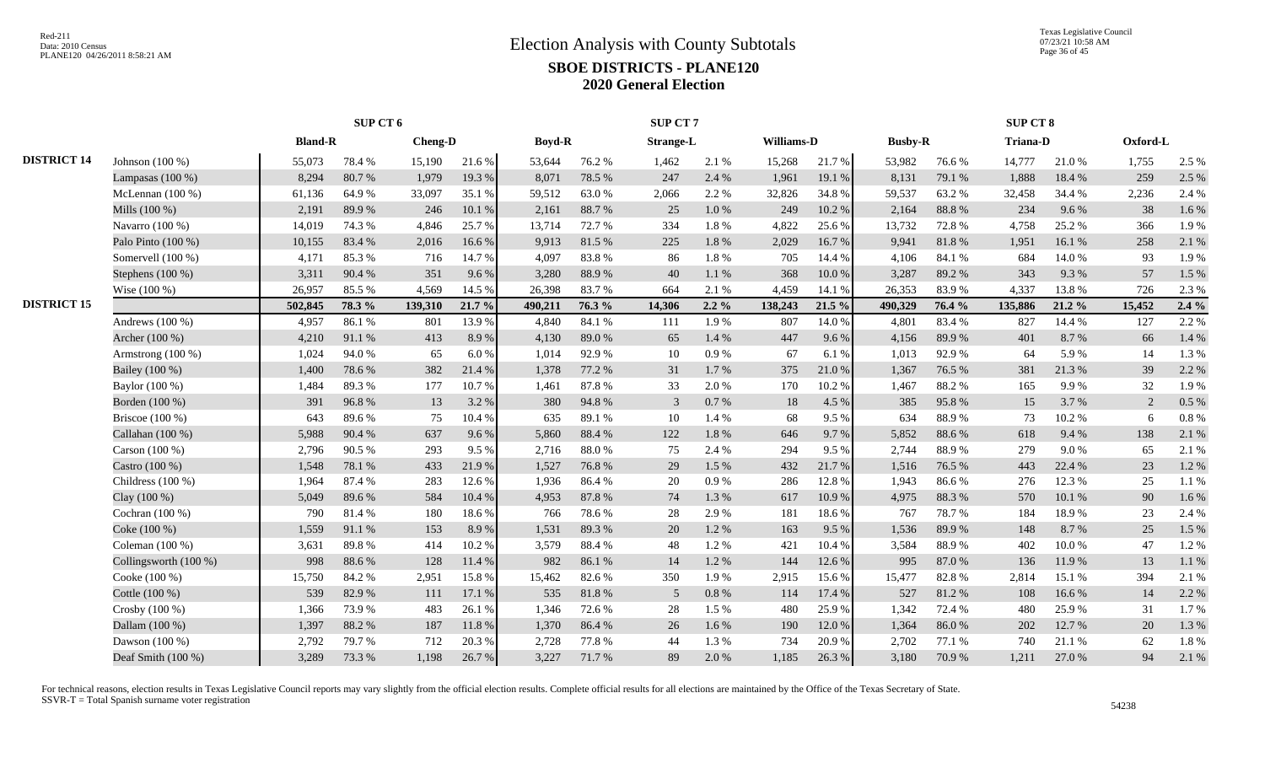|                    |                       |                | SUP CT 6 |                |        |               |        | SUP CT 7         |           |            |        |                |        | SUP CT 8        |        |          |         |
|--------------------|-----------------------|----------------|----------|----------------|--------|---------------|--------|------------------|-----------|------------|--------|----------------|--------|-----------------|--------|----------|---------|
|                    |                       | <b>Bland-R</b> |          | <b>Cheng-D</b> |        | <b>Boyd-R</b> |        | <b>Strange-L</b> |           | Williams-D |        | <b>Busby-R</b> |        | <b>Triana-D</b> |        | Oxford-L |         |
| <b>DISTRICT 14</b> | Johnson $(100\%)$     | 55,073         | 78.4%    | 15,190         | 21.6%  | 53,644        | 76.2%  | 1,462            | 2.1 %     | 15,268     | 21.7%  | 53,982         | 76.6%  | 14,777          | 21.0%  | 1,755    | 2.5 %   |
|                    | Lampasas $(100\%)$    | 8,294          | 80.7%    | 1,979          | 19.3%  | 8,071         | 78.5 % | 247              | 2.4 %     | 1,961      | 19.1 % | 8,131          | 79.1 % | 1,888           | 18.4%  | 259      | 2.5 %   |
|                    | McLennan $(100\%)$    | 61,136         | 64.9%    | 33,097         | 35.1 % | 59,512        | 63.0%  | 2,066            | 2.2 %     | 32,826     | 34.8%  | 59,537         | 63.2%  | 32,458          | 34.4 % | 2,236    | 2.4 %   |
|                    | Mills (100 %)         | 2,191          | 89.9%    | 246            | 10.1%  | 2,161         | 88.7%  | 25               | $1.0\ \%$ | 249        | 10.2%  | 2,164          | 88.8 % | 234             | 9.6%   | 38       | 1.6%    |
|                    | Navarro $(100\%)$     | 14,019         | 74.3 %   | 4,846          | 25.7%  | 13,714        | 72.7 % | 334              | 1.8%      | 4,822      | 25.6 % | 13,732         | 72.8%  | 4,758           | 25.2 % | 366      | 1.9%    |
|                    | Palo Pinto (100 %)    | 10,155         | 83.4%    | 2,016          | 16.6%  | 9,913         | 81.5%  | 225              | 1.8 %     | 2,029      | 16.7%  | 9,941          | 81.8%  | 1,951           | 16.1%  | 258      | 2.1 %   |
|                    | Somervell (100 %)     | 4,171          | 85.3%    | 716            | 14.7%  | 4.097         | 83.8%  | 86               | 1.8%      | 705        | 14.4 % | 4,106          | 84.1 % | 684             | 14.0%  | 93       | 1.9%    |
|                    | Stephens (100 %)      | 3,311          | 90.4%    | 351            | 9.6 %  | 3,280         | 88.9%  | 40               | 1.1%      | 368        | 10.0%  | 3,287          | 89.2%  | 343             | 9.3%   | 57       | 1.5 %   |
|                    | Wise $(100\%)$        | 26,957         | 85.5%    | 4,569          | 14.5 % | 26,398        | 83.7%  | 664              | 2.1 %     | 4,459      | 14.1 % | 26,353         | 83.9%  | 4,337           | 13.8%  | 726      | 2.3 %   |
| <b>DISTRICT 15</b> |                       | 502,845        | 78.3%    | 139,310        | 21.7 % | 490,211       | 76.3 % | 14,306           | $2.2\%$   | 138,243    | 21.5 % | 490,329        | 76.4 % | 135,886         | 21.2%  | 15,452   | $2.4\%$ |
|                    | Andrews $(100\%)$     | 4,957          | 86.1%    | 801            | 13.9%  | 4.840         | 84.1 % | 111              | 1.9%      | 807        | 14.0%  | 4,801          | 83.4%  | 827             | 14.4 % | 127      | 2.2 %   |
|                    | Archer (100 %)        | 4,210          | 91.1%    | 413            | 8.9%   | 4,130         | 89.0%  | 65               | 1.4 %     | 447        | 9.6%   | 4,156          | 89.9%  | 401             | 8.7%   | 66       | 1.4 %   |
|                    | Armstrong $(100\%)$   | 1,024          | 94.0%    | 65             | 6.0%   | 1,014         | 92.9%  | 10               | 0.9%      | 67         | 6.1%   | 1,013          | 92.9%  | 64              | 5.9%   | 14       | 1.3%    |
|                    | Bailey (100 %)        | 1,400          | 78.6%    | 382            | 21.4%  | 1,378         | 77.2 % | 31               | 1.7%      | 375        | 21.0%  | 1,367          | 76.5 % | 381             | 21.3%  | 39       | 2.2 %   |
|                    | Baylor (100 %)        | 1,484          | 89.3%    | 177            | 10.7%  | 1,461         | 87.8%  | 33               | 2.0%      | 170        | 10.2%  | 1,467          | 88.2%  | 165             | 9.9%   | 32       | 1.9%    |
|                    | Borden (100 %)        | 391            | 96.8%    | 13             | 3.2 %  | 380           | 94.8%  | 3                | 0.7%      | 18         | 4.5 %  | 385            | 95.8%  | 15              | 3.7%   | 2        | 0.5 %   |
|                    | Briscoe $(100\%)$     | 643            | 89.6%    | 75             | 10.4%  | 635           | 89.1 % | 10               | 1.4 %     | 68         | 9.5%   | 634            | 88.9%  | 73              | 10.2%  | 6        | 0.8%    |
|                    | Callahan (100 %)      | 5,988          | 90.4%    | 637            | 9.6%   | 5,860         | 88.4%  | 122              | 1.8 %     | 646        | 9.7%   | 5,852          | 88.6%  | 618             | 9.4%   | 138      | 2.1 %   |
|                    | Carson (100 %)        | 2,796          | 90.5%    | 293            | 9.5%   | 2,716         | 88.0%  | 75               | 2.4 %     | 294        | 9.5%   | 2,744          | 88.9%  | 279             | 9.0%   | 65       | 2.1 %   |
|                    | Castro (100 %)        | 1,548          | 78.1 %   | 433            | 21.9%  | 1,527         | 76.8%  | 29               | 1.5 %     | 432        | 21.7%  | 1,516          | 76.5%  | 443             | 22.4 % | 23       | 1.2%    |
|                    | Childress $(100\%)$   | 1,964          | 87.4 %   | 283            | 12.6 % | 1.936         | 86.4%  | 20               | 0.9%      | 286        | 12.8%  | 1,943          | 86.6%  | 276             | 12.3 % | 25       | 1.1%    |
|                    | Clay $(100\%)$        | 5,049          | 89.6%    | 584            | 10.4 % | 4,953         | 87.8%  | 74               | 1.3%      | 617        | 10.9%  | 4,975          | 88.3%  | 570             | 10.1 % | 90       | 1.6%    |
|                    | Cochran $(100\%)$     | 790            | 81.4%    | 180            | 18.6%  | 766           | 78.6%  | 28               | 2.9%      | 181        | 18.6%  | 767            | 78.7%  | 184             | 18.9%  | 23       | 2.4 %   |
|                    | Coke (100 %)          | 1,559          | 91.1%    | 153            | 8.9%   | 1,531         | 89.3%  | 20               | 1.2%      | 163        | 9.5 %  | 1,536          | 89.9%  | 148             | 8.7%   | 25       | 1.5 %   |
|                    | Coleman (100 %)       | 3,631          | 89.8%    | 414            | 10.2%  | 3,579         | 88.4%  | 48               | 1.2%      | 421        | 10.4 % | 3,584          | 88.9%  | 402             | 10.0 % | 47       | 1.2%    |
|                    | Collingsworth (100 %) | 998            | 88.6%    | 128            | 11.4 % | 982           | 86.1%  | 14               | 1.2%      | 144        | 12.6 % | 995            | 87.0%  | 136             | 11.9%  | 13       | 1.1%    |
|                    | Cooke (100 %)         | 15,750         | 84.2%    | 2,951          | 15.8%  | 15,462        | 82.6%  | 350              | 1.9%      | 2,915      | 15.6%  | 15,477         | 82.8%  | 2,814           | 15.1 % | 394      | 2.1 %   |
|                    | Cottle (100 %)        | 539            | 82.9%    | 111            | 17.1 % | 535           | 81.8%  | 5                | 0.8 %     | 114        | 17.4 % | 527            | 81.2%  | 108             | 16.6%  | 14       | 2.2 %   |
|                    | Crosby (100 %)        | 1,366          | 73.9%    | 483            | 26.1%  | 1,346         | 72.6%  | 28               | 1.5 %     | 480        | 25.9%  | 1,342          | 72.4 % | 480             | 25.9%  | 31       | 1.7%    |
|                    | Dallam (100 %)        | 1,397          | 88.2%    | 187            | 11.8%  | 1,370         | 86.4%  | 26               | 1.6 %     | 190        | 12.0%  | 1,364          | 86.0%  | 202             | 12.7 % | 20       | 1.3%    |
|                    | Dawson (100 %)        | 2,792          | 79.7%    | 712            | 20.3%  | 2,728         | 77.8%  | 44               | 1.3%      | 734        | 20.9%  | 2,702          | 77.1 % | 740             | 21.1 % | 62       | 1.8%    |
|                    | Deaf Smith (100 %)    | 3,289          | 73.3 %   | 1,198          | 26.7%  | 3,227         | 71.7%  | 89               | 2.0 %     | 1,185      | 26.3 % | 3,180          | 70.9%  | 1,211           | 27.0 % | 94       | 2.1 %   |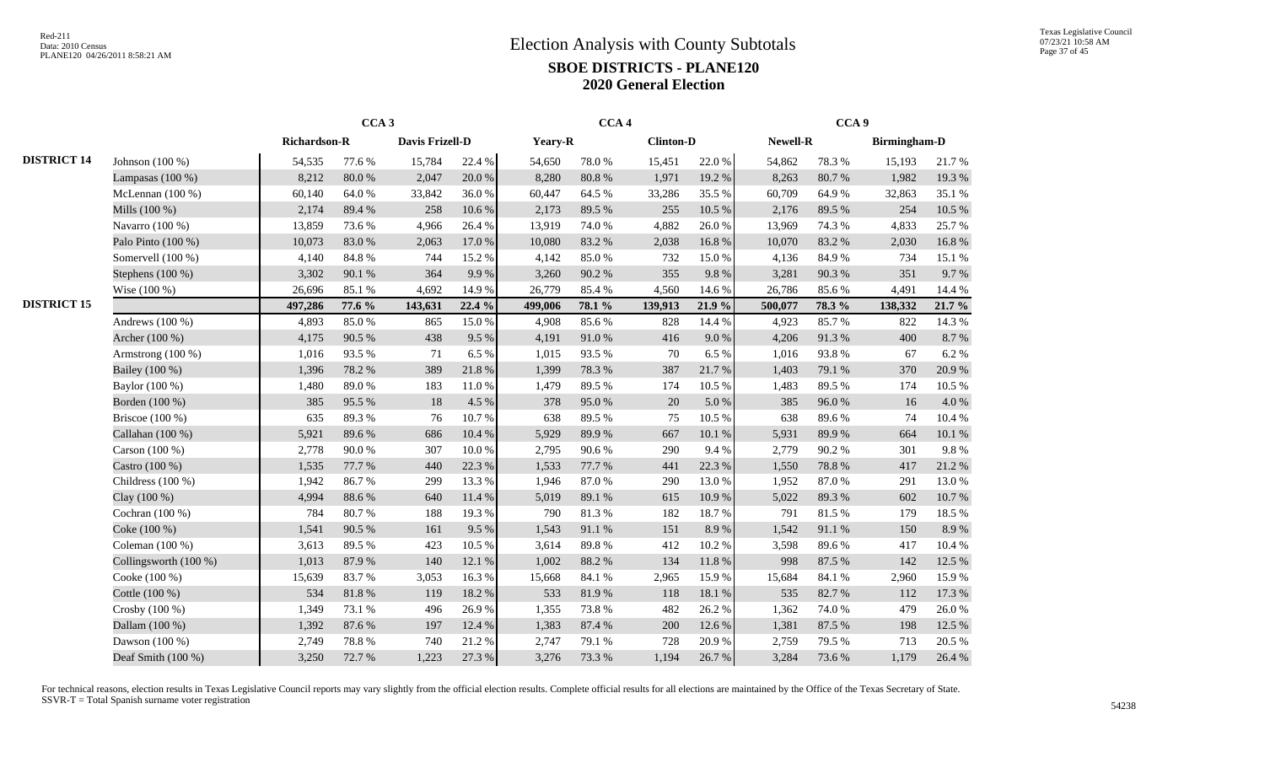|                    |                       | CCA <sub>3</sub>    |            |                 |        |         | CCA <sub>4</sub> |                  |        |          | CCA <sub>9</sub> |                     |           |
|--------------------|-----------------------|---------------------|------------|-----------------|--------|---------|------------------|------------------|--------|----------|------------------|---------------------|-----------|
|                    |                       | <b>Richardson-R</b> |            | Davis Frizell-D |        | Yeary-R |                  | <b>Clinton-D</b> |        | Newell-R |                  | <b>Birmingham-D</b> |           |
| <b>DISTRICT 14</b> | Johnson (100 %)       | 54,535              | 77.6%      | 15,784          | 22.4 % | 54,650  | 78.0%            | 15,451           | 22.0%  | 54,862   | 78.3%            | 15,193              | 21.7%     |
|                    | Lampasas $(100\%)$    | 8,212               | 80.0%      | 2,047           | 20.0%  | 8,280   | $80.8~\%$        | 1,971            | 19.2%  | 8,263    | 80.7%            | 1,982               | 19.3%     |
|                    | McLennan (100 %)      | 60,140              | 64.0%      | 33,842          | 36.0%  | 60,447  | 64.5 %           | 33,286           | 35.5 % | 60,709   | 64.9%            | 32,863              | 35.1 %    |
|                    | Mills (100 %)         | 2,174               | 89.4%      | 258             | 10.6%  | 2,173   | 89.5 %           | 255              | 10.5 % | 2,176    | 89.5%            | 254                 | 10.5 %    |
|                    | Navarro (100 %)       | 13,859              | 73.6%      | 4,966           | 26.4%  | 13,919  | 74.0 %           | 4,882            | 26.0%  | 13,969   | 74.3 %           | 4,833               | 25.7%     |
|                    | Palo Pinto (100 %)    | 10,073              | 83.0%      | 2,063           | 17.0 % | 10,080  | 83.2%            | 2,038            | 16.8%  | 10,070   | 83.2%            | 2,030               | 16.8%     |
|                    | Somervell (100 %)     | 4,140               | 84.8 %     | 744             | 15.2%  | 4,142   | 85.0%            | 732              | 15.0%  | 4,136    | 84.9%            | 734                 | 15.1 %    |
|                    | Stephens (100 %)      | 3,302               | 90.1 %     | 364             | 9.9%   | 3,260   | 90.2%            | 355              | 9.8%   | 3,281    | 90.3%            | 351                 | 9.7%      |
|                    | Wise (100 %)          | 26,696              | 85.1%      | 4,692           | 14.9%  | 26,779  | 85.4%            | 4,560            | 14.6 % | 26,786   | 85.6%            | 4,491               | 14.4 %    |
| <b>DISTRICT 15</b> |                       | 497,286             | 77.6 %     | 143,631         | 22.4 % | 499,006 | 78.1 %           | 139,913          | 21.9 % | 500,077  | 78.3%            | 138,332             | 21.7 %    |
|                    | Andrews $(100\%)$     | 4,893               | 85.0%      | 865             | 15.0%  | 4,908   | 85.6%            | 828              | 14.4 % | 4,923    | 85.7%            | 822                 | 14.3 %    |
|                    | Archer (100 %)        | 4,175               | 90.5 %     | 438             | 9.5%   | 4,191   | 91.0%            | 416              | 9.0 %  | 4,206    | 91.3%            | 400                 | $8.7\ \%$ |
|                    | Armstrong $(100\%)$   | 1,016               | 93.5%      | 71              | 6.5 %  | 1,015   | 93.5%            | 70               | 6.5%   | 1,016    | 93.8%            | 67                  | 6.2%      |
|                    | Bailey (100 %)        | 1,396               | 78.2 %     | 389             | 21.8%  | 1,399   | 78.3%            | 387              | 21.7%  | 1,403    | 79.1 %           | 370                 | 20.9%     |
|                    | Baylor (100 %)        | 1,480               | 89.0%      | 183             | 11.0%  | 1,479   | 89.5%            | 174              | 10.5 % | 1,483    | 89.5%            | 174                 | 10.5 %    |
|                    | Borden (100 %)        | 385                 | 95.5%      | 18              | 4.5 %  | 378     | 95.0%            | 20               | 5.0 %  | 385      | 96.0%            | 16                  | 4.0%      |
|                    | Briscoe (100 %)       | 635                 | 89.3%      | 76              | 10.7%  | 638     | 89.5%            | 75               | 10.5 % | 638      | 89.6%            | 74                  | 10.4%     |
|                    | Callahan (100 %)      | 5,921               | 89.6%      | 686             | 10.4 % | 5,929   | 89.9%            | 667              | 10.1 % | 5,931    | 89.9%            | 664                 | 10.1 %    |
|                    | Carson $(100\%)$      | 2,778               | 90.0%      | 307             | 10.0%  | 2,795   | 90.6%            | 290              | 9.4 %  | 2,779    | 90.2%            | 301                 | 9.8%      |
|                    | Castro (100 %)        | 1,535               | 77.7 %     | 440             | 22.3 % | 1,533   | 77.7 %           | 441              | 22.3 % | 1,550    | 78.8%            | 417                 | 21.2%     |
|                    | Childress $(100\%)$   | 1,942               | 86.7%      | 299             | 13.3 % | 1,946   | 87.0%            | 290              | 13.0%  | 1,952    | 87.0%            | 291                 | 13.0 %    |
|                    | Clay $(100\%)$        | 4,994               | 88.6%      | 640             | 11.4 % | 5,019   | 89.1 %           | 615              | 10.9%  | 5,022    | 89.3%            | 602                 | 10.7%     |
|                    | Cochran (100 %)       | 784                 | 80.7%      | 188             | 19.3%  | 790     | 81.3%            | 182              | 18.7%  | 791      | 81.5%            | 179                 | 18.5 %    |
|                    | Coke (100 %)          | 1,541               | 90.5 %     | 161             | 9.5 %  | 1,543   | 91.1%            | 151              | 8.9%   | 1,542    | 91.1%            | 150                 | 8.9%      |
|                    | Coleman $(100\%)$     | 3,613               | 89.5%      | 423             | 10.5%  | 3,614   | 89.8%            | 412              | 10.2%  | 3,598    | 89.6%            | 417                 | 10.4 %    |
|                    | Collingsworth (100 %) | 1,013               | 87.9%      | 140             | 12.1 % | 1,002   | 88.2%            | 134              | 11.8%  | 998      | 87.5 %           | 142                 | 12.5 %    |
|                    | Cooke (100 %)         | 15,639              | 83.7%      | 3,053           | 16.3%  | 15,668  | 84.1 %           | 2,965            | 15.9%  | 15,684   | 84.1 %           | 2,960               | 15.9%     |
|                    | Cottle (100 %)        | 534                 | $81.8\ \%$ | 119             | 18.2%  | 533     | 81.9%            | 118              | 18.1 % | 535      | 82.7%            | 112                 | 17.3 %    |
|                    | Crosby (100 %)        | 1,349               | 73.1 %     | 496             | 26.9%  | 1,355   | 73.8%            | 482              | 26.2%  | 1,362    | 74.0%            | 479                 | 26.0%     |
|                    | Dallam (100 %)        | 1,392               | 87.6 %     | 197             | 12.4 % | 1,383   | 87.4 %           | 200              | 12.6 % | 1,381    | 87.5 %           | 198                 | 12.5 %    |
|                    | Dawson (100 %)        | 2,749               | 78.8%      | 740             | 21.2%  | 2,747   | 79.1 %           | 728              | 20.9%  | 2,759    | 79.5 %           | 713                 | 20.5 %    |
|                    | Deaf Smith (100 %)    | 3,250               | 72.7 %     | 1,223           | 27.3 % | 3,276   | 73.3 %           | 1,194            | 26.7%  | 3,284    | 73.6%            | 1,179               | 26.4 %    |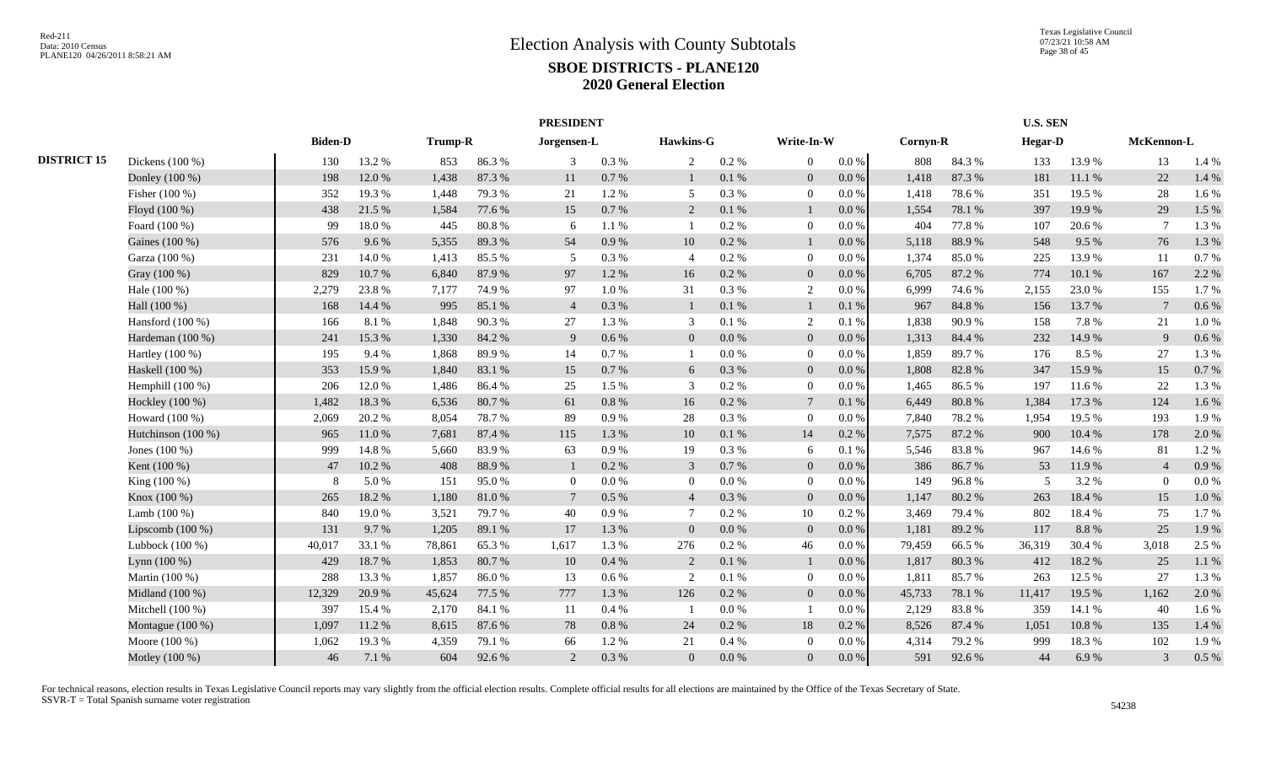|                    |                    |                |        |         |        | <b>PRESIDENT</b> |           |                |           |                          |           |          |        | <b>U.S. SEN</b>          |        |                 |       |
|--------------------|--------------------|----------------|--------|---------|--------|------------------|-----------|----------------|-----------|--------------------------|-----------|----------|--------|--------------------------|--------|-----------------|-------|
|                    |                    | <b>Biden-D</b> |        | Trump-R |        | Jorgensen-L      |           | Hawkins-G      |           | Write-In-W               |           | Cornyn-R |        | <b>Hegar-D</b>           |        | McKennon-L      |       |
| <b>DISTRICT 15</b> | Dickens (100 %)    | 130            | 13.2 % | 853     | 86.3%  | 3                | 0.3 %     | $\overline{2}$ | $0.2 \%$  | $\overline{0}$           | $0.0\,\%$ | 808      | 84.3%  | 133                      | 13.9%  | 13              | 1.4 % |
|                    | Donley (100 %)     | 198            | 12.0%  | 1,438   | 87.3%  | 11               | $0.7~\%$  | $\mathbf{1}$   | 0.1 %     | $\overline{0}$           | $0.0\,\%$ | 1,418    | 87.3%  | 181                      | 11.1%  | 22              | 1.4 % |
|                    | Fisher (100 %)     | 352            | 19.3%  | 1,448   | 79.3 % | 21               | 1.2%      | 5              | $0.3\ \%$ | $\overline{0}$           | $0.0\,\%$ | 1,418    | 78.6%  | 351                      | 19.5 % | 28              | 1.6%  |
|                    | Floyd (100 %)      | 438            | 21.5 % | 1,584   | 77.6 % | 15               | $0.7\%$   | 2              | 0.1 %     |                          | 0.0 %     | 1,554    | 78.1 % | 397                      | 19.9%  | 29              | 1.5 % |
|                    | Foard (100 %)      | 99             | 18.0%  | 445     | 80.8%  | 6                | 1.1%      | $\mathbf{1}$   | 0.2 %     | $\overline{0}$           | $0.0\%$   | 404      | 77.8%  | 107                      | 20.6%  | $\tau$          | 1.3%  |
|                    | Gaines (100 %)     | 576            | 9.6%   | 5,355   | 89.3%  | 54               | 0.9 %     | 10             | 0.2 %     | $\overline{1}$           | 0.0 %     | 5,118    | 88.9%  | 548                      | 9.5 %  | 76              | 1.3%  |
|                    | Garza (100 %)      | 231            | 14.0%  | 1,413   | 85.5 % | 5                | 0.3 %     | $\overline{4}$ | 0.2 %     | $\overline{0}$           | 0.0 %     | 1,374    | 85.0%  | 225                      | 13.9%  | 11              | 0.7%  |
|                    | Gray (100 %)       | 829            | 10.7%  | 6,840   | 87.9%  | 97               | 1.2 %     | 16             | $0.2~\%$  | $\overline{0}$           | $0.0\,\%$ | 6,705    | 87.2%  | 774                      | 10.1%  | 167             | 2.2 % |
|                    | Hale (100 %)       | 2,279          | 23.8%  | 7,177   | 74.9%  | 97               | $1.0\ \%$ | 31             | 0.3 %     | 2                        | $0.0\%$   | 6,999    | 74.6 % | 2,155                    | 23.0%  | 155             | 1.7%  |
|                    | Hall (100 %)       | 168            | 14.4 % | 995     | 85.1 % | $\overline{4}$   | 0.3 %     | $\mathbf{1}$   | 0.1%      | $\mathbf{1}$             | 0.1%      | 967      | 84.8%  | 156                      | 13.7%  | $7\phantom{.0}$ | 0.6 % |
|                    | Hansford $(100\%)$ | 166            | 8.1%   | 1,848   | 90.3%  | 27               | 1.3%      | 3              | 0.1%      | $\overline{2}$           | 0.1%      | 1,838    | 90.9%  | 158                      | 7.8%   | 21              | 1.0%  |
|                    | Hardeman (100 %)   | 241            | 15.3%  | 1,330   | 84.2 % | -9               | $0.6\%$   | $\overline{0}$ | 0.0 %     | $\overline{0}$           | 0.0 %     | 1,313    | 84.4 % | 232                      | 14.9%  | 9               | 0.6 % |
|                    | Hartley $(100\%)$  | 195            | 9.4%   | 1,868   | 89.9%  | -14              | 0.7 %     | -1             | $0.0\%$   | $\overline{0}$           | 0.0 %     | 1,859    | 89.7%  | 176                      | 8.5%   | 27              | 1.3%  |
|                    | Haskell (100 %)    | 353            | 15.9%  | 1,840   | 83.1 % | 15               | 0.7 %     | 6              | 0.3%      | $\overline{0}$           | $0.0\%$   | 1,808    | 82.8%  | 347                      | 15.9%  | 15              | 0.7%  |
|                    | Hemphill $(100\%)$ | 206            | 12.0 % | 1,486   | 86.4%  | 25               | 1.5 %     | 3              | 0.2 %     | $\Omega$                 | 0.0 %     | 1,465    | 86.5%  | 197                      | 11.6 % | 22              | 1.3%  |
|                    | Hockley (100 %)    | 1,482          | 18.3%  | 6,536   | 80.7%  | 61               | 0.8%      | 16             | $0.2 \%$  | 7                        | 0.1%      | 6,449    | 80.8%  | 1,384                    | 17.3 % | 124             | 1.6%  |
|                    | Howard $(100\%)$   | 2,069          | 20.2 % | 8,054   | 78.7%  | 89               | 0.9%      | 28             | 0.3%      | $\overline{0}$           | $0.0\%$   | 7,840    | 78.2%  | 1,954                    | 19.5 % | 193             | 1.9%  |
|                    | Hutchinson (100 %) | 965            | 11.0 % | 7,681   | 87.4 % | 115              | 1.3%      | 10             | 0.1 %     | 14                       | 0.2%      | 7,575    | 87.2 % | 900                      | 10.4 % | 178             | 2.0%  |
|                    | Jones (100 %)      | 999            | 14.8%  | 5,660   | 83.9%  | 63               | 0.9%      | 19             | 0.3 %     | -6                       | 0.1%      | 5,546    | 83.8%  | 967                      | 14.6 % | 81              | 1.2%  |
|                    | Kent (100 %)       | 47             | 10.2 % | 408     | 88.9%  |                  | $0.2\%$   | 3              | 0.7%      | $\Omega$                 | 0.0 %     | 386      | 86.7%  | 53                       | 11.9 % | $\overline{4}$  | 0.9%  |
|                    | King (100 %)       | 8              | 5.0%   | 151     | 95.0%  | $\Omega$         | $0.0\,\%$ | $\overline{0}$ | $0.0\%$   | $\Omega$                 | 0.0 %     | 149      | 96.8%  | $\overline{\phantom{1}}$ | 3.2%   | $\theta$        | 0.0 % |
|                    | Knox (100 %)       | 265            | 18.2%  | 1,180   | 81.0%  | $\overline{7}$   | $0.5\%$   | $\overline{4}$ | 0.3%      | $\overline{0}$           | $0.0\%$   | 1,147    | 80.2%  | 263                      | 18.4%  | 15              | 1.0%  |
|                    | Lamb $(100\%)$     | 840            | 19.0%  | 3,521   | 79.7 % | 40               | 0.9%      | $\tau$         | 0.2 %     | 10                       | 0.2%      | 3,469    | 79.4 % | 802                      | 18.4%  | 75              | 1.7%  |
|                    | Lipscomb $(100\%)$ | 131            | 9.7%   | 1,205   | 89.1 % | 17               | 1.3 %     | $\overline{0}$ | 0.0 %     | $\overline{0}$           | 0.0 %     | 1,181    | 89.2%  | 117                      | 8.8%   | 25              | 1.9%  |
|                    | Lubbock $(100\%)$  | 40,017         | 33.1 % | 78,861  | 65.3%  | 1,617            | 1.3%      | 276            | $0.2~\%$  | 46                       | $0.0\%$   | 79,459   | 66.5%  | 36,319                   | 30.4%  | 3,018           | 2.5 % |
|                    | Lynn $(100\%)$     | 429            | 18.7%  | 1,853   | 80.7%  | 10               | 0.4%      | 2              | 0.1 %     |                          | 0.0 %     | 1,817    | 80.3%  | 412                      | 18.2%  | 25              | 1.1%  |
|                    | Martin (100 %)     | 288            | 13.3 % | 1,857   | 86.0%  | 13               | $0.6\,\%$ | 2              | $0.1~\%$  | $\overline{0}$           | $0.0\,\%$ | 1,811    | 85.7%  | 263                      | 12.5 % | 27              | 1.3%  |
|                    | Midland (100 %)    | 12,329         | 20.9%  | 45,624  | 77.5 % | 777              | 1.3%      | 126            | $0.2 \%$  | $\mathbf{0}$             | $0.0\,\%$ | 45,733   | 78.1 % | 11,417                   | 19.5 % | 1,162           | 2.0%  |
|                    | Mitchell (100 %)   | 397            | 15.4 % | 2,170   | 84.1 % | -11              | 0.4 %     | - 1            | $0.0\ \%$ | $\overline{\phantom{0}}$ | 0.0 %     | 2,129    | 83.8%  | 359                      | 14.1 % | 40              | 1.6%  |
|                    | Montague (100 %)   | 1,097          | 11.2 % | 8,615   | 87.6%  | 78               | $0.8 \%$  | 24             | $0.2~\%$  | 18                       | 0.2 %     | 8,526    | 87.4 % | 1,051                    | 10.8%  | 135             | 1.4%  |
|                    | Moore (100 %)      | 1,062          | 19.3%  | 4,359   | 79.1 % | 66               | 1.2%      | 21             | 0.4 %     | $\Omega$                 | $0.0\,\%$ | 4,314    | 79.2 % | 999                      | 18.3%  | 102             | 1.9%  |
|                    | Motley (100 %)     | 46             | 7.1 %  | 604     | 92.6%  | $\overline{2}$   | 0.3 %     | $\overline{0}$ | $0.0\,\%$ | $\Omega$                 | $0.0\,\%$ | 591      | 92.6 % | 44                       | 6.9%   | 3               | 0.5 % |
|                    |                    |                |        |         |        |                  |           |                |           |                          |           |          |        |                          |        |                 |       |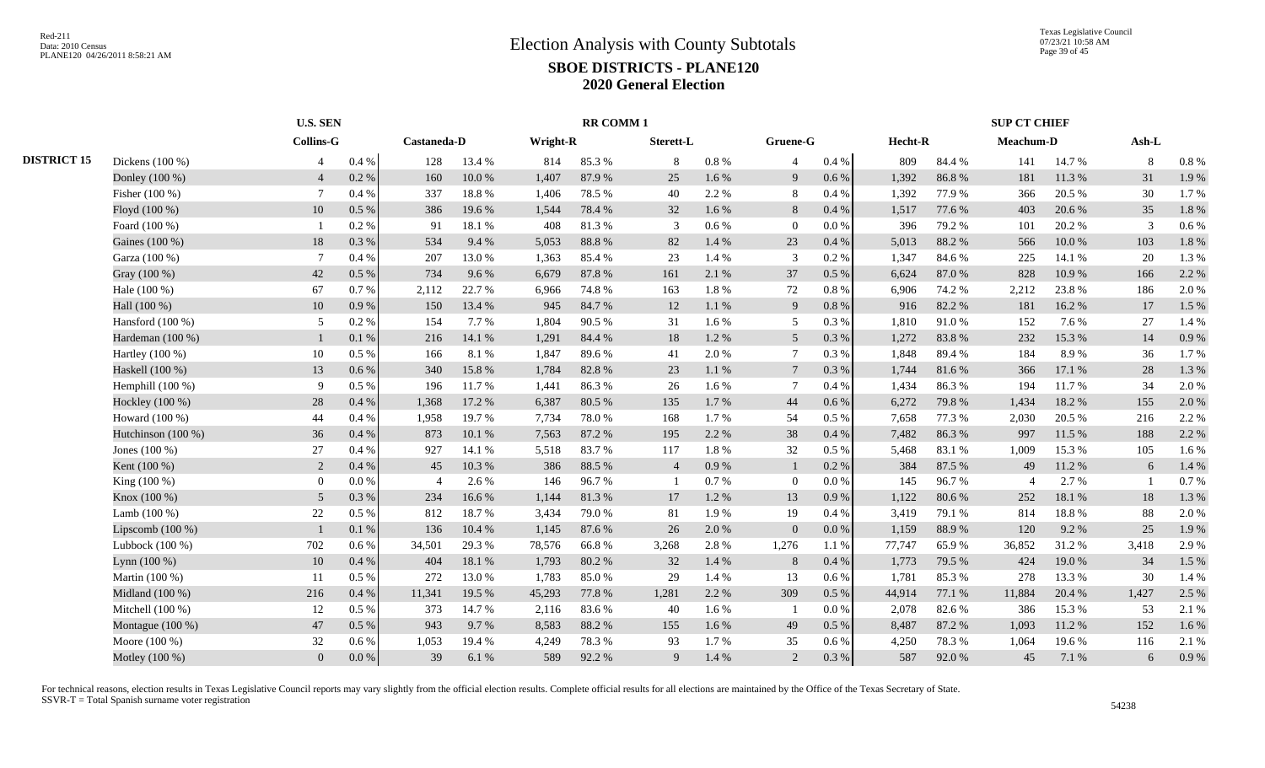|                    |                    | <b>U.S. SEN</b>  |           |                |            |          | <b>RR COMM1</b> |                |           |                          |           |         |        | <b>SUP CT CHIEF</b> |        |         |         |
|--------------------|--------------------|------------------|-----------|----------------|------------|----------|-----------------|----------------|-----------|--------------------------|-----------|---------|--------|---------------------|--------|---------|---------|
|                    |                    | <b>Collins-G</b> |           | Castaneda-D    |            | Wright-R |                 | Sterett-L      |           | Gruene-G                 |           | Hecht-R |        | Meachum-D           |        | $Ash-L$ |         |
| <b>DISTRICT 15</b> | Dickens (100 %)    | $\overline{4}$   | $0.4~\%$  | 128            | 13.4 %     | 814      | 85.3%           | 8              | $0.8 \%$  | 4                        | 0.4 %     | 809     | 84.4 % | 141                 | 14.7 % | 8       | $0.8\%$ |
|                    | Donley (100 %)     | $\overline{4}$   | 0.2 %     | 160            | $10.0\ \%$ | 1,407    | 87.9%           | 25             | 1.6 %     | 9                        | 0.6 %     | 1,392   | 86.8%  | 181                 | 11.3 % | 31      | 1.9%    |
|                    | Fisher (100 %)     | -7               | 0.4%      | 337            | 18.8 %     | 1,406    | 78.5 %          | 40             | 2.2 %     | 8                        | 0.4%      | 1,392   | 77.9%  | 366                 | 20.5 % | 30      | 1.7%    |
|                    | Floyd (100 %)      | 10               | 0.5 %     | 386            | 19.6%      | 1,544    | 78.4%           | 32             | 1.6 %     | 8                        | 0.4%      | 1,517   | 77.6 % | 403                 | 20.6 % | 35      | 1.8 %   |
|                    | Foard (100 %)      |                  | 0.2%      | 91             | 18.1%      | 408      | 81.3%           | 3              | 0.6 %     | $\overline{0}$           | 0.0 %     | 396     | 79.2 % | 101                 | 20.2 % | 3       | $0.6\%$ |
|                    | Gaines (100 %)     | 18               | 0.3%      | 534            | 9.4 %      | 5,053    | 88.8%           | 82             | 1.4 %     | 23                       | 0.4%      | 5,013   | 88.2%  | 566                 | 10.0%  | 103     | 1.8%    |
|                    | Garza (100 %)      |                  | 0.4%      | 207            | 13.0%      | 1,363    | 85.4%           | 23             | 1.4 %     | 3                        | 0.2%      | 1,347   | 84.6%  | 225                 | 14.1 % | 20      | 1.3%    |
|                    | Gray (100 %)       | 42               | 0.5 %     | 734            | 9.6%       | 6,679    | 87.8%           | 161            | 2.1 %     | 37                       | 0.5%      | 6,624   | 87.0%  | 828                 | 10.9%  | 166     | 2.2 %   |
|                    | Hale (100 %)       | 67               | 0.7%      | 2,112          | 22.7 %     | 6,966    | 74.8%           | 163            | 1.8%      | 72                       | 0.8%      | 6,906   | 74.2 % | 2,212               | 23.8%  | 186     | 2.0 %   |
|                    | Hall (100 %)       | 10               | 0.9%      | 150            | 13.4 %     | 945      | 84.7%           | 12             | 1.1%      | 9                        | 0.8 %     | 916     | 82.2%  | 181                 | 16.2%  | 17      | 1.5 %   |
|                    | Hansford $(100\%)$ | 5                | 0.2%      | 154            | 7.7 %      | 1,804    | 90.5 %          | 31             | 1.6 %     | 5                        | 0.3%      | 1,810   | 91.0%  | 152                 | 7.6 %  | 27      | 1.4 %   |
|                    | Hardeman (100 %)   |                  | 0.1%      | 216            | 14.1 %     | 1,291    | 84.4 %          | 18             | 1.2%      | $5\overline{)}$          | 0.3%      | 1,272   | 83.8%  | 232                 | 15.3 % | 14      | 0.9%    |
|                    | Hartley (100 %)    | 10               | 0.5%      | 166            | 8.1%       | 1,847    | 89.6%           | 41             | 2.0%      | $\overline{7}$           | 0.3%      | 1,848   | 89.4%  | 184                 | 8.9%   | 36      | 1.7%    |
|                    | Haskell (100 %)    | 13               | 0.6 %     | 340            | 15.8 %     | 1,784    | 82.8%           | 23             | $1.1~\%$  | $7\phantom{.0}$          | 0.3 %     | 1,744   | 81.6%  | 366                 | 17.1 % | 28      | 1.3%    |
|                    | Hemphill (100 %)   | 9                | 0.5 %     | 196            | 11.7%      | 1,441    | 86.3%           | 26             | 1.6 %     | -7                       | 0.4%      | 1,434   | 86.3%  | 194                 | 11.7%  | 34      | 2.0%    |
|                    | Hockley (100 %)    | $28\,$           | 0.4 %     | 1,368          | 17.2 %     | 6,387    | 80.5 %          | 135            | 1.7%      | 44                       | 0.6 %     | 6,272   | 79.8%  | 1,434               | 18.2%  | 155     | 2.0%    |
|                    | Howard (100 %)     | 44               | 0.4 %     | 1,958          | 19.7%      | 7,734    | 78.0%           | 168            | 1.7%      | 54                       | 0.5 %     | 7,658   | 77.3 % | 2,030               | 20.5 % | 216     | 2.2 %   |
|                    | Hutchinson (100 %) | 36               | 0.4%      | 873            | 10.1%      | 7,563    | 87.2%           | 195            | 2.2 %     | 38                       | 0.4%      | 7,482   | 86.3%  | 997                 | 11.5 % | 188     | 2.2 %   |
|                    | Jones (100 %)      | $27\,$           | 0.4%      | 927            | 14.1 %     | 5,518    | 83.7%           | 117            | 1.8%      | 32                       | 0.5%      | 5,468   | 83.1 % | 1,009               | 15.3 % | 105     | 1.6%    |
|                    | Kent (100 %)       | 2                | 0.4%      | 45             | 10.3 %     | 386      | 88.5%           | $\overline{4}$ | 0.9%      |                          | 0.2 %     | 384     | 87.5 % | 49                  | 11.2 % | 6       | 1.4 %   |
|                    | King (100 %)       | $\mathbf{0}$     | 0.0 %     | $\overline{4}$ | 2.6 %      | 146      | 96.7%           | $\mathbf{1}$   | 0.7%      | $\Omega$                 | 0.0 %     | 145     | 96.7%  | $\overline{4}$      | 2.7 %  |         | 0.7%    |
|                    | Knox (100 %)       | $\overline{5}$   | 0.3%      | 234            | 16.6%      | 1.144    | 81.3%           | 17             | 1.2%      | 13                       | 0.9%      | 1,122   | 80.6%  | 252                 | 18.1%  | 18      | 1.3%    |
|                    | Lamb $(100\%)$     | $22\,$           | $0.5\%$   | 812            | 18.7%      | 3,434    | 79.0%           | 81             | 1.9%      | 19                       | 0.4 %     | 3,419   | 79.1 % | 814                 | 18.8%  | 88      | 2.0 %   |
|                    | Lipscomb $(100\%)$ |                  | 0.1 %     | 136            | 10.4 %     | 1,145    | 87.6%           | 26             | 2.0 %     | $\overline{0}$           | $0.0\ \%$ | 1,159   | 88.9%  | 120                 | 9.2 %  | 25      | 1.9%    |
|                    | Lubbock (100 %)    | 702              | 0.6 %     | 34,501         | 29.3%      | 78,576   | 66.8%           | 3,268          | 2.8%      | 1,276                    | 1.1 %     | 77,747  | 65.9%  | 36,852              | 31.2%  | 3,418   | 2.9%    |
|                    | Lynn $(100\%)$     | 10               | 0.4%      | 404            | 18.1 %     | 1,793    | 80.2%           | 32             | 1.4 %     | 8                        | 0.4%      | 1,773   | 79.5 % | 424                 | 19.0 % | 34      | 1.5 %   |
|                    | Martin (100 %)     | 11               | 0.5 %     | 272            | 13.0%      | 1,783    | 85.0%           | 29             | 1.4 %     | 13                       | 0.6 %     | 1,781   | 85.3%  | 278                 | 13.3 % | 30      | 1.4 %   |
|                    | Midland (100 %)    | 216              | 0.4 %     | 11,341         | 19.5 %     | 45,293   | 77.8 %          | 1,281          | 2.2 %     | 309                      | 0.5 %     | 44,914  | 77.1 % | 11,884              | 20.4 % | 1,427   | 2.5 %   |
|                    | Mitchell (100 %)   | 12               | 0.5 %     | 373            | 14.7%      | 2,116    | 83.6%           | 40             | $1.6\,\%$ | $\overline{\phantom{a}}$ | 0.0 %     | 2,078   | 82.6%  | 386                 | 15.3%  | 53      | 2.1 %   |
|                    | Montague (100 %)   | 47               | 0.5 %     | 943            | 9.7%       | 8,583    | 88.2%           | 155            | 1.6 %     | 49                       | 0.5 %     | 8,487   | 87.2%  | 1,093               | 11.2 % | 152     | 1.6%    |
|                    | Moore (100 %)      | 32               | $0.6\,\%$ | 1,053          | 19.4 %     | 4,249    | 78.3%           | 93             | 1.7%      | 35                       | 0.6 %     | 4,250   | 78.3%  | 1,064               | 19.6%  | 116     | 2.1 %   |
|                    | Motley (100 %)     | $\overline{0}$   | $0.0\ \%$ | 39             | 6.1%       | 589      | 92.2%           | 9              | 1.4 %     | 2                        | $0.3~\%$  | 587     | 92.0%  | 45                  | 7.1 %  | 6       | 0.9%    |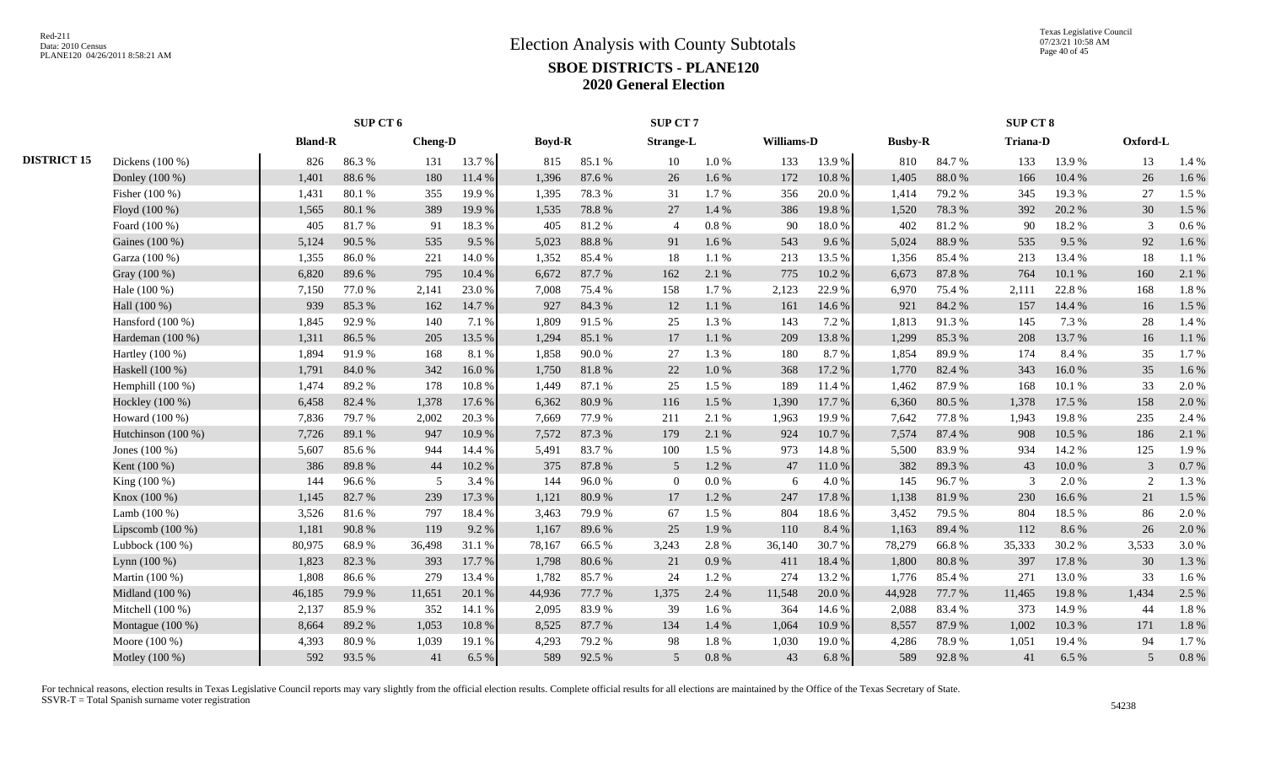|                    |                    | SUP CT 6       |        |                |        |               |            | SUP CT 7         |           |            |        |                |        | SUP CT 8        |            |          |       |
|--------------------|--------------------|----------------|--------|----------------|--------|---------------|------------|------------------|-----------|------------|--------|----------------|--------|-----------------|------------|----------|-------|
|                    |                    | <b>Bland-R</b> |        | <b>Cheng-D</b> |        | <b>Boyd-R</b> |            | <b>Strange-L</b> |           | Williams-D |        | <b>Busby-R</b> |        | <b>Triana-D</b> |            | Oxford-L |       |
| <b>DISTRICT 15</b> | Dickens (100 %)    | 826            | 86.3%  | 131            | 13.7%  | 815           | 85.1%      | 10               | $1.0\ \%$ | 133        | 13.9%  | 810            | 84.7%  | 133             | 13.9%      | 13       | 1.4 % |
|                    | Donley (100 %)     | 1,401          | 88.6%  | 180            | 11.4 % | 1.396         | 87.6%      | 26               | 1.6 %     | 172        | 10.8%  | 1,405          | 88.0%  | 166             | 10.4 %     | 26       | 1.6%  |
|                    | Fisher (100 %)     | 1,431          | 80.1%  | 355            | 19.9%  | 1.395         | 78.3%      | 31               | 1.7%      | 356        | 20.0%  | 1,414          | 79.2 % | 345             | 19.3 %     | 27       | 1.5 % |
|                    | Floyd (100 %)      | 1,565          | 80.1%  | 389            | 19.9%  | 1,535         | 78.8%      | 27               | 1.4 %     | 386        | 19.8%  | 1,520          | 78.3%  | 392             | 20.2 %     | 30       | 1.5 % |
|                    | Foard (100 %)      | 405            | 81.7%  | 91             | 18.3%  | 405           | 81.2%      | $\overline{4}$   | 0.8%      | 90         | 18.0%  | 402            | 81.2%  | 90              | 18.2%      | 3        | 0.6%  |
|                    | Gaines (100 %)     | 5,124          | 90.5 % | 535            | 9.5%   | 5,023         | 88.8%      | 91               | 1.6 %     | 543        | 9.6%   | 5,024          | 88.9%  | 535             | 9.5%       | 92       | 1.6 % |
|                    | Garza (100 %)      | 1,355          | 86.0%  | 221            | 14.0%  | 1.352         | 85.4%      | 18               | 1.1 %     | 213        | 13.5 % | 1,356          | 85.4%  | 213             | 13.4 %     | 18       | 1.1 % |
|                    | Gray (100 %)       | 6,820          | 89.6%  | 795            | 10.4 % | 6,672         | 87.7%      | 162              | 2.1 %     | 775        | 10.2%  | 6,673          | 87.8%  | 764             | 10.1 %     | 160      | 2.1 % |
|                    | Hale (100 %)       | 7,150          | 77.0%  | 2,141          | 23.0%  | 7,008         | 75.4 %     | 158              | 1.7%      | 2,123      | 22.9%  | 6,970          | 75.4%  | 2,111           | 22.8%      | 168      | 1.8%  |
|                    | Hall (100 %)       | 939            | 85.3%  | 162            | 14.7%  | 927           | 84.3%      | 12               | 1.1%      | 161        | 14.6 % | 921            | 84.2%  | 157             | 14.4 %     | 16       | 1.5 % |
|                    | Hansford $(100\%)$ | 1,845          | 92.9%  | 140            | 7.1 %  | 1.809         | 91.5 %     | 25               | 1.3 %     | 143        | 7.2 %  | 1,813          | 91.3%  | 145             | 7.3 %      | 28       | 1.4 % |
|                    | Hardeman (100 %)   | 1,311          | 86.5%  | 205            | 13.5 % | 1,294         | 85.1 %     | 17               | $1.1\ \%$ | 209        | 13.8%  | 1,299          | 85.3%  | 208             | 13.7%      | 16       | 1.1%  |
|                    | Hartley $(100\%)$  | 1,894          | 91.9%  | 168            | 8.1%   | 1,858         | $90.0%$    | 27               | 1.3%      | 180        | 8.7%   | 1,854          | 89.9%  | 174             | 8.4 %      | 35       | 1.7%  |
|                    | Haskell (100 %)    | 1,791          | 84.0%  | 342            | 16.0%  | 1,750         | $81.8\ \%$ | 22               | $1.0\ \%$ | 368        | 17.2 % | 1,770          | 82.4 % | 343             | 16.0%      | 35       | 1.6%  |
|                    | Hemphill $(100\%)$ | 1,474          | 89.2%  | 178            | 10.8%  | 1,449         | 87.1 %     | 25               | 1.5 %     | 189        | 11.4 % | 1,462          | 87.9%  | 168             | 10.1%      | 33       | 2.0%  |
|                    | Hockley (100 %)    | 6,458          | 82.4 % | 1,378          | 17.6 % | 6.362         | 80.9%      | 116              | 1.5 %     | 1,390      | 17.7 % | 6,360          | 80.5 % | 1.378           | 17.5 %     | 158      | 2.0%  |
|                    | Howard (100 %)     | 7,836          | 79.7%  | 2,002          | 20.3 % | 7.669         | 77.9 %     | 211              | 2.1 %     | 1,963      | 19.9%  | 7,642          | 77.8%  | 1.943           | 19.8%      | 235      | 2.4 % |
|                    | Hutchinson (100 %) | 7,726          | 89.1%  | 947            | 10.9%  | 7,572         | 87.3%      | 179              | 2.1 %     | 924        | 10.7%  | 7,574          | 87.4%  | 908             | 10.5 %     | 186      | 2.1 % |
|                    | Jones $(100\%)$    | 5,607          | 85.6%  | 944            | 14.4 % | 5,491         | 83.7%      | 100              | 1.5 %     | 973        | 14.8%  | 5,500          | 83.9%  | 934             | 14.2 %     | 125      | 1.9%  |
|                    | Kent (100 %)       | 386            | 89.8%  | 44             | 10.2%  | 375           | 87.8%      | 5                | 1.2%      | 47         | 11.0%  | 382            | 89.3%  | 43              | $10.0\ \%$ | 3        | 0.7%  |
|                    | King (100 %)       | 144            | 96.6%  | 5              | 3.4 %  | 144           | 96.0%      | $\Omega$         | 0.0 %     | 6          | 4.0%   | 145            | 96.7%  | $\mathcal{R}$   | 2.0%       | 2        | 1.3%  |
|                    | Knox (100 %)       | 1,145          | 82.7%  | 239            | 17.3 % | 1,121         | 80.9%      | 17               | 1.2%      | 247        | 17.8 % | 1,138          | 81.9%  | 230             | 16.6%      | 21       | 1.5 % |
|                    | Lamb (100 %)       | 3,526          | 81.6%  | 797            | 18.4 % | 3,463         | 79.9%      | 67               | 1.5 %     | 804        | 18.6%  | 3,452          | 79.5 % | 804             | 18.5 %     | 86       | 2.0%  |
|                    | Lipscomb $(100\%)$ | 1,181          | 90.8%  | 119            | 9.2%   | 1,167         | 89.6%      | 25               | 1.9%      | 110        | 8.4%   | 1,163          | 89.4%  | 112             | 8.6%       | 26       | 2.0%  |
|                    | Lubbock $(100\%)$  | 80,975         | 68.9%  | 36,498         | 31.1 % | 78,167        | 66.5%      | 3,243            | 2.8%      | 36,140     | 30.7%  | 78,279         | 66.8%  | 35,333          | 30.2 %     | 3,533    | 3.0%  |
|                    | Lynn $(100\%)$     | 1,823          | 82.3%  | 393            | 17.7 % | 1,798         | 80.6%      | 21               | 0.9%      | 411        | 18.4%  | 1,800          | 80.8%  | 397             | 17.8 %     | 30       | 1.3%  |
|                    | Martin (100 %)     | 1,808          | 86.6%  | 279            | 13.4 % | 1,782         | 85.7%      | 24               | 1.2%      | 274        | 13.2 % | 1,776          | 85.4%  | 271             | 13.0%      | 33       | 1.6%  |
|                    | Midland (100 %)    | 46,185         | 79.9%  | 11,651         | 20.1 % | 44,936        | 77.7 %     | 1,375            | 2.4 %     | 11,548     | 20.0%  | 44,928         | 77.7 % | 11,465          | 19.8%      | 1,434    | 2.5 % |
|                    | Mitchell $(100\%)$ | 2,137          | 85.9%  | 352            | 14.1 % | 2,095         | 83.9%      | 39               | 1.6 %     | 364        | 14.6 % | 2,088          | 83.4 % | 373             | 14.9 %     | 44       | 1.8%  |
|                    | Montague (100 %)   | 8,664          | 89.2%  | 1,053          | 10.8%  | 8.525         | 87.7%      | 134              | 1.4 %     | 1,064      | 10.9%  | 8,557          | 87.9%  | 1.002           | 10.3%      | 171      | 1.8%  |
|                    | Moore (100 %)      | 4,393          | 80.9%  | 1,039          | 19.1 % | 4,293         | 79.2 %     | 98               | 1.8 %     | 1,030      | 19.0%  | 4,286          | 78.9%  | 1,051           | 19.4 %     | 94       | 1.7%  |
|                    | Motley (100 %)     | 592            | 93.5%  | 41             | 6.5 %  | 589           | 92.5 %     | 5                | $0.8\ \%$ | 43         | 6.8%   | 589            | 92.8%  | 41              | 6.5%       | 5        | 0.8 % |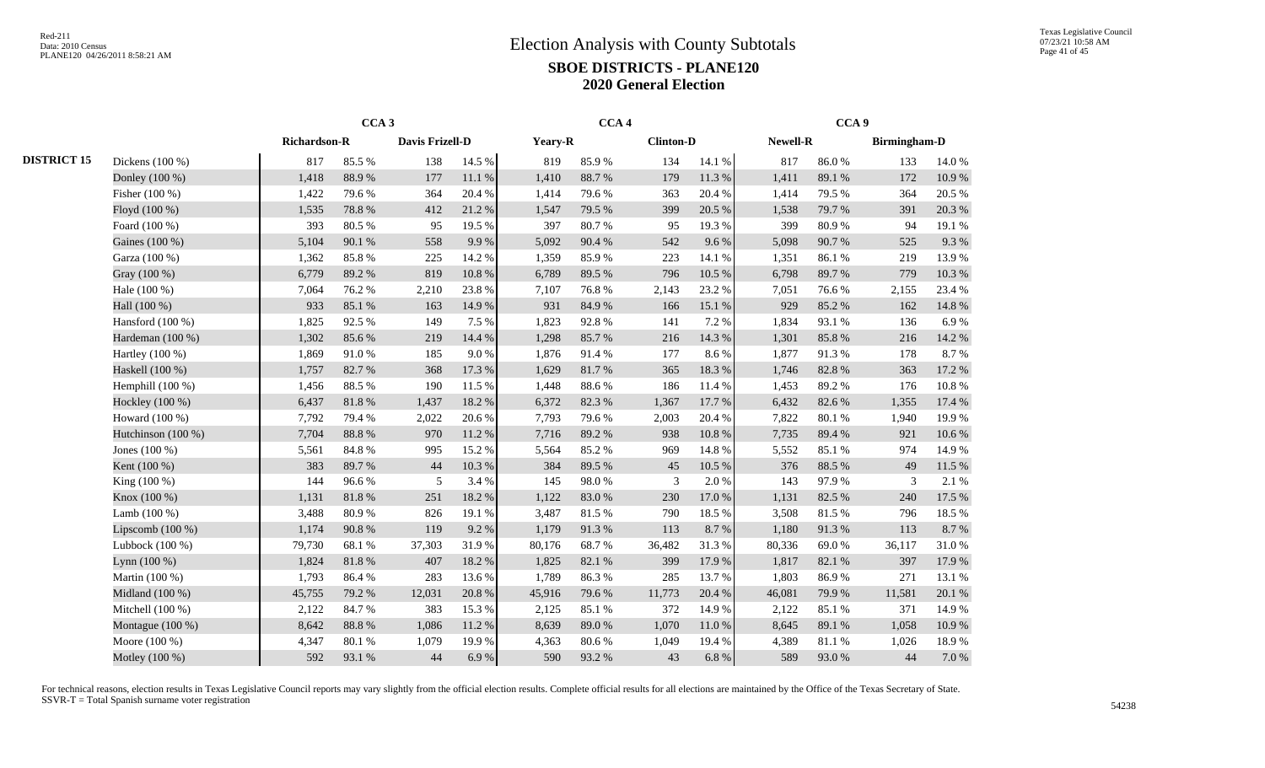|                    |                    | CCA <sub>3</sub>    |        |                 |        | CCA <sub>4</sub> |        |                  |           | CCA <sub>9</sub> |        |                     |        |
|--------------------|--------------------|---------------------|--------|-----------------|--------|------------------|--------|------------------|-----------|------------------|--------|---------------------|--------|
|                    |                    | <b>Richardson-R</b> |        | Davis Frizell-D |        | Yeary-R          |        | <b>Clinton-D</b> |           | Newell-R         |        | <b>Birmingham-D</b> |        |
| <b>DISTRICT 15</b> | Dickens (100 %)    | 817                 | 85.5%  | 138             | 14.5 % | 819              | 85.9%  | 134              | 14.1 %    | 817              | 86.0%  | 133                 | 14.0 % |
|                    | Donley (100 %)     | 1,418               | 88.9%  | 177             | 11.1 % | 1,410            | 88.7%  | 179              | 11.3 %    | 1,411            | 89.1%  | 172                 | 10.9%  |
|                    | Fisher (100 %)     | 1,422               | 79.6%  | 364             | 20.4 % | 1,414            | 79.6%  | 363              | 20.4 %    | 1,414            | 79.5 % | 364                 | 20.5 % |
|                    | Floyd (100 %)      | 1,535               | 78.8 % | 412             | 21.2%  | 1,547            | 79.5 % | 399              | 20.5 %    | 1,538            | 79.7%  | 391                 | 20.3 % |
|                    | Foard (100 %)      | 393                 | 80.5%  | 95              | 19.5 % | 397              | 80.7%  | 95               | 19.3%     | 399              | 80.9%  | 94                  | 19.1 % |
|                    | Gaines (100 %)     | 5,104               | 90.1 % | 558             | 9.9%   | 5,092            | 90.4 % | 542              | 9.6%      | 5,098            | 90.7%  | 525                 | 9.3%   |
|                    | Garza (100 %)      | 1,362               | 85.8%  | 225             | 14.2 % | 1,359            | 85.9%  | 223              | 14.1 %    | 1,351            | 86.1%  | 219                 | 13.9%  |
|                    | Gray (100 %)       | 6,779               | 89.2%  | 819             | 10.8%  | 6,789            | 89.5%  | 796              | 10.5 %    | 6,798            | 89.7%  | 779                 | 10.3%  |
|                    | Hale (100 %)       | 7,064               | 76.2%  | 2,210           | 23.8%  | 7,107            | 76.8%  | 2,143            | 23.2 %    | 7,051            | 76.6%  | 2,155               | 23.4 % |
|                    | Hall (100 %)       | 933                 | 85.1 % | 163             | 14.9%  | 931              | 84.9%  | 166              | 15.1 %    | 929              | 85.2%  | 162                 | 14.8%  |
|                    | Hansford (100 %)   | 1,825               | 92.5 % | 149             | 7.5 %  | 1,823            | 92.8%  | 141              | 7.2 %     | 1,834            | 93.1 % | 136                 | 6.9%   |
|                    | Hardeman (100 %)   | 1,302               | 85.6%  | 219             | 14.4 % | 1,298            | 85.7%  | 216              | 14.3 %    | 1,301            | 85.8%  | 216                 | 14.2 % |
|                    | Hartley (100 %)    | 1,869               | 91.0%  | 185             | 9.0%   | 1,876            | 91.4%  | 177              | 8.6%      | 1,877            | 91.3%  | 178                 | 8.7%   |
|                    | Haskell (100 %)    | 1,757               | 82.7%  | 368             | 17.3 % | 1,629            | 81.7%  | 365              | 18.3 %    | 1,746            | 82.8%  | 363                 | 17.2 % |
|                    | Hemphill (100 %)   | 1,456               | 88.5%  | 190             | 11.5 % | 1,448            | 88.6%  | 186              | 11.4 %    | 1,453            | 89.2%  | 176                 | 10.8%  |
|                    | Hockley (100 %)    | 6,437               | 81.8%  | 1,437           | 18.2%  | 6,372            | 82.3%  | 1,367            | 17.7 %    | 6,432            | 82.6%  | 1,355               | 17.4 % |
|                    | Howard (100 %)     | 7,792               | 79.4 % | 2,022           | 20.6%  | 7,793            | 79.6%  | 2,003            | 20.4 %    | 7,822            | 80.1%  | 1,940               | 19.9%  |
|                    | Hutchinson (100 %) | 7,704               | 88.8 % | 970             | 11.2%  | 7,716            | 89.2%  | 938              | $10.8~\%$ | 7,735            | 89.4%  | 921                 | 10.6 % |
|                    | Jones $(100\%)$    | 5,561               | 84.8 % | 995             | 15.2%  | 5,564            | 85.2%  | 969              | 14.8%     | 5,552            | 85.1%  | 974                 | 14.9 % |
|                    | Kent (100 %)       | 383                 | 89.7%  | 44              | 10.3%  | 384              | 89.5 % | 45               | 10.5 %    | 376              | 88.5 % | 49                  | 11.5 % |
|                    | King (100 %)       | 144                 | 96.6%  | 5               | 3.4 %  | 145              | 98.0%  | 3                | 2.0%      | 143              | 97.9%  | 3                   | 2.1 %  |
|                    | Knox (100 %)       | 1,131               | 81.8%  | 251             | 18.2%  | 1,122            | 83.0%  | 230              | 17.0 %    | 1,131            | 82.5 % | 240                 | 17.5 % |
|                    | Lamb $(100\%)$     | 3,488               | 80.9%  | 826             | 19.1 % | 3,487            | 81.5%  | 790              | 18.5 %    | 3,508            | 81.5%  | 796                 | 18.5 % |
|                    | Lipscomb $(100\%)$ | 1,174               | 90.8 % | 119             | 9.2%   | 1,179            | 91.3%  | 113              | 8.7%      | 1,180            | 91.3%  | 113                 | 8.7%   |
|                    | Lubbock (100 %)    | 79,730              | 68.1 % | 37,303          | 31.9%  | 80,176           | 68.7%  | 36,482           | 31.3%     | 80,336           | 69.0%  | 36,117              | 31.0%  |
|                    | Lynn $(100\%)$     | 1,824               | 81.8 % | 407             | 18.2%  | 1,825            | 82.1 % | 399              | 17.9%     | 1,817            | 82.1 % | 397                 | 17.9%  |
|                    | Martin (100 %)     | 1,793               | 86.4%  | 283             | 13.6%  | 1,789            | 86.3%  | 285              | 13.7%     | 1,803            | 86.9%  | 271                 | 13.1 % |
|                    | Midland (100 %)    | 45,755              | 79.2 % | 12,031          | 20.8%  | 45,916           | 79.6%  | 11,773           | 20.4 %    | 46,081           | 79.9%  | 11,581              | 20.1 % |
|                    | Mitchell (100 %)   | 2,122               | 84.7%  | 383             | 15.3 % | 2,125            | 85.1%  | 372              | 14.9%     | 2,122            | 85.1%  | 371                 | 14.9%  |
|                    | Montague (100 %)   | 8,642               | 88.8%  | 1,086           | 11.2%  | 8,639            | 89.0%  | 1,070            | 11.0%     | 8,645            | 89.1 % | 1,058               | 10.9%  |
|                    | Moore (100 %)      | 4,347               | 80.1 % | 1,079           | 19.9%  | 4,363            | 80.6%  | 1,049            | 19.4 %    | 4,389            | 81.1%  | 1,026               | 18.9%  |
|                    | Motley (100 %)     | 592                 | 93.1 % | 44              | 6.9%   | 590              | 93.2%  | 43               | 6.8%      | 589              | 93.0%  | 44                  | 7.0 %  |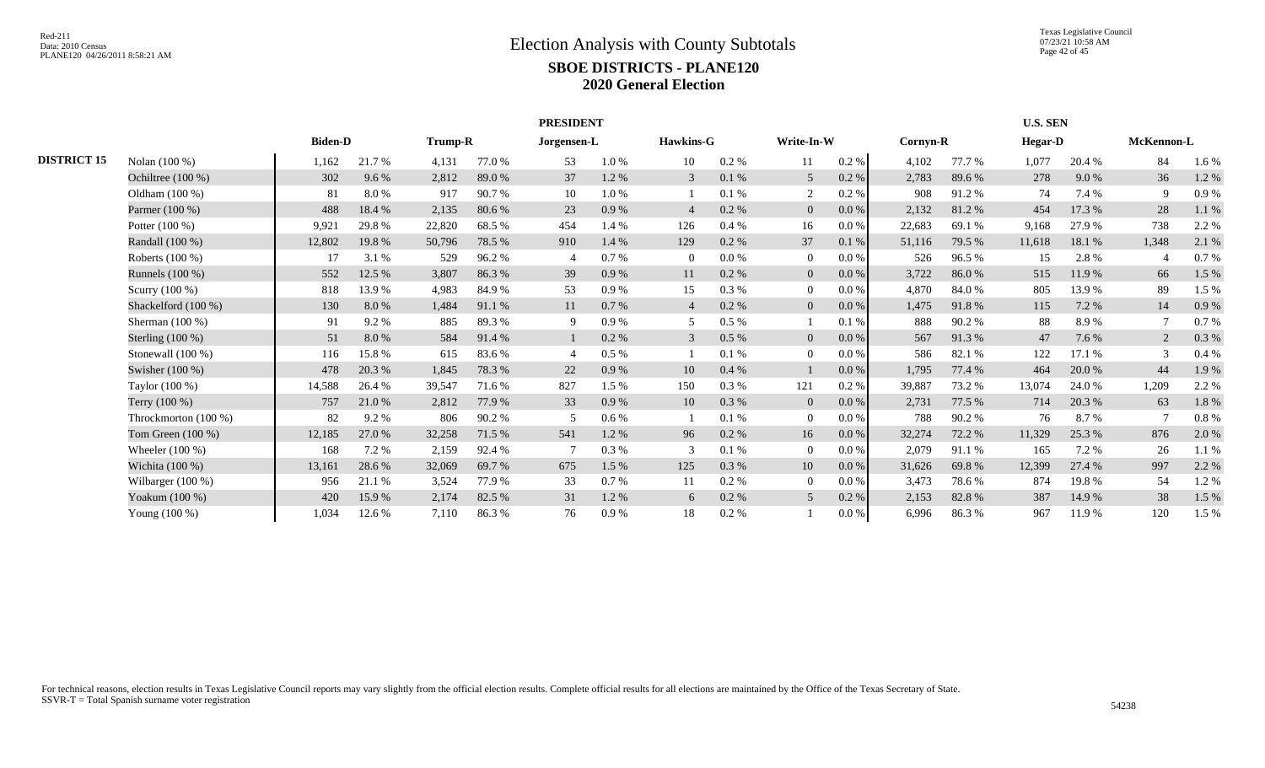|                    |                        |                | <b>PRESIDENT</b> |                |        |             |         |                  |          |                |           |          |        | <b>U.S. SEN</b> |        |            |       |
|--------------------|------------------------|----------------|------------------|----------------|--------|-------------|---------|------------------|----------|----------------|-----------|----------|--------|-----------------|--------|------------|-------|
|                    |                        | <b>Biden-D</b> |                  | <b>Trump-R</b> |        | Jorgensen-L |         | <b>Hawkins-G</b> |          | Write-In-W     |           | Cornyn-R |        | <b>Hegar-D</b>  |        | McKennon-L |       |
| <b>DISTRICT 15</b> | Nolan (100 %)          | 1,162          | 21.7 %           | 4,131          | 77.0%  | 53          | 1.0%    | 10               | 0.2 %    | 11             | 0.2 %     | 4,102    | 77.7 % | 1,077           | 20.4 % | 84         | 1.6%  |
|                    | Ochiltree (100 %)      | 302            | 9.6%             | 2,812          | 89.0%  | 37          | 1.2%    | 3                | 0.1%     | 5              | 0.2 %     | 2,783    | 89.6%  | 278             | 9.0%   | 36         | 1.2 % |
|                    | Oldham $(100\%)$       | 81             | 8.0%             | 917            | 90.7%  | 10          | 1.0%    |                  | 0.1%     |                | $0.2\%$   | 908      | 91.2%  | 74              | 7.4 %  | 9          | 0.9%  |
|                    | Parmer (100 %)         | 488            | 18.4 %           | 2,135          | 80.6%  | 23          | 0.9%    | $\overline{4}$   | 0.2 %    | $\overline{0}$ | $0.0\%$   | 2,132    | 81.2%  | 454             | 17.3 % | 28         | 1.1 % |
|                    | Potter $(100\%)$       | 9,921          | 29.8%            | 22,820         | 68.5 % | 454         | 1.4 %   | 126              | $0.4\%$  | 16             | $0.0\%$   | 22,683   | 69.1 % | 9.168           | 27.9 % | 738        | 2.2 % |
|                    | Randall (100 %)        | 12,802         | 19.8%            | 50,796         | 78.5 % | 910         | 1.4 %   | 129              | 0.2 %    | 37             | 0.1%      | 51,116   | 79.5 % | 11,618          | 18.1 % | 1,348      | 2.1 % |
|                    | Roberts (100 %)        | 17             | 3.1 %            | 529            | 96.2%  |             | 0.7%    | $\Omega$         | $0.0\%$  | $\theta$       | 0.0 %     | 526      | 96.5%  | 15              | 2.8%   |            | 0.7%  |
|                    | Runnels (100 %)        | 552            | 12.5 %           | 3,807          | 86.3%  | 39          | 0.9%    | 11               | 0.2 %    | $\overline{0}$ | 0.0 %     | 3,722    | 86.0%  | 515             | 11.9 % | 66         | 1.5 % |
|                    | Scurry $(100\%)$       | 818            | 13.9%            | 4,983          | 84.9%  | 53          | 0.9%    | 15               | 0.3%     | $\overline{0}$ | 0.0 %     | 4,870    | 84.0%  | 805             | 13.9%  | 89         | 1.5 % |
|                    | Shackelford (100 %)    | 130            | 8.0%             | 1,484          | 91.1 % | 11          | 0.7%    | $\overline{4}$   | 0.2 %    | $\overline{0}$ | 0.0 %     | 1,475    | 91.8%  | 115             | 7.2 %  | 14         | 0.9%  |
|                    | Sherman $(100\%)$      | 91             | 9.2%             | 885            | 89.3%  | 9           | 0.9%    | -5               | 0.5%     |                | 0.1%      | 888      | 90.2%  | 88              | 8.9%   |            | 0.7%  |
|                    | Sterling $(100\%)$     | 51             | 8.0%             | 584            | 91.4 % |             | 0.2 %   | $\mathfrak{Z}$   | $0.5\%$  | $\overline{0}$ | 0.0 %     | 567      | 91.3%  | 47              | 7.6 %  | 2          | 0.3%  |
|                    | Stonewall $(100\%)$    | 116            | 15.8%            | 615            | 83.6 % |             | 0.5%    |                  | 0.1%     | $\theta$       | 0.0 %     | 586      | 82.1 % | 122             | 17.1 % | 3          | 0.4%  |
|                    | Swisher $(100\%)$      | 478            | 20.3 %           | 1,845          | 78.3 % | 22          | 0.9%    | 10               | 0.4%     |                | $0.0\,\%$ | 1,795    | 77.4 % | 464             | 20.0%  | 44         | 1.9%  |
|                    | Taylor (100 %)         | 14,588         | 26.4 %           | 39,547         | 71.6 % | 827         | 1.5 %   | 150              | 0.3 %    | 121            | 0.2 %     | 39,887   | 73.2 % | 13,074          | 24.0 % | 1,209      | 2.2 % |
|                    | Terry (100 %)          | 757            | 21.0%            | 2,812          | 77.9 % | 33          | 0.9%    | 10               | 0.3%     | $\overline{0}$ | $0.0\,\%$ | 2,731    | 77.5 % | 714             | 20.3 % | 63         | 1.8%  |
|                    | Throckmorton $(100\%)$ | 82             | $9.2\%$          | 806            | 90.2%  | 5           | $0.6\%$ |                  | 0.1%     | $\overline{0}$ | 0.0 %     | 788      | 90.2%  | 76              | 8.7%   |            | 0.8%  |
|                    | Tom Green $(100\%)$    | 12,185         | 27.0%            | 32,258         | 71.5 % | 541         | 1.2%    | 96               | $0.2 \%$ | 16             | $0.0\,\%$ | 32,274   | 72.2 % | 11,329          | 25.3 % | 876        | 2.0%  |
|                    | Wheeler $(100\%)$      | 168            | 7.2 %            | 2,159          | 92.4 % |             | 0.3 %   | 3                | 0.1%     | $\Omega$       | $0.0\%$   | 2,079    | 91.1 % | 165             | 7.2 %  | 26         | 1.1 % |
|                    | Wichita $(100\%)$      | 13,161         | 28.6%            | 32,069         | 69.7%  | 675         | 1.5 %   | 125              | 0.3%     | 10             | $0.0\,\%$ | 31,626   | 69.8%  | 12,399          | 27.4 % | 997        | 2.2 % |
|                    | Wilbarger $(100\%)$    | 956            | 21.1 %           | 3,524          | 77.9 % | 33          | 0.7%    | 11               | 0.2%     | $\Omega$       | $0.0\%$   | 3,473    | 78.6%  | 874             | 19.8%  | 54         | 1.2%  |
|                    | Yoakum (100 %)         | 420            | 15.9%            | 2,174          | 82.5 % | 31          | 1.2%    | 6                | 0.2 %    | 5              | 0.2 %     | 2,153    | 82.8%  | 387             | 14.9 % | 38         | 1.5 % |
|                    | Young (100 %)          | 1,034          | 12.6 %           | 7,110          | 86.3%  | 76          | 0.9%    | 18               | $0.2\%$  |                | 0.0 %     | 6.996    | 86.3%  | 967             | 11.9 % | 120        | 1.5 % |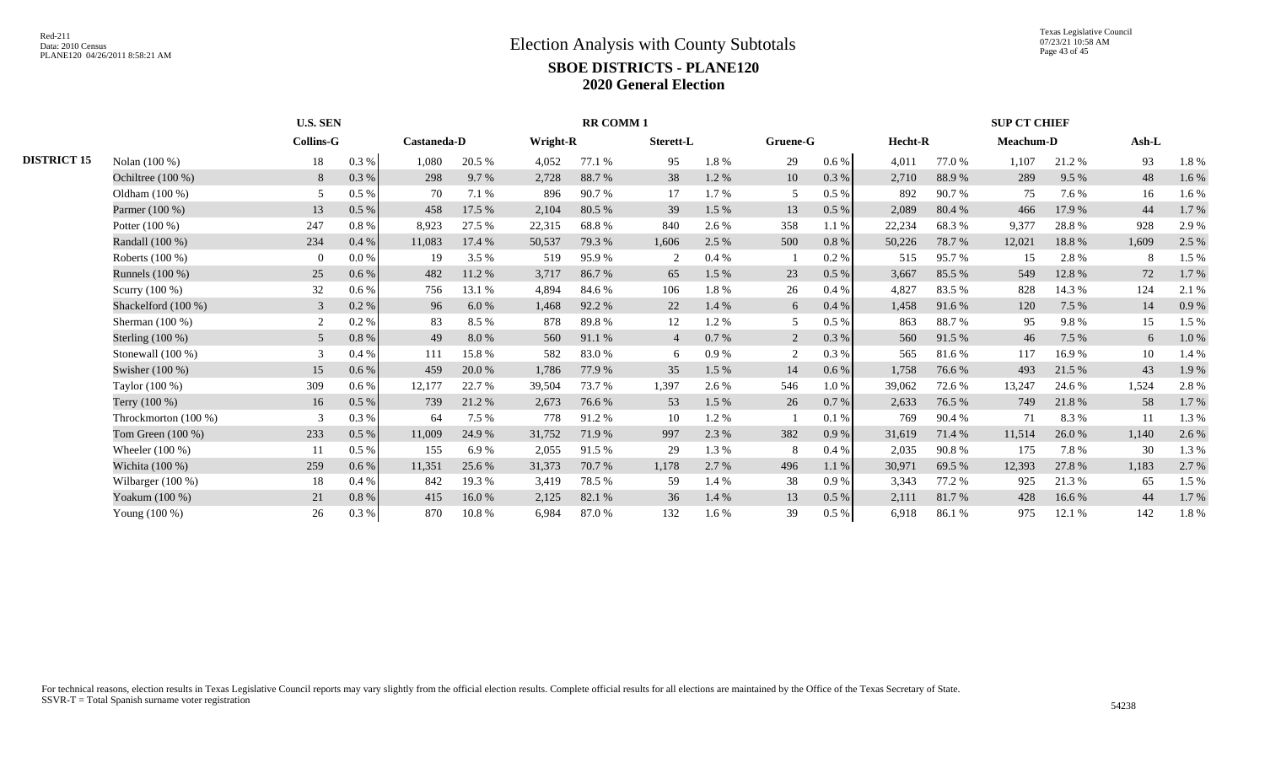|                    |                      |                  | <b>U.S. SEN</b><br><b>RR COMM 1</b> |             |        |          |        |                |       |          |           |         |        | <b>SUP CT CHIEF</b> |        |       |       |
|--------------------|----------------------|------------------|-------------------------------------|-------------|--------|----------|--------|----------------|-------|----------|-----------|---------|--------|---------------------|--------|-------|-------|
|                    |                      | <b>Collins-G</b> |                                     | Castaneda-D |        | Wright-R |        | Sterett-L      |       | Gruene-G |           | Hecht-R |        | <b>Meachum-D</b>    |        | Ash-L |       |
| <b>DISTRICT 15</b> | Nolan (100 %)        | 18               | 0.3%                                | 1,080       | 20.5 % | 4,052    | 77.1 % | 95             | 1.8%  | 29       | $0.6\%$   | 4,011   | 77.0 % | 1,107               | 21.2%  | 93    | 1.8%  |
|                    | Ochiltree (100 %)    | 8                | 0.3%                                | 298         | 9.7 %  | 2,728    | 88.7%  | 38             | 1.2%  | 10       | 0.3 %     | 2,710   | 88.9%  | 289                 | 9.5%   | 48    | 1.6%  |
|                    | Oldham (100 %)       | .5               | $0.5\%$                             | 70          | 7.1 %  | 896      | 90.7%  | 17             | 1.7%  | 5        | 0.5%      | 892     | 90.7%  | 75                  | 7.6 %  | 16    | 1.6 % |
|                    | Parmer (100 %)       | 13               | $0.5\ \%$                           | 458         | 17.5 % | 2,104    | 80.5 % | 39             | 1.5 % | 13       | 0.5%      | 2,089   | 80.4 % | 466                 | 17.9 % | 44    | 1.7 % |
|                    | Potter $(100\%)$     | 247              | 0.8%                                | 8,923       | 27.5 % | 22,315   | 68.8%  | 840            | 2.6 % | 358      | 1.1%      | 22,234  | 68.3%  | 9,377               | 28.8%  | 928   | 2.9 % |
|                    | Randall (100 %)      | 234              | 0.4%                                | 11,083      | 17.4 % | 50,537   | 79.3 % | 1,606          | 2.5 % | 500      | 0.8%      | 50,226  | 78.7%  | 12,021              | 18.8%  | 1,609 | 2.5 % |
|                    | Roberts (100 %)      |                  | 0.0 %                               | 19          | 3.5 %  | 519      | 95.9%  | 2              | 0.4%  |          | 0.2 %     | 515     | 95.7%  | 15                  | 2.8%   | -8    | 1.5 % |
|                    | Runnels (100 %)      | 25               | 0.6 %                               | 482         | 11.2 % | 3,717    | 86.7%  | 65             | 1.5 % | 23       | $0.5\ \%$ | 3,667   | 85.5 % | 549                 | 12.8%  | 72    | 1.7 % |
|                    | Scurry (100 %)       | 32               | 0.6%                                | 756         | 13.1 % | 4,894    | 84.6 % | 106            | 1.8%  | 26       | 0.4%      | 4,827   | 83.5 % | 828                 | 14.3 % | 124   | 2.1 % |
|                    | Shackelford (100 %)  | 3                | 0.2 %                               | 96          | 6.0%   | 1,468    | 92.2 % | 22             | 1.4 % | 6        | 0.4%      | 1,458   | 91.6%  | 120                 | 7.5 %  | 14    | 0.9%  |
|                    | Sherman $(100\%)$    |                  | 0.2 %                               | 83          | 8.5 %  | 878      | 89.8%  | 12             | 1.2%  | 5        | 0.5%      | 863     | 88.7%  | 95                  | 9.8%   | 15    | 1.5 % |
|                    | Sterling $(100\%)$   | 5                | 0.8 %                               | 49          | 8.0%   | 560      | 91.1 % | $\overline{4}$ | 0.7%  | 2        | 0.3%      | 560     | 91.5 % | 46                  | 7.5 %  | 6     | 1.0%  |
|                    | Stonewall (100 %)    | $\mathcal{R}$    | 0.4%                                | 111         | 15.8%  | 582      | 83.0%  | 6              | 0.9%  | 2        | 0.3%      | 565     | 81.6%  | 117                 | 16.9%  | 10    | 1.4 % |
|                    | Swisher $(100\%)$    | 15               | 0.6%                                | 459         | 20.0 % | 1,786    | 77.9 % | 35             | 1.5 % | 14       | 0.6%      | 1,758   | 76.6%  | 493                 | 21.5 % | 43    | 1.9%  |
|                    | Taylor (100 %)       | 309              | $0.6\%$                             | 12,177      | 22.7 % | 39.504   | 73.7 % | 1,397          | 2.6 % | 546      | 1.0%      | 39,062  | 72.6 % | 13,247              | 24.6 % | 1,524 | 2.8%  |
|                    | Terry (100 %)        | 16               | $0.5\%$                             | 739         | 21.2%  | 2,673    | 76.6%  | 53             | 1.5 % | 26       | 0.7%      | 2,633   | 76.5 % | 749                 | 21.8%  | 58    | 1.7%  |
|                    | Throckmorton (100 %) | $\mathcal{R}$    | 0.3%                                | 64          | 7.5 %  | 778      | 91.2%  | 10             | 1.2%  |          | 0.1%      | 769     | 90.4 % | 71                  | 8.3%   | 11    | 1.3%  |
|                    | Tom Green (100 %)    | 233              | 0.5%                                | 11,009      | 24.9 % | 31,752   | 71.9%  | 997            | 2.3 % | 382      | 0.9%      | 31,619  | 71.4 % | 11,514              | 26.0%  | 1,140 | 2.6 % |
|                    | Wheeler $(100\%)$    | 11               | 0.5%                                | 155         | 6.9%   | 2,055    | 91.5 % | 29             | 1.3 % | 8        | 0.4%      | 2,035   | 90.8%  | 175                 | 7.8%   | 30    | 1.3%  |
|                    | Wichita (100 %)      | 259              | 0.6 %                               | 11,351      | 25.6 % | 31,373   | 70.7 % | 1,178          | 2.7 % | 496      | 1.1 %     | 30,971  | 69.5 % | 12,393              | 27.8 % | 1,183 | 2.7 % |
|                    | Wilbarger (100 %)    | 18               | 0.4%                                | 842         | 19.3 % | 3,419    | 78.5 % | 59             | 1.4 % | 38       | 0.9%      | 3,343   | 77.2 % | 925                 | 21.3%  | 65    | 1.5 % |
|                    | Yoakum (100 %)       | 21               | $0.8\ \%$                           | 415         | 16.0%  | 2,125    | 82.1 % | 36             | 1.4 % | 13       | 0.5%      | 2,111   | 81.7%  | 428                 | 16.6%  | 44    | 1.7 % |
|                    | Young (100 %)        | 26               | 0.3 %                               | 870         | 10.8%  | 6,984    | 87.0%  | 132            | 1.6 % | 39       | 0.5%      | 6,918   | 86.1%  | 975                 | 12.1 % | 142   | 1.8%  |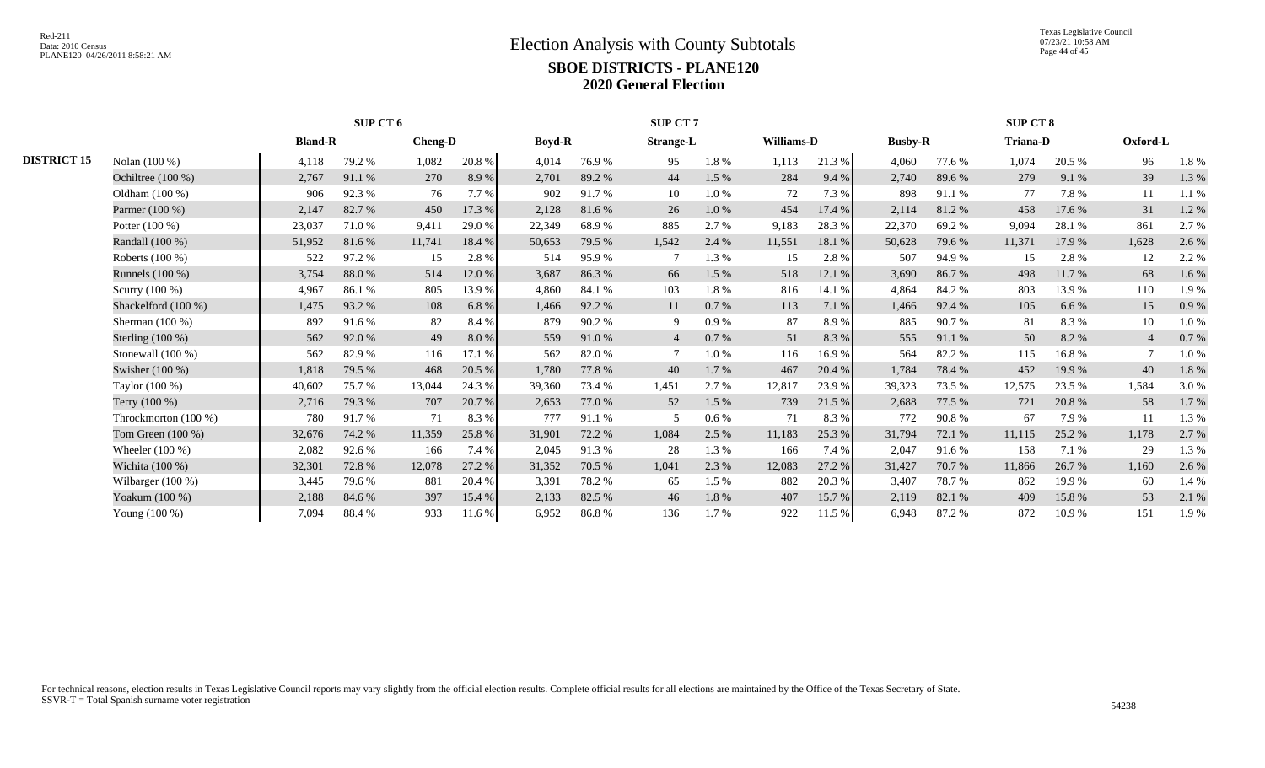Texas Legislative Council 07/23/21 10:58 AM Page 44 of 45

|                    |                      |                | SUP CT 6 |                |           |               |        | <b>SUP CT 7</b>  |         |            |        |                |        | SUP CT 8        |        |                |       |
|--------------------|----------------------|----------------|----------|----------------|-----------|---------------|--------|------------------|---------|------------|--------|----------------|--------|-----------------|--------|----------------|-------|
|                    |                      | <b>Bland-R</b> |          | <b>Cheng-D</b> |           | <b>Boyd-R</b> |        | <b>Strange-L</b> |         | Williams-D |        | <b>Busby-R</b> |        | <b>Triana-D</b> |        | Oxford-L       |       |
| <b>DISTRICT 15</b> | Nolan (100 %)        | 4,118          | 79.2 %   | 1,082          | 20.8%     | 4,014         | 76.9%  | 95               | 1.8%    | 1,113      | 21.3 % | 4,060          | 77.6 % | 1,074           | 20.5 % | 96             | 1.8%  |
|                    | Ochiltree $(100\%)$  | 2,767          | 91.1 %   | 270            | 8.9%      | 2,701         | 89.2%  | 44               | 1.5 %   | 284        | 9.4 %  | 2,740          | 89.6%  | 279             | 9.1 %  | 39             | 1.3 % |
|                    | Oldham $(100\%)$     | 906            | 92.3%    | 76             | 7.7 %     | 902           | 91.7%  | 10               | 1.0%    | 72         | 7.3 %  | 898            | 91.1 % | 77              | 7.8%   | 11             | 1.1 % |
|                    | Parmer (100 %)       | 2,147          | 82.7%    | 450            | 17.3 %    | 2,128         | 81.6%  | 26               | 1.0%    | 454        | 17.4 % | 2,114          | 81.2%  | 458             | 17.6 % | 31             | 1.2%  |
|                    | Potter $(100\%)$     | 23,037         | 71.0%    | 9,411          | 29.0%     | 22,349        | 68.9%  | 885              | 2.7 %   | 9,183      | 28.3%  | 22,370         | 69.2%  | 9.094           | 28.1 % | 861            | 2.7 % |
|                    | Randall (100 %)      | 51,952         | 81.6%    | 11,741         | 18.4 %    | 50,653        | 79.5 % | 1,542            | 2.4 %   | 11,551     | 18.1 % | 50,628         | 79.6 % | 11,371          | 17.9 % | 1,628          | 2.6 % |
|                    | Roberts (100 %)      | 522            | 97.2%    | 15             | 2.8%      | 514           | 95.9%  |                  | 1.3%    | 15         | 2.8%   | 507            | 94.9%  | 15              | 2.8%   | 12             | 2.2 % |
|                    | Runnels (100 %)      | 3,754          | 88.0%    | 514            | 12.0%     | 3,687         | 86.3%  | 66               | 1.5 %   | 518        | 12.1 % | 3,690          | 86.7%  | 498             | 11.7 % | 68             | 1.6%  |
|                    | Scurry (100 %)       | 4,967          | 86.1%    | 805            | 13.9%     | 4,860         | 84.1 % | 103              | 1.8%    | 816        | 14.1 % | 4,864          | 84.2%  | 803             | 13.9%  | 110            | 1.9%  |
|                    | Shackelford (100 %)  | 1,475          | 93.2%    | 108            | 6.8%      | 1,466         | 92.2%  | 11               | 0.7%    | 113        | 7.1 %  | 1,466          | 92.4%  | 105             | 6.6 %  | 15             | 0.9%  |
|                    | Sherman $(100\%)$    | 892            | 91.6%    | 82             | 8.4%      | 879           | 90.2%  | -9               | 0.9%    | 87         | 8.9%   | 885            | 90.7%  | 81              | 8.3%   | 10             | 1.0%  |
|                    | Sterling $(100\%)$   | 562            | 92.0%    | 49             | $8.0\ \%$ | 559           | 91.0%  |                  | 0.7%    | 51         | 8.3%   | 555            | 91.1 % | 50              | 8.2%   | $\overline{4}$ | 0.7%  |
|                    | Stonewall $(100\%)$  | 562            | 82.9%    | 116            | 17.1 %    | 562           | 82.0%  |                  | 1.0%    | 116        | 16.9%  | 564            | 82.2%  | 115             | 16.8%  |                | 1.0%  |
|                    | Swisher (100 %)      | 1,818          | 79.5 %   | 468            | $20.5~\%$ | 1,780         | 77.8%  | 40               | 1.7%    | 467        | 20.4 % | 1,784          | 78.4 % | 452             | 19.9 % | 40             | 1.8%  |
|                    | Taylor (100 %)       | 40,602         | 75.7 %   | 13,044         | 24.3 %    | 39,360        | 73.4 % | 1,451            | 2.7 %   | 12,817     | 23.9%  | 39,323         | 73.5 % | 12,575          | 23.5 % | 1,584          | 3.0%  |
|                    | Terry $(100\%)$      | 2,716          | 79.3 %   | 707            | 20.7%     | 2,653         | 77.0 % | 52               | 1.5 %   | 739        | 21.5 % | 2,688          | 77.5 % | 721             | 20.8%  | 58             | 1.7%  |
|                    | Throckmorton (100 %) | 780            | 91.7%    | 71             | 8.3%      | 777           | 91.1%  | -5               | $0.6\%$ | 71         | 8.3%   | 772            | 90.8%  | 67              | 7.9%   | 11             | 1.3 % |
|                    | Tom Green $(100\%)$  | 32,676         | 74.2 %   | 11,359         | 25.8 %    | 31,901        | 72.2 % | 1,084            | 2.5 %   | 11,183     | 25.3 % | 31,794         | 72.1 % | 11,115          | 25.2 % | 1,178          | 2.7 % |
|                    | Wheeler $(100\%)$    | 2,082          | 92.6 %   | 166            | 7.4 %     | 2,045         | 91.3%  | 28               | 1.3%    | 166        | 7.4 %  | 2,047          | 91.6 % | 158             | 7.1 %  | 29             | 1.3%  |
|                    | Wichita (100 %)      | 32,301         | 72.8%    | 12,078         | 27.2 %    | 31,352        | 70.5 % | 1,041            | 2.3 %   | 12,083     | 27.2 % | 31,427         | 70.7 % | 11,866          | 26.7 % | 1,160          | 2.6 % |
|                    | Wilbarger (100 %)    | 3,445          | 79.6%    | 881            | 20.4 %    | 3,391         | 78.2 % | 65               | 1.5 %   | 882        | 20.3 % | 3,407          | 78.7%  | 862             | 19.9%  | 60             | 1.4 % |
|                    | Yoakum (100 %)       | 2,188          | 84.6 %   | 397            | 15.4 %    | 2,133         | 82.5 % | 46               | 1.8%    | 407        | 15.7%  | 2,119          | 82.1 % | 409             | 15.8%  | 53             | 2.1 % |
|                    | Young (100 %)        | 7,094          | 88.4%    | 933            | 11.6 %    | 6,952         | 86.8%  | 136              | 1.7%    | 922        | 11.5 % | 6,948          | 87.2%  | 872             | 10.9%  | 151            | 1.9%  |
|                    |                      |                |          |                |           |               |        |                  |         |            |        |                |        |                 |        |                |       |